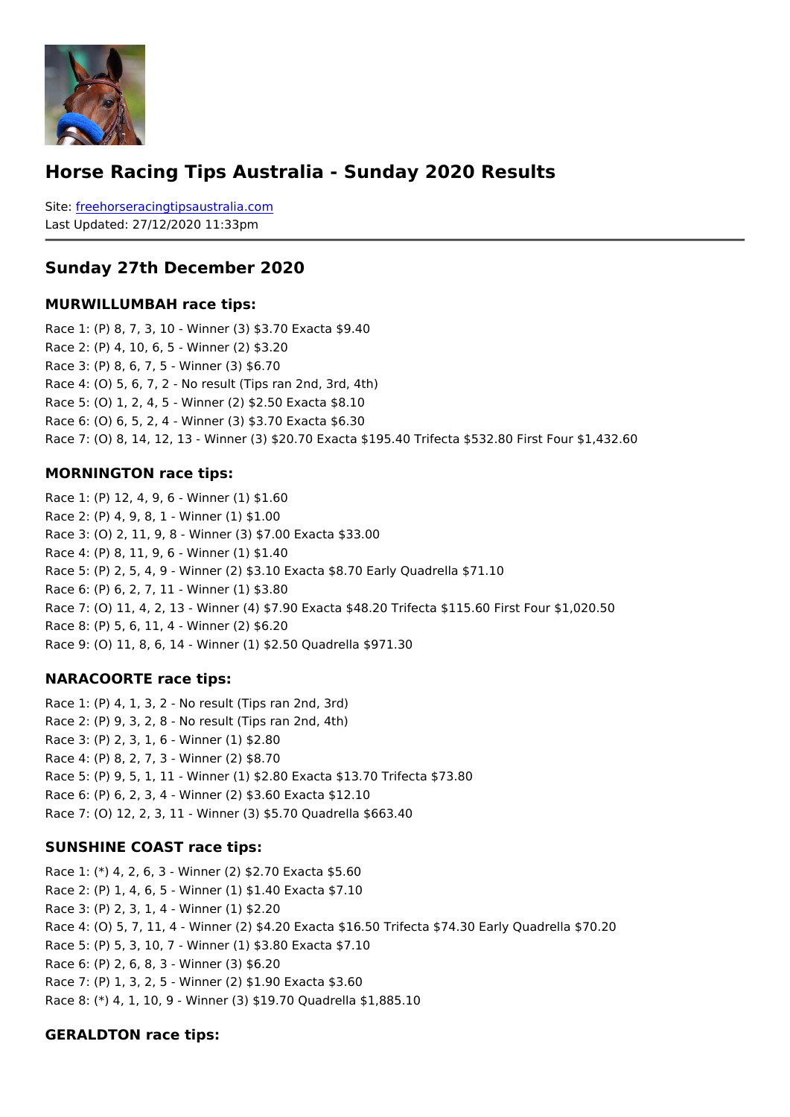#### Horse Racing Tips Australia - Sunday 2020 Results

Sitefreehorseracingtipsaustralia.com Last Updated: 27/12/2020 11:33pm

#### Sunday 27th December 2020

#### MURWILLUMBAH race tips:

Race 1: (P) 8, 7, 3, 10 - Winner (3) \$3.70 Exacta \$9.40 Race 2: (P) 4, 10, 6, 5 - Winner (2) \$3.20 Race 3: (P) 8, 6, 7, 5 - Winner (3) \$6.70 Race 4: (O) 5, 6, 7, 2 - No result (Tips ran 2nd, 3rd, 4th) Race 5: (O) 1, 2, 4, 5 - Winner (2) \$2.50 Exacta \$8.10 Race 6: (O) 6, 5, 2, 4 - Winner (3) \$3.70 Exacta \$6.30 Race 7: (O) 8, 14, 12, 13 - Winner (3) \$20.70 Exacta \$195.40 Trifecta \$532.80 First Fo

#### MORNINGTON race tips:

Race 1: (P) 12, 4, 9, 6 - Winner (1) \$1.60 Race 2: (P) 4, 9, 8, 1 - Winner (1) \$1.00 Race 3: (O) 2, 11, 9, 8 - Winner (3) \$7.00 Exacta \$33.00 Race 4: (P) 8, 11, 9, 6 - Winner (1) \$1.40 Race 5: (P) 2, 5, 4, 9 - Winner (2) \$3.10 Exacta \$8.70 Early Quadrella \$71.10 Race 6: (P) 6, 2, 7, 11 - Winner (1) \$3.80 Race 7: (O) 11, 4, 2, 13 - Winner (4) \$7.90 Exacta \$48.20 Trifecta \$115.60 First Four \$ Race 8: (P) 5, 6, 11, 4 - Winner (2) \$6.20 Race 9: (O) 11, 8, 6, 14 - Winner (1) \$2.50 Quadrella \$971.30

#### NARACOORTE race tips:

Race 1: (P) 4, 1, 3, 2 - No result (Tips ran 2nd, 3rd) Race 2: (P) 9, 3, 2, 8 - No result (Tips ran 2nd, 4th) Race 3: (P) 2, 3, 1, 6 - Winner (1) \$2.80 Race 4: (P) 8, 2, 7, 3 - Winner (2) \$8.70 Race 5: (P) 9, 5, 1, 11 - Winner (1) \$2.80 Exacta \$13.70 Trifecta \$73.80 Race 6: (P) 6, 2, 3, 4 - Winner (2) \$3.60 Exacta \$12.10 Race 7: (O) 12, 2, 3, 11 - Winner (3) \$5.70 Quadrella \$663.40

#### SUNSHINE COAST race tips:

Race 1: (\*) 4, 2, 6, 3 - Winner (2) \$2.70 Exacta \$5.60 Race 2: (P) 1, 4, 6, 5 - Winner (1) \$1.40 Exacta \$7.10 Race 3: (P) 2, 3, 1, 4 - Winner (1) \$2.20 Race 4: (O) 5, 7, 11, 4 - Winner (2) \$4.20 Exacta \$16.50 Trifecta \$74.30 Early Quadrel Race 5: (P) 5, 3, 10, 7 - Winner (1) \$3.80 Exacta \$7.10 Race 6: (P) 2, 6, 8, 3 - Winner (3) \$6.20 Race 7: (P) 1, 3, 2, 5 - Winner (2) \$1.90 Exacta \$3.60 Race 8: (\*) 4, 1, 10, 9 - Winner (3) \$19.70 Quadrella \$1,885.10

GERALDTON race tips: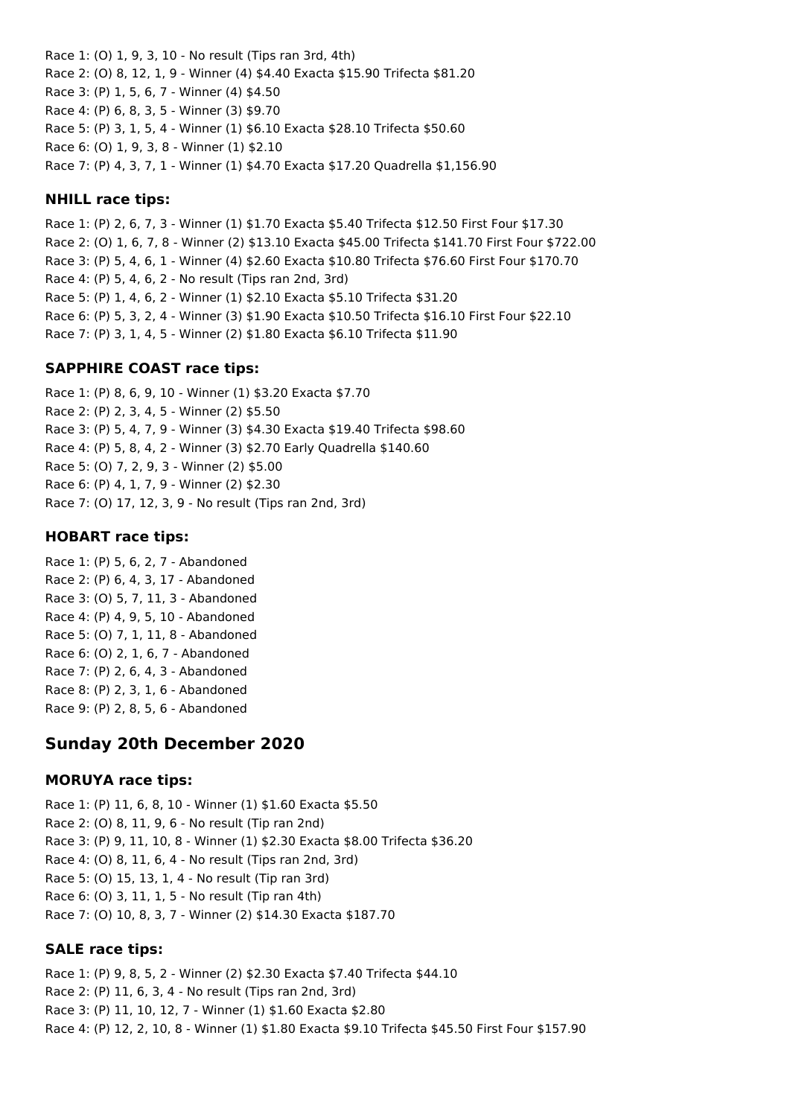Race 1: (O) 1, 9, 3, 10 - No result (Tips ran 3rd, 4th) Race 2: (O) 8, 12, 1, 9 - Winner (4) \$4.40 Exacta \$15.90 Trifecta \$81.20 Race 3: (P) 1, 5, 6, 7 - Winner (4) \$4.50 Race 4: (P) 6, 8, 3, 5 - Winner (3) \$9.70 Race 5: (P) 3, 1, 5, 4 - Winner (1) \$6.10 Exacta \$28.10 Trifecta \$50.60 Race 6: (O) 1, 9, 3, 8 - Winner (1) \$2.10 Race 7: (P) 4, 3, 7, 1 - Winner (1) \$4.70 Exacta \$17.20 Quadrella \$1,156.90

#### **NHILL race tips:**

Race 1: (P) 2, 6, 7, 3 - Winner (1) \$1.70 Exacta \$5.40 Trifecta \$12.50 First Four \$17.30 Race 2: (O) 1, 6, 7, 8 - Winner (2) \$13.10 Exacta \$45.00 Trifecta \$141.70 First Four \$722.00 Race 3: (P) 5, 4, 6, 1 - Winner (4) \$2.60 Exacta \$10.80 Trifecta \$76.60 First Four \$170.70 Race 4: (P) 5, 4, 6, 2 - No result (Tips ran 2nd, 3rd) Race 5: (P) 1, 4, 6, 2 - Winner (1) \$2.10 Exacta \$5.10 Trifecta \$31.20 Race 6: (P) 5, 3, 2, 4 - Winner (3) \$1.90 Exacta \$10.50 Trifecta \$16.10 First Four \$22.10 Race 7: (P) 3, 1, 4, 5 - Winner (2) \$1.80 Exacta \$6.10 Trifecta \$11.90

## **SAPPHIRE COAST race tips:**

Race 1: (P) 8, 6, 9, 10 - Winner (1) \$3.20 Exacta \$7.70 Race 2: (P) 2, 3, 4, 5 - Winner (2) \$5.50 Race 3: (P) 5, 4, 7, 9 - Winner (3) \$4.30 Exacta \$19.40 Trifecta \$98.60 Race 4: (P) 5, 8, 4, 2 - Winner (3) \$2.70 Early Quadrella \$140.60 Race 5: (O) 7, 2, 9, 3 - Winner (2) \$5.00 Race 6: (P) 4, 1, 7, 9 - Winner (2) \$2.30 Race 7: (O) 17, 12, 3, 9 - No result (Tips ran 2nd, 3rd)

#### **HOBART race tips:**

Race 1: (P) 5, 6, 2, 7 - Abandoned Race 2: (P) 6, 4, 3, 17 - Abandoned Race 3: (O) 5, 7, 11, 3 - Abandoned Race 4: (P) 4, 9, 5, 10 - Abandoned Race 5: (O) 7, 1, 11, 8 - Abandoned Race 6: (O) 2, 1, 6, 7 - Abandoned Race 7: (P) 2, 6, 4, 3 - Abandoned Race 8: (P) 2, 3, 1, 6 - Abandoned Race 9: (P) 2, 8, 5, 6 - Abandoned

# **Sunday 20th December 2020**

## **MORUYA race tips:**

Race 1: (P) 11, 6, 8, 10 - Winner (1) \$1.60 Exacta \$5.50 Race 2: (O) 8, 11, 9, 6 - No result (Tip ran 2nd) Race 3: (P) 9, 11, 10, 8 - Winner (1) \$2.30 Exacta \$8.00 Trifecta \$36.20 Race 4: (O) 8, 11, 6, 4 - No result (Tips ran 2nd, 3rd) Race 5: (O) 15, 13, 1, 4 - No result (Tip ran 3rd) Race 6: (O) 3, 11, 1, 5 - No result (Tip ran 4th) Race 7: (O) 10, 8, 3, 7 - Winner (2) \$14.30 Exacta \$187.70

#### **SALE race tips:**

Race 1: (P) 9, 8, 5, 2 - Winner (2) \$2.30 Exacta \$7.40 Trifecta \$44.10 Race 2: (P) 11, 6, 3, 4 - No result (Tips ran 2nd, 3rd) Race 3: (P) 11, 10, 12, 7 - Winner (1) \$1.60 Exacta \$2.80 Race 4: (P) 12, 2, 10, 8 - Winner (1) \$1.80 Exacta \$9.10 Trifecta \$45.50 First Four \$157.90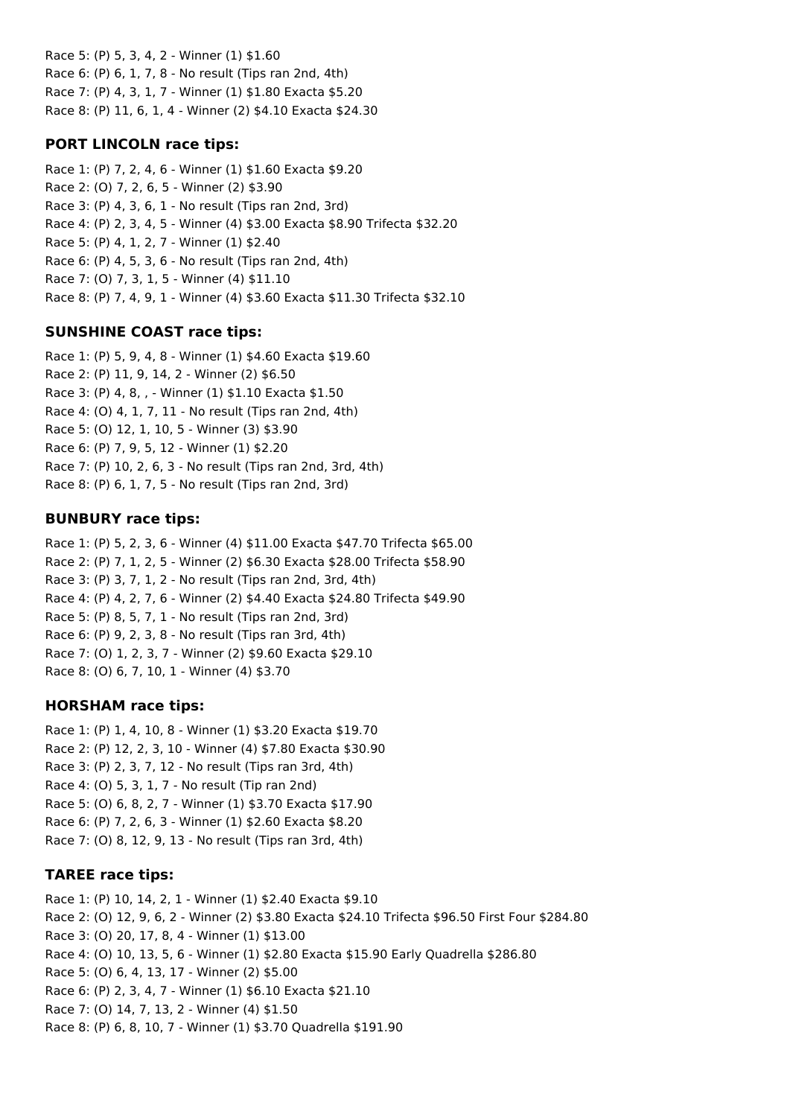Race 5: (P) 5, 3, 4, 2 - Winner (1) \$1.60 Race 6: (P) 6, 1, 7, 8 - No result (Tips ran 2nd, 4th) Race 7: (P) 4, 3, 1, 7 - Winner (1) \$1.80 Exacta \$5.20 Race 8: (P) 11, 6, 1, 4 - Winner (2) \$4.10 Exacta \$24.30

# **PORT LINCOLN race tips:**

Race 1: (P) 7, 2, 4, 6 - Winner (1) \$1.60 Exacta \$9.20 Race 2: (O) 7, 2, 6, 5 - Winner (2) \$3.90 Race 3: (P) 4, 3, 6, 1 - No result (Tips ran 2nd, 3rd) Race 4: (P) 2, 3, 4, 5 - Winner (4) \$3.00 Exacta \$8.90 Trifecta \$32.20 Race 5: (P) 4, 1, 2, 7 - Winner (1) \$2.40 Race 6: (P) 4, 5, 3, 6 - No result (Tips ran 2nd, 4th) Race 7: (O) 7, 3, 1, 5 - Winner (4) \$11.10 Race 8: (P) 7, 4, 9, 1 - Winner (4) \$3.60 Exacta \$11.30 Trifecta \$32.10

# **SUNSHINE COAST race tips:**

Race 1: (P) 5, 9, 4, 8 - Winner (1) \$4.60 Exacta \$19.60 Race 2: (P) 11, 9, 14, 2 - Winner (2) \$6.50 Race 3: (P) 4, 8, , - Winner (1) \$1.10 Exacta \$1.50 Race 4: (O) 4, 1, 7, 11 - No result (Tips ran 2nd, 4th) Race 5: (O) 12, 1, 10, 5 - Winner (3) \$3.90 Race 6: (P) 7, 9, 5, 12 - Winner (1) \$2.20 Race 7: (P) 10, 2, 6, 3 - No result (Tips ran 2nd, 3rd, 4th) Race 8: (P) 6, 1, 7, 5 - No result (Tips ran 2nd, 3rd)

# **BUNBURY race tips:**

Race 1: (P) 5, 2, 3, 6 - Winner (4) \$11.00 Exacta \$47.70 Trifecta \$65.00 Race 2: (P) 7, 1, 2, 5 - Winner (2) \$6.30 Exacta \$28.00 Trifecta \$58.90 Race 3: (P) 3, 7, 1, 2 - No result (Tips ran 2nd, 3rd, 4th) Race 4: (P) 4, 2, 7, 6 - Winner (2) \$4.40 Exacta \$24.80 Trifecta \$49.90 Race 5: (P) 8, 5, 7, 1 - No result (Tips ran 2nd, 3rd) Race 6: (P) 9, 2, 3, 8 - No result (Tips ran 3rd, 4th) Race 7: (O) 1, 2, 3, 7 - Winner (2) \$9.60 Exacta \$29.10 Race 8: (O) 6, 7, 10, 1 - Winner (4) \$3.70

# **HORSHAM race tips:**

Race 1: (P) 1, 4, 10, 8 - Winner (1) \$3.20 Exacta \$19.70 Race 2: (P) 12, 2, 3, 10 - Winner (4) \$7.80 Exacta \$30.90 Race 3: (P) 2, 3, 7, 12 - No result (Tips ran 3rd, 4th) Race 4: (O) 5, 3, 1, 7 - No result (Tip ran 2nd) Race 5: (O) 6, 8, 2, 7 - Winner (1) \$3.70 Exacta \$17.90 Race 6: (P) 7, 2, 6, 3 - Winner (1) \$2.60 Exacta \$8.20 Race 7: (O) 8, 12, 9, 13 - No result (Tips ran 3rd, 4th)

# **TAREE race tips:**

Race 1: (P) 10, 14, 2, 1 - Winner (1) \$2.40 Exacta \$9.10 Race 2: (O) 12, 9, 6, 2 - Winner (2) \$3.80 Exacta \$24.10 Trifecta \$96.50 First Four \$284.80 Race 3: (O) 20, 17, 8, 4 - Winner (1) \$13.00 Race 4: (O) 10, 13, 5, 6 - Winner (1) \$2.80 Exacta \$15.90 Early Quadrella \$286.80 Race 5: (O) 6, 4, 13, 17 - Winner (2) \$5.00 Race 6: (P) 2, 3, 4, 7 - Winner (1) \$6.10 Exacta \$21.10 Race 7: (O) 14, 7, 13, 2 - Winner (4) \$1.50 Race 8: (P) 6, 8, 10, 7 - Winner (1) \$3.70 Quadrella \$191.90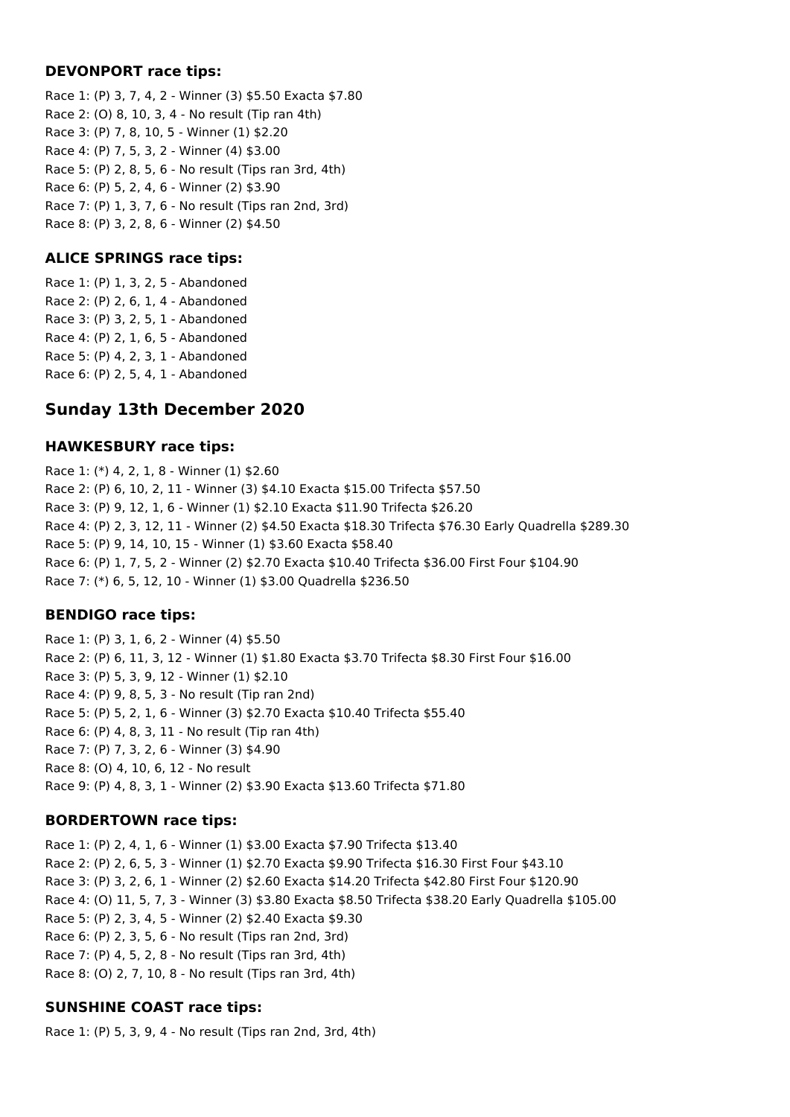#### **DEVONPORT race tips:**

Race 1: (P) 3, 7, 4, 2 - Winner (3) \$5.50 Exacta \$7.80 Race 2: (O) 8, 10, 3, 4 - No result (Tip ran 4th) Race 3: (P) 7, 8, 10, 5 - Winner (1) \$2.20 Race 4: (P) 7, 5, 3, 2 - Winner (4) \$3.00 Race 5: (P) 2, 8, 5, 6 - No result (Tips ran 3rd, 4th) Race 6: (P) 5, 2, 4, 6 - Winner (2) \$3.90 Race 7: (P) 1, 3, 7, 6 - No result (Tips ran 2nd, 3rd) Race 8: (P) 3, 2, 8, 6 - Winner (2) \$4.50

## **ALICE SPRINGS race tips:**

Race 1: (P) 1, 3, 2, 5 - Abandoned Race 2: (P) 2, 6, 1, 4 - Abandoned Race 3: (P) 3, 2, 5, 1 - Abandoned Race 4: (P) 2, 1, 6, 5 - Abandoned Race 5: (P) 4, 2, 3, 1 - Abandoned Race 6: (P) 2, 5, 4, 1 - Abandoned

# **Sunday 13th December 2020**

# **HAWKESBURY race tips:**

Race 1: (\*) 4, 2, 1, 8 - Winner (1) \$2.60 Race 2: (P) 6, 10, 2, 11 - Winner (3) \$4.10 Exacta \$15.00 Trifecta \$57.50 Race 3: (P) 9, 12, 1, 6 - Winner (1) \$2.10 Exacta \$11.90 Trifecta \$26.20 Race 4: (P) 2, 3, 12, 11 - Winner (2) \$4.50 Exacta \$18.30 Trifecta \$76.30 Early Quadrella \$289.30 Race 5: (P) 9, 14, 10, 15 - Winner (1) \$3.60 Exacta \$58.40 Race 6: (P) 1, 7, 5, 2 - Winner (2) \$2.70 Exacta \$10.40 Trifecta \$36.00 First Four \$104.90 Race 7: (\*) 6, 5, 12, 10 - Winner (1) \$3.00 Quadrella \$236.50

# **BENDIGO race tips:**

Race 1: (P) 3, 1, 6, 2 - Winner (4) \$5.50 Race 2: (P) 6, 11, 3, 12 - Winner (1) \$1.80 Exacta \$3.70 Trifecta \$8.30 First Four \$16.00 Race 3: (P) 5, 3, 9, 12 - Winner (1) \$2.10 Race 4: (P) 9, 8, 5, 3 - No result (Tip ran 2nd) Race 5: (P) 5, 2, 1, 6 - Winner (3) \$2.70 Exacta \$10.40 Trifecta \$55.40 Race 6: (P) 4, 8, 3, 11 - No result (Tip ran 4th) Race 7: (P) 7, 3, 2, 6 - Winner (3) \$4.90 Race 8: (O) 4, 10, 6, 12 - No result Race 9: (P) 4, 8, 3, 1 - Winner (2) \$3.90 Exacta \$13.60 Trifecta \$71.80

## **BORDERTOWN race tips:**

Race 1: (P) 2, 4, 1, 6 - Winner (1) \$3.00 Exacta \$7.90 Trifecta \$13.40 Race 2: (P) 2, 6, 5, 3 - Winner (1) \$2.70 Exacta \$9.90 Trifecta \$16.30 First Four \$43.10 Race 3: (P) 3, 2, 6, 1 - Winner (2) \$2.60 Exacta \$14.20 Trifecta \$42.80 First Four \$120.90 Race 4: (O) 11, 5, 7, 3 - Winner (3) \$3.80 Exacta \$8.50 Trifecta \$38.20 Early Quadrella \$105.00 Race 5: (P) 2, 3, 4, 5 - Winner (2) \$2.40 Exacta \$9.30 Race 6: (P) 2, 3, 5, 6 - No result (Tips ran 2nd, 3rd) Race 7: (P) 4, 5, 2, 8 - No result (Tips ran 3rd, 4th) Race 8: (O) 2, 7, 10, 8 - No result (Tips ran 3rd, 4th)

## **SUNSHINE COAST race tips:**

Race 1: (P) 5, 3, 9, 4 - No result (Tips ran 2nd, 3rd, 4th)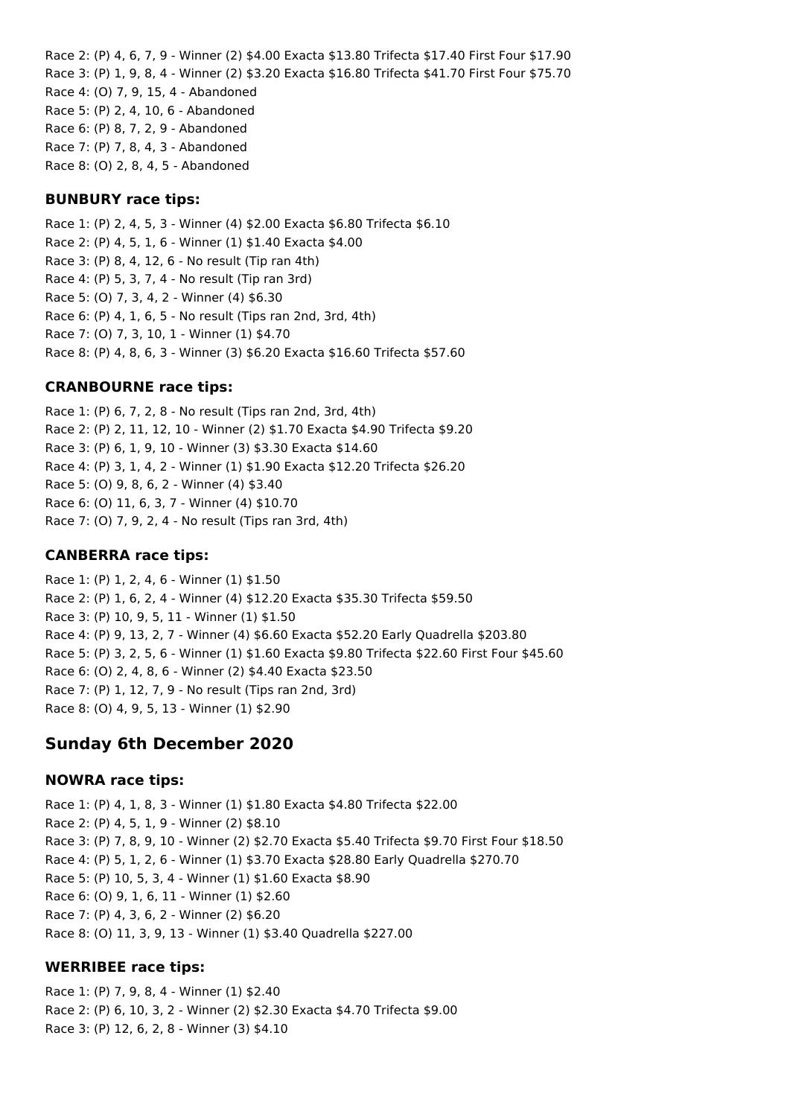Race 2: (P) 4, 6, 7, 9 - Winner (2) \$4.00 Exacta \$13.80 Trifecta \$17.40 First Four \$17.90 Race 3: (P) 1, 9, 8, 4 - Winner (2) \$3.20 Exacta \$16.80 Trifecta \$41.70 First Four \$75.70 Race 4: (O) 7, 9, 15, 4 - Abandoned Race 5: (P) 2, 4, 10, 6 - Abandoned Race 6: (P) 8, 7, 2, 9 - Abandoned Race 7: (P) 7, 8, 4, 3 - Abandoned Race 8: (O) 2, 8, 4, 5 - Abandoned

#### **BUNBURY race tips:**

Race 1: (P) 2, 4, 5, 3 - Winner (4) \$2.00 Exacta \$6.80 Trifecta \$6.10 Race 2: (P) 4, 5, 1, 6 - Winner (1) \$1.40 Exacta \$4.00 Race 3: (P) 8, 4, 12, 6 - No result (Tip ran 4th) Race 4: (P) 5, 3, 7, 4 - No result (Tip ran 3rd) Race 5: (O) 7, 3, 4, 2 - Winner (4) \$6.30 Race 6: (P) 4, 1, 6, 5 - No result (Tips ran 2nd, 3rd, 4th) Race 7: (O) 7, 3, 10, 1 - Winner (1) \$4.70 Race 8: (P) 4, 8, 6, 3 - Winner (3) \$6.20 Exacta \$16.60 Trifecta \$57.60

#### **CRANBOURNE race tips:**

Race 1: (P) 6, 7, 2, 8 - No result (Tips ran 2nd, 3rd, 4th) Race 2: (P) 2, 11, 12, 10 - Winner (2) \$1.70 Exacta \$4.90 Trifecta \$9.20 Race 3: (P) 6, 1, 9, 10 - Winner (3) \$3.30 Exacta \$14.60 Race 4: (P) 3, 1, 4, 2 - Winner (1) \$1.90 Exacta \$12.20 Trifecta \$26.20 Race 5: (O) 9, 8, 6, 2 - Winner (4) \$3.40 Race 6: (O) 11, 6, 3, 7 - Winner (4) \$10.70 Race 7: (O) 7, 9, 2, 4 - No result (Tips ran 3rd, 4th)

#### **CANBERRA race tips:**

Race 1: (P) 1, 2, 4, 6 - Winner (1) \$1.50 Race 2: (P) 1, 6, 2, 4 - Winner (4) \$12.20 Exacta \$35.30 Trifecta \$59.50 Race 3: (P) 10, 9, 5, 11 - Winner (1) \$1.50 Race 4: (P) 9, 13, 2, 7 - Winner (4) \$6.60 Exacta \$52.20 Early Quadrella \$203.80 Race 5: (P) 3, 2, 5, 6 - Winner (1) \$1.60 Exacta \$9.80 Trifecta \$22.60 First Four \$45.60 Race 6: (O) 2, 4, 8, 6 - Winner (2) \$4.40 Exacta \$23.50 Race 7: (P) 1, 12, 7, 9 - No result (Tips ran 2nd, 3rd) Race 8: (O) 4, 9, 5, 13 - Winner (1) \$2.90

#### **Sunday 6th December 2020**

#### **NOWRA race tips:**

Race 1: (P) 4, 1, 8, 3 - Winner (1) \$1.80 Exacta \$4.80 Trifecta \$22.00 Race 2: (P) 4, 5, 1, 9 - Winner (2) \$8.10 Race 3: (P) 7, 8, 9, 10 - Winner (2) \$2.70 Exacta \$5.40 Trifecta \$9.70 First Four \$18.50 Race 4: (P) 5, 1, 2, 6 - Winner (1) \$3.70 Exacta \$28.80 Early Quadrella \$270.70 Race 5: (P) 10, 5, 3, 4 - Winner (1) \$1.60 Exacta \$8.90 Race 6: (O) 9, 1, 6, 11 - Winner (1) \$2.60 Race 7: (P) 4, 3, 6, 2 - Winner (2) \$6.20 Race 8: (O) 11, 3, 9, 13 - Winner (1) \$3.40 Quadrella \$227.00

#### **WERRIBEE race tips:**

Race 1: (P) 7, 9, 8, 4 - Winner (1) \$2.40 Race 2: (P) 6, 10, 3, 2 - Winner (2) \$2.30 Exacta \$4.70 Trifecta \$9.00 Race 3: (P) 12, 6, 2, 8 - Winner (3) \$4.10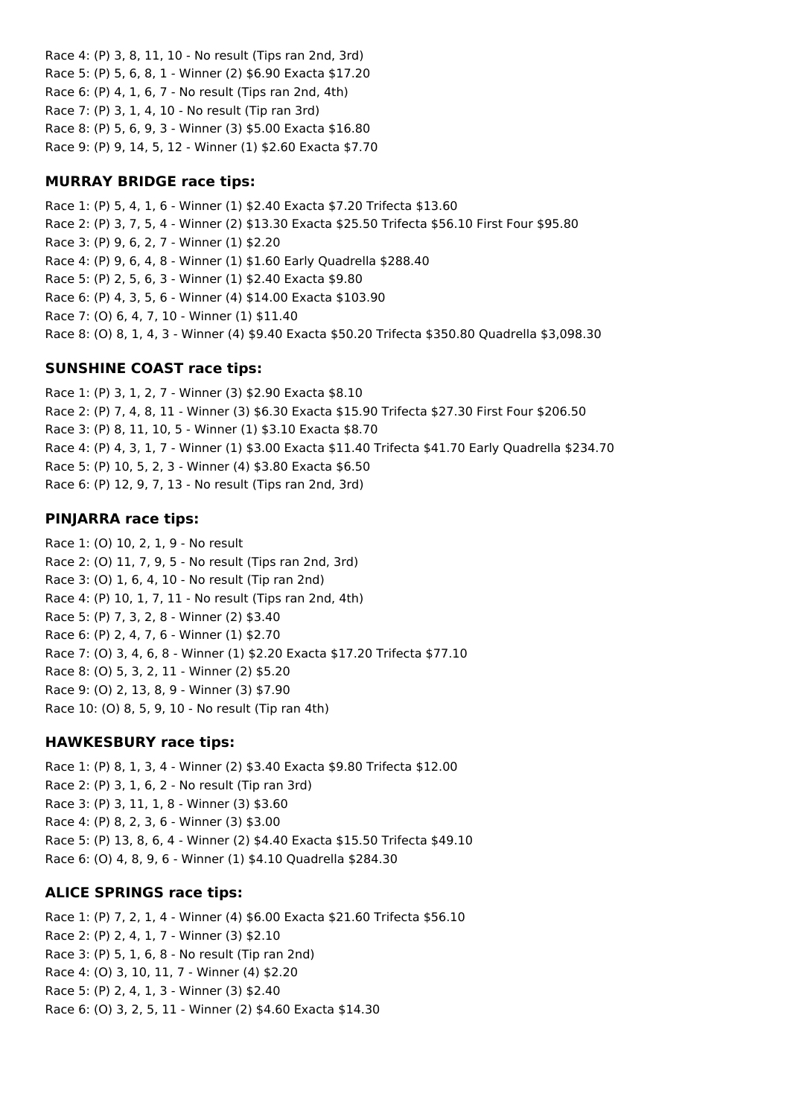Race 4: (P) 3, 8, 11, 10 - No result (Tips ran 2nd, 3rd) Race 5: (P) 5, 6, 8, 1 - Winner (2) \$6.90 Exacta \$17.20 Race 6: (P) 4, 1, 6, 7 - No result (Tips ran 2nd, 4th) Race 7: (P) 3, 1, 4, 10 - No result (Tip ran 3rd) Race 8: (P) 5, 6, 9, 3 - Winner (3) \$5.00 Exacta \$16.80 Race 9: (P) 9, 14, 5, 12 - Winner (1) \$2.60 Exacta \$7.70

#### **MURRAY BRIDGE race tips:**

Race 1: (P) 5, 4, 1, 6 - Winner (1) \$2.40 Exacta \$7.20 Trifecta \$13.60 Race 2: (P) 3, 7, 5, 4 - Winner (2) \$13.30 Exacta \$25.50 Trifecta \$56.10 First Four \$95.80 Race 3: (P) 9, 6, 2, 7 - Winner (1) \$2.20 Race 4: (P) 9, 6, 4, 8 - Winner (1) \$1.60 Early Quadrella \$288.40 Race 5: (P) 2, 5, 6, 3 - Winner (1) \$2.40 Exacta \$9.80 Race 6: (P) 4, 3, 5, 6 - Winner (4) \$14.00 Exacta \$103.90 Race 7: (O) 6, 4, 7, 10 - Winner (1) \$11.40 Race 8: (O) 8, 1, 4, 3 - Winner (4) \$9.40 Exacta \$50.20 Trifecta \$350.80 Quadrella \$3,098.30

#### **SUNSHINE COAST race tips:**

Race 1: (P) 3, 1, 2, 7 - Winner (3) \$2.90 Exacta \$8.10 Race 2: (P) 7, 4, 8, 11 - Winner (3) \$6.30 Exacta \$15.90 Trifecta \$27.30 First Four \$206.50 Race 3: (P) 8, 11, 10, 5 - Winner (1) \$3.10 Exacta \$8.70 Race 4: (P) 4, 3, 1, 7 - Winner (1) \$3.00 Exacta \$11.40 Trifecta \$41.70 Early Quadrella \$234.70 Race 5: (P) 10, 5, 2, 3 - Winner (4) \$3.80 Exacta \$6.50 Race 6: (P) 12, 9, 7, 13 - No result (Tips ran 2nd, 3rd)

#### **PINJARRA race tips:**

Race 1: (O) 10, 2, 1, 9 - No result Race 2: (O) 11, 7, 9, 5 - No result (Tips ran 2nd, 3rd) Race 3: (O) 1, 6, 4, 10 - No result (Tip ran 2nd) Race 4: (P) 10, 1, 7, 11 - No result (Tips ran 2nd, 4th) Race 5: (P) 7, 3, 2, 8 - Winner (2) \$3.40 Race 6: (P) 2, 4, 7, 6 - Winner (1) \$2.70 Race 7: (O) 3, 4, 6, 8 - Winner (1) \$2.20 Exacta \$17.20 Trifecta \$77.10 Race 8: (O) 5, 3, 2, 11 - Winner (2) \$5.20 Race 9: (O) 2, 13, 8, 9 - Winner (3) \$7.90 Race 10: (O) 8, 5, 9, 10 - No result (Tip ran 4th)

#### **HAWKESBURY race tips:**

Race 1: (P) 8, 1, 3, 4 - Winner (2) \$3.40 Exacta \$9.80 Trifecta \$12.00 Race 2: (P) 3, 1, 6, 2 - No result (Tip ran 3rd) Race 3: (P) 3, 11, 1, 8 - Winner (3) \$3.60 Race 4: (P) 8, 2, 3, 6 - Winner (3) \$3.00 Race 5: (P) 13, 8, 6, 4 - Winner (2) \$4.40 Exacta \$15.50 Trifecta \$49.10 Race 6: (O) 4, 8, 9, 6 - Winner (1) \$4.10 Quadrella \$284.30

## **ALICE SPRINGS race tips:**

Race 1: (P) 7, 2, 1, 4 - Winner (4) \$6.00 Exacta \$21.60 Trifecta \$56.10 Race 2: (P) 2, 4, 1, 7 - Winner (3) \$2.10 Race 3: (P) 5, 1, 6, 8 - No result (Tip ran 2nd) Race 4: (O) 3, 10, 11, 7 - Winner (4) \$2.20 Race 5: (P) 2, 4, 1, 3 - Winner (3) \$2.40 Race 6: (O) 3, 2, 5, 11 - Winner (2) \$4.60 Exacta \$14.30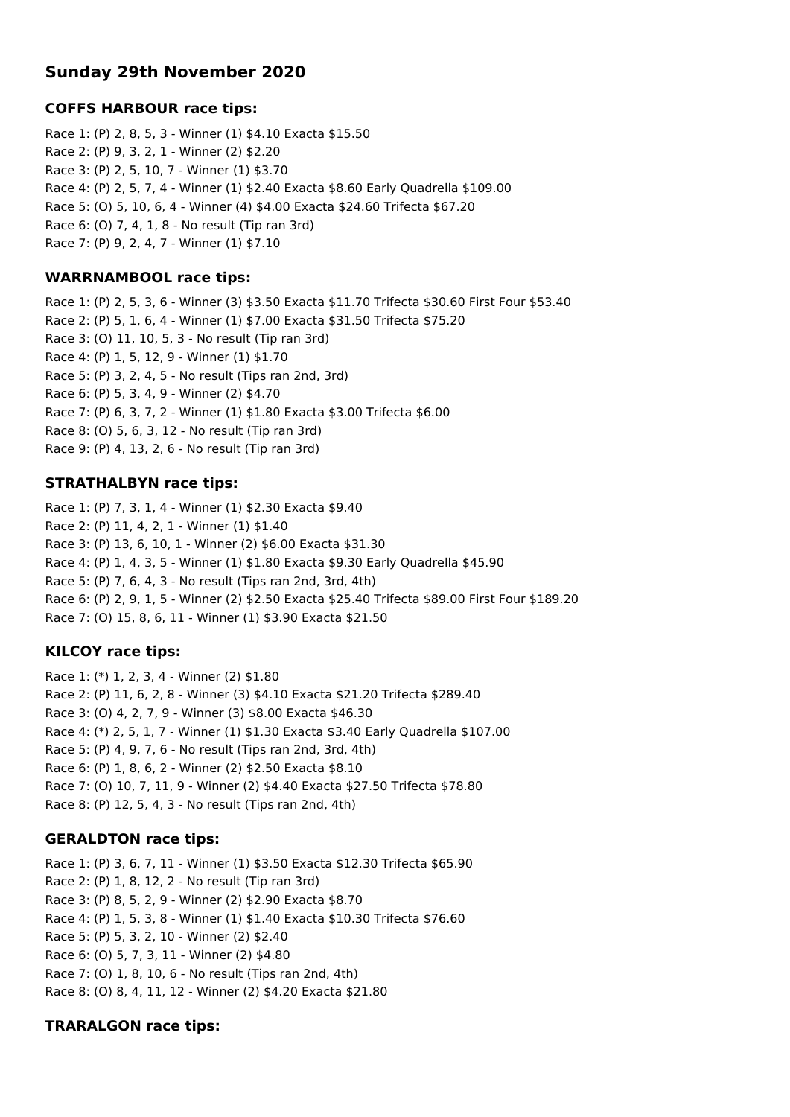# **Sunday 29th November 2020**

## **COFFS HARBOUR race tips:**

Race 1: (P) 2, 8, 5, 3 - Winner (1) \$4.10 Exacta \$15.50 Race 2: (P) 9, 3, 2, 1 - Winner (2) \$2.20 Race 3: (P) 2, 5, 10, 7 - Winner (1) \$3.70 Race 4: (P) 2, 5, 7, 4 - Winner (1) \$2.40 Exacta \$8.60 Early Quadrella \$109.00 Race 5: (O) 5, 10, 6, 4 - Winner (4) \$4.00 Exacta \$24.60 Trifecta \$67.20 Race 6: (O) 7, 4, 1, 8 - No result (Tip ran 3rd) Race 7: (P) 9, 2, 4, 7 - Winner (1) \$7.10

# **WARRNAMBOOL race tips:**

Race 1: (P) 2, 5, 3, 6 - Winner (3) \$3.50 Exacta \$11.70 Trifecta \$30.60 First Four \$53.40 Race 2: (P) 5, 1, 6, 4 - Winner (1) \$7.00 Exacta \$31.50 Trifecta \$75.20 Race 3: (O) 11, 10, 5, 3 - No result (Tip ran 3rd) Race 4: (P) 1, 5, 12, 9 - Winner (1) \$1.70 Race 5: (P) 3, 2, 4, 5 - No result (Tips ran 2nd, 3rd) Race 6: (P) 5, 3, 4, 9 - Winner (2) \$4.70 Race 7: (P) 6, 3, 7, 2 - Winner (1) \$1.80 Exacta \$3.00 Trifecta \$6.00 Race 8: (O) 5, 6, 3, 12 - No result (Tip ran 3rd) Race 9: (P) 4, 13, 2, 6 - No result (Tip ran 3rd)

# **STRATHALBYN race tips:**

Race 1: (P) 7, 3, 1, 4 - Winner (1) \$2.30 Exacta \$9.40 Race 2: (P) 11, 4, 2, 1 - Winner (1) \$1.40 Race 3: (P) 13, 6, 10, 1 - Winner (2) \$6.00 Exacta \$31.30 Race 4: (P) 1, 4, 3, 5 - Winner (1) \$1.80 Exacta \$9.30 Early Quadrella \$45.90 Race 5: (P) 7, 6, 4, 3 - No result (Tips ran 2nd, 3rd, 4th) Race 6: (P) 2, 9, 1, 5 - Winner (2) \$2.50 Exacta \$25.40 Trifecta \$89.00 First Four \$189.20 Race 7: (O) 15, 8, 6, 11 - Winner (1) \$3.90 Exacta \$21.50

# **KILCOY race tips:**

Race 1: (\*) 1, 2, 3, 4 - Winner (2) \$1.80 Race 2: (P) 11, 6, 2, 8 - Winner (3) \$4.10 Exacta \$21.20 Trifecta \$289.40 Race 3: (O) 4, 2, 7, 9 - Winner (3) \$8.00 Exacta \$46.30 Race 4: (\*) 2, 5, 1, 7 - Winner (1) \$1.30 Exacta \$3.40 Early Quadrella \$107.00 Race 5: (P) 4, 9, 7, 6 - No result (Tips ran 2nd, 3rd, 4th) Race 6: (P) 1, 8, 6, 2 - Winner (2) \$2.50 Exacta \$8.10 Race 7: (O) 10, 7, 11, 9 - Winner (2) \$4.40 Exacta \$27.50 Trifecta \$78.80 Race 8: (P) 12, 5, 4, 3 - No result (Tips ran 2nd, 4th)

# **GERALDTON race tips:**

Race 1: (P) 3, 6, 7, 11 - Winner (1) \$3.50 Exacta \$12.30 Trifecta \$65.90 Race 2: (P) 1, 8, 12, 2 - No result (Tip ran 3rd) Race 3: (P) 8, 5, 2, 9 - Winner (2) \$2.90 Exacta \$8.70 Race 4: (P) 1, 5, 3, 8 - Winner (1) \$1.40 Exacta \$10.30 Trifecta \$76.60 Race 5: (P) 5, 3, 2, 10 - Winner (2) \$2.40 Race 6: (O) 5, 7, 3, 11 - Winner (2) \$4.80 Race 7: (O) 1, 8, 10, 6 - No result (Tips ran 2nd, 4th) Race 8: (O) 8, 4, 11, 12 - Winner (2) \$4.20 Exacta \$21.80

# **TRARALGON race tips:**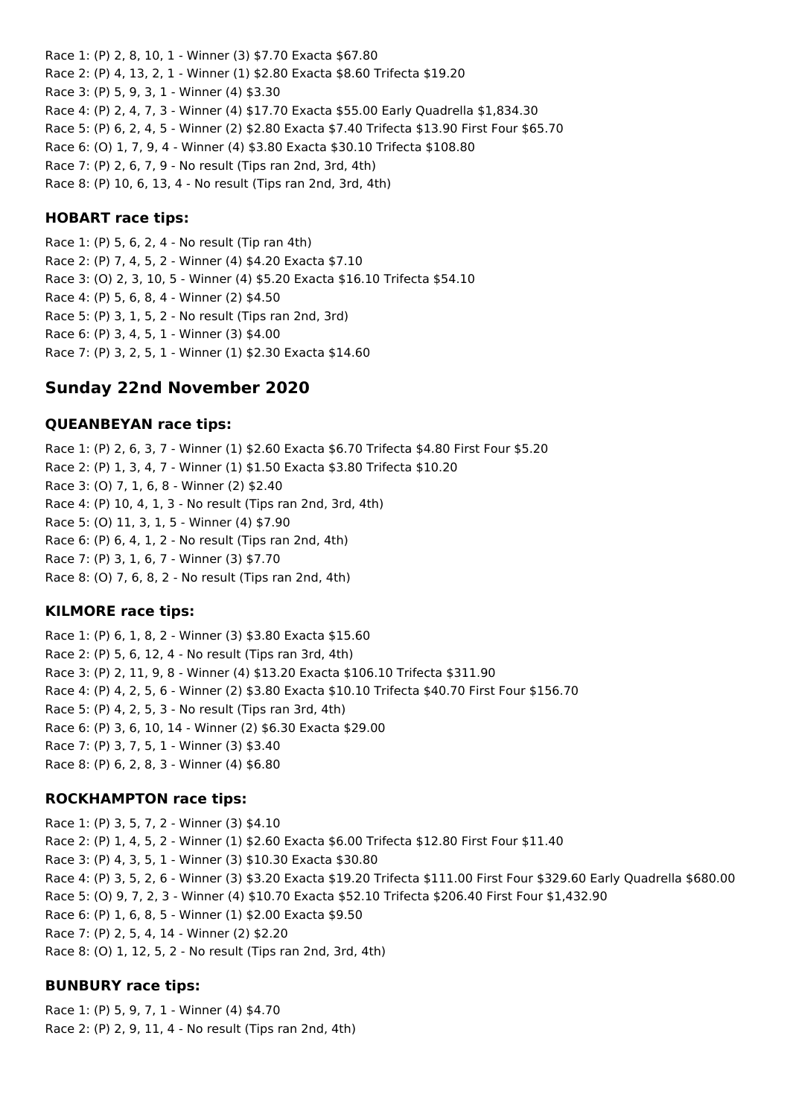Race 1: (P) 2, 8, 10, 1 - Winner (3) \$7.70 Exacta \$67.80 Race 2: (P) 4, 13, 2, 1 - Winner (1) \$2.80 Exacta \$8.60 Trifecta \$19.20 Race 3: (P) 5, 9, 3, 1 - Winner (4) \$3.30 Race 4: (P) 2, 4, 7, 3 - Winner (4) \$17.70 Exacta \$55.00 Early Quadrella \$1,834.30 Race 5: (P) 6, 2, 4, 5 - Winner (2) \$2.80 Exacta \$7.40 Trifecta \$13.90 First Four \$65.70 Race 6: (O) 1, 7, 9, 4 - Winner (4) \$3.80 Exacta \$30.10 Trifecta \$108.80 Race 7: (P) 2, 6, 7, 9 - No result (Tips ran 2nd, 3rd, 4th) Race 8: (P) 10, 6, 13, 4 - No result (Tips ran 2nd, 3rd, 4th)

#### **HOBART race tips:**

Race 1: (P) 5, 6, 2, 4 - No result (Tip ran 4th) Race 2: (P) 7, 4, 5, 2 - Winner (4) \$4.20 Exacta \$7.10 Race 3: (O) 2, 3, 10, 5 - Winner (4) \$5.20 Exacta \$16.10 Trifecta \$54.10 Race 4: (P) 5, 6, 8, 4 - Winner (2) \$4.50 Race 5: (P) 3, 1, 5, 2 - No result (Tips ran 2nd, 3rd) Race 6: (P) 3, 4, 5, 1 - Winner (3) \$4.00 Race 7: (P) 3, 2, 5, 1 - Winner (1) \$2.30 Exacta \$14.60

# **Sunday 22nd November 2020**

#### **QUEANBEYAN race tips:**

Race 1: (P) 2, 6, 3, 7 - Winner (1) \$2.60 Exacta \$6.70 Trifecta \$4.80 First Four \$5.20 Race 2: (P) 1, 3, 4, 7 - Winner (1) \$1.50 Exacta \$3.80 Trifecta \$10.20 Race 3: (O) 7, 1, 6, 8 - Winner (2) \$2.40 Race 4: (P) 10, 4, 1, 3 - No result (Tips ran 2nd, 3rd, 4th) Race 5: (O) 11, 3, 1, 5 - Winner (4) \$7.90 Race 6: (P) 6, 4, 1, 2 - No result (Tips ran 2nd, 4th) Race 7: (P) 3, 1, 6, 7 - Winner (3) \$7.70 Race 8: (O) 7, 6, 8, 2 - No result (Tips ran 2nd, 4th)

## **KILMORE race tips:**

Race 1: (P) 6, 1, 8, 2 - Winner (3) \$3.80 Exacta \$15.60 Race 2: (P) 5, 6, 12, 4 - No result (Tips ran 3rd, 4th) Race 3: (P) 2, 11, 9, 8 - Winner (4) \$13.20 Exacta \$106.10 Trifecta \$311.90 Race 4: (P) 4, 2, 5, 6 - Winner (2) \$3.80 Exacta \$10.10 Trifecta \$40.70 First Four \$156.70 Race 5: (P) 4, 2, 5, 3 - No result (Tips ran 3rd, 4th) Race 6: (P) 3, 6, 10, 14 - Winner (2) \$6.30 Exacta \$29.00 Race 7: (P) 3, 7, 5, 1 - Winner (3) \$3.40 Race 8: (P) 6, 2, 8, 3 - Winner (4) \$6.80

## **ROCKHAMPTON race tips:**

Race 1: (P) 3, 5, 7, 2 - Winner (3) \$4.10 Race 2: (P) 1, 4, 5, 2 - Winner (1) \$2.60 Exacta \$6.00 Trifecta \$12.80 First Four \$11.40 Race 3: (P) 4, 3, 5, 1 - Winner (3) \$10.30 Exacta \$30.80 Race 4: (P) 3, 5, 2, 6 - Winner (3) \$3.20 Exacta \$19.20 Trifecta \$111.00 First Four \$329.60 Early Quadrella \$680.00 Race 5: (O) 9, 7, 2, 3 - Winner (4) \$10.70 Exacta \$52.10 Trifecta \$206.40 First Four \$1,432.90 Race 6: (P) 1, 6, 8, 5 - Winner (1) \$2.00 Exacta \$9.50 Race 7: (P) 2, 5, 4, 14 - Winner (2) \$2.20 Race 8: (O) 1, 12, 5, 2 - No result (Tips ran 2nd, 3rd, 4th)

## **BUNBURY race tips:**

Race 1: (P) 5, 9, 7, 1 - Winner (4) \$4.70 Race 2: (P) 2, 9, 11, 4 - No result (Tips ran 2nd, 4th)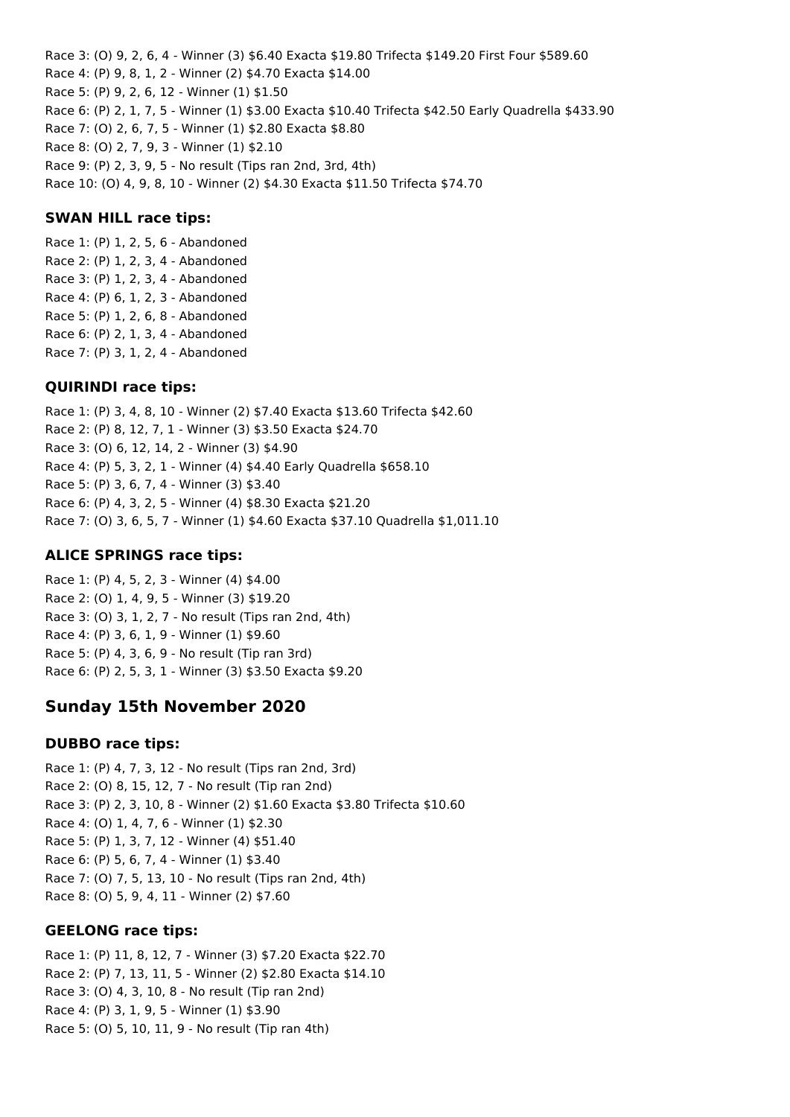Race 3: (O) 9, 2, 6, 4 - Winner (3) \$6.40 Exacta \$19.80 Trifecta \$149.20 First Four \$589.60 Race 4: (P) 9, 8, 1, 2 - Winner (2) \$4.70 Exacta \$14.00 Race 5: (P) 9, 2, 6, 12 - Winner (1) \$1.50 Race 6: (P) 2, 1, 7, 5 - Winner (1) \$3.00 Exacta \$10.40 Trifecta \$42.50 Early Quadrella \$433.90 Race 7: (O) 2, 6, 7, 5 - Winner (1) \$2.80 Exacta \$8.80 Race 8: (O) 2, 7, 9, 3 - Winner (1) \$2.10 Race 9: (P) 2, 3, 9, 5 - No result (Tips ran 2nd, 3rd, 4th) Race 10: (O) 4, 9, 8, 10 - Winner (2) \$4.30 Exacta \$11.50 Trifecta \$74.70

#### **SWAN HILL race tips:**

Race 1: (P) 1, 2, 5, 6 - Abandoned Race 2: (P) 1, 2, 3, 4 - Abandoned Race 3: (P) 1, 2, 3, 4 - Abandoned Race 4: (P) 6, 1, 2, 3 - Abandoned Race 5: (P) 1, 2, 6, 8 - Abandoned Race 6: (P) 2, 1, 3, 4 - Abandoned Race 7: (P) 3, 1, 2, 4 - Abandoned

#### **QUIRINDI race tips:**

Race 1: (P) 3, 4, 8, 10 - Winner (2) \$7.40 Exacta \$13.60 Trifecta \$42.60 Race 2: (P) 8, 12, 7, 1 - Winner (3) \$3.50 Exacta \$24.70 Race 3: (O) 6, 12, 14, 2 - Winner (3) \$4.90 Race 4: (P) 5, 3, 2, 1 - Winner (4) \$4.40 Early Quadrella \$658.10 Race 5: (P) 3, 6, 7, 4 - Winner (3) \$3.40 Race 6: (P) 4, 3, 2, 5 - Winner (4) \$8.30 Exacta \$21.20 Race 7: (O) 3, 6, 5, 7 - Winner (1) \$4.60 Exacta \$37.10 Quadrella \$1,011.10

#### **ALICE SPRINGS race tips:**

Race 1: (P) 4, 5, 2, 3 - Winner (4) \$4.00 Race 2: (O) 1, 4, 9, 5 - Winner (3) \$19.20 Race 3: (O) 3, 1, 2, 7 - No result (Tips ran 2nd, 4th) Race 4: (P) 3, 6, 1, 9 - Winner (1) \$9.60 Race 5: (P) 4, 3, 6, 9 - No result (Tip ran 3rd) Race 6: (P) 2, 5, 3, 1 - Winner (3) \$3.50 Exacta \$9.20

# **Sunday 15th November 2020**

#### **DUBBO race tips:**

Race 1: (P) 4, 7, 3, 12 - No result (Tips ran 2nd, 3rd) Race 2: (O) 8, 15, 12, 7 - No result (Tip ran 2nd) Race 3: (P) 2, 3, 10, 8 - Winner (2) \$1.60 Exacta \$3.80 Trifecta \$10.60 Race 4: (O) 1, 4, 7, 6 - Winner (1) \$2.30 Race 5: (P) 1, 3, 7, 12 - Winner (4) \$51.40 Race 6: (P) 5, 6, 7, 4 - Winner (1) \$3.40 Race 7: (O) 7, 5, 13, 10 - No result (Tips ran 2nd, 4th) Race 8: (O) 5, 9, 4, 11 - Winner (2) \$7.60

## **GEELONG race tips:**

Race 1: (P) 11, 8, 12, 7 - Winner (3) \$7.20 Exacta \$22.70 Race 2: (P) 7, 13, 11, 5 - Winner (2) \$2.80 Exacta \$14.10 Race 3: (O) 4, 3, 10, 8 - No result (Tip ran 2nd) Race 4: (P) 3, 1, 9, 5 - Winner (1) \$3.90 Race 5: (O) 5, 10, 11, 9 - No result (Tip ran 4th)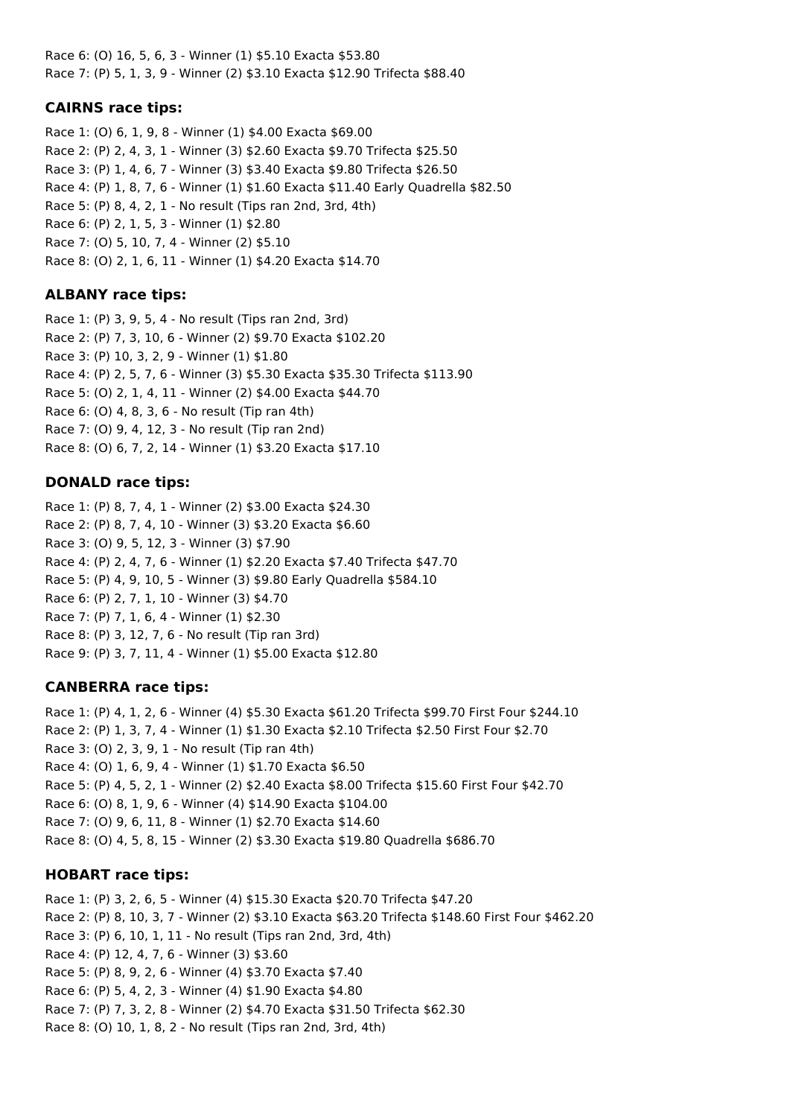Race 6: (O) 16, 5, 6, 3 - Winner (1) \$5.10 Exacta \$53.80 Race 7: (P) 5, 1, 3, 9 - Winner (2) \$3.10 Exacta \$12.90 Trifecta \$88.40

# **CAIRNS race tips:**

Race 1: (O) 6, 1, 9, 8 - Winner (1) \$4.00 Exacta \$69.00 Race 2: (P) 2, 4, 3, 1 - Winner (3) \$2.60 Exacta \$9.70 Trifecta \$25.50 Race 3: (P) 1, 4, 6, 7 - Winner (3) \$3.40 Exacta \$9.80 Trifecta \$26.50 Race 4: (P) 1, 8, 7, 6 - Winner (1) \$1.60 Exacta \$11.40 Early Quadrella \$82.50 Race 5: (P) 8, 4, 2, 1 - No result (Tips ran 2nd, 3rd, 4th) Race 6: (P) 2, 1, 5, 3 - Winner (1) \$2.80 Race 7: (O) 5, 10, 7, 4 - Winner (2) \$5.10 Race 8: (O) 2, 1, 6, 11 - Winner (1) \$4.20 Exacta \$14.70

# **ALBANY race tips:**

Race 1: (P) 3, 9, 5, 4 - No result (Tips ran 2nd, 3rd) Race 2: (P) 7, 3, 10, 6 - Winner (2) \$9.70 Exacta \$102.20 Race 3: (P) 10, 3, 2, 9 - Winner (1) \$1.80 Race 4: (P) 2, 5, 7, 6 - Winner (3) \$5.30 Exacta \$35.30 Trifecta \$113.90 Race 5: (O) 2, 1, 4, 11 - Winner (2) \$4.00 Exacta \$44.70 Race 6: (O) 4, 8, 3, 6 - No result (Tip ran 4th) Race 7: (O) 9, 4, 12, 3 - No result (Tip ran 2nd) Race 8: (O) 6, 7, 2, 14 - Winner (1) \$3.20 Exacta \$17.10

# **DONALD race tips:**

Race 1: (P) 8, 7, 4, 1 - Winner (2) \$3.00 Exacta \$24.30 Race 2: (P) 8, 7, 4, 10 - Winner (3) \$3.20 Exacta \$6.60 Race 3: (O) 9, 5, 12, 3 - Winner (3) \$7.90 Race 4: (P) 2, 4, 7, 6 - Winner (1) \$2.20 Exacta \$7.40 Trifecta \$47.70 Race 5: (P) 4, 9, 10, 5 - Winner (3) \$9.80 Early Quadrella \$584.10 Race 6: (P) 2, 7, 1, 10 - Winner (3) \$4.70 Race 7: (P) 7, 1, 6, 4 - Winner (1) \$2.30 Race 8: (P) 3, 12, 7, 6 - No result (Tip ran 3rd) Race 9: (P) 3, 7, 11, 4 - Winner (1) \$5.00 Exacta \$12.80

# **CANBERRA race tips:**

Race 1: (P) 4, 1, 2, 6 - Winner (4) \$5.30 Exacta \$61.20 Trifecta \$99.70 First Four \$244.10 Race 2: (P) 1, 3, 7, 4 - Winner (1) \$1.30 Exacta \$2.10 Trifecta \$2.50 First Four \$2.70 Race 3: (O) 2, 3, 9, 1 - No result (Tip ran 4th) Race 4: (O) 1, 6, 9, 4 - Winner (1) \$1.70 Exacta \$6.50 Race 5: (P) 4, 5, 2, 1 - Winner (2) \$2.40 Exacta \$8.00 Trifecta \$15.60 First Four \$42.70 Race 6: (O) 8, 1, 9, 6 - Winner (4) \$14.90 Exacta \$104.00 Race 7: (O) 9, 6, 11, 8 - Winner (1) \$2.70 Exacta \$14.60 Race 8: (O) 4, 5, 8, 15 - Winner (2) \$3.30 Exacta \$19.80 Quadrella \$686.70

## **HOBART race tips:**

Race 1: (P) 3, 2, 6, 5 - Winner (4) \$15.30 Exacta \$20.70 Trifecta \$47.20 Race 2: (P) 8, 10, 3, 7 - Winner (2) \$3.10 Exacta \$63.20 Trifecta \$148.60 First Four \$462.20 Race 3: (P) 6, 10, 1, 11 - No result (Tips ran 2nd, 3rd, 4th) Race 4: (P) 12, 4, 7, 6 - Winner (3) \$3.60 Race 5: (P) 8, 9, 2, 6 - Winner (4) \$3.70 Exacta \$7.40 Race 6: (P) 5, 4, 2, 3 - Winner (4) \$1.90 Exacta \$4.80 Race 7: (P) 7, 3, 2, 8 - Winner (2) \$4.70 Exacta \$31.50 Trifecta \$62.30 Race 8: (O) 10, 1, 8, 2 - No result (Tips ran 2nd, 3rd, 4th)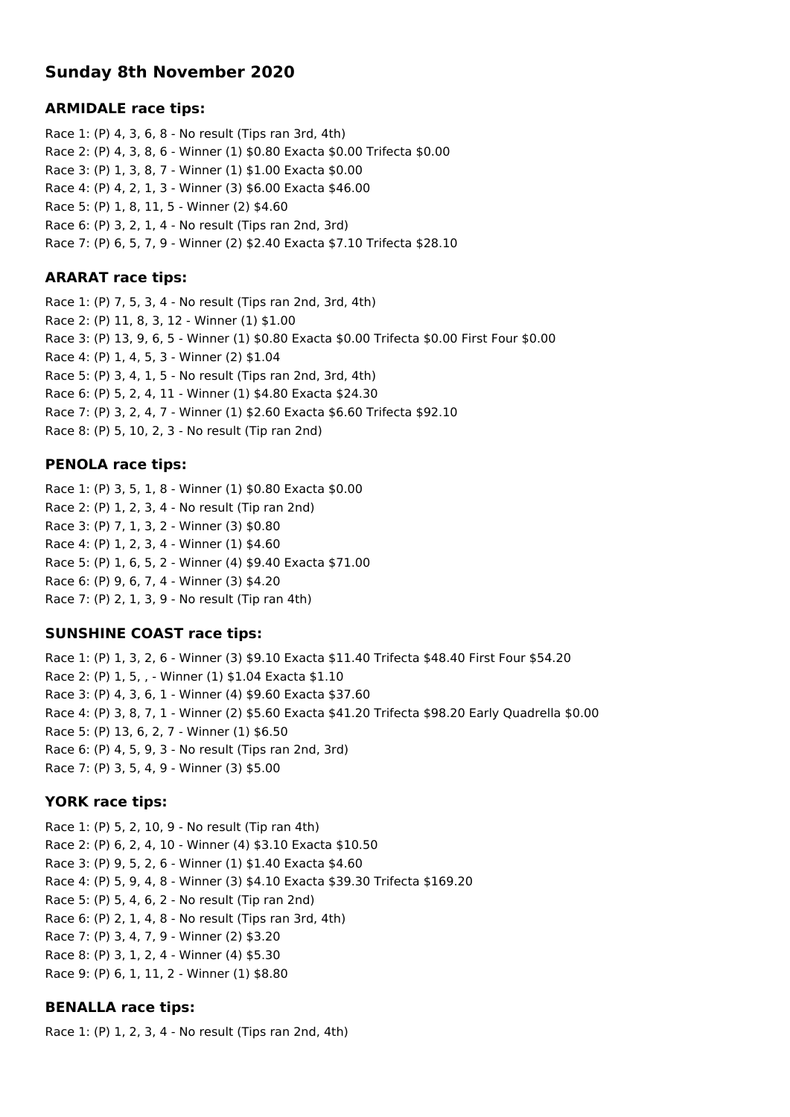# **Sunday 8th November 2020**

#### **ARMIDALE race tips:**

Race 1: (P) 4, 3, 6, 8 - No result (Tips ran 3rd, 4th) Race 2: (P) 4, 3, 8, 6 - Winner (1) \$0.80 Exacta \$0.00 Trifecta \$0.00 Race 3: (P) 1, 3, 8, 7 - Winner (1) \$1.00 Exacta \$0.00 Race 4: (P) 4, 2, 1, 3 - Winner (3) \$6.00 Exacta \$46.00 Race 5: (P) 1, 8, 11, 5 - Winner (2) \$4.60 Race 6: (P) 3, 2, 1, 4 - No result (Tips ran 2nd, 3rd) Race 7: (P) 6, 5, 7, 9 - Winner (2) \$2.40 Exacta \$7.10 Trifecta \$28.10

#### **ARARAT race tips:**

Race 1: (P) 7, 5, 3, 4 - No result (Tips ran 2nd, 3rd, 4th) Race 2: (P) 11, 8, 3, 12 - Winner (1) \$1.00 Race 3: (P) 13, 9, 6, 5 - Winner (1) \$0.80 Exacta \$0.00 Trifecta \$0.00 First Four \$0.00 Race 4: (P) 1, 4, 5, 3 - Winner (2) \$1.04 Race 5: (P) 3, 4, 1, 5 - No result (Tips ran 2nd, 3rd, 4th) Race 6: (P) 5, 2, 4, 11 - Winner (1) \$4.80 Exacta \$24.30 Race 7: (P) 3, 2, 4, 7 - Winner (1) \$2.60 Exacta \$6.60 Trifecta \$92.10 Race 8: (P) 5, 10, 2, 3 - No result (Tip ran 2nd)

#### **PENOLA race tips:**

Race 1: (P) 3, 5, 1, 8 - Winner (1) \$0.80 Exacta \$0.00 Race 2: (P) 1, 2, 3, 4 - No result (Tip ran 2nd) Race 3: (P) 7, 1, 3, 2 - Winner (3) \$0.80 Race 4: (P) 1, 2, 3, 4 - Winner (1) \$4.60 Race 5: (P) 1, 6, 5, 2 - Winner (4) \$9.40 Exacta \$71.00 Race 6: (P) 9, 6, 7, 4 - Winner (3) \$4.20 Race 7: (P) 2, 1, 3, 9 - No result (Tip ran 4th)

#### **SUNSHINE COAST race tips:**

Race 1: (P) 1, 3, 2, 6 - Winner (3) \$9.10 Exacta \$11.40 Trifecta \$48.40 First Four \$54.20 Race 2: (P) 1, 5, , - Winner (1) \$1.04 Exacta \$1.10 Race 3: (P) 4, 3, 6, 1 - Winner (4) \$9.60 Exacta \$37.60 Race 4: (P) 3, 8, 7, 1 - Winner (2) \$5.60 Exacta \$41.20 Trifecta \$98.20 Early Quadrella \$0.00 Race 5: (P) 13, 6, 2, 7 - Winner (1) \$6.50 Race 6: (P) 4, 5, 9, 3 - No result (Tips ran 2nd, 3rd) Race 7: (P) 3, 5, 4, 9 - Winner (3) \$5.00

#### **YORK race tips:**

Race 1: (P) 5, 2, 10, 9 - No result (Tip ran 4th) Race 2: (P) 6, 2, 4, 10 - Winner (4) \$3.10 Exacta \$10.50 Race 3: (P) 9, 5, 2, 6 - Winner (1) \$1.40 Exacta \$4.60 Race 4: (P) 5, 9, 4, 8 - Winner (3) \$4.10 Exacta \$39.30 Trifecta \$169.20 Race 5: (P) 5, 4, 6, 2 - No result (Tip ran 2nd) Race 6: (P) 2, 1, 4, 8 - No result (Tips ran 3rd, 4th) Race 7: (P) 3, 4, 7, 9 - Winner (2) \$3.20 Race 8: (P) 3, 1, 2, 4 - Winner (4) \$5.30 Race 9: (P) 6, 1, 11, 2 - Winner (1) \$8.80

#### **BENALLA race tips:**

Race 1: (P) 1, 2, 3, 4 - No result (Tips ran 2nd, 4th)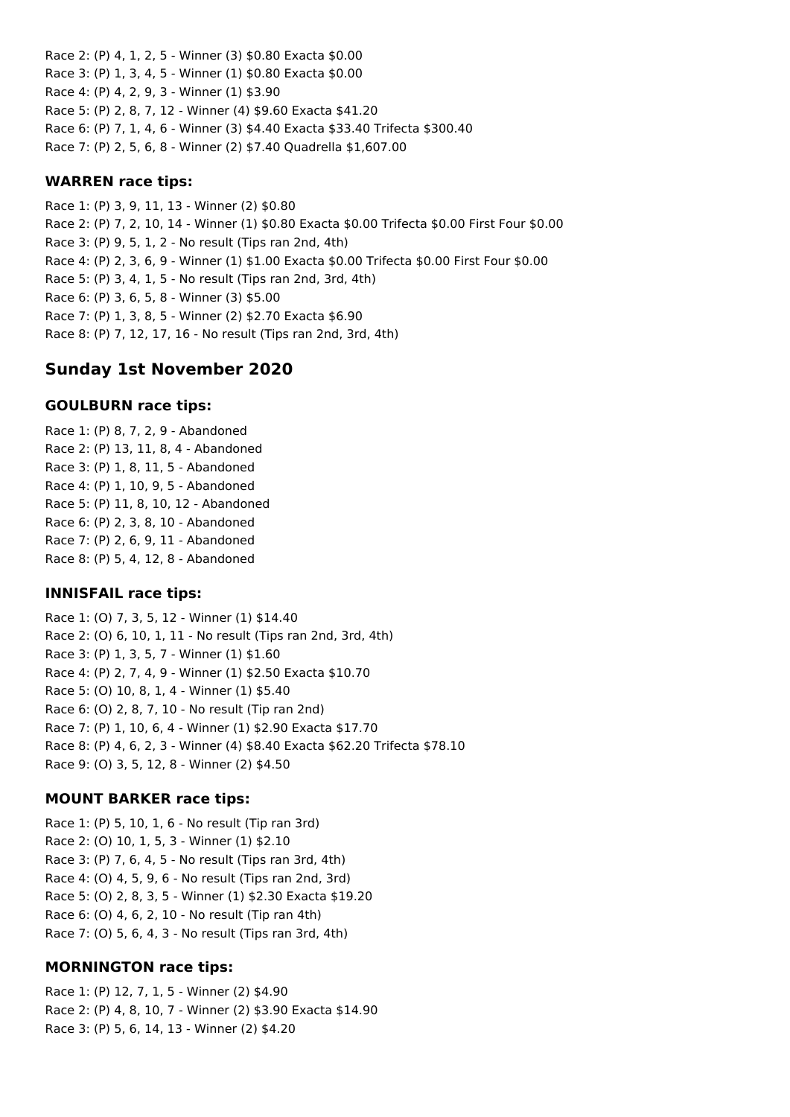Race 2: (P) 4, 1, 2, 5 - Winner (3) \$0.80 Exacta \$0.00 Race 3: (P) 1, 3, 4, 5 - Winner (1) \$0.80 Exacta \$0.00 Race 4: (P) 4, 2, 9, 3 - Winner (1) \$3.90 Race 5: (P) 2, 8, 7, 12 - Winner (4) \$9.60 Exacta \$41.20 Race 6: (P) 7, 1, 4, 6 - Winner (3) \$4.40 Exacta \$33.40 Trifecta \$300.40 Race 7: (P) 2, 5, 6, 8 - Winner (2) \$7.40 Quadrella \$1,607.00

#### **WARREN race tips:**

Race 1: (P) 3, 9, 11, 13 - Winner (2) \$0.80 Race 2: (P) 7, 2, 10, 14 - Winner (1) \$0.80 Exacta \$0.00 Trifecta \$0.00 First Four \$0.00 Race 3: (P) 9, 5, 1, 2 - No result (Tips ran 2nd, 4th) Race 4: (P) 2, 3, 6, 9 - Winner (1) \$1.00 Exacta \$0.00 Trifecta \$0.00 First Four \$0.00 Race 5: (P) 3, 4, 1, 5 - No result (Tips ran 2nd, 3rd, 4th) Race 6: (P) 3, 6, 5, 8 - Winner (3) \$5.00 Race 7: (P) 1, 3, 8, 5 - Winner (2) \$2.70 Exacta \$6.90 Race 8: (P) 7, 12, 17, 16 - No result (Tips ran 2nd, 3rd, 4th)

# **Sunday 1st November 2020**

#### **GOULBURN race tips:**

Race 1: (P) 8, 7, 2, 9 - Abandoned Race 2: (P) 13, 11, 8, 4 - Abandoned Race 3: (P) 1, 8, 11, 5 - Abandoned Race 4: (P) 1, 10, 9, 5 - Abandoned Race 5: (P) 11, 8, 10, 12 - Abandoned Race 6: (P) 2, 3, 8, 10 - Abandoned Race 7: (P) 2, 6, 9, 11 - Abandoned Race 8: (P) 5, 4, 12, 8 - Abandoned

#### **INNISFAIL race tips:**

Race 1: (O) 7, 3, 5, 12 - Winner (1) \$14.40 Race 2: (O) 6, 10, 1, 11 - No result (Tips ran 2nd, 3rd, 4th) Race 3: (P) 1, 3, 5, 7 - Winner (1) \$1.60 Race 4: (P) 2, 7, 4, 9 - Winner (1) \$2.50 Exacta \$10.70 Race 5: (O) 10, 8, 1, 4 - Winner (1) \$5.40 Race 6: (O) 2, 8, 7, 10 - No result (Tip ran 2nd) Race 7: (P) 1, 10, 6, 4 - Winner (1) \$2.90 Exacta \$17.70 Race 8: (P) 4, 6, 2, 3 - Winner (4) \$8.40 Exacta \$62.20 Trifecta \$78.10 Race 9: (O) 3, 5, 12, 8 - Winner (2) \$4.50

#### **MOUNT BARKER race tips:**

Race 1: (P) 5, 10, 1, 6 - No result (Tip ran 3rd) Race 2: (O) 10, 1, 5, 3 - Winner (1) \$2.10 Race 3: (P) 7, 6, 4, 5 - No result (Tips ran 3rd, 4th) Race 4: (O) 4, 5, 9, 6 - No result (Tips ran 2nd, 3rd) Race 5: (O) 2, 8, 3, 5 - Winner (1) \$2.30 Exacta \$19.20 Race 6: (O) 4, 6, 2, 10 - No result (Tip ran 4th) Race 7: (O) 5, 6, 4, 3 - No result (Tips ran 3rd, 4th)

#### **MORNINGTON race tips:**

Race 1: (P) 12, 7, 1, 5 - Winner (2) \$4.90 Race 2: (P) 4, 8, 10, 7 - Winner (2) \$3.90 Exacta \$14.90 Race 3: (P) 5, 6, 14, 13 - Winner (2) \$4.20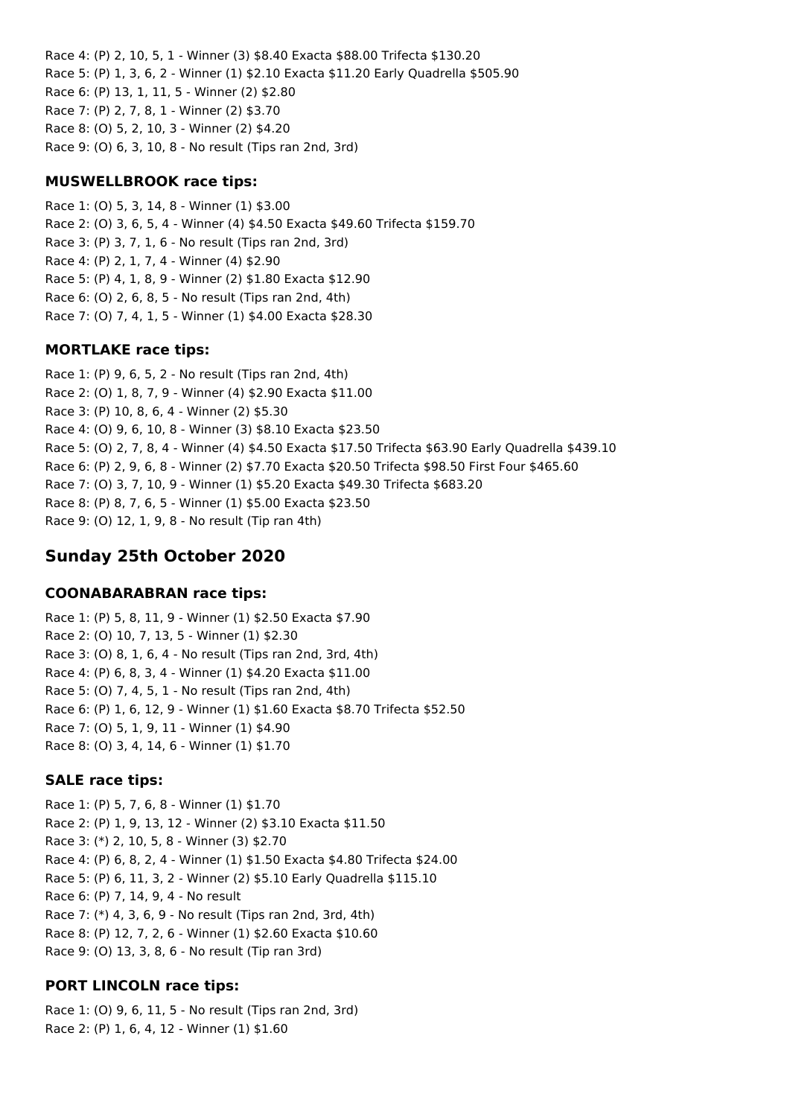Race 4: (P) 2, 10, 5, 1 - Winner (3) \$8.40 Exacta \$88.00 Trifecta \$130.20 Race 5: (P) 1, 3, 6, 2 - Winner (1) \$2.10 Exacta \$11.20 Early Quadrella \$505.90 Race 6: (P) 13, 1, 11, 5 - Winner (2) \$2.80 Race 7: (P) 2, 7, 8, 1 - Winner (2) \$3.70 Race 8: (O) 5, 2, 10, 3 - Winner (2) \$4.20 Race 9: (O) 6, 3, 10, 8 - No result (Tips ran 2nd, 3rd)

## **MUSWELLBROOK race tips:**

Race 1: (O) 5, 3, 14, 8 - Winner (1) \$3.00 Race 2: (O) 3, 6, 5, 4 - Winner (4) \$4.50 Exacta \$49.60 Trifecta \$159.70 Race 3: (P) 3, 7, 1, 6 - No result (Tips ran 2nd, 3rd) Race 4: (P) 2, 1, 7, 4 - Winner (4) \$2.90 Race 5: (P) 4, 1, 8, 9 - Winner (2) \$1.80 Exacta \$12.90 Race 6: (O) 2, 6, 8, 5 - No result (Tips ran 2nd, 4th) Race 7: (O) 7, 4, 1, 5 - Winner (1) \$4.00 Exacta \$28.30

## **MORTLAKE race tips:**

Race 1: (P) 9, 6, 5, 2 - No result (Tips ran 2nd, 4th) Race 2: (O) 1, 8, 7, 9 - Winner (4) \$2.90 Exacta \$11.00 Race 3: (P) 10, 8, 6, 4 - Winner (2) \$5.30 Race 4: (O) 9, 6, 10, 8 - Winner (3) \$8.10 Exacta \$23.50 Race 5: (O) 2, 7, 8, 4 - Winner (4) \$4.50 Exacta \$17.50 Trifecta \$63.90 Early Quadrella \$439.10 Race 6: (P) 2, 9, 6, 8 - Winner (2) \$7.70 Exacta \$20.50 Trifecta \$98.50 First Four \$465.60 Race 7: (O) 3, 7, 10, 9 - Winner (1) \$5.20 Exacta \$49.30 Trifecta \$683.20 Race 8: (P) 8, 7, 6, 5 - Winner (1) \$5.00 Exacta \$23.50 Race 9: (O) 12, 1, 9, 8 - No result (Tip ran 4th)

# **Sunday 25th October 2020**

## **COONABARABRAN race tips:**

Race 1: (P) 5, 8, 11, 9 - Winner (1) \$2.50 Exacta \$7.90 Race 2: (O) 10, 7, 13, 5 - Winner (1) \$2.30 Race 3: (O) 8, 1, 6, 4 - No result (Tips ran 2nd, 3rd, 4th) Race 4: (P) 6, 8, 3, 4 - Winner (1) \$4.20 Exacta \$11.00 Race 5: (O) 7, 4, 5, 1 - No result (Tips ran 2nd, 4th) Race 6: (P) 1, 6, 12, 9 - Winner (1) \$1.60 Exacta \$8.70 Trifecta \$52.50 Race 7: (O) 5, 1, 9, 11 - Winner (1) \$4.90 Race 8: (O) 3, 4, 14, 6 - Winner (1) \$1.70

## **SALE race tips:**

Race 1: (P) 5, 7, 6, 8 - Winner (1) \$1.70 Race 2: (P) 1, 9, 13, 12 - Winner (2) \$3.10 Exacta \$11.50 Race 3: (\*) 2, 10, 5, 8 - Winner (3) \$2.70 Race 4: (P) 6, 8, 2, 4 - Winner (1) \$1.50 Exacta \$4.80 Trifecta \$24.00 Race 5: (P) 6, 11, 3, 2 - Winner (2) \$5.10 Early Quadrella \$115.10 Race 6: (P) 7, 14, 9, 4 - No result Race 7: (\*) 4, 3, 6, 9 - No result (Tips ran 2nd, 3rd, 4th) Race 8: (P) 12, 7, 2, 6 - Winner (1) \$2.60 Exacta \$10.60 Race 9: (O) 13, 3, 8, 6 - No result (Tip ran 3rd)

# **PORT LINCOLN race tips:**

Race 1: (O) 9, 6, 11, 5 - No result (Tips ran 2nd, 3rd) Race 2: (P) 1, 6, 4, 12 - Winner (1) \$1.60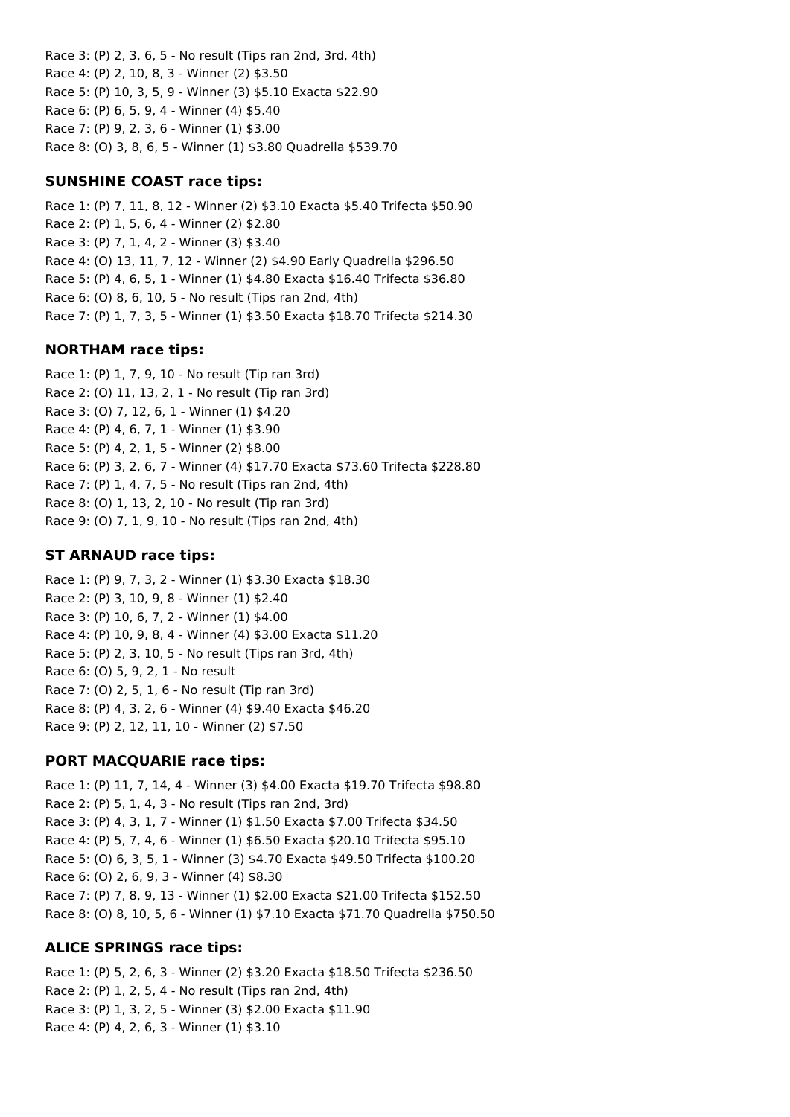Race 3: (P) 2, 3, 6, 5 - No result (Tips ran 2nd, 3rd, 4th) Race 4: (P) 2, 10, 8, 3 - Winner (2) \$3.50 Race 5: (P) 10, 3, 5, 9 - Winner (3) \$5.10 Exacta \$22.90 Race 6: (P) 6, 5, 9, 4 - Winner (4) \$5.40 Race 7: (P) 9, 2, 3, 6 - Winner (1) \$3.00 Race 8: (O) 3, 8, 6, 5 - Winner (1) \$3.80 Quadrella \$539.70

## **SUNSHINE COAST race tips:**

Race 1: (P) 7, 11, 8, 12 - Winner (2) \$3.10 Exacta \$5.40 Trifecta \$50.90 Race 2: (P) 1, 5, 6, 4 - Winner (2) \$2.80 Race 3: (P) 7, 1, 4, 2 - Winner (3) \$3.40 Race 4: (O) 13, 11, 7, 12 - Winner (2) \$4.90 Early Quadrella \$296.50 Race 5: (P) 4, 6, 5, 1 - Winner (1) \$4.80 Exacta \$16.40 Trifecta \$36.80 Race 6: (O) 8, 6, 10, 5 - No result (Tips ran 2nd, 4th) Race 7: (P) 1, 7, 3, 5 - Winner (1) \$3.50 Exacta \$18.70 Trifecta \$214.30

#### **NORTHAM race tips:**

Race 1: (P) 1, 7, 9, 10 - No result (Tip ran 3rd) Race 2: (O) 11, 13, 2, 1 - No result (Tip ran 3rd) Race 3: (O) 7, 12, 6, 1 - Winner (1) \$4.20 Race 4: (P) 4, 6, 7, 1 - Winner (1) \$3.90 Race 5: (P) 4, 2, 1, 5 - Winner (2) \$8.00 Race 6: (P) 3, 2, 6, 7 - Winner (4) \$17.70 Exacta \$73.60 Trifecta \$228.80 Race 7: (P) 1, 4, 7, 5 - No result (Tips ran 2nd, 4th) Race 8: (O) 1, 13, 2, 10 - No result (Tip ran 3rd) Race 9: (O) 7, 1, 9, 10 - No result (Tips ran 2nd, 4th)

#### **ST ARNAUD race tips:**

Race 1: (P) 9, 7, 3, 2 - Winner (1) \$3.30 Exacta \$18.30 Race 2: (P) 3, 10, 9, 8 - Winner (1) \$2.40 Race 3: (P) 10, 6, 7, 2 - Winner (1) \$4.00 Race 4: (P) 10, 9, 8, 4 - Winner (4) \$3.00 Exacta \$11.20 Race 5: (P) 2, 3, 10, 5 - No result (Tips ran 3rd, 4th) Race 6: (O) 5, 9, 2, 1 - No result Race 7: (O) 2, 5, 1, 6 - No result (Tip ran 3rd) Race 8: (P) 4, 3, 2, 6 - Winner (4) \$9.40 Exacta \$46.20 Race 9: (P) 2, 12, 11, 10 - Winner (2) \$7.50

## **PORT MACQUARIE race tips:**

Race 1: (P) 11, 7, 14, 4 - Winner (3) \$4.00 Exacta \$19.70 Trifecta \$98.80 Race 2: (P) 5, 1, 4, 3 - No result (Tips ran 2nd, 3rd) Race 3: (P) 4, 3, 1, 7 - Winner (1) \$1.50 Exacta \$7.00 Trifecta \$34.50 Race 4: (P) 5, 7, 4, 6 - Winner (1) \$6.50 Exacta \$20.10 Trifecta \$95.10 Race 5: (O) 6, 3, 5, 1 - Winner (3) \$4.70 Exacta \$49.50 Trifecta \$100.20 Race 6: (O) 2, 6, 9, 3 - Winner (4) \$8.30 Race 7: (P) 7, 8, 9, 13 - Winner (1) \$2.00 Exacta \$21.00 Trifecta \$152.50 Race 8: (O) 8, 10, 5, 6 - Winner (1) \$7.10 Exacta \$71.70 Quadrella \$750.50

#### **ALICE SPRINGS race tips:**

Race 1: (P) 5, 2, 6, 3 - Winner (2) \$3.20 Exacta \$18.50 Trifecta \$236.50 Race 2: (P) 1, 2, 5, 4 - No result (Tips ran 2nd, 4th) Race 3: (P) 1, 3, 2, 5 - Winner (3) \$2.00 Exacta \$11.90 Race 4: (P) 4, 2, 6, 3 - Winner (1) \$3.10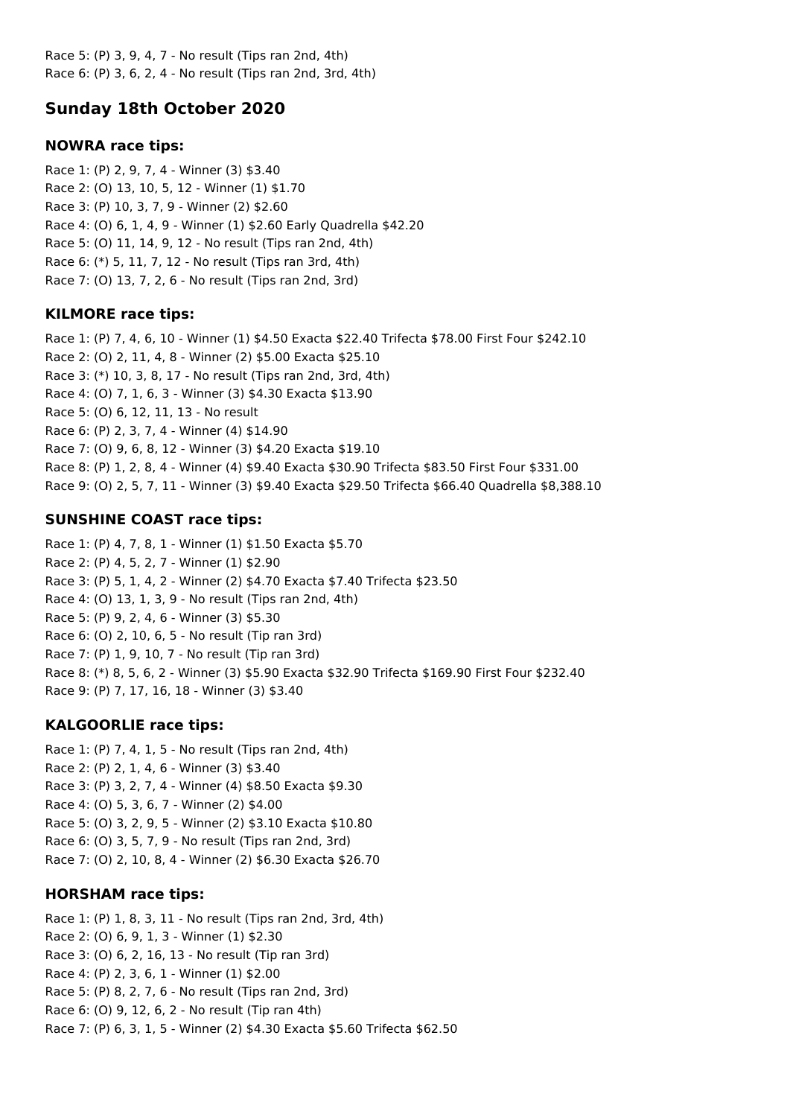Race 5: (P) 3, 9, 4, 7 - No result (Tips ran 2nd, 4th) Race 6: (P) 3, 6, 2, 4 - No result (Tips ran 2nd, 3rd, 4th)

# **Sunday 18th October 2020**

## **NOWRA race tips:**

Race 1: (P) 2, 9, 7, 4 - Winner (3) \$3.40 Race 2: (O) 13, 10, 5, 12 - Winner (1) \$1.70 Race 3: (P) 10, 3, 7, 9 - Winner (2) \$2.60 Race 4: (O) 6, 1, 4, 9 - Winner (1) \$2.60 Early Quadrella \$42.20 Race 5: (O) 11, 14, 9, 12 - No result (Tips ran 2nd, 4th) Race 6: (\*) 5, 11, 7, 12 - No result (Tips ran 3rd, 4th) Race 7: (O) 13, 7, 2, 6 - No result (Tips ran 2nd, 3rd)

# **KILMORE race tips:**

Race 1: (P) 7, 4, 6, 10 - Winner (1) \$4.50 Exacta \$22.40 Trifecta \$78.00 First Four \$242.10 Race 2: (O) 2, 11, 4, 8 - Winner (2) \$5.00 Exacta \$25.10 Race 3: (\*) 10, 3, 8, 17 - No result (Tips ran 2nd, 3rd, 4th) Race 4: (O) 7, 1, 6, 3 - Winner (3) \$4.30 Exacta \$13.90 Race 5: (O) 6, 12, 11, 13 - No result Race 6: (P) 2, 3, 7, 4 - Winner (4) \$14.90 Race 7: (O) 9, 6, 8, 12 - Winner (3) \$4.20 Exacta \$19.10 Race 8: (P) 1, 2, 8, 4 - Winner (4) \$9.40 Exacta \$30.90 Trifecta \$83.50 First Four \$331.00 Race 9: (O) 2, 5, 7, 11 - Winner (3) \$9.40 Exacta \$29.50 Trifecta \$66.40 Quadrella \$8,388.10

# **SUNSHINE COAST race tips:**

Race 1: (P) 4, 7, 8, 1 - Winner (1) \$1.50 Exacta \$5.70 Race 2: (P) 4, 5, 2, 7 - Winner (1) \$2.90 Race 3: (P) 5, 1, 4, 2 - Winner (2) \$4.70 Exacta \$7.40 Trifecta \$23.50 Race 4: (O) 13, 1, 3, 9 - No result (Tips ran 2nd, 4th) Race 5: (P) 9, 2, 4, 6 - Winner (3) \$5.30 Race 6: (O) 2, 10, 6, 5 - No result (Tip ran 3rd) Race 7: (P) 1, 9, 10, 7 - No result (Tip ran 3rd) Race 8: (\*) 8, 5, 6, 2 - Winner (3) \$5.90 Exacta \$32.90 Trifecta \$169.90 First Four \$232.40 Race 9: (P) 7, 17, 16, 18 - Winner (3) \$3.40

# **KALGOORLIE race tips:**

Race 1: (P) 7, 4, 1, 5 - No result (Tips ran 2nd, 4th) Race 2: (P) 2, 1, 4, 6 - Winner (3) \$3.40 Race 3: (P) 3, 2, 7, 4 - Winner (4) \$8.50 Exacta \$9.30 Race 4: (O) 5, 3, 6, 7 - Winner (2) \$4.00 Race 5: (O) 3, 2, 9, 5 - Winner (2) \$3.10 Exacta \$10.80 Race 6: (O) 3, 5, 7, 9 - No result (Tips ran 2nd, 3rd) Race 7: (O) 2, 10, 8, 4 - Winner (2) \$6.30 Exacta \$26.70

## **HORSHAM race tips:**

Race 1: (P) 1, 8, 3, 11 - No result (Tips ran 2nd, 3rd, 4th) Race 2: (O) 6, 9, 1, 3 - Winner (1) \$2.30 Race 3: (O) 6, 2, 16, 13 - No result (Tip ran 3rd) Race 4: (P) 2, 3, 6, 1 - Winner (1) \$2.00 Race 5: (P) 8, 2, 7, 6 - No result (Tips ran 2nd, 3rd) Race 6: (O) 9, 12, 6, 2 - No result (Tip ran 4th) Race 7: (P) 6, 3, 1, 5 - Winner (2) \$4.30 Exacta \$5.60 Trifecta \$62.50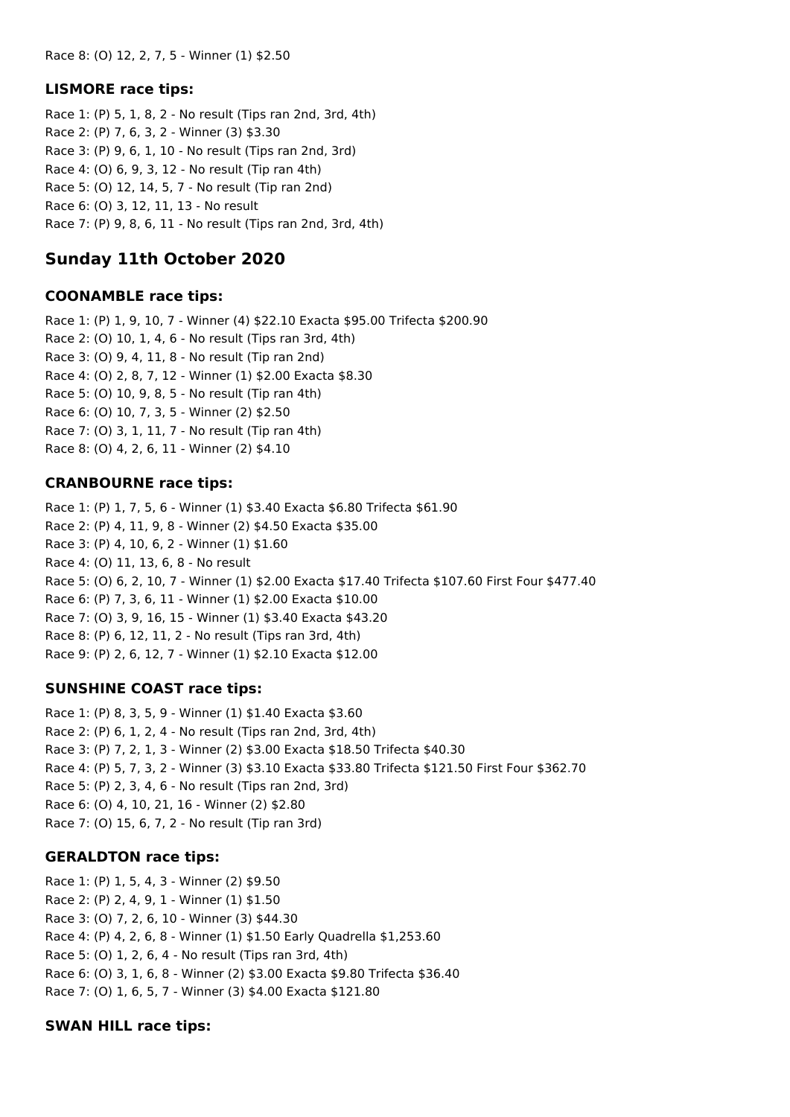#### **LISMORE race tips:**

Race 1: (P) 5, 1, 8, 2 - No result (Tips ran 2nd, 3rd, 4th) Race 2: (P) 7, 6, 3, 2 - Winner (3) \$3.30 Race 3: (P) 9, 6, 1, 10 - No result (Tips ran 2nd, 3rd) Race 4: (O) 6, 9, 3, 12 - No result (Tip ran 4th) Race 5: (O) 12, 14, 5, 7 - No result (Tip ran 2nd) Race 6: (O) 3, 12, 11, 13 - No result Race 7: (P) 9, 8, 6, 11 - No result (Tips ran 2nd, 3rd, 4th)

# **Sunday 11th October 2020**

#### **COONAMBLE race tips:**

Race 1: (P) 1, 9, 10, 7 - Winner (4) \$22.10 Exacta \$95.00 Trifecta \$200.90 Race 2: (O) 10, 1, 4, 6 - No result (Tips ran 3rd, 4th) Race 3: (O) 9, 4, 11, 8 - No result (Tip ran 2nd) Race 4: (O) 2, 8, 7, 12 - Winner (1) \$2.00 Exacta \$8.30 Race 5: (O) 10, 9, 8, 5 - No result (Tip ran 4th) Race 6: (O) 10, 7, 3, 5 - Winner (2) \$2.50 Race 7: (O) 3, 1, 11, 7 - No result (Tip ran 4th) Race 8: (O) 4, 2, 6, 11 - Winner (2) \$4.10

## **CRANBOURNE race tips:**

Race 1: (P) 1, 7, 5, 6 - Winner (1) \$3.40 Exacta \$6.80 Trifecta \$61.90 Race 2: (P) 4, 11, 9, 8 - Winner (2) \$4.50 Exacta \$35.00 Race 3: (P) 4, 10, 6, 2 - Winner (1) \$1.60 Race 4: (O) 11, 13, 6, 8 - No result Race 5: (O) 6, 2, 10, 7 - Winner (1) \$2.00 Exacta \$17.40 Trifecta \$107.60 First Four \$477.40 Race 6: (P) 7, 3, 6, 11 - Winner (1) \$2.00 Exacta \$10.00 Race 7: (O) 3, 9, 16, 15 - Winner (1) \$3.40 Exacta \$43.20 Race 8: (P) 6, 12, 11, 2 - No result (Tips ran 3rd, 4th) Race 9: (P) 2, 6, 12, 7 - Winner (1) \$2.10 Exacta \$12.00

## **SUNSHINE COAST race tips:**

Race 1: (P) 8, 3, 5, 9 - Winner (1) \$1.40 Exacta \$3.60 Race 2: (P) 6, 1, 2, 4 - No result (Tips ran 2nd, 3rd, 4th) Race 3: (P) 7, 2, 1, 3 - Winner (2) \$3.00 Exacta \$18.50 Trifecta \$40.30 Race 4: (P) 5, 7, 3, 2 - Winner (3) \$3.10 Exacta \$33.80 Trifecta \$121.50 First Four \$362.70 Race 5: (P) 2, 3, 4, 6 - No result (Tips ran 2nd, 3rd) Race 6: (O) 4, 10, 21, 16 - Winner (2) \$2.80 Race 7: (O) 15, 6, 7, 2 - No result (Tip ran 3rd)

## **GERALDTON race tips:**

Race 1: (P) 1, 5, 4, 3 - Winner (2) \$9.50 Race 2: (P) 2, 4, 9, 1 - Winner (1) \$1.50 Race 3: (O) 7, 2, 6, 10 - Winner (3) \$44.30 Race 4: (P) 4, 2, 6, 8 - Winner (1) \$1.50 Early Quadrella \$1,253.60 Race 5: (O) 1, 2, 6, 4 - No result (Tips ran 3rd, 4th) Race 6: (O) 3, 1, 6, 8 - Winner (2) \$3.00 Exacta \$9.80 Trifecta \$36.40 Race 7: (O) 1, 6, 5, 7 - Winner (3) \$4.00 Exacta \$121.80

## **SWAN HILL race tips:**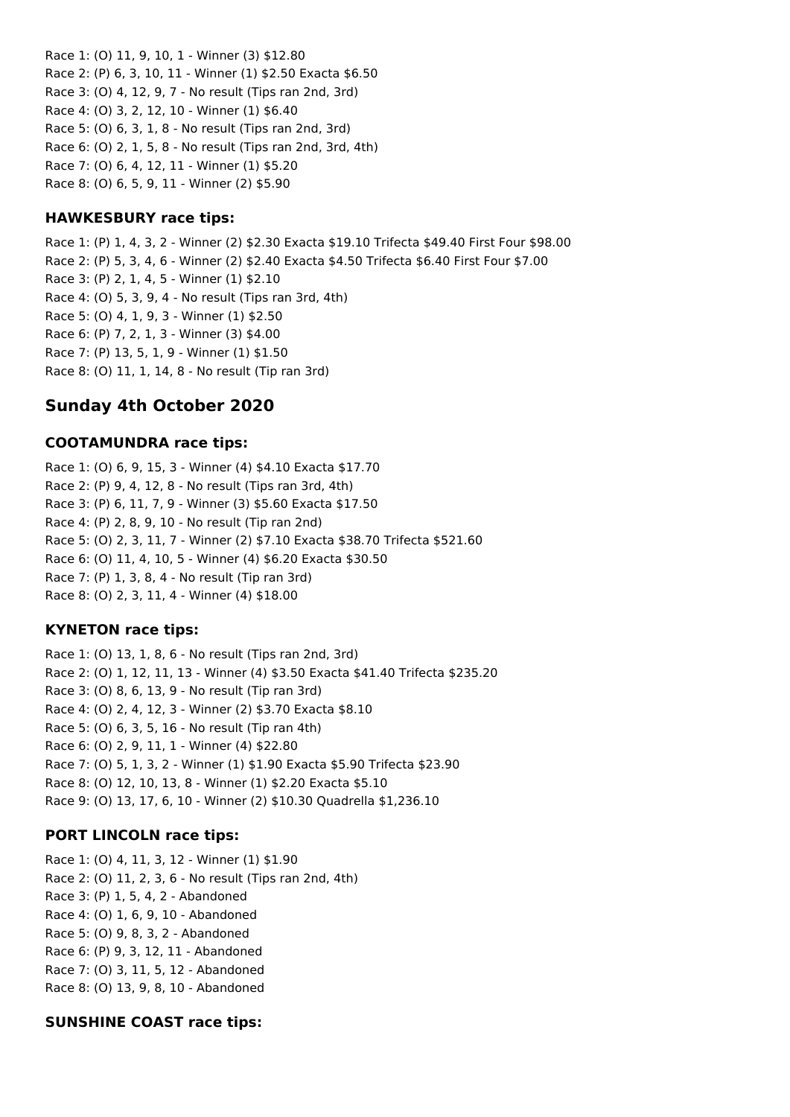Race 1: (O) 11, 9, 10, 1 - Winner (3) \$12.80 Race 2: (P) 6, 3, 10, 11 - Winner (1) \$2.50 Exacta \$6.50 Race 3: (O) 4, 12, 9, 7 - No result (Tips ran 2nd, 3rd) Race 4: (O) 3, 2, 12, 10 - Winner (1) \$6.40 Race 5: (O) 6, 3, 1, 8 - No result (Tips ran 2nd, 3rd) Race 6: (O) 2, 1, 5, 8 - No result (Tips ran 2nd, 3rd, 4th) Race 7: (O) 6, 4, 12, 11 - Winner (1) \$5.20 Race 8: (O) 6, 5, 9, 11 - Winner (2) \$5.90

#### **HAWKESBURY race tips:**

Race 1: (P) 1, 4, 3, 2 - Winner (2) \$2.30 Exacta \$19.10 Trifecta \$49.40 First Four \$98.00 Race 2: (P) 5, 3, 4, 6 - Winner (2) \$2.40 Exacta \$4.50 Trifecta \$6.40 First Four \$7.00 Race 3: (P) 2, 1, 4, 5 - Winner (1) \$2.10 Race 4: (O) 5, 3, 9, 4 - No result (Tips ran 3rd, 4th) Race 5: (O) 4, 1, 9, 3 - Winner (1) \$2.50 Race 6: (P) 7, 2, 1, 3 - Winner (3) \$4.00 Race 7: (P) 13, 5, 1, 9 - Winner (1) \$1.50 Race 8: (O) 11, 1, 14, 8 - No result (Tip ran 3rd)

# **Sunday 4th October 2020**

## **COOTAMUNDRA race tips:**

Race 1: (O) 6, 9, 15, 3 - Winner (4) \$4.10 Exacta \$17.70 Race 2: (P) 9, 4, 12, 8 - No result (Tips ran 3rd, 4th) Race 3: (P) 6, 11, 7, 9 - Winner (3) \$5.60 Exacta \$17.50 Race 4: (P) 2, 8, 9, 10 - No result (Tip ran 2nd) Race 5: (O) 2, 3, 11, 7 - Winner (2) \$7.10 Exacta \$38.70 Trifecta \$521.60 Race 6: (O) 11, 4, 10, 5 - Winner (4) \$6.20 Exacta \$30.50 Race 7: (P) 1, 3, 8, 4 - No result (Tip ran 3rd) Race 8: (O) 2, 3, 11, 4 - Winner (4) \$18.00

## **KYNETON race tips:**

Race 1: (O) 13, 1, 8, 6 - No result (Tips ran 2nd, 3rd) Race 2: (O) 1, 12, 11, 13 - Winner (4) \$3.50 Exacta \$41.40 Trifecta \$235.20 Race 3: (O) 8, 6, 13, 9 - No result (Tip ran 3rd) Race 4: (O) 2, 4, 12, 3 - Winner (2) \$3.70 Exacta \$8.10 Race 5: (O) 6, 3, 5, 16 - No result (Tip ran 4th) Race 6: (O) 2, 9, 11, 1 - Winner (4) \$22.80 Race 7: (O) 5, 1, 3, 2 - Winner (1) \$1.90 Exacta \$5.90 Trifecta \$23.90 Race 8: (O) 12, 10, 13, 8 - Winner (1) \$2.20 Exacta \$5.10 Race 9: (O) 13, 17, 6, 10 - Winner (2) \$10.30 Quadrella \$1,236.10

## **PORT LINCOLN race tips:**

Race 1: (O) 4, 11, 3, 12 - Winner (1) \$1.90 Race 2: (O) 11, 2, 3, 6 - No result (Tips ran 2nd, 4th) Race 3: (P) 1, 5, 4, 2 - Abandoned Race 4: (O) 1, 6, 9, 10 - Abandoned Race 5: (O) 9, 8, 3, 2 - Abandoned Race 6: (P) 9, 3, 12, 11 - Abandoned Race 7: (O) 3, 11, 5, 12 - Abandoned Race 8: (O) 13, 9, 8, 10 - Abandoned

# **SUNSHINE COAST race tips:**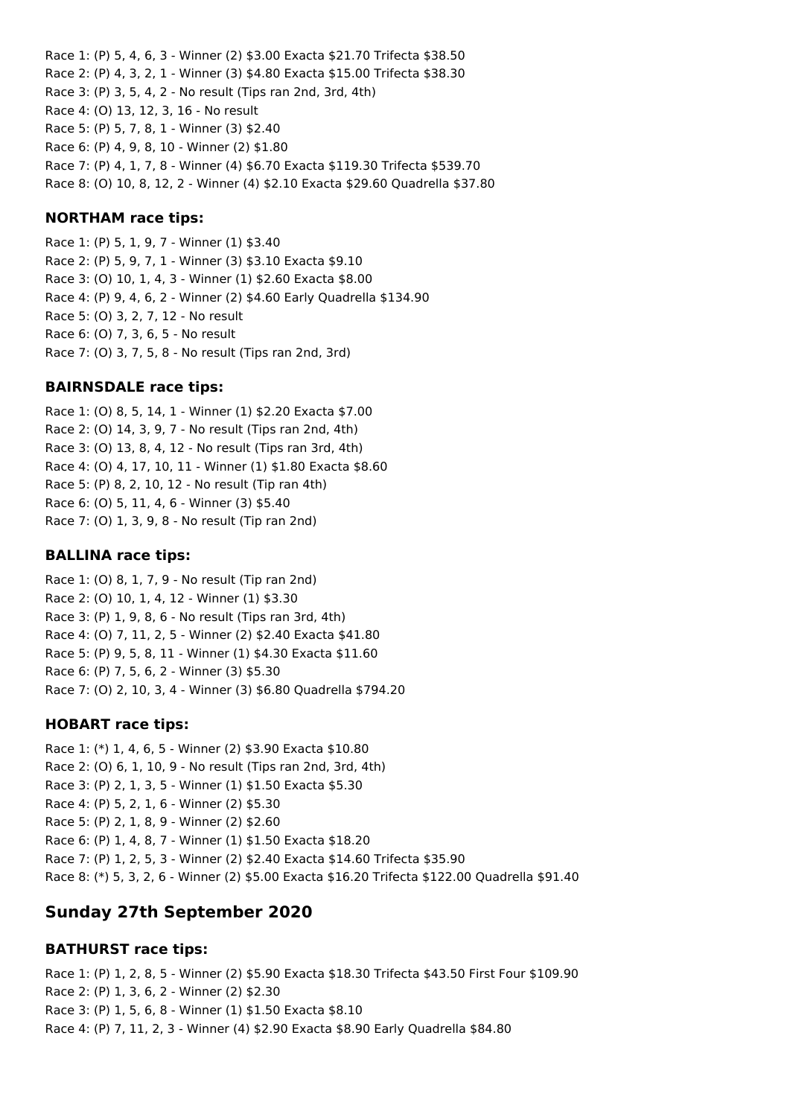Race 1: (P) 5, 4, 6, 3 - Winner (2) \$3.00 Exacta \$21.70 Trifecta \$38.50 Race 2: (P) 4, 3, 2, 1 - Winner (3) \$4.80 Exacta \$15.00 Trifecta \$38.30 Race 3: (P) 3, 5, 4, 2 - No result (Tips ran 2nd, 3rd, 4th) Race 4: (O) 13, 12, 3, 16 - No result Race 5: (P) 5, 7, 8, 1 - Winner (3) \$2.40 Race 6: (P) 4, 9, 8, 10 - Winner (2) \$1.80 Race 7: (P) 4, 1, 7, 8 - Winner (4) \$6.70 Exacta \$119.30 Trifecta \$539.70 Race 8: (O) 10, 8, 12, 2 - Winner (4) \$2.10 Exacta \$29.60 Quadrella \$37.80

#### **NORTHAM race tips:**

Race 1: (P) 5, 1, 9, 7 - Winner (1) \$3.40 Race 2: (P) 5, 9, 7, 1 - Winner (3) \$3.10 Exacta \$9.10 Race 3: (O) 10, 1, 4, 3 - Winner (1) \$2.60 Exacta \$8.00 Race 4: (P) 9, 4, 6, 2 - Winner (2) \$4.60 Early Quadrella \$134.90 Race 5: (O) 3, 2, 7, 12 - No result Race 6: (O) 7, 3, 6, 5 - No result Race 7: (O) 3, 7, 5, 8 - No result (Tips ran 2nd, 3rd)

#### **BAIRNSDALE race tips:**

Race 1: (O) 8, 5, 14, 1 - Winner (1) \$2.20 Exacta \$7.00 Race 2: (O) 14, 3, 9, 7 - No result (Tips ran 2nd, 4th) Race 3: (O) 13, 8, 4, 12 - No result (Tips ran 3rd, 4th) Race 4: (O) 4, 17, 10, 11 - Winner (1) \$1.80 Exacta \$8.60 Race 5: (P) 8, 2, 10, 12 - No result (Tip ran 4th) Race 6: (O) 5, 11, 4, 6 - Winner (3) \$5.40 Race 7: (O) 1, 3, 9, 8 - No result (Tip ran 2nd)

#### **BALLINA race tips:**

Race 1: (O) 8, 1, 7, 9 - No result (Tip ran 2nd) Race 2: (O) 10, 1, 4, 12 - Winner (1) \$3.30 Race 3: (P) 1, 9, 8, 6 - No result (Tips ran 3rd, 4th) Race 4: (O) 7, 11, 2, 5 - Winner (2) \$2.40 Exacta \$41.80 Race 5: (P) 9, 5, 8, 11 - Winner (1) \$4.30 Exacta \$11.60 Race 6: (P) 7, 5, 6, 2 - Winner (3) \$5.30 Race 7: (O) 2, 10, 3, 4 - Winner (3) \$6.80 Quadrella \$794.20

#### **HOBART race tips:**

Race 1: (\*) 1, 4, 6, 5 - Winner (2) \$3.90 Exacta \$10.80 Race 2: (O) 6, 1, 10, 9 - No result (Tips ran 2nd, 3rd, 4th) Race 3: (P) 2, 1, 3, 5 - Winner (1) \$1.50 Exacta \$5.30 Race 4: (P) 5, 2, 1, 6 - Winner (2) \$5.30 Race 5: (P) 2, 1, 8, 9 - Winner (2) \$2.60 Race 6: (P) 1, 4, 8, 7 - Winner (1) \$1.50 Exacta \$18.20 Race 7: (P) 1, 2, 5, 3 - Winner (2) \$2.40 Exacta \$14.60 Trifecta \$35.90 Race 8: (\*) 5, 3, 2, 6 - Winner (2) \$5.00 Exacta \$16.20 Trifecta \$122.00 Quadrella \$91.40

# **Sunday 27th September 2020**

## **BATHURST race tips:**

Race 1: (P) 1, 2, 8, 5 - Winner (2) \$5.90 Exacta \$18.30 Trifecta \$43.50 First Four \$109.90 Race 2: (P) 1, 3, 6, 2 - Winner (2) \$2.30 Race 3: (P) 1, 5, 6, 8 - Winner (1) \$1.50 Exacta \$8.10 Race 4: (P) 7, 11, 2, 3 - Winner (4) \$2.90 Exacta \$8.90 Early Quadrella \$84.80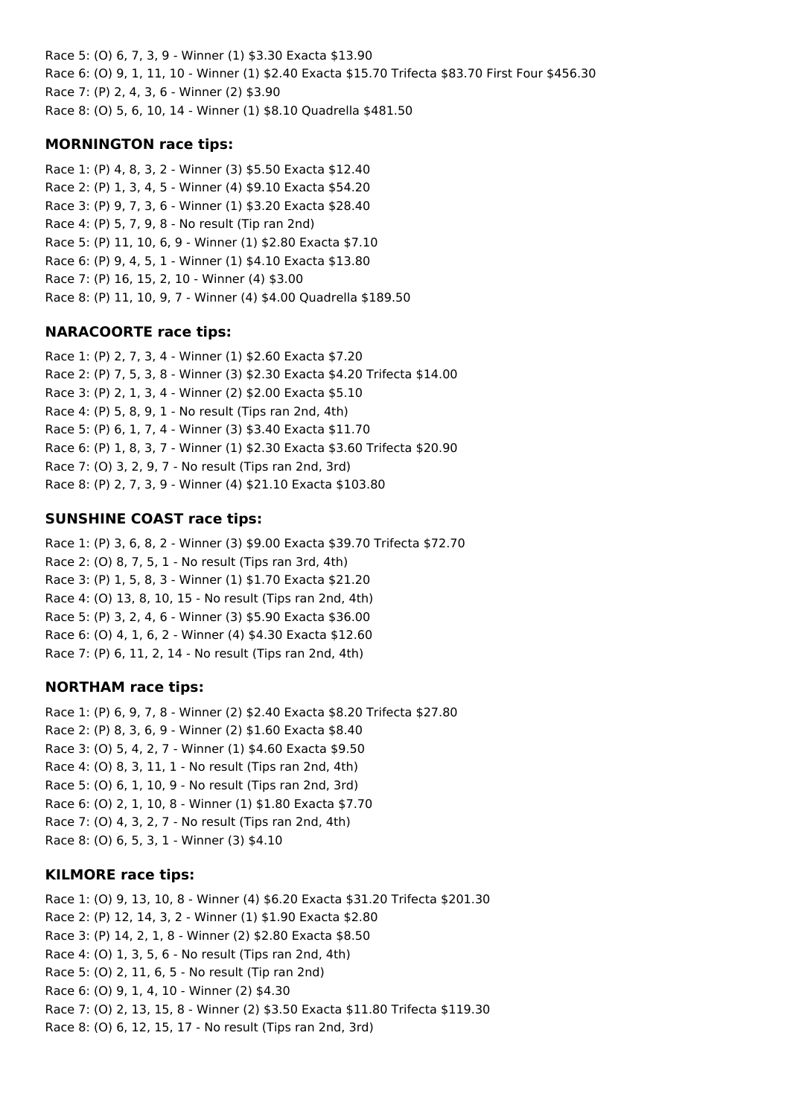Race 5: (O) 6, 7, 3, 9 - Winner (1) \$3.30 Exacta \$13.90 Race 6: (O) 9, 1, 11, 10 - Winner (1) \$2.40 Exacta \$15.70 Trifecta \$83.70 First Four \$456.30 Race 7: (P) 2, 4, 3, 6 - Winner (2) \$3.90 Race 8: (O) 5, 6, 10, 14 - Winner (1) \$8.10 Quadrella \$481.50

#### **MORNINGTON race tips:**

Race 1: (P) 4, 8, 3, 2 - Winner (3) \$5.50 Exacta \$12.40 Race 2: (P) 1, 3, 4, 5 - Winner (4) \$9.10 Exacta \$54.20 Race 3: (P) 9, 7, 3, 6 - Winner (1) \$3.20 Exacta \$28.40 Race 4: (P) 5, 7, 9, 8 - No result (Tip ran 2nd) Race 5: (P) 11, 10, 6, 9 - Winner (1) \$2.80 Exacta \$7.10 Race 6: (P) 9, 4, 5, 1 - Winner (1) \$4.10 Exacta \$13.80 Race 7: (P) 16, 15, 2, 10 - Winner (4) \$3.00 Race 8: (P) 11, 10, 9, 7 - Winner (4) \$4.00 Quadrella \$189.50

#### **NARACOORTE race tips:**

Race 1: (P) 2, 7, 3, 4 - Winner (1) \$2.60 Exacta \$7.20 Race 2: (P) 7, 5, 3, 8 - Winner (3) \$2.30 Exacta \$4.20 Trifecta \$14.00 Race 3: (P) 2, 1, 3, 4 - Winner (2) \$2.00 Exacta \$5.10 Race 4: (P) 5, 8, 9, 1 - No result (Tips ran 2nd, 4th) Race 5: (P) 6, 1, 7, 4 - Winner (3) \$3.40 Exacta \$11.70 Race 6: (P) 1, 8, 3, 7 - Winner (1) \$2.30 Exacta \$3.60 Trifecta \$20.90 Race 7: (O) 3, 2, 9, 7 - No result (Tips ran 2nd, 3rd) Race 8: (P) 2, 7, 3, 9 - Winner (4) \$21.10 Exacta \$103.80

#### **SUNSHINE COAST race tips:**

Race 1: (P) 3, 6, 8, 2 - Winner (3) \$9.00 Exacta \$39.70 Trifecta \$72.70 Race 2: (O) 8, 7, 5, 1 - No result (Tips ran 3rd, 4th) Race 3: (P) 1, 5, 8, 3 - Winner (1) \$1.70 Exacta \$21.20 Race 4: (O) 13, 8, 10, 15 - No result (Tips ran 2nd, 4th) Race 5: (P) 3, 2, 4, 6 - Winner (3) \$5.90 Exacta \$36.00 Race 6: (O) 4, 1, 6, 2 - Winner (4) \$4.30 Exacta \$12.60 Race 7: (P) 6, 11, 2, 14 - No result (Tips ran 2nd, 4th)

#### **NORTHAM race tips:**

Race 1: (P) 6, 9, 7, 8 - Winner (2) \$2.40 Exacta \$8.20 Trifecta \$27.80 Race 2: (P) 8, 3, 6, 9 - Winner (2) \$1.60 Exacta \$8.40 Race 3: (O) 5, 4, 2, 7 - Winner (1) \$4.60 Exacta \$9.50 Race 4: (O) 8, 3, 11, 1 - No result (Tips ran 2nd, 4th) Race 5: (O) 6, 1, 10, 9 - No result (Tips ran 2nd, 3rd) Race 6: (O) 2, 1, 10, 8 - Winner (1) \$1.80 Exacta \$7.70 Race 7: (O) 4, 3, 2, 7 - No result (Tips ran 2nd, 4th) Race 8: (O) 6, 5, 3, 1 - Winner (3) \$4.10

#### **KILMORE race tips:**

Race 1: (O) 9, 13, 10, 8 - Winner (4) \$6.20 Exacta \$31.20 Trifecta \$201.30 Race 2: (P) 12, 14, 3, 2 - Winner (1) \$1.90 Exacta \$2.80 Race 3: (P) 14, 2, 1, 8 - Winner (2) \$2.80 Exacta \$8.50 Race 4: (O) 1, 3, 5, 6 - No result (Tips ran 2nd, 4th) Race 5: (O) 2, 11, 6, 5 - No result (Tip ran 2nd) Race 6: (O) 9, 1, 4, 10 - Winner (2) \$4.30 Race 7: (O) 2, 13, 15, 8 - Winner (2) \$3.50 Exacta \$11.80 Trifecta \$119.30 Race 8: (O) 6, 12, 15, 17 - No result (Tips ran 2nd, 3rd)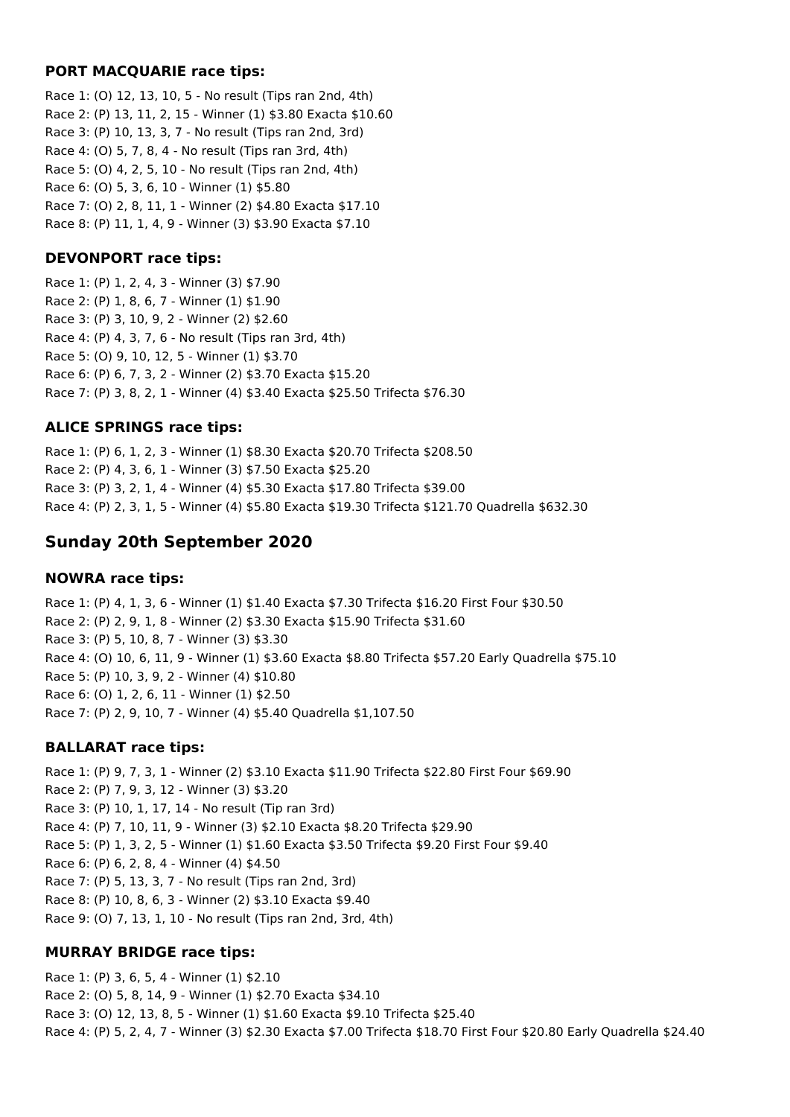#### **PORT MACQUARIE race tips:**

Race 1: (O) 12, 13, 10, 5 - No result (Tips ran 2nd, 4th) Race 2: (P) 13, 11, 2, 15 - Winner (1) \$3.80 Exacta \$10.60 Race 3: (P) 10, 13, 3, 7 - No result (Tips ran 2nd, 3rd) Race 4: (O) 5, 7, 8, 4 - No result (Tips ran 3rd, 4th) Race 5: (O) 4, 2, 5, 10 - No result (Tips ran 2nd, 4th) Race 6: (O) 5, 3, 6, 10 - Winner (1) \$5.80 Race 7: (O) 2, 8, 11, 1 - Winner (2) \$4.80 Exacta \$17.10 Race 8: (P) 11, 1, 4, 9 - Winner (3) \$3.90 Exacta \$7.10

## **DEVONPORT race tips:**

Race 1: (P) 1, 2, 4, 3 - Winner (3) \$7.90 Race 2: (P) 1, 8, 6, 7 - Winner (1) \$1.90 Race 3: (P) 3, 10, 9, 2 - Winner (2) \$2.60 Race 4: (P) 4, 3, 7, 6 - No result (Tips ran 3rd, 4th) Race 5: (O) 9, 10, 12, 5 - Winner (1) \$3.70 Race 6: (P) 6, 7, 3, 2 - Winner (2) \$3.70 Exacta \$15.20 Race 7: (P) 3, 8, 2, 1 - Winner (4) \$3.40 Exacta \$25.50 Trifecta \$76.30

# **ALICE SPRINGS race tips:**

Race 1: (P) 6, 1, 2, 3 - Winner (1) \$8.30 Exacta \$20.70 Trifecta \$208.50 Race 2: (P) 4, 3, 6, 1 - Winner (3) \$7.50 Exacta \$25.20 Race 3: (P) 3, 2, 1, 4 - Winner (4) \$5.30 Exacta \$17.80 Trifecta \$39.00 Race 4: (P) 2, 3, 1, 5 - Winner (4) \$5.80 Exacta \$19.30 Trifecta \$121.70 Quadrella \$632.30

# **Sunday 20th September 2020**

## **NOWRA race tips:**

Race 1: (P) 4, 1, 3, 6 - Winner (1) \$1.40 Exacta \$7.30 Trifecta \$16.20 First Four \$30.50 Race 2: (P) 2, 9, 1, 8 - Winner (2) \$3.30 Exacta \$15.90 Trifecta \$31.60 Race 3: (P) 5, 10, 8, 7 - Winner (3) \$3.30 Race 4: (O) 10, 6, 11, 9 - Winner (1) \$3.60 Exacta \$8.80 Trifecta \$57.20 Early Quadrella \$75.10 Race 5: (P) 10, 3, 9, 2 - Winner (4) \$10.80 Race 6: (O) 1, 2, 6, 11 - Winner (1) \$2.50 Race 7: (P) 2, 9, 10, 7 - Winner (4) \$5.40 Quadrella \$1,107.50

# **BALLARAT race tips:**

Race 1: (P) 9, 7, 3, 1 - Winner (2) \$3.10 Exacta \$11.90 Trifecta \$22.80 First Four \$69.90 Race 2: (P) 7, 9, 3, 12 - Winner (3) \$3.20 Race 3: (P) 10, 1, 17, 14 - No result (Tip ran 3rd) Race 4: (P) 7, 10, 11, 9 - Winner (3) \$2.10 Exacta \$8.20 Trifecta \$29.90 Race 5: (P) 1, 3, 2, 5 - Winner (1) \$1.60 Exacta \$3.50 Trifecta \$9.20 First Four \$9.40 Race 6: (P) 6, 2, 8, 4 - Winner (4) \$4.50 Race 7: (P) 5, 13, 3, 7 - No result (Tips ran 2nd, 3rd) Race 8: (P) 10, 8, 6, 3 - Winner (2) \$3.10 Exacta \$9.40 Race 9: (O) 7, 13, 1, 10 - No result (Tips ran 2nd, 3rd, 4th)

## **MURRAY BRIDGE race tips:**

Race 1: (P) 3, 6, 5, 4 - Winner (1) \$2.10 Race 2: (O) 5, 8, 14, 9 - Winner (1) \$2.70 Exacta \$34.10 Race 3: (O) 12, 13, 8, 5 - Winner (1) \$1.60 Exacta \$9.10 Trifecta \$25.40 Race 4: (P) 5, 2, 4, 7 - Winner (3) \$2.30 Exacta \$7.00 Trifecta \$18.70 First Four \$20.80 Early Quadrella \$24.40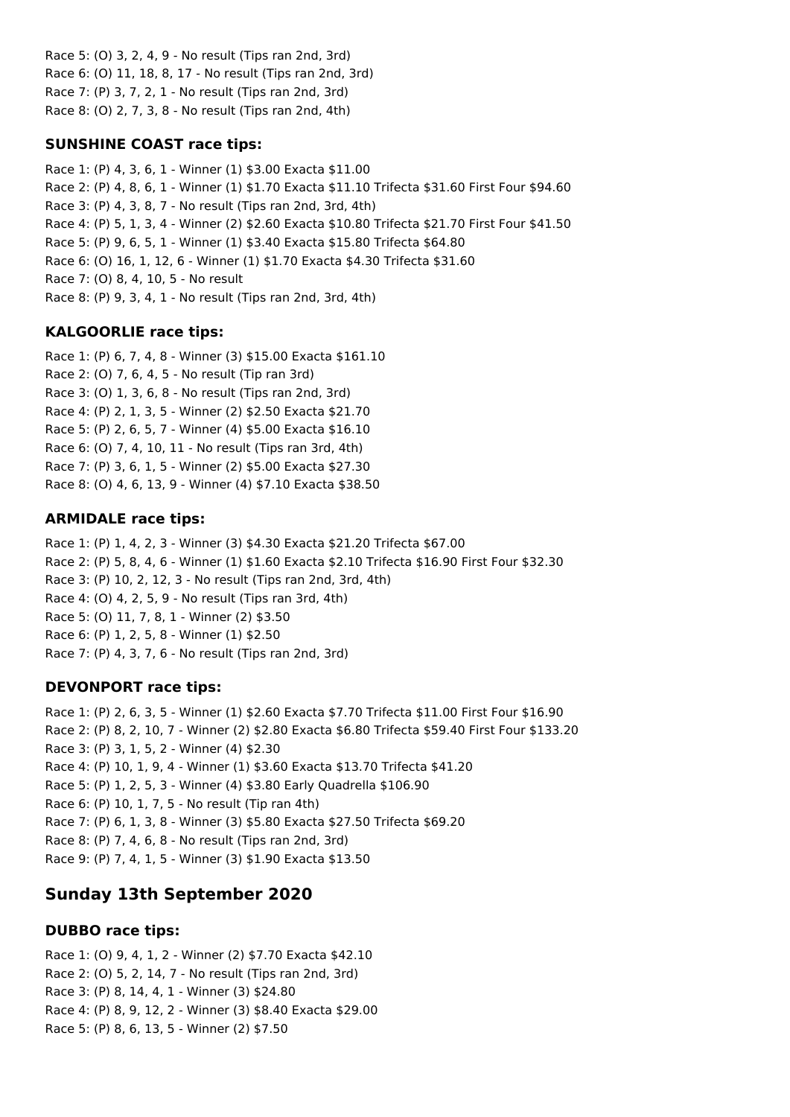Race 5: (O) 3, 2, 4, 9 - No result (Tips ran 2nd, 3rd) Race 6: (O) 11, 18, 8, 17 - No result (Tips ran 2nd, 3rd) Race 7: (P) 3, 7, 2, 1 - No result (Tips ran 2nd, 3rd) Race 8: (O) 2, 7, 3, 8 - No result (Tips ran 2nd, 4th)

# **SUNSHINE COAST race tips:**

Race 1: (P) 4, 3, 6, 1 - Winner (1) \$3.00 Exacta \$11.00 Race 2: (P) 4, 8, 6, 1 - Winner (1) \$1.70 Exacta \$11.10 Trifecta \$31.60 First Four \$94.60 Race 3: (P) 4, 3, 8, 7 - No result (Tips ran 2nd, 3rd, 4th) Race 4: (P) 5, 1, 3, 4 - Winner (2) \$2.60 Exacta \$10.80 Trifecta \$21.70 First Four \$41.50 Race 5: (P) 9, 6, 5, 1 - Winner (1) \$3.40 Exacta \$15.80 Trifecta \$64.80 Race 6: (O) 16, 1, 12, 6 - Winner (1) \$1.70 Exacta \$4.30 Trifecta \$31.60 Race 7: (O) 8, 4, 10, 5 - No result Race 8: (P) 9, 3, 4, 1 - No result (Tips ran 2nd, 3rd, 4th)

# **KALGOORLIE race tips:**

Race 1: (P) 6, 7, 4, 8 - Winner (3) \$15.00 Exacta \$161.10 Race 2: (O) 7, 6, 4, 5 - No result (Tip ran 3rd) Race 3: (O) 1, 3, 6, 8 - No result (Tips ran 2nd, 3rd) Race 4: (P) 2, 1, 3, 5 - Winner (2) \$2.50 Exacta \$21.70 Race 5: (P) 2, 6, 5, 7 - Winner (4) \$5.00 Exacta \$16.10 Race 6: (O) 7, 4, 10, 11 - No result (Tips ran 3rd, 4th) Race 7: (P) 3, 6, 1, 5 - Winner (2) \$5.00 Exacta \$27.30 Race 8: (O) 4, 6, 13, 9 - Winner (4) \$7.10 Exacta \$38.50

# **ARMIDALE race tips:**

Race 1: (P) 1, 4, 2, 3 - Winner (3) \$4.30 Exacta \$21.20 Trifecta \$67.00 Race 2: (P) 5, 8, 4, 6 - Winner (1) \$1.60 Exacta \$2.10 Trifecta \$16.90 First Four \$32.30 Race 3: (P) 10, 2, 12, 3 - No result (Tips ran 2nd, 3rd, 4th) Race 4: (O) 4, 2, 5, 9 - No result (Tips ran 3rd, 4th) Race 5: (O) 11, 7, 8, 1 - Winner (2) \$3.50 Race 6: (P) 1, 2, 5, 8 - Winner (1) \$2.50 Race 7: (P) 4, 3, 7, 6 - No result (Tips ran 2nd, 3rd)

# **DEVONPORT race tips:**

Race 1: (P) 2, 6, 3, 5 - Winner (1) \$2.60 Exacta \$7.70 Trifecta \$11.00 First Four \$16.90 Race 2: (P) 8, 2, 10, 7 - Winner (2) \$2.80 Exacta \$6.80 Trifecta \$59.40 First Four \$133.20 Race 3: (P) 3, 1, 5, 2 - Winner (4) \$2.30 Race 4: (P) 10, 1, 9, 4 - Winner (1) \$3.60 Exacta \$13.70 Trifecta \$41.20 Race 5: (P) 1, 2, 5, 3 - Winner (4) \$3.80 Early Quadrella \$106.90 Race 6: (P) 10, 1, 7, 5 - No result (Tip ran 4th) Race 7: (P) 6, 1, 3, 8 - Winner (3) \$5.80 Exacta \$27.50 Trifecta \$69.20 Race 8: (P) 7, 4, 6, 8 - No result (Tips ran 2nd, 3rd) Race 9: (P) 7, 4, 1, 5 - Winner (3) \$1.90 Exacta \$13.50

# **Sunday 13th September 2020**

# **DUBBO race tips:**

Race 1: (O) 9, 4, 1, 2 - Winner (2) \$7.70 Exacta \$42.10 Race 2: (O) 5, 2, 14, 7 - No result (Tips ran 2nd, 3rd) Race 3: (P) 8, 14, 4, 1 - Winner (3) \$24.80 Race 4: (P) 8, 9, 12, 2 - Winner (3) \$8.40 Exacta \$29.00 Race 5: (P) 8, 6, 13, 5 - Winner (2) \$7.50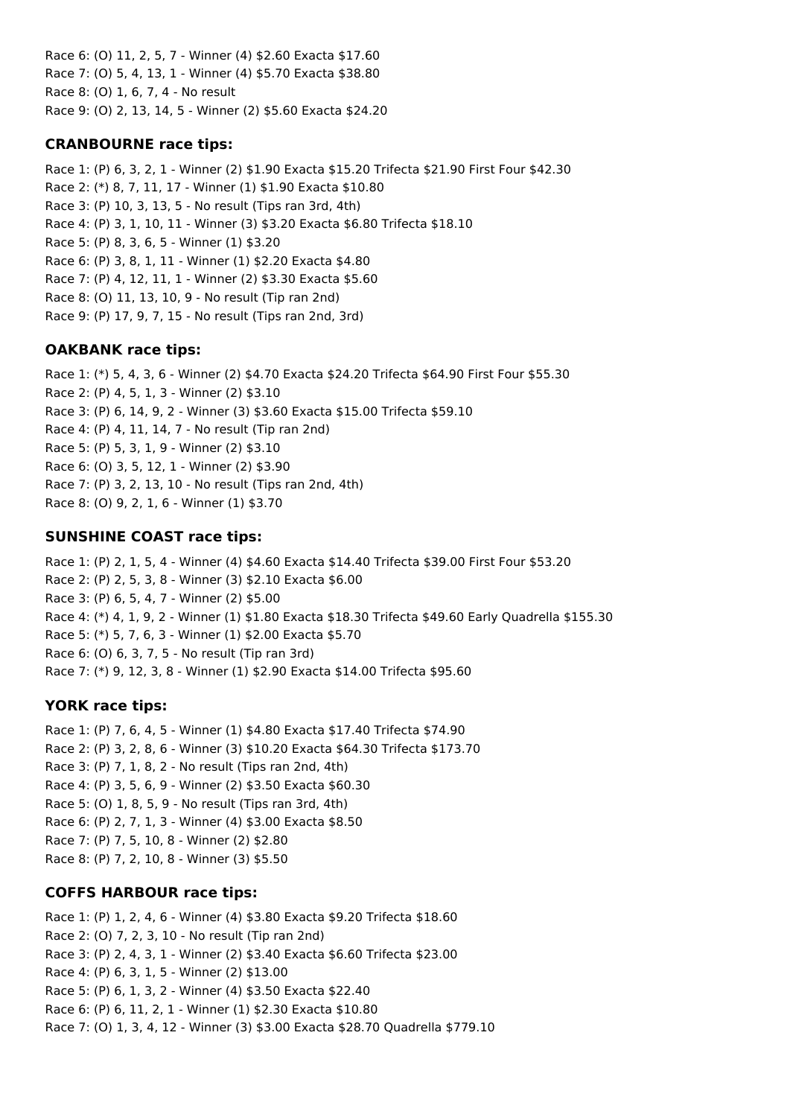Race 6: (O) 11, 2, 5, 7 - Winner (4) \$2.60 Exacta \$17.60 Race 7: (O) 5, 4, 13, 1 - Winner (4) \$5.70 Exacta \$38.80 Race 8: (O) 1, 6, 7, 4 - No result Race 9: (O) 2, 13, 14, 5 - Winner (2) \$5.60 Exacta \$24.20

# **CRANBOURNE race tips:**

Race 1: (P) 6, 3, 2, 1 - Winner (2) \$1.90 Exacta \$15.20 Trifecta \$21.90 First Four \$42.30 Race 2: (\*) 8, 7, 11, 17 - Winner (1) \$1.90 Exacta \$10.80 Race 3: (P) 10, 3, 13, 5 - No result (Tips ran 3rd, 4th) Race 4: (P) 3, 1, 10, 11 - Winner (3) \$3.20 Exacta \$6.80 Trifecta \$18.10 Race 5: (P) 8, 3, 6, 5 - Winner (1) \$3.20 Race 6: (P) 3, 8, 1, 11 - Winner (1) \$2.20 Exacta \$4.80 Race 7: (P) 4, 12, 11, 1 - Winner (2) \$3.30 Exacta \$5.60 Race 8: (O) 11, 13, 10, 9 - No result (Tip ran 2nd) Race 9: (P) 17, 9, 7, 15 - No result (Tips ran 2nd, 3rd)

# **OAKBANK race tips:**

Race 1: (\*) 5, 4, 3, 6 - Winner (2) \$4.70 Exacta \$24.20 Trifecta \$64.90 First Four \$55.30 Race 2: (P) 4, 5, 1, 3 - Winner (2) \$3.10 Race 3: (P) 6, 14, 9, 2 - Winner (3) \$3.60 Exacta \$15.00 Trifecta \$59.10 Race 4: (P) 4, 11, 14, 7 - No result (Tip ran 2nd) Race 5: (P) 5, 3, 1, 9 - Winner (2) \$3.10 Race 6: (O) 3, 5, 12, 1 - Winner (2) \$3.90 Race 7: (P) 3, 2, 13, 10 - No result (Tips ran 2nd, 4th) Race 8: (O) 9, 2, 1, 6 - Winner (1) \$3.70

# **SUNSHINE COAST race tips:**

Race 1: (P) 2, 1, 5, 4 - Winner (4) \$4.60 Exacta \$14.40 Trifecta \$39.00 First Four \$53.20 Race 2: (P) 2, 5, 3, 8 - Winner (3) \$2.10 Exacta \$6.00 Race 3: (P) 6, 5, 4, 7 - Winner (2) \$5.00 Race 4: (\*) 4, 1, 9, 2 - Winner (1) \$1.80 Exacta \$18.30 Trifecta \$49.60 Early Quadrella \$155.30 Race 5: (\*) 5, 7, 6, 3 - Winner (1) \$2.00 Exacta \$5.70 Race 6: (O) 6, 3, 7, 5 - No result (Tip ran 3rd) Race 7: (\*) 9, 12, 3, 8 - Winner (1) \$2.90 Exacta \$14.00 Trifecta \$95.60

# **YORK race tips:**

Race 1: (P) 7, 6, 4, 5 - Winner (1) \$4.80 Exacta \$17.40 Trifecta \$74.90 Race 2: (P) 3, 2, 8, 6 - Winner (3) \$10.20 Exacta \$64.30 Trifecta \$173.70 Race 3: (P) 7, 1, 8, 2 - No result (Tips ran 2nd, 4th) Race 4: (P) 3, 5, 6, 9 - Winner (2) \$3.50 Exacta \$60.30 Race 5: (O) 1, 8, 5, 9 - No result (Tips ran 3rd, 4th) Race 6: (P) 2, 7, 1, 3 - Winner (4) \$3.00 Exacta \$8.50 Race 7: (P) 7, 5, 10, 8 - Winner (2) \$2.80 Race 8: (P) 7, 2, 10, 8 - Winner (3) \$5.50

# **COFFS HARBOUR race tips:**

Race 1: (P) 1, 2, 4, 6 - Winner (4) \$3.80 Exacta \$9.20 Trifecta \$18.60 Race 2: (O) 7, 2, 3, 10 - No result (Tip ran 2nd) Race 3: (P) 2, 4, 3, 1 - Winner (2) \$3.40 Exacta \$6.60 Trifecta \$23.00 Race 4: (P) 6, 3, 1, 5 - Winner (2) \$13.00 Race 5: (P) 6, 1, 3, 2 - Winner (4) \$3.50 Exacta \$22.40 Race 6: (P) 6, 11, 2, 1 - Winner (1) \$2.30 Exacta \$10.80 Race 7: (O) 1, 3, 4, 12 - Winner (3) \$3.00 Exacta \$28.70 Quadrella \$779.10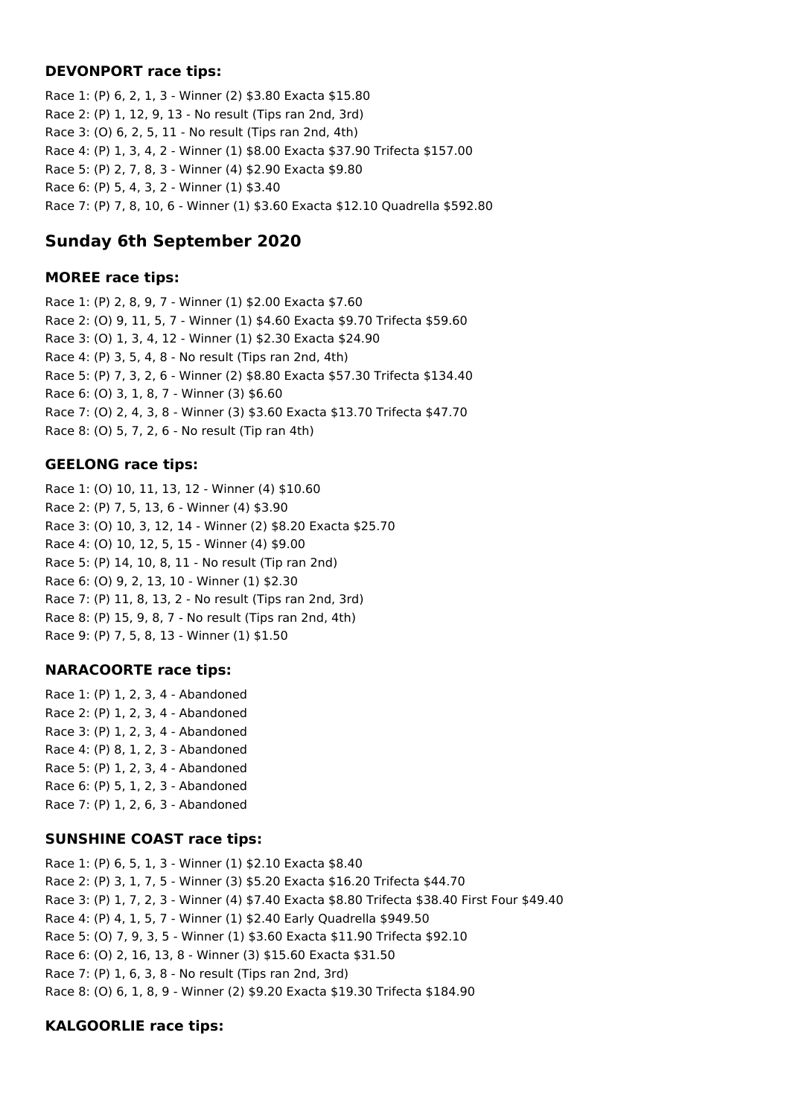## **DEVONPORT race tips:**

Race 1: (P) 6, 2, 1, 3 - Winner (2) \$3.80 Exacta \$15.80 Race 2: (P) 1, 12, 9, 13 - No result (Tips ran 2nd, 3rd) Race 3: (O) 6, 2, 5, 11 - No result (Tips ran 2nd, 4th) Race 4: (P) 1, 3, 4, 2 - Winner (1) \$8.00 Exacta \$37.90 Trifecta \$157.00 Race 5: (P) 2, 7, 8, 3 - Winner (4) \$2.90 Exacta \$9.80 Race 6: (P) 5, 4, 3, 2 - Winner (1) \$3.40 Race 7: (P) 7, 8, 10, 6 - Winner (1) \$3.60 Exacta \$12.10 Quadrella \$592.80

# **Sunday 6th September 2020**

## **MOREE race tips:**

Race 1: (P) 2, 8, 9, 7 - Winner (1) \$2.00 Exacta \$7.60 Race 2: (O) 9, 11, 5, 7 - Winner (1) \$4.60 Exacta \$9.70 Trifecta \$59.60 Race 3: (O) 1, 3, 4, 12 - Winner (1) \$2.30 Exacta \$24.90 Race 4: (P) 3, 5, 4, 8 - No result (Tips ran 2nd, 4th) Race 5: (P) 7, 3, 2, 6 - Winner (2) \$8.80 Exacta \$57.30 Trifecta \$134.40 Race 6: (O) 3, 1, 8, 7 - Winner (3) \$6.60 Race 7: (O) 2, 4, 3, 8 - Winner (3) \$3.60 Exacta \$13.70 Trifecta \$47.70 Race 8: (O) 5, 7, 2, 6 - No result (Tip ran 4th)

# **GEELONG race tips:**

Race 1: (O) 10, 11, 13, 12 - Winner (4) \$10.60 Race 2: (P) 7, 5, 13, 6 - Winner (4) \$3.90 Race 3: (O) 10, 3, 12, 14 - Winner (2) \$8.20 Exacta \$25.70 Race 4: (O) 10, 12, 5, 15 - Winner (4) \$9.00 Race 5: (P) 14, 10, 8, 11 - No result (Tip ran 2nd) Race 6: (O) 9, 2, 13, 10 - Winner (1) \$2.30 Race 7: (P) 11, 8, 13, 2 - No result (Tips ran 2nd, 3rd) Race 8: (P) 15, 9, 8, 7 - No result (Tips ran 2nd, 4th) Race 9: (P) 7, 5, 8, 13 - Winner (1) \$1.50

## **NARACOORTE race tips:**

Race 1: (P) 1, 2, 3, 4 - Abandoned Race 2: (P) 1, 2, 3, 4 - Abandoned Race 3: (P) 1, 2, 3, 4 - Abandoned Race 4: (P) 8, 1, 2, 3 - Abandoned Race 5: (P) 1, 2, 3, 4 - Abandoned Race 6: (P) 5, 1, 2, 3 - Abandoned Race 7: (P) 1, 2, 6, 3 - Abandoned

# **SUNSHINE COAST race tips:**

Race 1: (P) 6, 5, 1, 3 - Winner (1) \$2.10 Exacta \$8.40 Race 2: (P) 3, 1, 7, 5 - Winner (3) \$5.20 Exacta \$16.20 Trifecta \$44.70 Race 3: (P) 1, 7, 2, 3 - Winner (4) \$7.40 Exacta \$8.80 Trifecta \$38.40 First Four \$49.40 Race 4: (P) 4, 1, 5, 7 - Winner (1) \$2.40 Early Quadrella \$949.50 Race 5: (O) 7, 9, 3, 5 - Winner (1) \$3.60 Exacta \$11.90 Trifecta \$92.10 Race 6: (O) 2, 16, 13, 8 - Winner (3) \$15.60 Exacta \$31.50 Race 7: (P) 1, 6, 3, 8 - No result (Tips ran 2nd, 3rd) Race 8: (O) 6, 1, 8, 9 - Winner (2) \$9.20 Exacta \$19.30 Trifecta \$184.90

# **KALGOORLIE race tips:**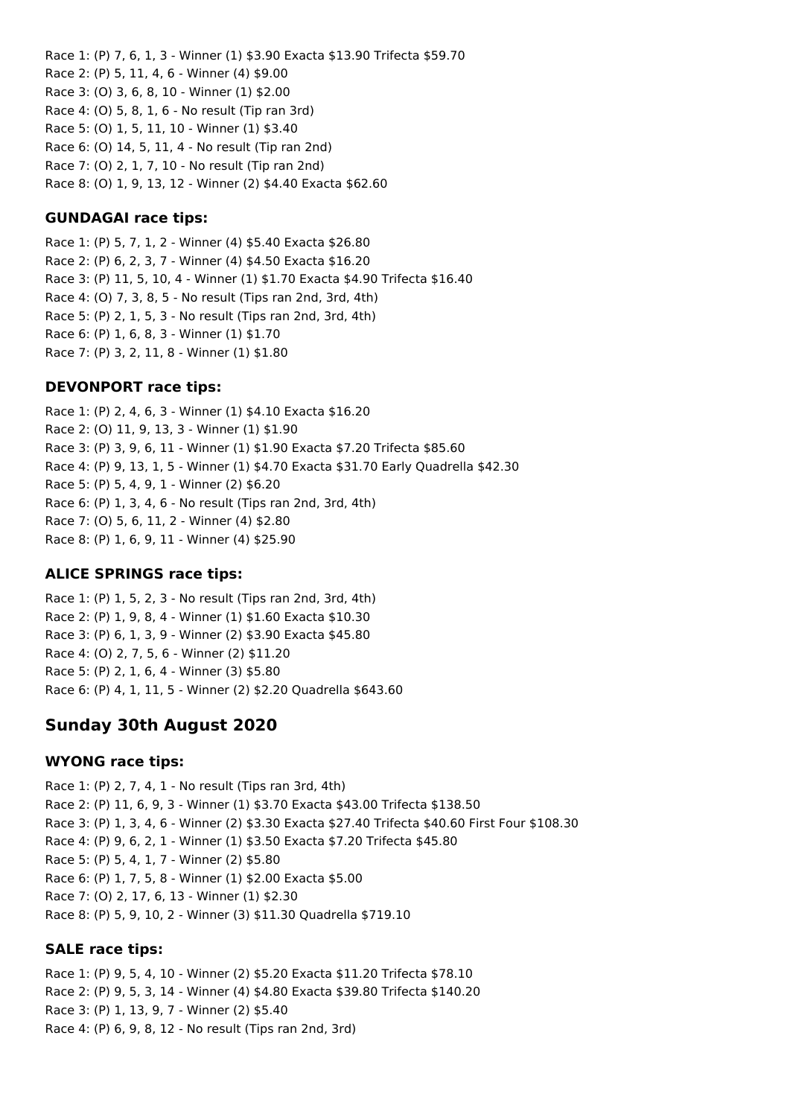Race 1: (P) 7, 6, 1, 3 - Winner (1) \$3.90 Exacta \$13.90 Trifecta \$59.70 Race 2: (P) 5, 11, 4, 6 - Winner (4) \$9.00 Race 3: (O) 3, 6, 8, 10 - Winner (1) \$2.00 Race 4: (O) 5, 8, 1, 6 - No result (Tip ran 3rd) Race 5: (O) 1, 5, 11, 10 - Winner (1) \$3.40 Race 6: (O) 14, 5, 11, 4 - No result (Tip ran 2nd) Race 7: (O) 2, 1, 7, 10 - No result (Tip ran 2nd) Race 8: (O) 1, 9, 13, 12 - Winner (2) \$4.40 Exacta \$62.60

#### **GUNDAGAI race tips:**

Race 1: (P) 5, 7, 1, 2 - Winner (4) \$5.40 Exacta \$26.80 Race 2: (P) 6, 2, 3, 7 - Winner (4) \$4.50 Exacta \$16.20 Race 3: (P) 11, 5, 10, 4 - Winner (1) \$1.70 Exacta \$4.90 Trifecta \$16.40 Race 4: (O) 7, 3, 8, 5 - No result (Tips ran 2nd, 3rd, 4th) Race 5: (P) 2, 1, 5, 3 - No result (Tips ran 2nd, 3rd, 4th) Race 6: (P) 1, 6, 8, 3 - Winner (1) \$1.70 Race 7: (P) 3, 2, 11, 8 - Winner (1) \$1.80

#### **DEVONPORT race tips:**

Race 1: (P) 2, 4, 6, 3 - Winner (1) \$4.10 Exacta \$16.20 Race 2: (O) 11, 9, 13, 3 - Winner (1) \$1.90 Race 3: (P) 3, 9, 6, 11 - Winner (1) \$1.90 Exacta \$7.20 Trifecta \$85.60 Race 4: (P) 9, 13, 1, 5 - Winner (1) \$4.70 Exacta \$31.70 Early Quadrella \$42.30 Race 5: (P) 5, 4, 9, 1 - Winner (2) \$6.20 Race 6: (P) 1, 3, 4, 6 - No result (Tips ran 2nd, 3rd, 4th) Race 7: (O) 5, 6, 11, 2 - Winner (4) \$2.80 Race 8: (P) 1, 6, 9, 11 - Winner (4) \$25.90

## **ALICE SPRINGS race tips:**

Race 1: (P) 1, 5, 2, 3 - No result (Tips ran 2nd, 3rd, 4th) Race 2: (P) 1, 9, 8, 4 - Winner (1) \$1.60 Exacta \$10.30 Race 3: (P) 6, 1, 3, 9 - Winner (2) \$3.90 Exacta \$45.80 Race 4: (O) 2, 7, 5, 6 - Winner (2) \$11.20 Race 5: (P) 2, 1, 6, 4 - Winner (3) \$5.80 Race 6: (P) 4, 1, 11, 5 - Winner (2) \$2.20 Quadrella \$643.60

# **Sunday 30th August 2020**

#### **WYONG race tips:**

Race 1: (P) 2, 7, 4, 1 - No result (Tips ran 3rd, 4th) Race 2: (P) 11, 6, 9, 3 - Winner (1) \$3.70 Exacta \$43.00 Trifecta \$138.50 Race 3: (P) 1, 3, 4, 6 - Winner (2) \$3.30 Exacta \$27.40 Trifecta \$40.60 First Four \$108.30 Race 4: (P) 9, 6, 2, 1 - Winner (1) \$3.50 Exacta \$7.20 Trifecta \$45.80 Race 5: (P) 5, 4, 1, 7 - Winner (2) \$5.80 Race 6: (P) 1, 7, 5, 8 - Winner (1) \$2.00 Exacta \$5.00 Race 7: (O) 2, 17, 6, 13 - Winner (1) \$2.30 Race 8: (P) 5, 9, 10, 2 - Winner (3) \$11.30 Quadrella \$719.10

#### **SALE race tips:**

Race 1: (P) 9, 5, 4, 10 - Winner (2) \$5.20 Exacta \$11.20 Trifecta \$78.10 Race 2: (P) 9, 5, 3, 14 - Winner (4) \$4.80 Exacta \$39.80 Trifecta \$140.20 Race 3: (P) 1, 13, 9, 7 - Winner (2) \$5.40 Race 4: (P) 6, 9, 8, 12 - No result (Tips ran 2nd, 3rd)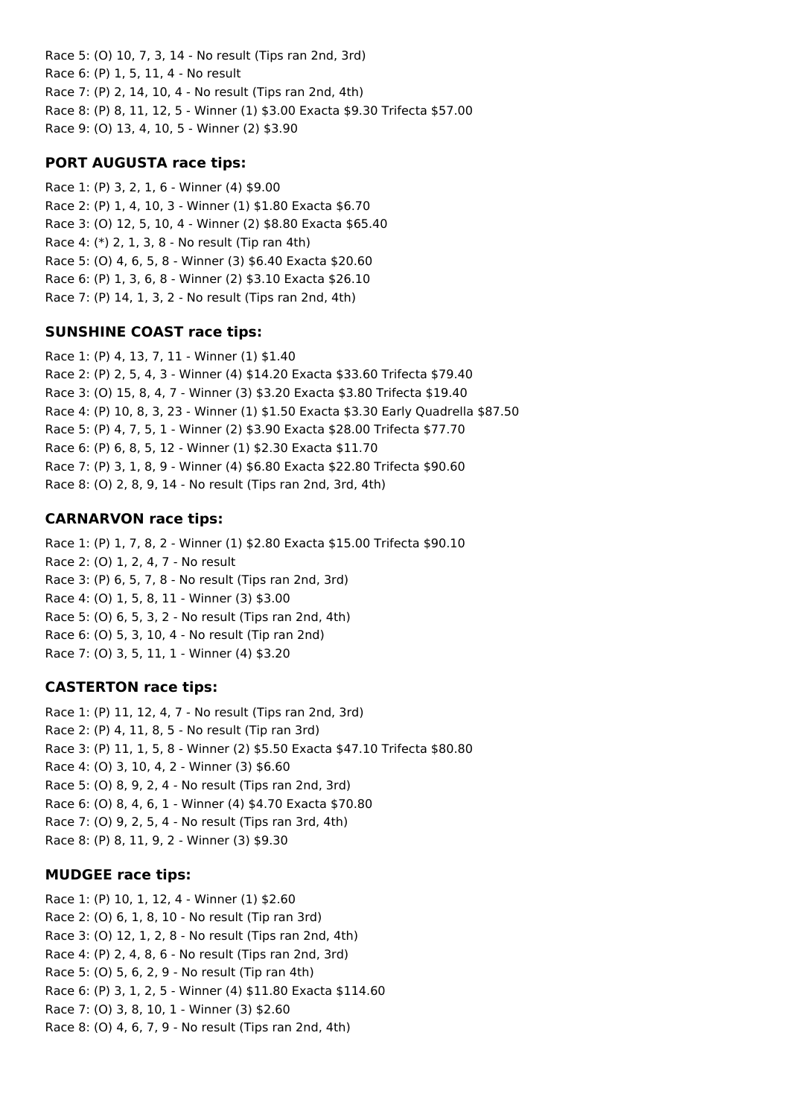Race 5: (O) 10, 7, 3, 14 - No result (Tips ran 2nd, 3rd) Race 6: (P) 1, 5, 11, 4 - No result Race 7: (P) 2, 14, 10, 4 - No result (Tips ran 2nd, 4th) Race 8: (P) 8, 11, 12, 5 - Winner (1) \$3.00 Exacta \$9.30 Trifecta \$57.00 Race 9: (O) 13, 4, 10, 5 - Winner (2) \$3.90

## **PORT AUGUSTA race tips:**

Race 1: (P) 3, 2, 1, 6 - Winner (4) \$9.00 Race 2: (P) 1, 4, 10, 3 - Winner (1) \$1.80 Exacta \$6.70 Race 3: (O) 12, 5, 10, 4 - Winner (2) \$8.80 Exacta \$65.40 Race 4: (\*) 2, 1, 3, 8 - No result (Tip ran 4th) Race 5: (O) 4, 6, 5, 8 - Winner (3) \$6.40 Exacta \$20.60 Race 6: (P) 1, 3, 6, 8 - Winner (2) \$3.10 Exacta \$26.10 Race 7: (P) 14, 1, 3, 2 - No result (Tips ran 2nd, 4th)

# **SUNSHINE COAST race tips:**

Race 1: (P) 4, 13, 7, 11 - Winner (1) \$1.40 Race 2: (P) 2, 5, 4, 3 - Winner (4) \$14.20 Exacta \$33.60 Trifecta \$79.40 Race 3: (O) 15, 8, 4, 7 - Winner (3) \$3.20 Exacta \$3.80 Trifecta \$19.40 Race 4: (P) 10, 8, 3, 23 - Winner (1) \$1.50 Exacta \$3.30 Early Quadrella \$87.50 Race 5: (P) 4, 7, 5, 1 - Winner (2) \$3.90 Exacta \$28.00 Trifecta \$77.70 Race 6: (P) 6, 8, 5, 12 - Winner (1) \$2.30 Exacta \$11.70 Race 7: (P) 3, 1, 8, 9 - Winner (4) \$6.80 Exacta \$22.80 Trifecta \$90.60 Race 8: (O) 2, 8, 9, 14 - No result (Tips ran 2nd, 3rd, 4th)

# **CARNARVON race tips:**

Race 1: (P) 1, 7, 8, 2 - Winner (1) \$2.80 Exacta \$15.00 Trifecta \$90.10 Race 2: (O) 1, 2, 4, 7 - No result Race 3: (P) 6, 5, 7, 8 - No result (Tips ran 2nd, 3rd) Race 4: (O) 1, 5, 8, 11 - Winner (3) \$3.00 Race 5: (O) 6, 5, 3, 2 - No result (Tips ran 2nd, 4th) Race 6: (O) 5, 3, 10, 4 - No result (Tip ran 2nd) Race 7: (O) 3, 5, 11, 1 - Winner (4) \$3.20

# **CASTERTON race tips:**

Race 1: (P) 11, 12, 4, 7 - No result (Tips ran 2nd, 3rd) Race 2: (P) 4, 11, 8, 5 - No result (Tip ran 3rd) Race 3: (P) 11, 1, 5, 8 - Winner (2) \$5.50 Exacta \$47.10 Trifecta \$80.80 Race 4: (O) 3, 10, 4, 2 - Winner (3) \$6.60 Race 5: (O) 8, 9, 2, 4 - No result (Tips ran 2nd, 3rd) Race 6: (O) 8, 4, 6, 1 - Winner (4) \$4.70 Exacta \$70.80 Race 7: (O) 9, 2, 5, 4 - No result (Tips ran 3rd, 4th) Race 8: (P) 8, 11, 9, 2 - Winner (3) \$9.30

# **MUDGEE race tips:**

Race 1: (P) 10, 1, 12, 4 - Winner (1) \$2.60 Race 2: (O) 6, 1, 8, 10 - No result (Tip ran 3rd) Race 3: (O) 12, 1, 2, 8 - No result (Tips ran 2nd, 4th) Race 4: (P) 2, 4, 8, 6 - No result (Tips ran 2nd, 3rd) Race 5: (O) 5, 6, 2, 9 - No result (Tip ran 4th) Race 6: (P) 3, 1, 2, 5 - Winner (4) \$11.80 Exacta \$114.60 Race 7: (O) 3, 8, 10, 1 - Winner (3) \$2.60 Race 8: (O) 4, 6, 7, 9 - No result (Tips ran 2nd, 4th)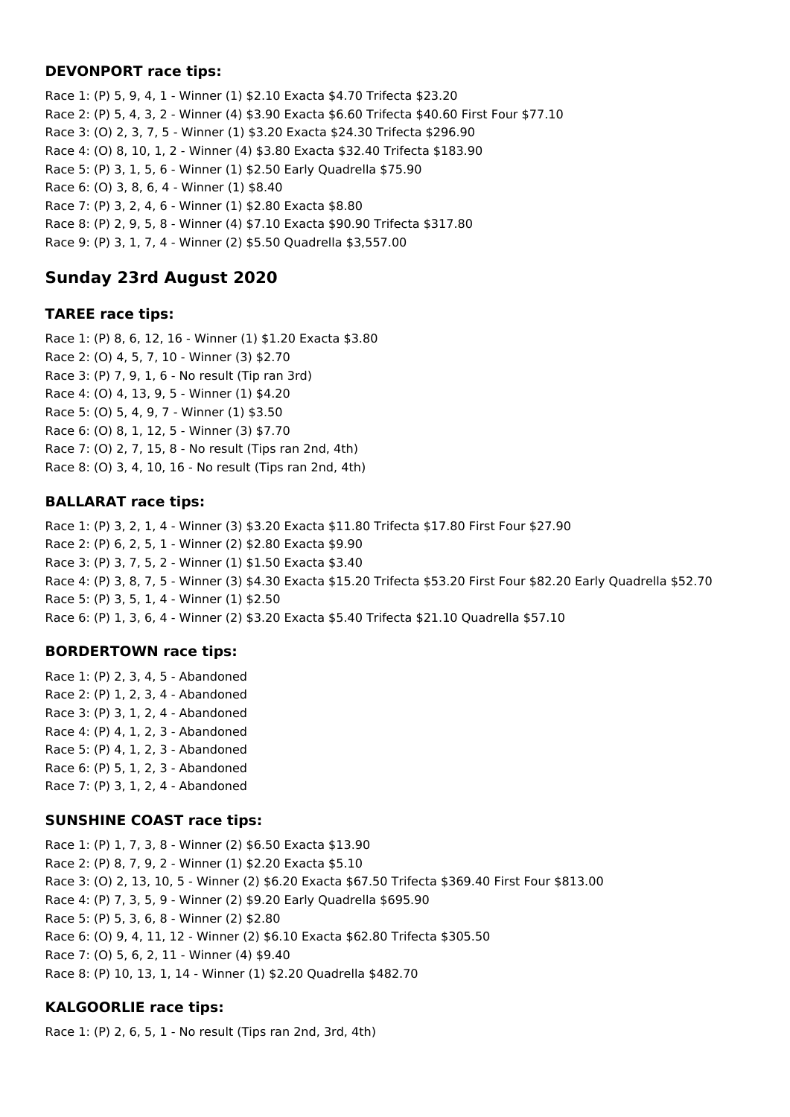#### **DEVONPORT race tips:**

Race 1: (P) 5, 9, 4, 1 - Winner (1) \$2.10 Exacta \$4.70 Trifecta \$23.20 Race 2: (P) 5, 4, 3, 2 - Winner (4) \$3.90 Exacta \$6.60 Trifecta \$40.60 First Four \$77.10 Race 3: (O) 2, 3, 7, 5 - Winner (1) \$3.20 Exacta \$24.30 Trifecta \$296.90 Race 4: (O) 8, 10, 1, 2 - Winner (4) \$3.80 Exacta \$32.40 Trifecta \$183.90 Race 5: (P) 3, 1, 5, 6 - Winner (1) \$2.50 Early Quadrella \$75.90 Race 6: (O) 3, 8, 6, 4 - Winner (1) \$8.40 Race 7: (P) 3, 2, 4, 6 - Winner (1) \$2.80 Exacta \$8.80 Race 8: (P) 2, 9, 5, 8 - Winner (4) \$7.10 Exacta \$90.90 Trifecta \$317.80 Race 9: (P) 3, 1, 7, 4 - Winner (2) \$5.50 Quadrella \$3,557.00

# **Sunday 23rd August 2020**

## **TAREE race tips:**

Race 1: (P) 8, 6, 12, 16 - Winner (1) \$1.20 Exacta \$3.80 Race 2: (O) 4, 5, 7, 10 - Winner (3) \$2.70 Race 3: (P) 7, 9, 1, 6 - No result (Tip ran 3rd) Race 4: (O) 4, 13, 9, 5 - Winner (1) \$4.20 Race 5: (O) 5, 4, 9, 7 - Winner (1) \$3.50 Race 6: (O) 8, 1, 12, 5 - Winner (3) \$7.70 Race 7: (O) 2, 7, 15, 8 - No result (Tips ran 2nd, 4th) Race 8: (O) 3, 4, 10, 16 - No result (Tips ran 2nd, 4th)

## **BALLARAT race tips:**

Race 1: (P) 3, 2, 1, 4 - Winner (3) \$3.20 Exacta \$11.80 Trifecta \$17.80 First Four \$27.90 Race 2: (P) 6, 2, 5, 1 - Winner (2) \$2.80 Exacta \$9.90 Race 3: (P) 3, 7, 5, 2 - Winner (1) \$1.50 Exacta \$3.40 Race 4: (P) 3, 8, 7, 5 - Winner (3) \$4.30 Exacta \$15.20 Trifecta \$53.20 First Four \$82.20 Early Quadrella \$52.70 Race 5: (P) 3, 5, 1, 4 - Winner (1) \$2.50 Race 6: (P) 1, 3, 6, 4 - Winner (2) \$3.20 Exacta \$5.40 Trifecta \$21.10 Quadrella \$57.10

## **BORDERTOWN race tips:**

Race 1: (P) 2, 3, 4, 5 - Abandoned Race 2: (P) 1, 2, 3, 4 - Abandoned Race 3: (P) 3, 1, 2, 4 - Abandoned Race 4: (P) 4, 1, 2, 3 - Abandoned Race 5: (P) 4, 1, 2, 3 - Abandoned Race 6: (P) 5, 1, 2, 3 - Abandoned Race 7: (P) 3, 1, 2, 4 - Abandoned

## **SUNSHINE COAST race tips:**

Race 1: (P) 1, 7, 3, 8 - Winner (2) \$6.50 Exacta \$13.90 Race 2: (P) 8, 7, 9, 2 - Winner (1) \$2.20 Exacta \$5.10 Race 3: (O) 2, 13, 10, 5 - Winner (2) \$6.20 Exacta \$67.50 Trifecta \$369.40 First Four \$813.00 Race 4: (P) 7, 3, 5, 9 - Winner (2) \$9.20 Early Quadrella \$695.90 Race 5: (P) 5, 3, 6, 8 - Winner (2) \$2.80 Race 6: (O) 9, 4, 11, 12 - Winner (2) \$6.10 Exacta \$62.80 Trifecta \$305.50 Race 7: (O) 5, 6, 2, 11 - Winner (4) \$9.40 Race 8: (P) 10, 13, 1, 14 - Winner (1) \$2.20 Quadrella \$482.70

## **KALGOORLIE race tips:**

Race 1: (P) 2, 6, 5, 1 - No result (Tips ran 2nd, 3rd, 4th)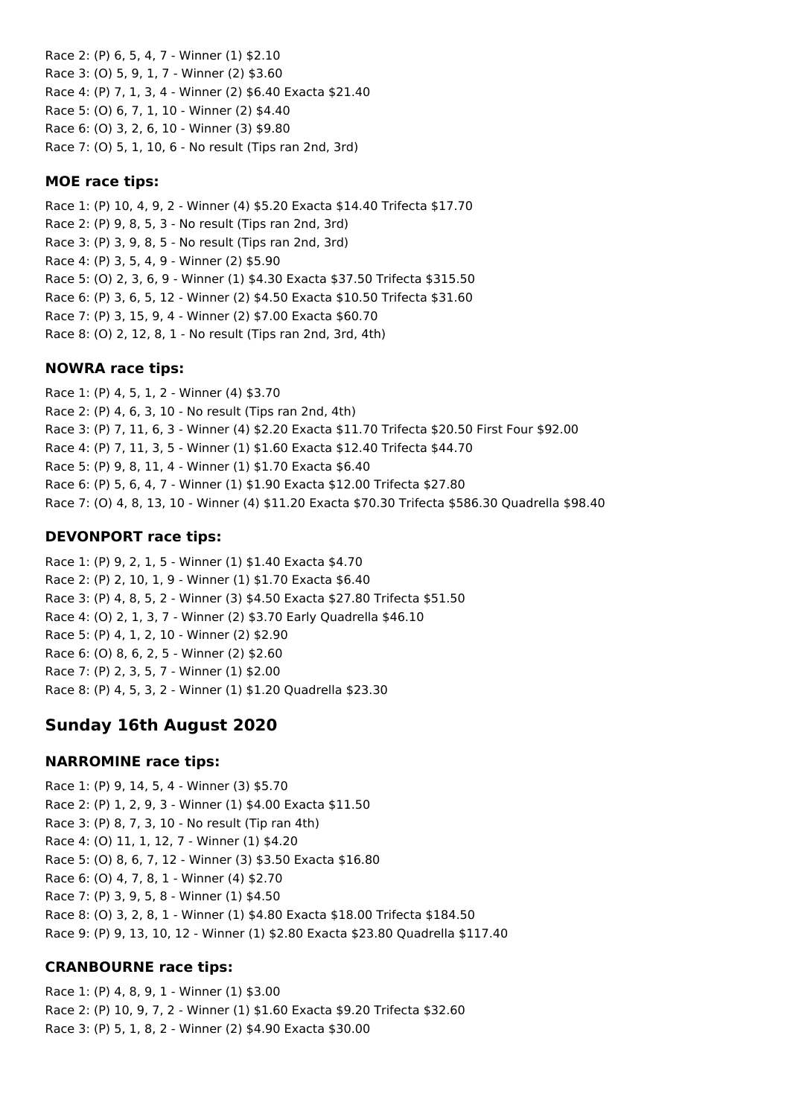Race 2: (P) 6, 5, 4, 7 - Winner (1) \$2.10 Race 3: (O) 5, 9, 1, 7 - Winner (2) \$3.60 Race 4: (P) 7, 1, 3, 4 - Winner (2) \$6.40 Exacta \$21.40 Race 5: (O) 6, 7, 1, 10 - Winner (2) \$4.40 Race 6: (O) 3, 2, 6, 10 - Winner (3) \$9.80 Race 7: (O) 5, 1, 10, 6 - No result (Tips ran 2nd, 3rd)

#### **MOE race tips:**

Race 1: (P) 10, 4, 9, 2 - Winner (4) \$5.20 Exacta \$14.40 Trifecta \$17.70 Race 2: (P) 9, 8, 5, 3 - No result (Tips ran 2nd, 3rd) Race 3: (P) 3, 9, 8, 5 - No result (Tips ran 2nd, 3rd) Race 4: (P) 3, 5, 4, 9 - Winner (2) \$5.90 Race 5: (O) 2, 3, 6, 9 - Winner (1) \$4.30 Exacta \$37.50 Trifecta \$315.50 Race 6: (P) 3, 6, 5, 12 - Winner (2) \$4.50 Exacta \$10.50 Trifecta \$31.60 Race 7: (P) 3, 15, 9, 4 - Winner (2) \$7.00 Exacta \$60.70 Race 8: (O) 2, 12, 8, 1 - No result (Tips ran 2nd, 3rd, 4th)

#### **NOWRA race tips:**

Race 1: (P) 4, 5, 1, 2 - Winner (4) \$3.70 Race 2: (P) 4, 6, 3, 10 - No result (Tips ran 2nd, 4th) Race 3: (P) 7, 11, 6, 3 - Winner (4) \$2.20 Exacta \$11.70 Trifecta \$20.50 First Four \$92.00 Race 4: (P) 7, 11, 3, 5 - Winner (1) \$1.60 Exacta \$12.40 Trifecta \$44.70 Race 5: (P) 9, 8, 11, 4 - Winner (1) \$1.70 Exacta \$6.40 Race 6: (P) 5, 6, 4, 7 - Winner (1) \$1.90 Exacta \$12.00 Trifecta \$27.80 Race 7: (O) 4, 8, 13, 10 - Winner (4) \$11.20 Exacta \$70.30 Trifecta \$586.30 Quadrella \$98.40

#### **DEVONPORT race tips:**

Race 1: (P) 9, 2, 1, 5 - Winner (1) \$1.40 Exacta \$4.70 Race 2: (P) 2, 10, 1, 9 - Winner (1) \$1.70 Exacta \$6.40 Race 3: (P) 4, 8, 5, 2 - Winner (3) \$4.50 Exacta \$27.80 Trifecta \$51.50 Race 4: (O) 2, 1, 3, 7 - Winner (2) \$3.70 Early Quadrella \$46.10 Race 5: (P) 4, 1, 2, 10 - Winner (2) \$2.90 Race 6: (O) 8, 6, 2, 5 - Winner (2) \$2.60 Race 7: (P) 2, 3, 5, 7 - Winner (1) \$2.00 Race 8: (P) 4, 5, 3, 2 - Winner (1) \$1.20 Quadrella \$23.30

## **Sunday 16th August 2020**

#### **NARROMINE race tips:**

Race 1: (P) 9, 14, 5, 4 - Winner (3) \$5.70 Race 2: (P) 1, 2, 9, 3 - Winner (1) \$4.00 Exacta \$11.50 Race 3: (P) 8, 7, 3, 10 - No result (Tip ran 4th) Race 4: (O) 11, 1, 12, 7 - Winner (1) \$4.20 Race 5: (O) 8, 6, 7, 12 - Winner (3) \$3.50 Exacta \$16.80 Race 6: (O) 4, 7, 8, 1 - Winner (4) \$2.70 Race 7: (P) 3, 9, 5, 8 - Winner (1) \$4.50 Race 8: (O) 3, 2, 8, 1 - Winner (1) \$4.80 Exacta \$18.00 Trifecta \$184.50 Race 9: (P) 9, 13, 10, 12 - Winner (1) \$2.80 Exacta \$23.80 Quadrella \$117.40

#### **CRANBOURNE race tips:**

Race 1: (P) 4, 8, 9, 1 - Winner (1) \$3.00 Race 2: (P) 10, 9, 7, 2 - Winner (1) \$1.60 Exacta \$9.20 Trifecta \$32.60 Race 3: (P) 5, 1, 8, 2 - Winner (2) \$4.90 Exacta \$30.00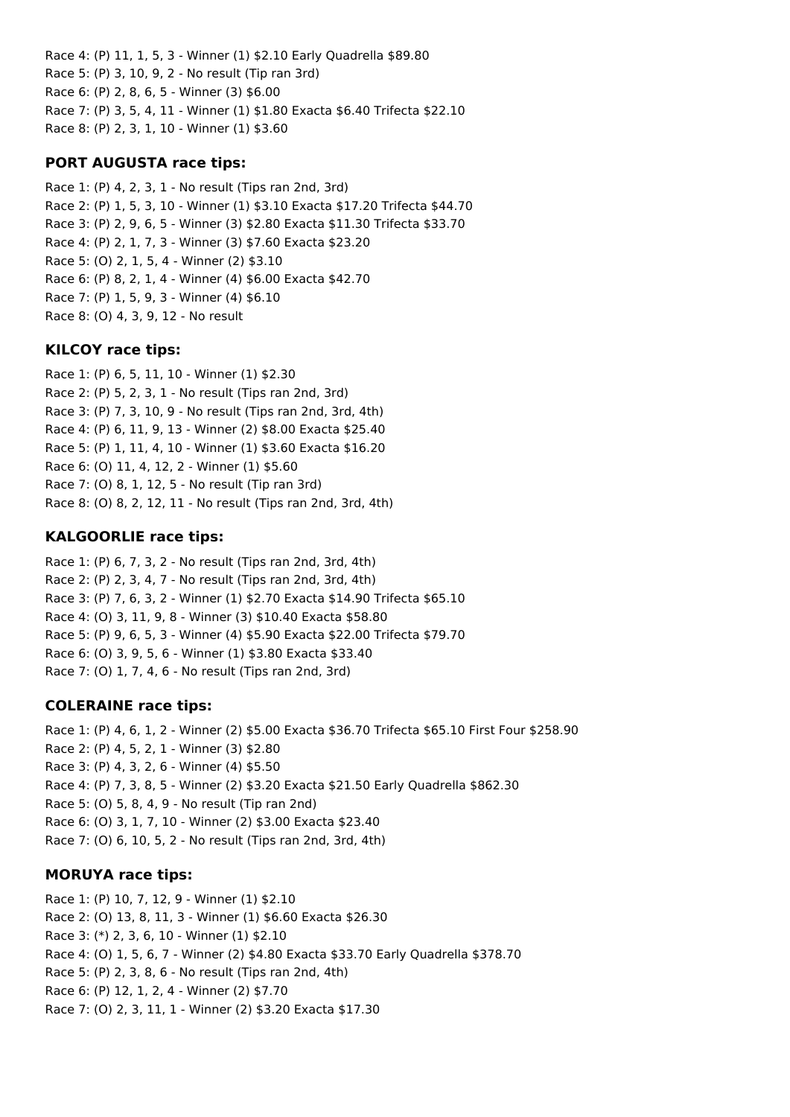Race 4: (P) 11, 1, 5, 3 - Winner (1) \$2.10 Early Quadrella \$89.80 Race 5: (P) 3, 10, 9, 2 - No result (Tip ran 3rd) Race 6: (P) 2, 8, 6, 5 - Winner (3) \$6.00 Race 7: (P) 3, 5, 4, 11 - Winner (1) \$1.80 Exacta \$6.40 Trifecta \$22.10 Race 8: (P) 2, 3, 1, 10 - Winner (1) \$3.60

#### **PORT AUGUSTA race tips:**

Race 1: (P) 4, 2, 3, 1 - No result (Tips ran 2nd, 3rd) Race 2: (P) 1, 5, 3, 10 - Winner (1) \$3.10 Exacta \$17.20 Trifecta \$44.70 Race 3: (P) 2, 9, 6, 5 - Winner (3) \$2.80 Exacta \$11.30 Trifecta \$33.70 Race 4: (P) 2, 1, 7, 3 - Winner (3) \$7.60 Exacta \$23.20 Race 5: (O) 2, 1, 5, 4 - Winner (2) \$3.10 Race 6: (P) 8, 2, 1, 4 - Winner (4) \$6.00 Exacta \$42.70 Race 7: (P) 1, 5, 9, 3 - Winner (4) \$6.10 Race 8: (O) 4, 3, 9, 12 - No result

#### **KILCOY race tips:**

Race 1: (P) 6, 5, 11, 10 - Winner (1) \$2.30 Race 2: (P) 5, 2, 3, 1 - No result (Tips ran 2nd, 3rd) Race 3: (P) 7, 3, 10, 9 - No result (Tips ran 2nd, 3rd, 4th) Race 4: (P) 6, 11, 9, 13 - Winner (2) \$8.00 Exacta \$25.40 Race 5: (P) 1, 11, 4, 10 - Winner (1) \$3.60 Exacta \$16.20 Race 6: (O) 11, 4, 12, 2 - Winner (1) \$5.60 Race 7: (O) 8, 1, 12, 5 - No result (Tip ran 3rd) Race 8: (O) 8, 2, 12, 11 - No result (Tips ran 2nd, 3rd, 4th)

## **KALGOORLIE race tips:**

Race 1: (P) 6, 7, 3, 2 - No result (Tips ran 2nd, 3rd, 4th) Race 2: (P) 2, 3, 4, 7 - No result (Tips ran 2nd, 3rd, 4th) Race 3: (P) 7, 6, 3, 2 - Winner (1) \$2.70 Exacta \$14.90 Trifecta \$65.10 Race 4: (O) 3, 11, 9, 8 - Winner (3) \$10.40 Exacta \$58.80 Race 5: (P) 9, 6, 5, 3 - Winner (4) \$5.90 Exacta \$22.00 Trifecta \$79.70 Race 6: (O) 3, 9, 5, 6 - Winner (1) \$3.80 Exacta \$33.40 Race 7: (O) 1, 7, 4, 6 - No result (Tips ran 2nd, 3rd)

## **COLERAINE race tips:**

Race 1: (P) 4, 6, 1, 2 - Winner (2) \$5.00 Exacta \$36.70 Trifecta \$65.10 First Four \$258.90 Race 2: (P) 4, 5, 2, 1 - Winner (3) \$2.80 Race 3: (P) 4, 3, 2, 6 - Winner (4) \$5.50 Race 4: (P) 7, 3, 8, 5 - Winner (2) \$3.20 Exacta \$21.50 Early Quadrella \$862.30 Race 5: (O) 5, 8, 4, 9 - No result (Tip ran 2nd) Race 6: (O) 3, 1, 7, 10 - Winner (2) \$3.00 Exacta \$23.40 Race 7: (O) 6, 10, 5, 2 - No result (Tips ran 2nd, 3rd, 4th)

## **MORUYA race tips:**

Race 1: (P) 10, 7, 12, 9 - Winner (1) \$2.10 Race 2: (O) 13, 8, 11, 3 - Winner (1) \$6.60 Exacta \$26.30 Race 3: (\*) 2, 3, 6, 10 - Winner (1) \$2.10 Race 4: (O) 1, 5, 6, 7 - Winner (2) \$4.80 Exacta \$33.70 Early Quadrella \$378.70 Race 5: (P) 2, 3, 8, 6 - No result (Tips ran 2nd, 4th) Race 6: (P) 12, 1, 2, 4 - Winner (2) \$7.70 Race 7: (O) 2, 3, 11, 1 - Winner (2) \$3.20 Exacta \$17.30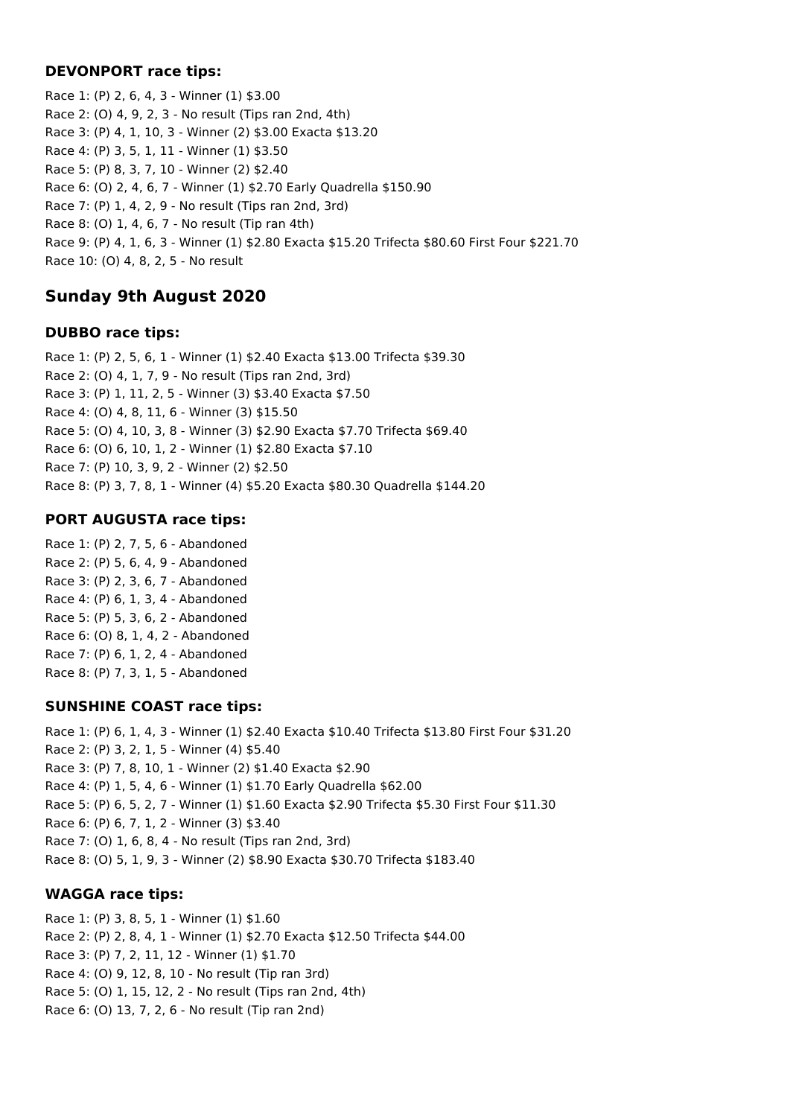## **DEVONPORT race tips:**

Race 1: (P) 2, 6, 4, 3 - Winner (1) \$3.00 Race 2: (O) 4, 9, 2, 3 - No result (Tips ran 2nd, 4th) Race 3: (P) 4, 1, 10, 3 - Winner (2) \$3.00 Exacta \$13.20 Race 4: (P) 3, 5, 1, 11 - Winner (1) \$3.50 Race 5: (P) 8, 3, 7, 10 - Winner (2) \$2.40 Race 6: (O) 2, 4, 6, 7 - Winner (1) \$2.70 Early Quadrella \$150.90 Race 7: (P) 1, 4, 2, 9 - No result (Tips ran 2nd, 3rd) Race 8: (O) 1, 4, 6, 7 - No result (Tip ran 4th) Race 9: (P) 4, 1, 6, 3 - Winner (1) \$2.80 Exacta \$15.20 Trifecta \$80.60 First Four \$221.70 Race 10: (O) 4, 8, 2, 5 - No result

# **Sunday 9th August 2020**

#### **DUBBO race tips:**

Race 1: (P) 2, 5, 6, 1 - Winner (1) \$2.40 Exacta \$13.00 Trifecta \$39.30 Race 2: (O) 4, 1, 7, 9 - No result (Tips ran 2nd, 3rd) Race 3: (P) 1, 11, 2, 5 - Winner (3) \$3.40 Exacta \$7.50 Race 4: (O) 4, 8, 11, 6 - Winner (3) \$15.50 Race 5: (O) 4, 10, 3, 8 - Winner (3) \$2.90 Exacta \$7.70 Trifecta \$69.40 Race 6: (O) 6, 10, 1, 2 - Winner (1) \$2.80 Exacta \$7.10 Race 7: (P) 10, 3, 9, 2 - Winner (2) \$2.50 Race 8: (P) 3, 7, 8, 1 - Winner (4) \$5.20 Exacta \$80.30 Quadrella \$144.20

# **PORT AUGUSTA race tips:**

Race 1: (P) 2, 7, 5, 6 - Abandoned Race 2: (P) 5, 6, 4, 9 - Abandoned Race 3: (P) 2, 3, 6, 7 - Abandoned Race 4: (P) 6, 1, 3, 4 - Abandoned Race 5: (P) 5, 3, 6, 2 - Abandoned Race 6: (O) 8, 1, 4, 2 - Abandoned Race 7: (P) 6, 1, 2, 4 - Abandoned Race 8: (P) 7, 3, 1, 5 - Abandoned

## **SUNSHINE COAST race tips:**

Race 1: (P) 6, 1, 4, 3 - Winner (1) \$2.40 Exacta \$10.40 Trifecta \$13.80 First Four \$31.20 Race 2: (P) 3, 2, 1, 5 - Winner (4) \$5.40 Race 3: (P) 7, 8, 10, 1 - Winner (2) \$1.40 Exacta \$2.90 Race 4: (P) 1, 5, 4, 6 - Winner (1) \$1.70 Early Quadrella \$62.00 Race 5: (P) 6, 5, 2, 7 - Winner (1) \$1.60 Exacta \$2.90 Trifecta \$5.30 First Four \$11.30 Race 6: (P) 6, 7, 1, 2 - Winner (3) \$3.40 Race 7: (O) 1, 6, 8, 4 - No result (Tips ran 2nd, 3rd) Race 8: (O) 5, 1, 9, 3 - Winner (2) \$8.90 Exacta \$30.70 Trifecta \$183.40

## **WAGGA race tips:**

Race 1: (P) 3, 8, 5, 1 - Winner (1) \$1.60 Race 2: (P) 2, 8, 4, 1 - Winner (1) \$2.70 Exacta \$12.50 Trifecta \$44.00 Race 3: (P) 7, 2, 11, 12 - Winner (1) \$1.70 Race 4: (O) 9, 12, 8, 10 - No result (Tip ran 3rd) Race 5: (O) 1, 15, 12, 2 - No result (Tips ran 2nd, 4th) Race 6: (O) 13, 7, 2, 6 - No result (Tip ran 2nd)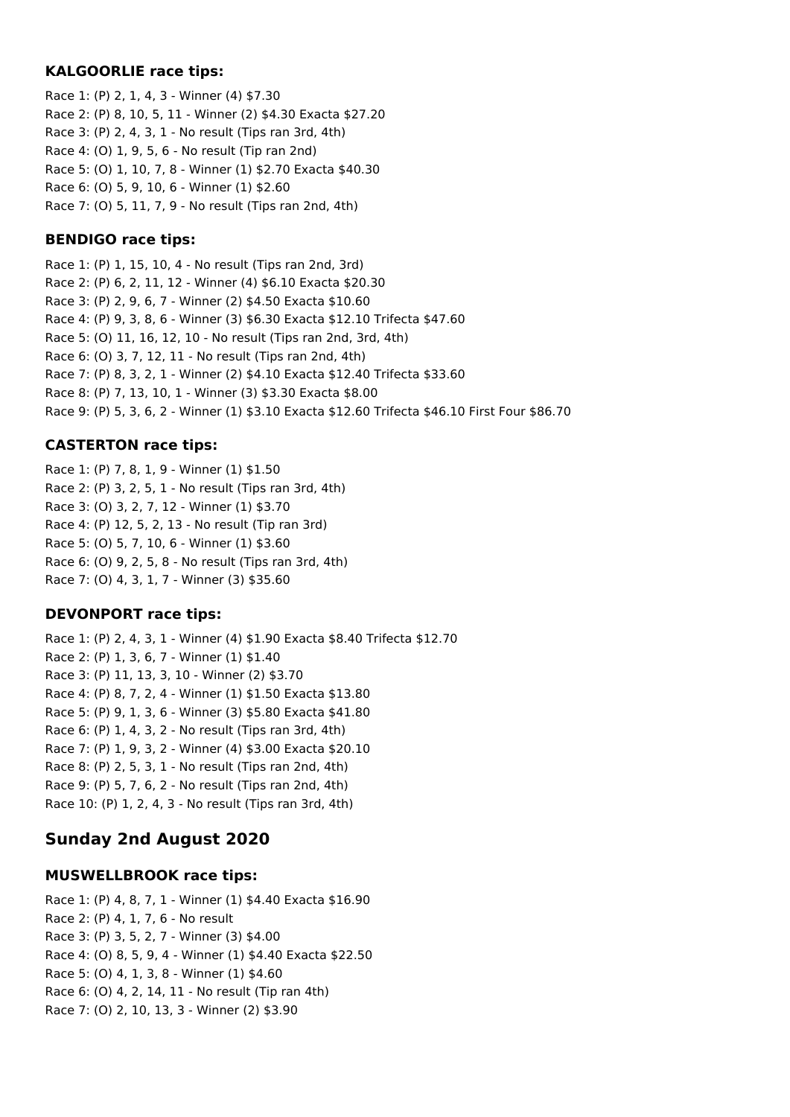#### **KALGOORLIE race tips:**

Race 1: (P) 2, 1, 4, 3 - Winner (4) \$7.30 Race 2: (P) 8, 10, 5, 11 - Winner (2) \$4.30 Exacta \$27.20 Race 3: (P) 2, 4, 3, 1 - No result (Tips ran 3rd, 4th) Race 4: (O) 1, 9, 5, 6 - No result (Tip ran 2nd) Race 5: (O) 1, 10, 7, 8 - Winner (1) \$2.70 Exacta \$40.30 Race 6: (O) 5, 9, 10, 6 - Winner (1) \$2.60 Race 7: (O) 5, 11, 7, 9 - No result (Tips ran 2nd, 4th)

## **BENDIGO race tips:**

Race 1: (P) 1, 15, 10, 4 - No result (Tips ran 2nd, 3rd) Race 2: (P) 6, 2, 11, 12 - Winner (4) \$6.10 Exacta \$20.30 Race 3: (P) 2, 9, 6, 7 - Winner (2) \$4.50 Exacta \$10.60 Race 4: (P) 9, 3, 8, 6 - Winner (3) \$6.30 Exacta \$12.10 Trifecta \$47.60 Race 5: (O) 11, 16, 12, 10 - No result (Tips ran 2nd, 3rd, 4th) Race 6: (O) 3, 7, 12, 11 - No result (Tips ran 2nd, 4th) Race 7: (P) 8, 3, 2, 1 - Winner (2) \$4.10 Exacta \$12.40 Trifecta \$33.60 Race 8: (P) 7, 13, 10, 1 - Winner (3) \$3.30 Exacta \$8.00 Race 9: (P) 5, 3, 6, 2 - Winner (1) \$3.10 Exacta \$12.60 Trifecta \$46.10 First Four \$86.70

# **CASTERTON race tips:**

Race 1: (P) 7, 8, 1, 9 - Winner (1) \$1.50 Race 2: (P) 3, 2, 5, 1 - No result (Tips ran 3rd, 4th) Race 3: (O) 3, 2, 7, 12 - Winner (1) \$3.70 Race 4: (P) 12, 5, 2, 13 - No result (Tip ran 3rd) Race 5: (O) 5, 7, 10, 6 - Winner (1) \$3.60 Race 6: (O) 9, 2, 5, 8 - No result (Tips ran 3rd, 4th) Race 7: (O) 4, 3, 1, 7 - Winner (3) \$35.60

## **DEVONPORT race tips:**

Race 1: (P) 2, 4, 3, 1 - Winner (4) \$1.90 Exacta \$8.40 Trifecta \$12.70 Race 2: (P) 1, 3, 6, 7 - Winner (1) \$1.40 Race 3: (P) 11, 13, 3, 10 - Winner (2) \$3.70 Race 4: (P) 8, 7, 2, 4 - Winner (1) \$1.50 Exacta \$13.80 Race 5: (P) 9, 1, 3, 6 - Winner (3) \$5.80 Exacta \$41.80 Race 6: (P) 1, 4, 3, 2 - No result (Tips ran 3rd, 4th) Race 7: (P) 1, 9, 3, 2 - Winner (4) \$3.00 Exacta \$20.10 Race 8: (P) 2, 5, 3, 1 - No result (Tips ran 2nd, 4th) Race 9: (P) 5, 7, 6, 2 - No result (Tips ran 2nd, 4th) Race 10: (P) 1, 2, 4, 3 - No result (Tips ran 3rd, 4th)

# **Sunday 2nd August 2020**

## **MUSWELLBROOK race tips:**

Race 1: (P) 4, 8, 7, 1 - Winner (1) \$4.40 Exacta \$16.90 Race 2: (P) 4, 1, 7, 6 - No result Race 3: (P) 3, 5, 2, 7 - Winner (3) \$4.00 Race 4: (O) 8, 5, 9, 4 - Winner (1) \$4.40 Exacta \$22.50 Race 5: (O) 4, 1, 3, 8 - Winner (1) \$4.60 Race 6: (O) 4, 2, 14, 11 - No result (Tip ran 4th) Race 7: (O) 2, 10, 13, 3 - Winner (2) \$3.90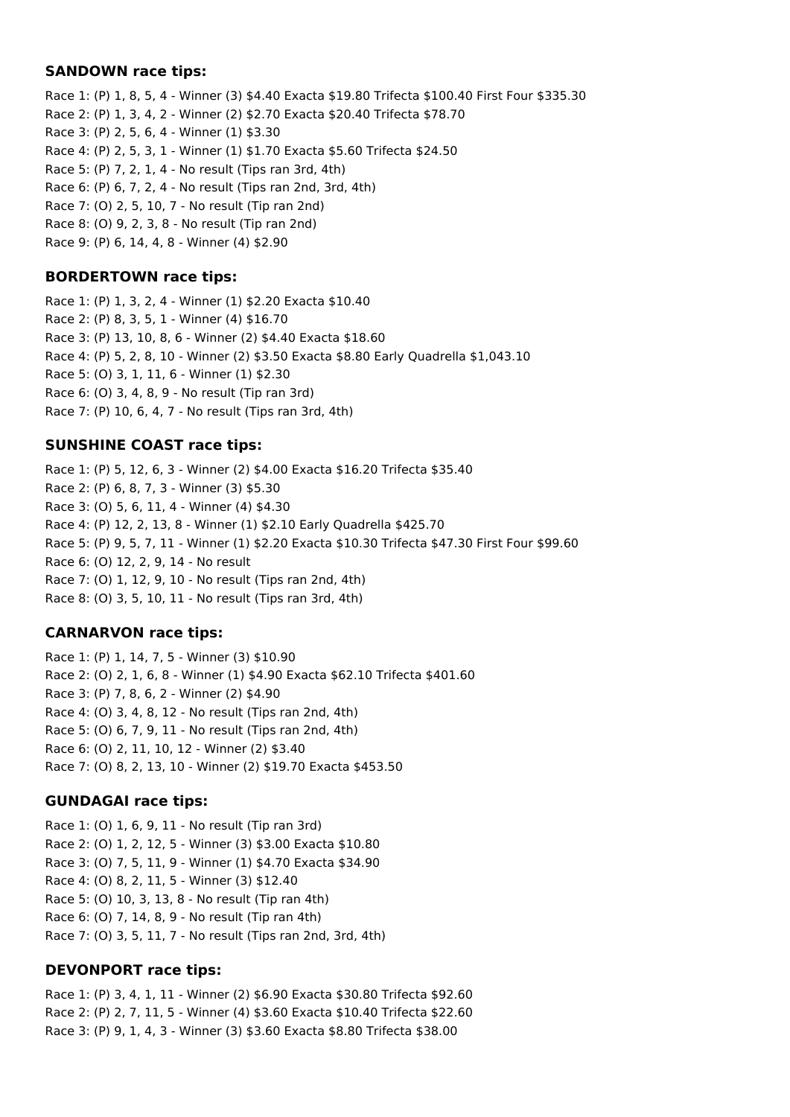#### **SANDOWN race tips:**

Race 1: (P) 1, 8, 5, 4 - Winner (3) \$4.40 Exacta \$19.80 Trifecta \$100.40 First Four \$335.30 Race 2: (P) 1, 3, 4, 2 - Winner (2) \$2.70 Exacta \$20.40 Trifecta \$78.70 Race 3: (P) 2, 5, 6, 4 - Winner (1) \$3.30 Race 4: (P) 2, 5, 3, 1 - Winner (1) \$1.70 Exacta \$5.60 Trifecta \$24.50 Race 5: (P) 7, 2, 1, 4 - No result (Tips ran 3rd, 4th) Race 6: (P) 6, 7, 2, 4 - No result (Tips ran 2nd, 3rd, 4th) Race 7: (O) 2, 5, 10, 7 - No result (Tip ran 2nd) Race 8: (O) 9, 2, 3, 8 - No result (Tip ran 2nd) Race 9: (P) 6, 14, 4, 8 - Winner (4) \$2.90

#### **BORDERTOWN race tips:**

Race 1: (P) 1, 3, 2, 4 - Winner (1) \$2.20 Exacta \$10.40 Race 2: (P) 8, 3, 5, 1 - Winner (4) \$16.70 Race 3: (P) 13, 10, 8, 6 - Winner (2) \$4.40 Exacta \$18.60 Race 4: (P) 5, 2, 8, 10 - Winner (2) \$3.50 Exacta \$8.80 Early Quadrella \$1,043.10 Race 5: (O) 3, 1, 11, 6 - Winner (1) \$2.30 Race 6: (O) 3, 4, 8, 9 - No result (Tip ran 3rd) Race 7: (P) 10, 6, 4, 7 - No result (Tips ran 3rd, 4th)

#### **SUNSHINE COAST race tips:**

Race 1: (P) 5, 12, 6, 3 - Winner (2) \$4.00 Exacta \$16.20 Trifecta \$35.40 Race 2: (P) 6, 8, 7, 3 - Winner (3) \$5.30 Race 3: (O) 5, 6, 11, 4 - Winner (4) \$4.30 Race 4: (P) 12, 2, 13, 8 - Winner (1) \$2.10 Early Quadrella \$425.70 Race 5: (P) 9, 5, 7, 11 - Winner (1) \$2.20 Exacta \$10.30 Trifecta \$47.30 First Four \$99.60 Race 6: (O) 12, 2, 9, 14 - No result Race 7: (O) 1, 12, 9, 10 - No result (Tips ran 2nd, 4th) Race 8: (O) 3, 5, 10, 11 - No result (Tips ran 3rd, 4th)

## **CARNARVON race tips:**

Race 1: (P) 1, 14, 7, 5 - Winner (3) \$10.90 Race 2: (O) 2, 1, 6, 8 - Winner (1) \$4.90 Exacta \$62.10 Trifecta \$401.60 Race 3: (P) 7, 8, 6, 2 - Winner (2) \$4.90 Race 4: (O) 3, 4, 8, 12 - No result (Tips ran 2nd, 4th) Race 5: (O) 6, 7, 9, 11 - No result (Tips ran 2nd, 4th) Race 6: (O) 2, 11, 10, 12 - Winner (2) \$3.40 Race 7: (O) 8, 2, 13, 10 - Winner (2) \$19.70 Exacta \$453.50

#### **GUNDAGAI race tips:**

Race 1: (O) 1, 6, 9, 11 - No result (Tip ran 3rd) Race 2: (O) 1, 2, 12, 5 - Winner (3) \$3.00 Exacta \$10.80 Race 3: (O) 7, 5, 11, 9 - Winner (1) \$4.70 Exacta \$34.90 Race 4: (O) 8, 2, 11, 5 - Winner (3) \$12.40 Race 5: (O) 10, 3, 13, 8 - No result (Tip ran 4th) Race 6: (O) 7, 14, 8, 9 - No result (Tip ran 4th) Race 7: (O) 3, 5, 11, 7 - No result (Tips ran 2nd, 3rd, 4th)

## **DEVONPORT race tips:**

Race 1: (P) 3, 4, 1, 11 - Winner (2) \$6.90 Exacta \$30.80 Trifecta \$92.60 Race 2: (P) 2, 7, 11, 5 - Winner (4) \$3.60 Exacta \$10.40 Trifecta \$22.60 Race 3: (P) 9, 1, 4, 3 - Winner (3) \$3.60 Exacta \$8.80 Trifecta \$38.00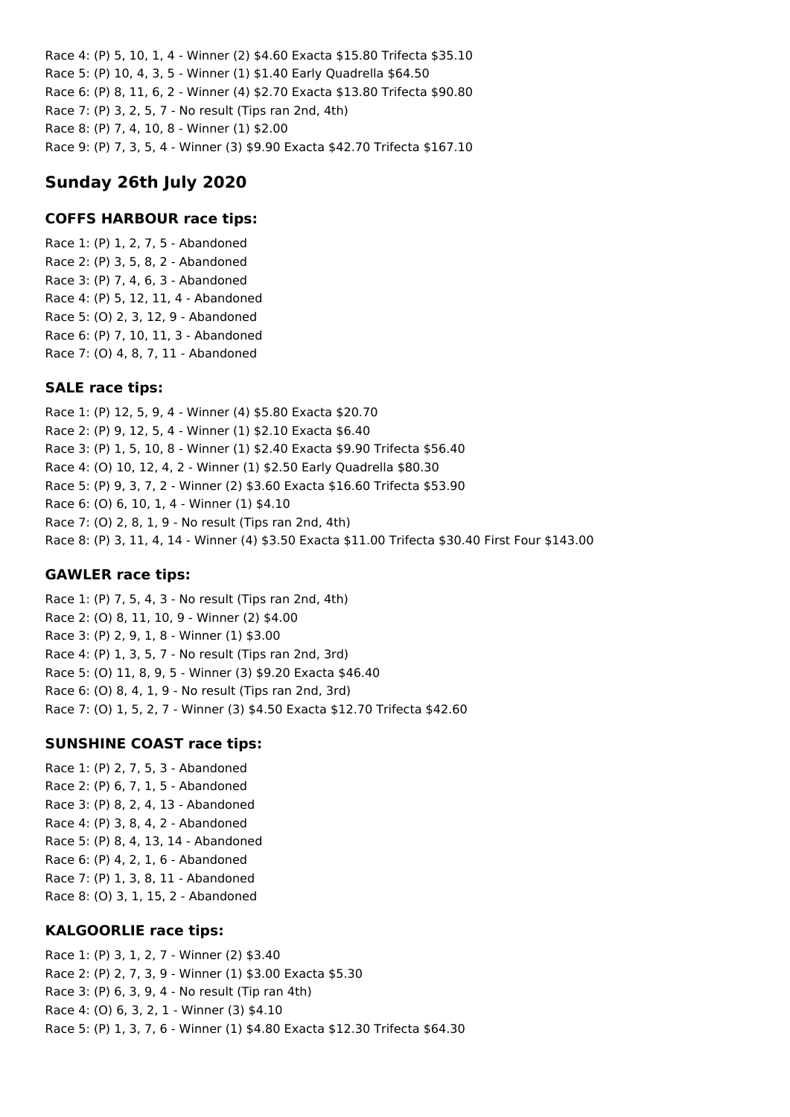Race 4: (P) 5, 10, 1, 4 - Winner (2) \$4.60 Exacta \$15.80 Trifecta \$35.10 Race 5: (P) 10, 4, 3, 5 - Winner (1) \$1.40 Early Quadrella \$64.50 Race 6: (P) 8, 11, 6, 2 - Winner (4) \$2.70 Exacta \$13.80 Trifecta \$90.80 Race 7: (P) 3, 2, 5, 7 - No result (Tips ran 2nd, 4th) Race 8: (P) 7, 4, 10, 8 - Winner (1) \$2.00 Race 9: (P) 7, 3, 5, 4 - Winner (3) \$9.90 Exacta \$42.70 Trifecta \$167.10

# **Sunday 26th July 2020**

#### **COFFS HARBOUR race tips:**

Race 1: (P) 1, 2, 7, 5 - Abandoned Race 2: (P) 3, 5, 8, 2 - Abandoned Race 3: (P) 7, 4, 6, 3 - Abandoned Race 4: (P) 5, 12, 11, 4 - Abandoned Race 5: (O) 2, 3, 12, 9 - Abandoned Race 6: (P) 7, 10, 11, 3 - Abandoned Race 7: (O) 4, 8, 7, 11 - Abandoned

#### **SALE race tips:**

Race 1: (P) 12, 5, 9, 4 - Winner (4) \$5.80 Exacta \$20.70 Race 2: (P) 9, 12, 5, 4 - Winner (1) \$2.10 Exacta \$6.40 Race 3: (P) 1, 5, 10, 8 - Winner (1) \$2.40 Exacta \$9.90 Trifecta \$56.40 Race 4: (O) 10, 12, 4, 2 - Winner (1) \$2.50 Early Quadrella \$80.30 Race 5: (P) 9, 3, 7, 2 - Winner (2) \$3.60 Exacta \$16.60 Trifecta \$53.90 Race 6: (O) 6, 10, 1, 4 - Winner (1) \$4.10 Race 7: (O) 2, 8, 1, 9 - No result (Tips ran 2nd, 4th) Race 8: (P) 3, 11, 4, 14 - Winner (4) \$3.50 Exacta \$11.00 Trifecta \$30.40 First Four \$143.00

## **GAWLER race tips:**

Race 1: (P) 7, 5, 4, 3 - No result (Tips ran 2nd, 4th) Race 2: (O) 8, 11, 10, 9 - Winner (2) \$4.00 Race 3: (P) 2, 9, 1, 8 - Winner (1) \$3.00 Race 4: (P) 1, 3, 5, 7 - No result (Tips ran 2nd, 3rd) Race 5: (O) 11, 8, 9, 5 - Winner (3) \$9.20 Exacta \$46.40 Race 6: (O) 8, 4, 1, 9 - No result (Tips ran 2nd, 3rd) Race 7: (O) 1, 5, 2, 7 - Winner (3) \$4.50 Exacta \$12.70 Trifecta \$42.60

## **SUNSHINE COAST race tips:**

Race 1: (P) 2, 7, 5, 3 - Abandoned Race 2: (P) 6, 7, 1, 5 - Abandoned Race 3: (P) 8, 2, 4, 13 - Abandoned Race 4: (P) 3, 8, 4, 2 - Abandoned Race 5: (P) 8, 4, 13, 14 - Abandoned Race 6: (P) 4, 2, 1, 6 - Abandoned Race 7: (P) 1, 3, 8, 11 - Abandoned Race 8: (O) 3, 1, 15, 2 - Abandoned

## **KALGOORLIE race tips:**

Race 1: (P) 3, 1, 2, 7 - Winner (2) \$3.40 Race 2: (P) 2, 7, 3, 9 - Winner (1) \$3.00 Exacta \$5.30 Race 3: (P) 6, 3, 9, 4 - No result (Tip ran 4th) Race 4: (O) 6, 3, 2, 1 - Winner (3) \$4.10 Race 5: (P) 1, 3, 7, 6 - Winner (1) \$4.80 Exacta \$12.30 Trifecta \$64.30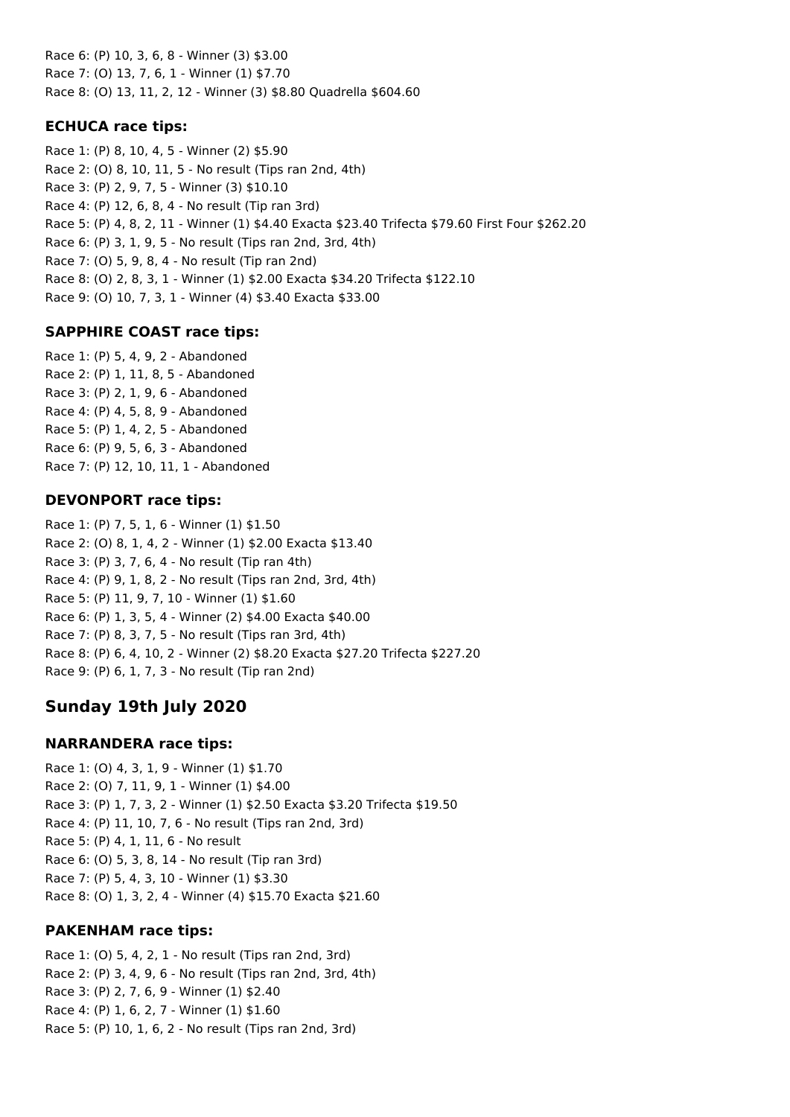Race 6: (P) 10, 3, 6, 8 - Winner (3) \$3.00 Race 7: (O) 13, 7, 6, 1 - Winner (1) \$7.70 Race 8: (O) 13, 11, 2, 12 - Winner (3) \$8.80 Quadrella \$604.60

## **ECHUCA race tips:**

Race 1: (P) 8, 10, 4, 5 - Winner (2) \$5.90 Race 2: (O) 8, 10, 11, 5 - No result (Tips ran 2nd, 4th) Race 3: (P) 2, 9, 7, 5 - Winner (3) \$10.10 Race 4: (P) 12, 6, 8, 4 - No result (Tip ran 3rd) Race 5: (P) 4, 8, 2, 11 - Winner (1) \$4.40 Exacta \$23.40 Trifecta \$79.60 First Four \$262.20 Race 6: (P) 3, 1, 9, 5 - No result (Tips ran 2nd, 3rd, 4th) Race 7: (O) 5, 9, 8, 4 - No result (Tip ran 2nd) Race 8: (O) 2, 8, 3, 1 - Winner (1) \$2.00 Exacta \$34.20 Trifecta \$122.10 Race 9: (O) 10, 7, 3, 1 - Winner (4) \$3.40 Exacta \$33.00

# **SAPPHIRE COAST race tips:**

Race 1: (P) 5, 4, 9, 2 - Abandoned Race 2: (P) 1, 11, 8, 5 - Abandoned Race 3: (P) 2, 1, 9, 6 - Abandoned Race 4: (P) 4, 5, 8, 9 - Abandoned Race 5: (P) 1, 4, 2, 5 - Abandoned Race 6: (P) 9, 5, 6, 3 - Abandoned Race 7: (P) 12, 10, 11, 1 - Abandoned

# **DEVONPORT race tips:**

Race 1: (P) 7, 5, 1, 6 - Winner (1) \$1.50 Race 2: (O) 8, 1, 4, 2 - Winner (1) \$2.00 Exacta \$13.40 Race 3: (P) 3, 7, 6, 4 - No result (Tip ran 4th) Race 4: (P) 9, 1, 8, 2 - No result (Tips ran 2nd, 3rd, 4th) Race 5: (P) 11, 9, 7, 10 - Winner (1) \$1.60 Race 6: (P) 1, 3, 5, 4 - Winner (2) \$4.00 Exacta \$40.00 Race 7: (P) 8, 3, 7, 5 - No result (Tips ran 3rd, 4th) Race 8: (P) 6, 4, 10, 2 - Winner (2) \$8.20 Exacta \$27.20 Trifecta \$227.20 Race 9: (P) 6, 1, 7, 3 - No result (Tip ran 2nd)

# **Sunday 19th July 2020**

# **NARRANDERA race tips:**

Race 1: (O) 4, 3, 1, 9 - Winner (1) \$1.70 Race 2: (O) 7, 11, 9, 1 - Winner (1) \$4.00 Race 3: (P) 1, 7, 3, 2 - Winner (1) \$2.50 Exacta \$3.20 Trifecta \$19.50 Race 4: (P) 11, 10, 7, 6 - No result (Tips ran 2nd, 3rd) Race 5: (P) 4, 1, 11, 6 - No result Race 6: (O) 5, 3, 8, 14 - No result (Tip ran 3rd) Race 7: (P) 5, 4, 3, 10 - Winner (1) \$3.30 Race 8: (O) 1, 3, 2, 4 - Winner (4) \$15.70 Exacta \$21.60

## **PAKENHAM race tips:**

Race 1: (O) 5, 4, 2, 1 - No result (Tips ran 2nd, 3rd) Race 2: (P) 3, 4, 9, 6 - No result (Tips ran 2nd, 3rd, 4th) Race 3: (P) 2, 7, 6, 9 - Winner (1) \$2.40 Race 4: (P) 1, 6, 2, 7 - Winner (1) \$1.60 Race 5: (P) 10, 1, 6, 2 - No result (Tips ran 2nd, 3rd)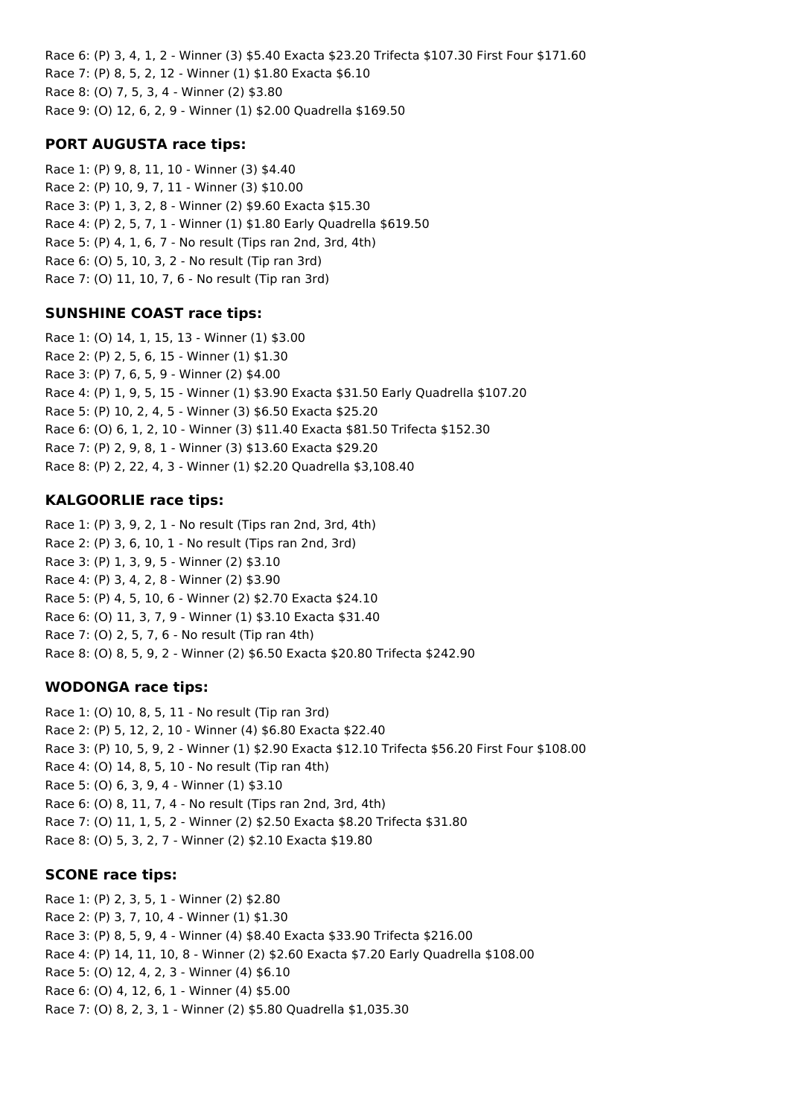Race 6: (P) 3, 4, 1, 2 - Winner (3) \$5.40 Exacta \$23.20 Trifecta \$107.30 First Four \$171.60 Race 7: (P) 8, 5, 2, 12 - Winner (1) \$1.80 Exacta \$6.10 Race 8: (O) 7, 5, 3, 4 - Winner (2) \$3.80 Race 9: (O) 12, 6, 2, 9 - Winner (1) \$2.00 Quadrella \$169.50

## **PORT AUGUSTA race tips:**

Race 1: (P) 9, 8, 11, 10 - Winner (3) \$4.40 Race 2: (P) 10, 9, 7, 11 - Winner (3) \$10.00 Race 3: (P) 1, 3, 2, 8 - Winner (2) \$9.60 Exacta \$15.30 Race 4: (P) 2, 5, 7, 1 - Winner (1) \$1.80 Early Quadrella \$619.50 Race 5: (P) 4, 1, 6, 7 - No result (Tips ran 2nd, 3rd, 4th) Race 6: (O) 5, 10, 3, 2 - No result (Tip ran 3rd) Race 7: (O) 11, 10, 7, 6 - No result (Tip ran 3rd)

## **SUNSHINE COAST race tips:**

Race 1: (O) 14, 1, 15, 13 - Winner (1) \$3.00 Race 2: (P) 2, 5, 6, 15 - Winner (1) \$1.30 Race 3: (P) 7, 6, 5, 9 - Winner (2) \$4.00 Race 4: (P) 1, 9, 5, 15 - Winner (1) \$3.90 Exacta \$31.50 Early Quadrella \$107.20 Race 5: (P) 10, 2, 4, 5 - Winner (3) \$6.50 Exacta \$25.20 Race 6: (O) 6, 1, 2, 10 - Winner (3) \$11.40 Exacta \$81.50 Trifecta \$152.30 Race 7: (P) 2, 9, 8, 1 - Winner (3) \$13.60 Exacta \$29.20 Race 8: (P) 2, 22, 4, 3 - Winner (1) \$2.20 Quadrella \$3,108.40

# **KALGOORLIE race tips:**

Race 1: (P) 3, 9, 2, 1 - No result (Tips ran 2nd, 3rd, 4th) Race 2: (P) 3, 6, 10, 1 - No result (Tips ran 2nd, 3rd) Race 3: (P) 1, 3, 9, 5 - Winner (2) \$3.10 Race 4: (P) 3, 4, 2, 8 - Winner (2) \$3.90 Race 5: (P) 4, 5, 10, 6 - Winner (2) \$2.70 Exacta \$24.10 Race 6: (O) 11, 3, 7, 9 - Winner (1) \$3.10 Exacta \$31.40 Race 7: (O) 2, 5, 7, 6 - No result (Tip ran 4th) Race 8: (O) 8, 5, 9, 2 - Winner (2) \$6.50 Exacta \$20.80 Trifecta \$242.90

# **WODONGA race tips:**

Race 1: (O) 10, 8, 5, 11 - No result (Tip ran 3rd) Race 2: (P) 5, 12, 2, 10 - Winner (4) \$6.80 Exacta \$22.40 Race 3: (P) 10, 5, 9, 2 - Winner (1) \$2.90 Exacta \$12.10 Trifecta \$56.20 First Four \$108.00 Race 4: (O) 14, 8, 5, 10 - No result (Tip ran 4th) Race 5: (O) 6, 3, 9, 4 - Winner (1) \$3.10 Race 6: (O) 8, 11, 7, 4 - No result (Tips ran 2nd, 3rd, 4th) Race 7: (O) 11, 1, 5, 2 - Winner (2) \$2.50 Exacta \$8.20 Trifecta \$31.80 Race 8: (O) 5, 3, 2, 7 - Winner (2) \$2.10 Exacta \$19.80

# **SCONE race tips:**

Race 1: (P) 2, 3, 5, 1 - Winner (2) \$2.80 Race 2: (P) 3, 7, 10, 4 - Winner (1) \$1.30 Race 3: (P) 8, 5, 9, 4 - Winner (4) \$8.40 Exacta \$33.90 Trifecta \$216.00 Race 4: (P) 14, 11, 10, 8 - Winner (2) \$2.60 Exacta \$7.20 Early Quadrella \$108.00 Race 5: (O) 12, 4, 2, 3 - Winner (4) \$6.10 Race 6: (O) 4, 12, 6, 1 - Winner (4) \$5.00 Race 7: (O) 8, 2, 3, 1 - Winner (2) \$5.80 Quadrella \$1,035.30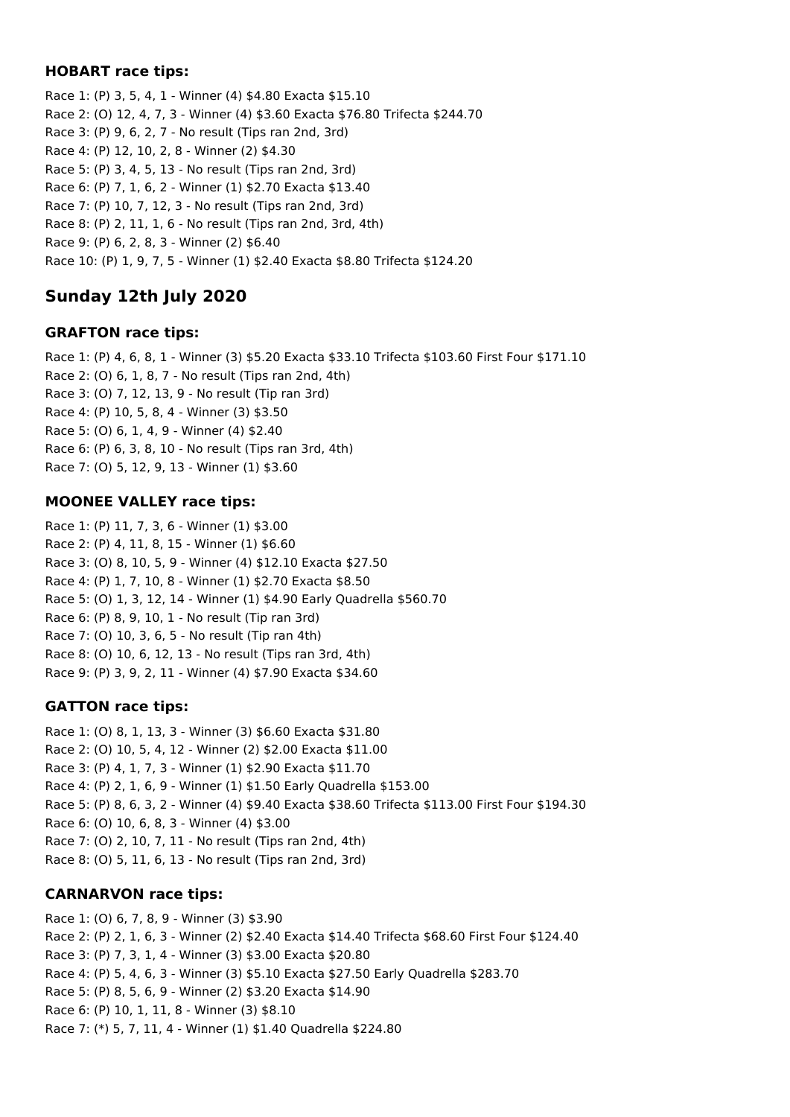## **HOBART race tips:**

Race 1: (P) 3, 5, 4, 1 - Winner (4) \$4.80 Exacta \$15.10 Race 2: (O) 12, 4, 7, 3 - Winner (4) \$3.60 Exacta \$76.80 Trifecta \$244.70 Race 3: (P) 9, 6, 2, 7 - No result (Tips ran 2nd, 3rd) Race 4: (P) 12, 10, 2, 8 - Winner (2) \$4.30 Race 5: (P) 3, 4, 5, 13 - No result (Tips ran 2nd, 3rd) Race 6: (P) 7, 1, 6, 2 - Winner (1) \$2.70 Exacta \$13.40 Race 7: (P) 10, 7, 12, 3 - No result (Tips ran 2nd, 3rd) Race 8: (P) 2, 11, 1, 6 - No result (Tips ran 2nd, 3rd, 4th) Race 9: (P) 6, 2, 8, 3 - Winner (2) \$6.40 Race 10: (P) 1, 9, 7, 5 - Winner (1) \$2.40 Exacta \$8.80 Trifecta \$124.20

# **Sunday 12th July 2020**

# **GRAFTON race tips:**

Race 1: (P) 4, 6, 8, 1 - Winner (3) \$5.20 Exacta \$33.10 Trifecta \$103.60 First Four \$171.10 Race 2: (O) 6, 1, 8, 7 - No result (Tips ran 2nd, 4th) Race 3: (O) 7, 12, 13, 9 - No result (Tip ran 3rd) Race 4: (P) 10, 5, 8, 4 - Winner (3) \$3.50 Race 5: (O) 6, 1, 4, 9 - Winner (4) \$2.40 Race 6: (P) 6, 3, 8, 10 - No result (Tips ran 3rd, 4th) Race 7: (O) 5, 12, 9, 13 - Winner (1) \$3.60

# **MOONEE VALLEY race tips:**

Race 1: (P) 11, 7, 3, 6 - Winner (1) \$3.00 Race 2: (P) 4, 11, 8, 15 - Winner (1) \$6.60 Race 3: (O) 8, 10, 5, 9 - Winner (4) \$12.10 Exacta \$27.50 Race 4: (P) 1, 7, 10, 8 - Winner (1) \$2.70 Exacta \$8.50 Race 5: (O) 1, 3, 12, 14 - Winner (1) \$4.90 Early Quadrella \$560.70 Race 6: (P) 8, 9, 10, 1 - No result (Tip ran 3rd) Race 7: (O) 10, 3, 6, 5 - No result (Tip ran 4th) Race 8: (O) 10, 6, 12, 13 - No result (Tips ran 3rd, 4th) Race 9: (P) 3, 9, 2, 11 - Winner (4) \$7.90 Exacta \$34.60

# **GATTON race tips:**

Race 1: (O) 8, 1, 13, 3 - Winner (3) \$6.60 Exacta \$31.80 Race 2: (O) 10, 5, 4, 12 - Winner (2) \$2.00 Exacta \$11.00 Race 3: (P) 4, 1, 7, 3 - Winner (1) \$2.90 Exacta \$11.70 Race 4: (P) 2, 1, 6, 9 - Winner (1) \$1.50 Early Quadrella \$153.00 Race 5: (P) 8, 6, 3, 2 - Winner (4) \$9.40 Exacta \$38.60 Trifecta \$113.00 First Four \$194.30 Race 6: (O) 10, 6, 8, 3 - Winner (4) \$3.00 Race 7: (O) 2, 10, 7, 11 - No result (Tips ran 2nd, 4th) Race 8: (O) 5, 11, 6, 13 - No result (Tips ran 2nd, 3rd)

# **CARNARVON race tips:**

Race 1: (O) 6, 7, 8, 9 - Winner (3) \$3.90 Race 2: (P) 2, 1, 6, 3 - Winner (2) \$2.40 Exacta \$14.40 Trifecta \$68.60 First Four \$124.40 Race 3: (P) 7, 3, 1, 4 - Winner (3) \$3.00 Exacta \$20.80 Race 4: (P) 5, 4, 6, 3 - Winner (3) \$5.10 Exacta \$27.50 Early Quadrella \$283.70 Race 5: (P) 8, 5, 6, 9 - Winner (2) \$3.20 Exacta \$14.90 Race 6: (P) 10, 1, 11, 8 - Winner (3) \$8.10 Race 7: (\*) 5, 7, 11, 4 - Winner (1) \$1.40 Quadrella \$224.80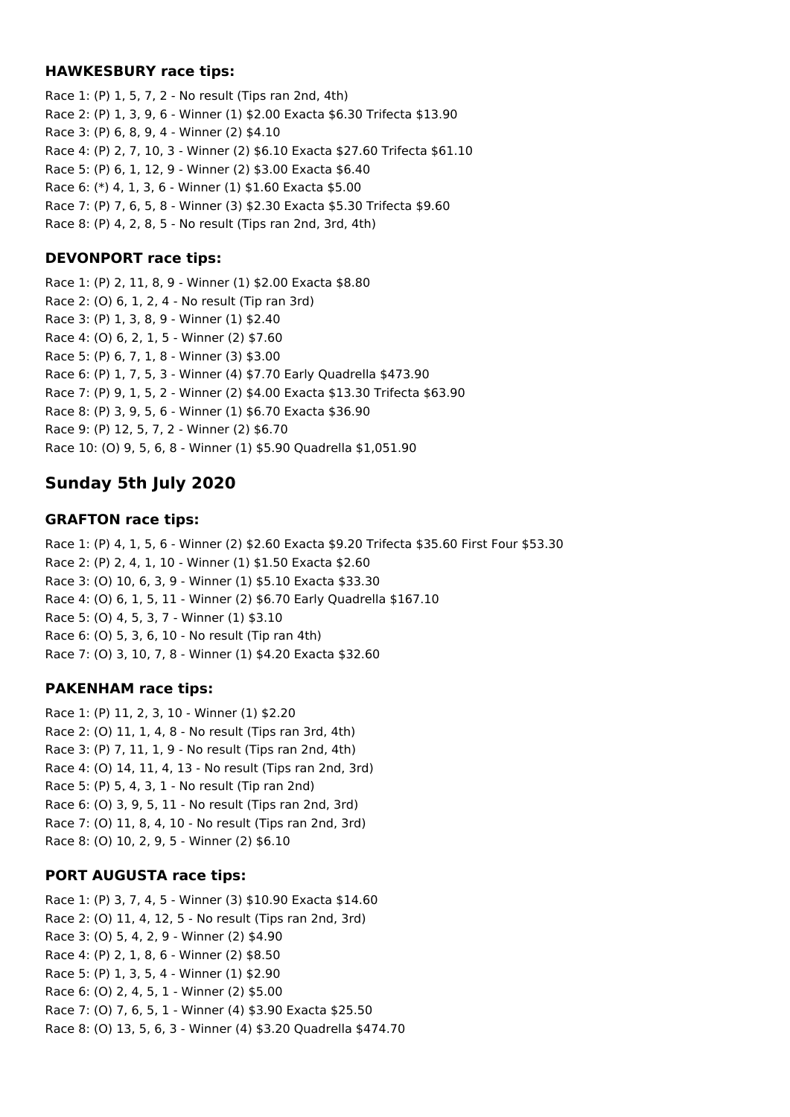#### **HAWKESBURY race tips:**

Race 1: (P) 1, 5, 7, 2 - No result (Tips ran 2nd, 4th) Race 2: (P) 1, 3, 9, 6 - Winner (1) \$2.00 Exacta \$6.30 Trifecta \$13.90 Race 3: (P) 6, 8, 9, 4 - Winner (2) \$4.10 Race 4: (P) 2, 7, 10, 3 - Winner (2) \$6.10 Exacta \$27.60 Trifecta \$61.10 Race 5: (P) 6, 1, 12, 9 - Winner (2) \$3.00 Exacta \$6.40 Race 6: (\*) 4, 1, 3, 6 - Winner (1) \$1.60 Exacta \$5.00 Race 7: (P) 7, 6, 5, 8 - Winner (3) \$2.30 Exacta \$5.30 Trifecta \$9.60 Race 8: (P) 4, 2, 8, 5 - No result (Tips ran 2nd, 3rd, 4th)

# **DEVONPORT race tips:**

Race 1: (P) 2, 11, 8, 9 - Winner (1) \$2.00 Exacta \$8.80 Race 2: (O) 6, 1, 2, 4 - No result (Tip ran 3rd) Race 3: (P) 1, 3, 8, 9 - Winner (1) \$2.40 Race 4: (O) 6, 2, 1, 5 - Winner (2) \$7.60 Race 5: (P) 6, 7, 1, 8 - Winner (3) \$3.00 Race 6: (P) 1, 7, 5, 3 - Winner (4) \$7.70 Early Quadrella \$473.90 Race 7: (P) 9, 1, 5, 2 - Winner (2) \$4.00 Exacta \$13.30 Trifecta \$63.90 Race 8: (P) 3, 9, 5, 6 - Winner (1) \$6.70 Exacta \$36.90 Race 9: (P) 12, 5, 7, 2 - Winner (2) \$6.70 Race 10: (O) 9, 5, 6, 8 - Winner (1) \$5.90 Quadrella \$1,051.90

# **Sunday 5th July 2020**

# **GRAFTON race tips:**

Race 1: (P) 4, 1, 5, 6 - Winner (2) \$2.60 Exacta \$9.20 Trifecta \$35.60 First Four \$53.30 Race 2: (P) 2, 4, 1, 10 - Winner (1) \$1.50 Exacta \$2.60 Race 3: (O) 10, 6, 3, 9 - Winner (1) \$5.10 Exacta \$33.30 Race 4: (O) 6, 1, 5, 11 - Winner (2) \$6.70 Early Quadrella \$167.10 Race 5: (O) 4, 5, 3, 7 - Winner (1) \$3.10 Race 6: (O) 5, 3, 6, 10 - No result (Tip ran 4th) Race 7: (O) 3, 10, 7, 8 - Winner (1) \$4.20 Exacta \$32.60

# **PAKENHAM race tips:**

Race 1: (P) 11, 2, 3, 10 - Winner (1) \$2.20 Race 2: (O) 11, 1, 4, 8 - No result (Tips ran 3rd, 4th) Race 3: (P) 7, 11, 1, 9 - No result (Tips ran 2nd, 4th) Race 4: (O) 14, 11, 4, 13 - No result (Tips ran 2nd, 3rd) Race 5: (P) 5, 4, 3, 1 - No result (Tip ran 2nd) Race 6: (O) 3, 9, 5, 11 - No result (Tips ran 2nd, 3rd) Race 7: (O) 11, 8, 4, 10 - No result (Tips ran 2nd, 3rd) Race 8: (O) 10, 2, 9, 5 - Winner (2) \$6.10

# **PORT AUGUSTA race tips:**

Race 1: (P) 3, 7, 4, 5 - Winner (3) \$10.90 Exacta \$14.60 Race 2: (O) 11, 4, 12, 5 - No result (Tips ran 2nd, 3rd) Race 3: (O) 5, 4, 2, 9 - Winner (2) \$4.90 Race 4: (P) 2, 1, 8, 6 - Winner (2) \$8.50 Race 5: (P) 1, 3, 5, 4 - Winner (1) \$2.90 Race 6: (O) 2, 4, 5, 1 - Winner (2) \$5.00 Race 7: (O) 7, 6, 5, 1 - Winner (4) \$3.90 Exacta \$25.50 Race 8: (O) 13, 5, 6, 3 - Winner (4) \$3.20 Quadrella \$474.70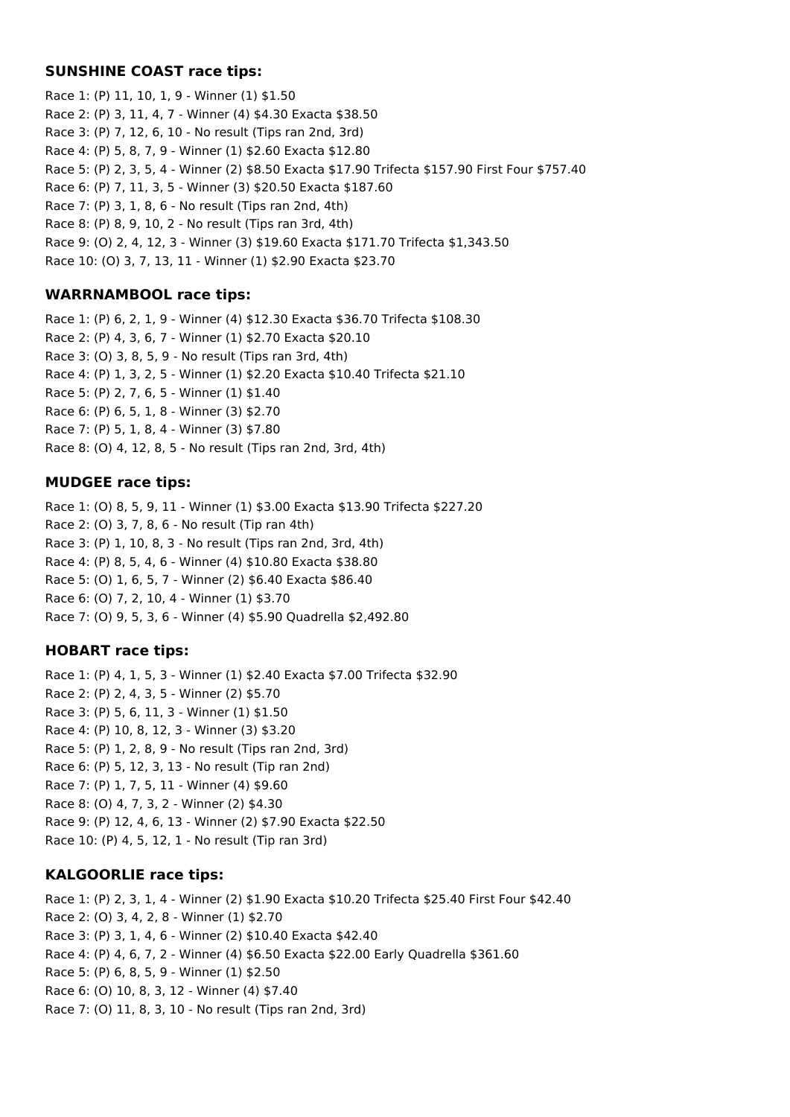#### **SUNSHINE COAST race tips:**

Race 1: (P) 11, 10, 1, 9 - Winner (1) \$1.50 Race 2: (P) 3, 11, 4, 7 - Winner (4) \$4.30 Exacta \$38.50 Race 3: (P) 7, 12, 6, 10 - No result (Tips ran 2nd, 3rd) Race 4: (P) 5, 8, 7, 9 - Winner (1) \$2.60 Exacta \$12.80 Race 5: (P) 2, 3, 5, 4 - Winner (2) \$8.50 Exacta \$17.90 Trifecta \$157.90 First Four \$757.40 Race 6: (P) 7, 11, 3, 5 - Winner (3) \$20.50 Exacta \$187.60 Race 7: (P) 3, 1, 8, 6 - No result (Tips ran 2nd, 4th) Race 8: (P) 8, 9, 10, 2 - No result (Tips ran 3rd, 4th) Race 9: (O) 2, 4, 12, 3 - Winner (3) \$19.60 Exacta \$171.70 Trifecta \$1,343.50 Race 10: (O) 3, 7, 13, 11 - Winner (1) \$2.90 Exacta \$23.70

# **WARRNAMBOOL race tips:**

Race 1: (P) 6, 2, 1, 9 - Winner (4) \$12.30 Exacta \$36.70 Trifecta \$108.30 Race 2: (P) 4, 3, 6, 7 - Winner (1) \$2.70 Exacta \$20.10 Race 3: (O) 3, 8, 5, 9 - No result (Tips ran 3rd, 4th) Race 4: (P) 1, 3, 2, 5 - Winner (1) \$2.20 Exacta \$10.40 Trifecta \$21.10 Race 5: (P) 2, 7, 6, 5 - Winner (1) \$1.40 Race 6: (P) 6, 5, 1, 8 - Winner (3) \$2.70 Race 7: (P) 5, 1, 8, 4 - Winner (3) \$7.80 Race 8: (O) 4, 12, 8, 5 - No result (Tips ran 2nd, 3rd, 4th)

## **MUDGEE race tips:**

Race 1: (O) 8, 5, 9, 11 - Winner (1) \$3.00 Exacta \$13.90 Trifecta \$227.20 Race 2: (O) 3, 7, 8, 6 - No result (Tip ran 4th) Race 3: (P) 1, 10, 8, 3 - No result (Tips ran 2nd, 3rd, 4th) Race 4: (P) 8, 5, 4, 6 - Winner (4) \$10.80 Exacta \$38.80 Race 5: (O) 1, 6, 5, 7 - Winner (2) \$6.40 Exacta \$86.40 Race 6: (O) 7, 2, 10, 4 - Winner (1) \$3.70 Race 7: (O) 9, 5, 3, 6 - Winner (4) \$5.90 Quadrella \$2,492.80

# **HOBART race tips:**

Race 1: (P) 4, 1, 5, 3 - Winner (1) \$2.40 Exacta \$7.00 Trifecta \$32.90 Race 2: (P) 2, 4, 3, 5 - Winner (2) \$5.70 Race 3: (P) 5, 6, 11, 3 - Winner (1) \$1.50 Race 4: (P) 10, 8, 12, 3 - Winner (3) \$3.20 Race 5: (P) 1, 2, 8, 9 - No result (Tips ran 2nd, 3rd) Race 6: (P) 5, 12, 3, 13 - No result (Tip ran 2nd) Race 7: (P) 1, 7, 5, 11 - Winner (4) \$9.60 Race 8: (O) 4, 7, 3, 2 - Winner (2) \$4.30 Race 9: (P) 12, 4, 6, 13 - Winner (2) \$7.90 Exacta \$22.50 Race 10: (P) 4, 5, 12, 1 - No result (Tip ran 3rd)

# **KALGOORLIE race tips:**

Race 1: (P) 2, 3, 1, 4 - Winner (2) \$1.90 Exacta \$10.20 Trifecta \$25.40 First Four \$42.40 Race 2: (O) 3, 4, 2, 8 - Winner (1) \$2.70 Race 3: (P) 3, 1, 4, 6 - Winner (2) \$10.40 Exacta \$42.40 Race 4: (P) 4, 6, 7, 2 - Winner (4) \$6.50 Exacta \$22.00 Early Quadrella \$361.60 Race 5: (P) 6, 8, 5, 9 - Winner (1) \$2.50 Race 6: (O) 10, 8, 3, 12 - Winner (4) \$7.40 Race 7: (O) 11, 8, 3, 10 - No result (Tips ran 2nd, 3rd)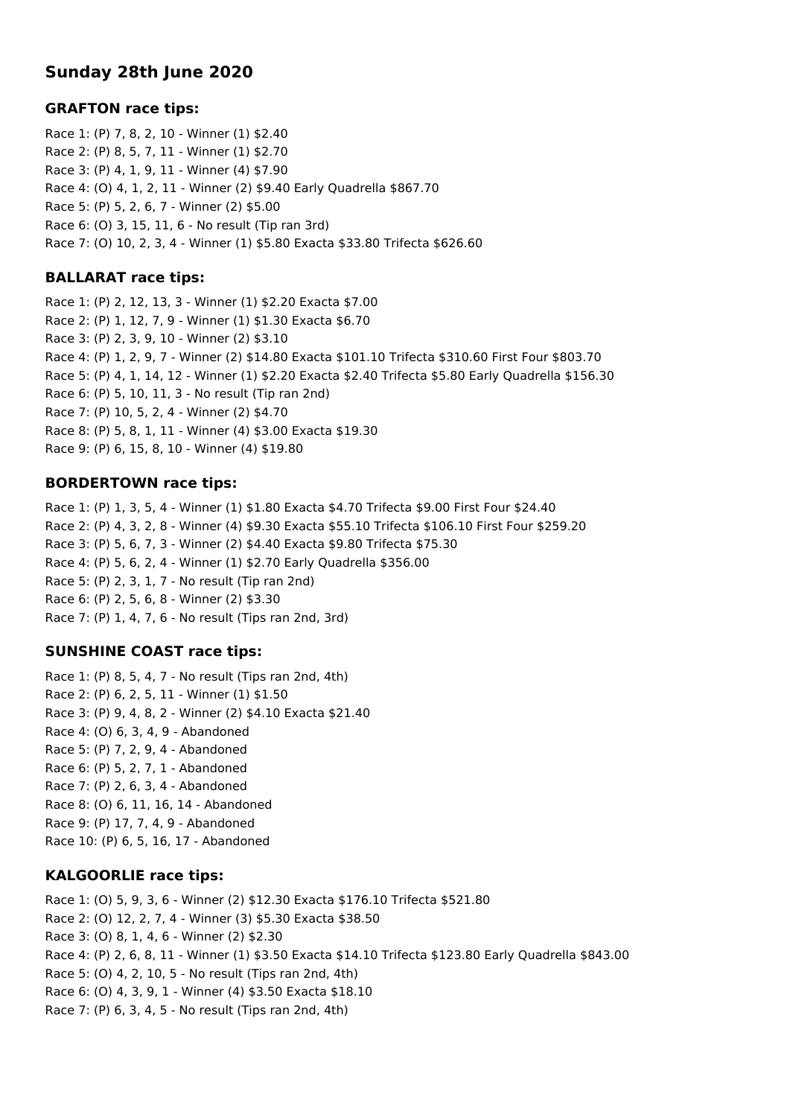# **Sunday 28th June 2020**

#### **GRAFTON race tips:**

Race 1: (P) 7, 8, 2, 10 - Winner (1) \$2.40 Race 2: (P) 8, 5, 7, 11 - Winner (1) \$2.70 Race 3: (P) 4, 1, 9, 11 - Winner (4) \$7.90 Race 4: (O) 4, 1, 2, 11 - Winner (2) \$9.40 Early Quadrella \$867.70 Race 5: (P) 5, 2, 6, 7 - Winner (2) \$5.00 Race 6: (O) 3, 15, 11, 6 - No result (Tip ran 3rd) Race 7: (O) 10, 2, 3, 4 - Winner (1) \$5.80 Exacta \$33.80 Trifecta \$626.60

## **BALLARAT race tips:**

Race 1: (P) 2, 12, 13, 3 - Winner (1) \$2.20 Exacta \$7.00 Race 2: (P) 1, 12, 7, 9 - Winner (1) \$1.30 Exacta \$6.70 Race 3: (P) 2, 3, 9, 10 - Winner (2) \$3.10 Race 4: (P) 1, 2, 9, 7 - Winner (2) \$14.80 Exacta \$101.10 Trifecta \$310.60 First Four \$803.70 Race 5: (P) 4, 1, 14, 12 - Winner (1) \$2.20 Exacta \$2.40 Trifecta \$5.80 Early Quadrella \$156.30 Race 6: (P) 5, 10, 11, 3 - No result (Tip ran 2nd) Race 7: (P) 10, 5, 2, 4 - Winner (2) \$4.70 Race 8: (P) 5, 8, 1, 11 - Winner (4) \$3.00 Exacta \$19.30 Race 9: (P) 6, 15, 8, 10 - Winner (4) \$19.80

#### **BORDERTOWN race tips:**

Race 1: (P) 1, 3, 5, 4 - Winner (1) \$1.80 Exacta \$4.70 Trifecta \$9.00 First Four \$24.40 Race 2: (P) 4, 3, 2, 8 - Winner (4) \$9.30 Exacta \$55.10 Trifecta \$106.10 First Four \$259.20 Race 3: (P) 5, 6, 7, 3 - Winner (2) \$4.40 Exacta \$9.80 Trifecta \$75.30 Race 4: (P) 5, 6, 2, 4 - Winner (1) \$2.70 Early Quadrella \$356.00 Race 5: (P) 2, 3, 1, 7 - No result (Tip ran 2nd) Race 6: (P) 2, 5, 6, 8 - Winner (2) \$3.30 Race 7: (P) 1, 4, 7, 6 - No result (Tips ran 2nd, 3rd)

## **SUNSHINE COAST race tips:**

Race 1: (P) 8, 5, 4, 7 - No result (Tips ran 2nd, 4th) Race 2: (P) 6, 2, 5, 11 - Winner (1) \$1.50 Race 3: (P) 9, 4, 8, 2 - Winner (2) \$4.10 Exacta \$21.40 Race 4: (O) 6, 3, 4, 9 - Abandoned Race 5: (P) 7, 2, 9, 4 - Abandoned Race 6: (P) 5, 2, 7, 1 - Abandoned Race 7: (P) 2, 6, 3, 4 - Abandoned Race 8: (O) 6, 11, 16, 14 - Abandoned Race 9: (P) 17, 7, 4, 9 - Abandoned Race 10: (P) 6, 5, 16, 17 - Abandoned

## **KALGOORLIE race tips:**

Race 1: (O) 5, 9, 3, 6 - Winner (2) \$12.30 Exacta \$176.10 Trifecta \$521.80 Race 2: (O) 12, 2, 7, 4 - Winner (3) \$5.30 Exacta \$38.50 Race 3: (O) 8, 1, 4, 6 - Winner (2) \$2.30 Race 4: (P) 2, 6, 8, 11 - Winner (1) \$3.50 Exacta \$14.10 Trifecta \$123.80 Early Quadrella \$843.00 Race 5: (O) 4, 2, 10, 5 - No result (Tips ran 2nd, 4th) Race 6: (O) 4, 3, 9, 1 - Winner (4) \$3.50 Exacta \$18.10 Race 7: (P) 6, 3, 4, 5 - No result (Tips ran 2nd, 4th)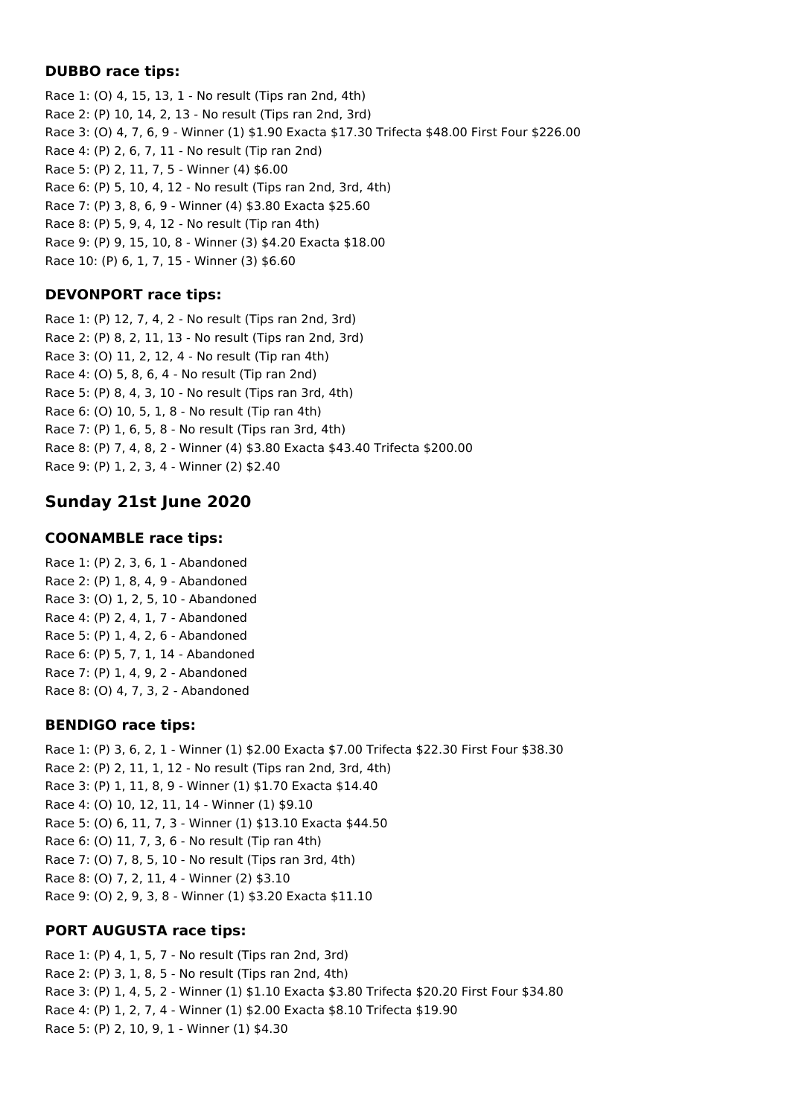## **DUBBO race tips:**

Race 1: (O) 4, 15, 13, 1 - No result (Tips ran 2nd, 4th) Race 2: (P) 10, 14, 2, 13 - No result (Tips ran 2nd, 3rd) Race 3: (O) 4, 7, 6, 9 - Winner (1) \$1.90 Exacta \$17.30 Trifecta \$48.00 First Four \$226.00 Race 4: (P) 2, 6, 7, 11 - No result (Tip ran 2nd) Race 5: (P) 2, 11, 7, 5 - Winner (4) \$6.00 Race 6: (P) 5, 10, 4, 12 - No result (Tips ran 2nd, 3rd, 4th) Race 7: (P) 3, 8, 6, 9 - Winner (4) \$3.80 Exacta \$25.60 Race 8: (P) 5, 9, 4, 12 - No result (Tip ran 4th) Race 9: (P) 9, 15, 10, 8 - Winner (3) \$4.20 Exacta \$18.00 Race 10: (P) 6, 1, 7, 15 - Winner (3) \$6.60

# **DEVONPORT race tips:**

Race 1: (P) 12, 7, 4, 2 - No result (Tips ran 2nd, 3rd) Race 2: (P) 8, 2, 11, 13 - No result (Tips ran 2nd, 3rd) Race 3: (O) 11, 2, 12, 4 - No result (Tip ran 4th) Race 4: (O) 5, 8, 6, 4 - No result (Tip ran 2nd) Race 5: (P) 8, 4, 3, 10 - No result (Tips ran 3rd, 4th) Race 6: (O) 10, 5, 1, 8 - No result (Tip ran 4th) Race 7: (P) 1, 6, 5, 8 - No result (Tips ran 3rd, 4th) Race 8: (P) 7, 4, 8, 2 - Winner (4) \$3.80 Exacta \$43.40 Trifecta \$200.00 Race 9: (P) 1, 2, 3, 4 - Winner (2) \$2.40

# **Sunday 21st June 2020**

# **COONAMBLE race tips:**

Race 1: (P) 2, 3, 6, 1 - Abandoned Race 2: (P) 1, 8, 4, 9 - Abandoned Race 3: (O) 1, 2, 5, 10 - Abandoned Race 4: (P) 2, 4, 1, 7 - Abandoned Race 5: (P) 1, 4, 2, 6 - Abandoned Race 6: (P) 5, 7, 1, 14 - Abandoned Race 7: (P) 1, 4, 9, 2 - Abandoned Race 8: (O) 4, 7, 3, 2 - Abandoned

# **BENDIGO race tips:**

Race 1: (P) 3, 6, 2, 1 - Winner (1) \$2.00 Exacta \$7.00 Trifecta \$22.30 First Four \$38.30 Race 2: (P) 2, 11, 1, 12 - No result (Tips ran 2nd, 3rd, 4th) Race 3: (P) 1, 11, 8, 9 - Winner (1) \$1.70 Exacta \$14.40 Race 4: (O) 10, 12, 11, 14 - Winner (1) \$9.10 Race 5: (O) 6, 11, 7, 3 - Winner (1) \$13.10 Exacta \$44.50 Race 6: (O) 11, 7, 3, 6 - No result (Tip ran 4th) Race 7: (O) 7, 8, 5, 10 - No result (Tips ran 3rd, 4th) Race 8: (O) 7, 2, 11, 4 - Winner (2) \$3.10 Race 9: (O) 2, 9, 3, 8 - Winner (1) \$3.20 Exacta \$11.10

# **PORT AUGUSTA race tips:**

Race 1: (P) 4, 1, 5, 7 - No result (Tips ran 2nd, 3rd) Race 2: (P) 3, 1, 8, 5 - No result (Tips ran 2nd, 4th) Race 3: (P) 1, 4, 5, 2 - Winner (1) \$1.10 Exacta \$3.80 Trifecta \$20.20 First Four \$34.80 Race 4: (P) 1, 2, 7, 4 - Winner (1) \$2.00 Exacta \$8.10 Trifecta \$19.90 Race 5: (P) 2, 10, 9, 1 - Winner (1) \$4.30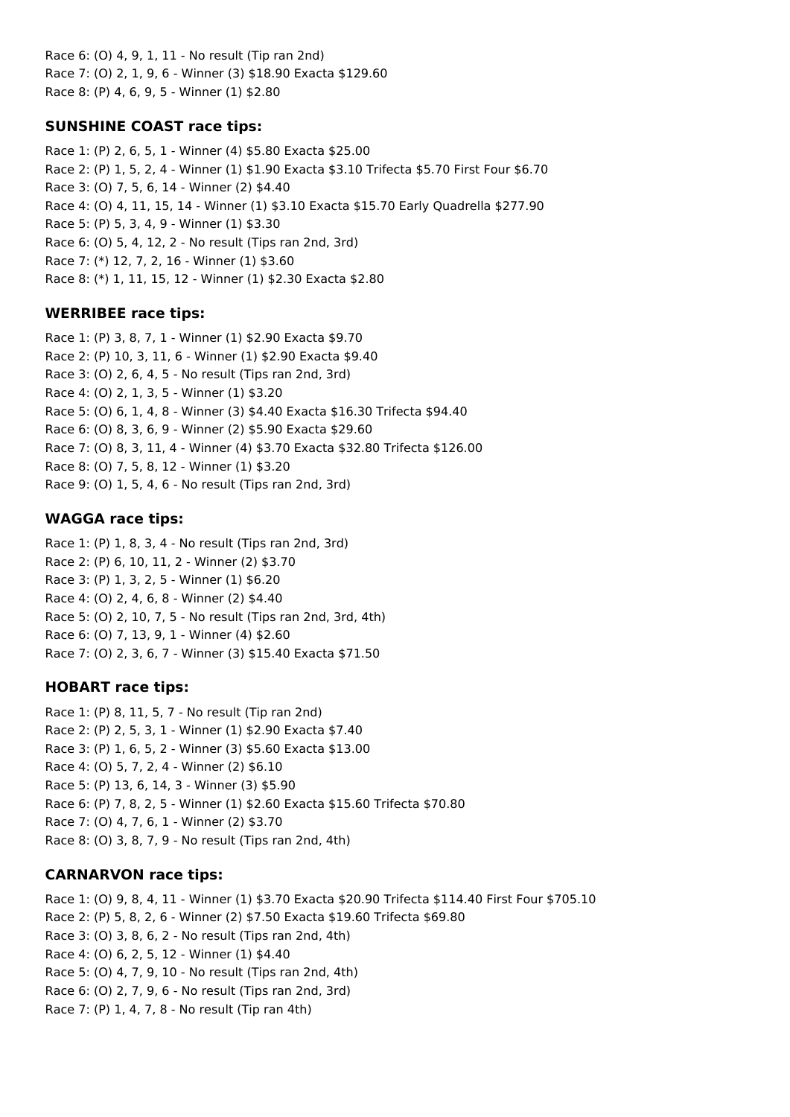Race 6: (O) 4, 9, 1, 11 - No result (Tip ran 2nd) Race 7: (O) 2, 1, 9, 6 - Winner (3) \$18.90 Exacta \$129.60 Race 8: (P) 4, 6, 9, 5 - Winner (1) \$2.80

## **SUNSHINE COAST race tips:**

Race 1: (P) 2, 6, 5, 1 - Winner (4) \$5.80 Exacta \$25.00 Race 2: (P) 1, 5, 2, 4 - Winner (1) \$1.90 Exacta \$3.10 Trifecta \$5.70 First Four \$6.70 Race 3: (O) 7, 5, 6, 14 - Winner (2) \$4.40 Race 4: (O) 4, 11, 15, 14 - Winner (1) \$3.10 Exacta \$15.70 Early Quadrella \$277.90 Race 5: (P) 5, 3, 4, 9 - Winner (1) \$3.30 Race 6: (O) 5, 4, 12, 2 - No result (Tips ran 2nd, 3rd) Race 7: (\*) 12, 7, 2, 16 - Winner (1) \$3.60 Race 8: (\*) 1, 11, 15, 12 - Winner (1) \$2.30 Exacta \$2.80

## **WERRIBEE race tips:**

Race 1: (P) 3, 8, 7, 1 - Winner (1) \$2.90 Exacta \$9.70 Race 2: (P) 10, 3, 11, 6 - Winner (1) \$2.90 Exacta \$9.40 Race 3: (O) 2, 6, 4, 5 - No result (Tips ran 2nd, 3rd) Race 4: (O) 2, 1, 3, 5 - Winner (1) \$3.20 Race 5: (O) 6, 1, 4, 8 - Winner (3) \$4.40 Exacta \$16.30 Trifecta \$94.40 Race 6: (O) 8, 3, 6, 9 - Winner (2) \$5.90 Exacta \$29.60 Race 7: (O) 8, 3, 11, 4 - Winner (4) \$3.70 Exacta \$32.80 Trifecta \$126.00 Race 8: (O) 7, 5, 8, 12 - Winner (1) \$3.20 Race 9: (O) 1, 5, 4, 6 - No result (Tips ran 2nd, 3rd)

## **WAGGA race tips:**

Race 1: (P) 1, 8, 3, 4 - No result (Tips ran 2nd, 3rd) Race 2: (P) 6, 10, 11, 2 - Winner (2) \$3.70 Race 3: (P) 1, 3, 2, 5 - Winner (1) \$6.20 Race 4: (O) 2, 4, 6, 8 - Winner (2) \$4.40 Race 5: (O) 2, 10, 7, 5 - No result (Tips ran 2nd, 3rd, 4th) Race 6: (O) 7, 13, 9, 1 - Winner (4) \$2.60 Race 7: (O) 2, 3, 6, 7 - Winner (3) \$15.40 Exacta \$71.50

## **HOBART race tips:**

Race 1: (P) 8, 11, 5, 7 - No result (Tip ran 2nd) Race 2: (P) 2, 5, 3, 1 - Winner (1) \$2.90 Exacta \$7.40 Race 3: (P) 1, 6, 5, 2 - Winner (3) \$5.60 Exacta \$13.00 Race 4: (O) 5, 7, 2, 4 - Winner (2) \$6.10 Race 5: (P) 13, 6, 14, 3 - Winner (3) \$5.90 Race 6: (P) 7, 8, 2, 5 - Winner (1) \$2.60 Exacta \$15.60 Trifecta \$70.80 Race 7: (O) 4, 7, 6, 1 - Winner (2) \$3.70 Race 8: (O) 3, 8, 7, 9 - No result (Tips ran 2nd, 4th)

## **CARNARVON race tips:**

Race 1: (O) 9, 8, 4, 11 - Winner (1) \$3.70 Exacta \$20.90 Trifecta \$114.40 First Four \$705.10 Race 2: (P) 5, 8, 2, 6 - Winner (2) \$7.50 Exacta \$19.60 Trifecta \$69.80 Race 3: (O) 3, 8, 6, 2 - No result (Tips ran 2nd, 4th) Race 4: (O) 6, 2, 5, 12 - Winner (1) \$4.40 Race 5: (O) 4, 7, 9, 10 - No result (Tips ran 2nd, 4th) Race 6: (O) 2, 7, 9, 6 - No result (Tips ran 2nd, 3rd) Race 7: (P) 1, 4, 7, 8 - No result (Tip ran 4th)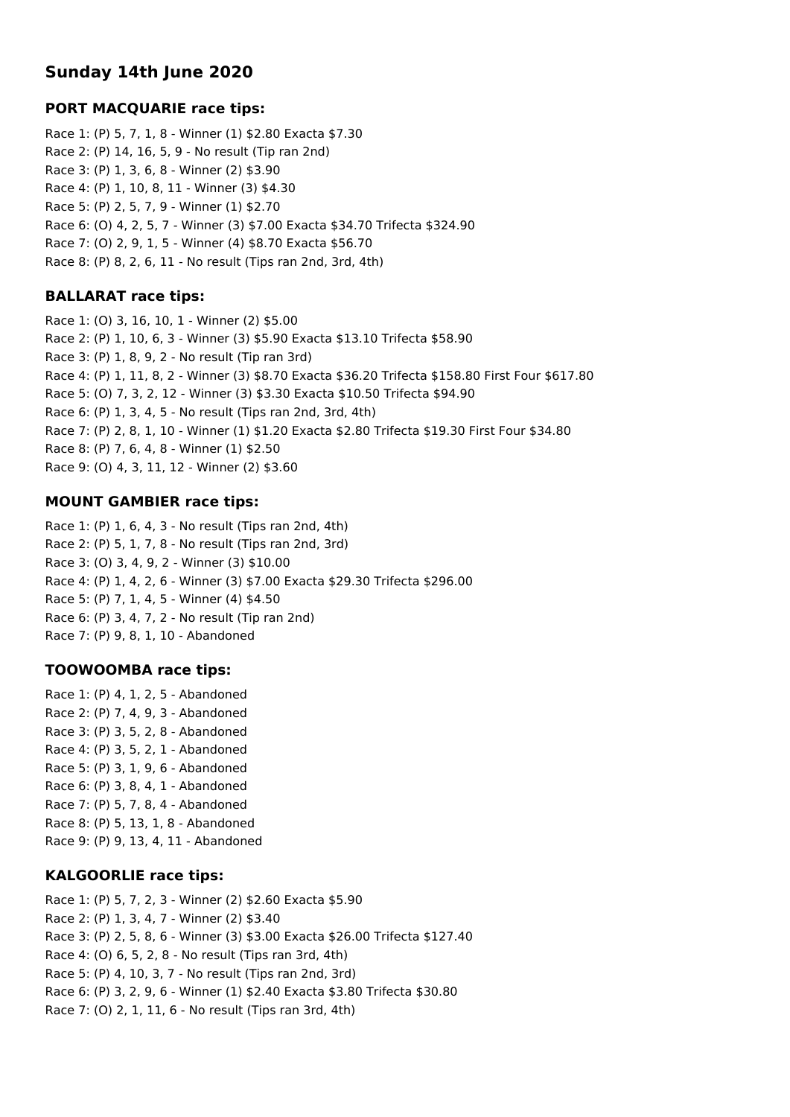# **Sunday 14th June 2020**

## **PORT MACQUARIE race tips:**

Race 1: (P) 5, 7, 1, 8 - Winner (1) \$2.80 Exacta \$7.30 Race 2: (P) 14, 16, 5, 9 - No result (Tip ran 2nd) Race 3: (P) 1, 3, 6, 8 - Winner (2) \$3.90 Race 4: (P) 1, 10, 8, 11 - Winner (3) \$4.30 Race 5: (P) 2, 5, 7, 9 - Winner (1) \$2.70 Race 6: (O) 4, 2, 5, 7 - Winner (3) \$7.00 Exacta \$34.70 Trifecta \$324.90 Race 7: (O) 2, 9, 1, 5 - Winner (4) \$8.70 Exacta \$56.70 Race 8: (P) 8, 2, 6, 11 - No result (Tips ran 2nd, 3rd, 4th)

## **BALLARAT race tips:**

Race 1: (O) 3, 16, 10, 1 - Winner (2) \$5.00 Race 2: (P) 1, 10, 6, 3 - Winner (3) \$5.90 Exacta \$13.10 Trifecta \$58.90 Race 3: (P) 1, 8, 9, 2 - No result (Tip ran 3rd) Race 4: (P) 1, 11, 8, 2 - Winner (3) \$8.70 Exacta \$36.20 Trifecta \$158.80 First Four \$617.80 Race 5: (O) 7, 3, 2, 12 - Winner (3) \$3.30 Exacta \$10.50 Trifecta \$94.90 Race 6: (P) 1, 3, 4, 5 - No result (Tips ran 2nd, 3rd, 4th) Race 7: (P) 2, 8, 1, 10 - Winner (1) \$1.20 Exacta \$2.80 Trifecta \$19.30 First Four \$34.80 Race 8: (P) 7, 6, 4, 8 - Winner (1) \$2.50 Race 9: (O) 4, 3, 11, 12 - Winner (2) \$3.60

## **MOUNT GAMBIER race tips:**

Race 1: (P) 1, 6, 4, 3 - No result (Tips ran 2nd, 4th) Race 2: (P) 5, 1, 7, 8 - No result (Tips ran 2nd, 3rd) Race 3: (O) 3, 4, 9, 2 - Winner (3) \$10.00 Race 4: (P) 1, 4, 2, 6 - Winner (3) \$7.00 Exacta \$29.30 Trifecta \$296.00 Race 5: (P) 7, 1, 4, 5 - Winner (4) \$4.50 Race 6: (P) 3, 4, 7, 2 - No result (Tip ran 2nd) Race 7: (P) 9, 8, 1, 10 - Abandoned

## **TOOWOOMBA race tips:**

Race 1: (P) 4, 1, 2, 5 - Abandoned Race 2: (P) 7, 4, 9, 3 - Abandoned Race 3: (P) 3, 5, 2, 8 - Abandoned Race 4: (P) 3, 5, 2, 1 - Abandoned Race 5: (P) 3, 1, 9, 6 - Abandoned Race 6: (P) 3, 8, 4, 1 - Abandoned Race 7: (P) 5, 7, 8, 4 - Abandoned Race 8: (P) 5, 13, 1, 8 - Abandoned Race 9: (P) 9, 13, 4, 11 - Abandoned

# **KALGOORLIE race tips:**

Race 1: (P) 5, 7, 2, 3 - Winner (2) \$2.60 Exacta \$5.90 Race 2: (P) 1, 3, 4, 7 - Winner (2) \$3.40 Race 3: (P) 2, 5, 8, 6 - Winner (3) \$3.00 Exacta \$26.00 Trifecta \$127.40 Race 4: (O) 6, 5, 2, 8 - No result (Tips ran 3rd, 4th) Race 5: (P) 4, 10, 3, 7 - No result (Tips ran 2nd, 3rd) Race 6: (P) 3, 2, 9, 6 - Winner (1) \$2.40 Exacta \$3.80 Trifecta \$30.80 Race 7: (O) 2, 1, 11, 6 - No result (Tips ran 3rd, 4th)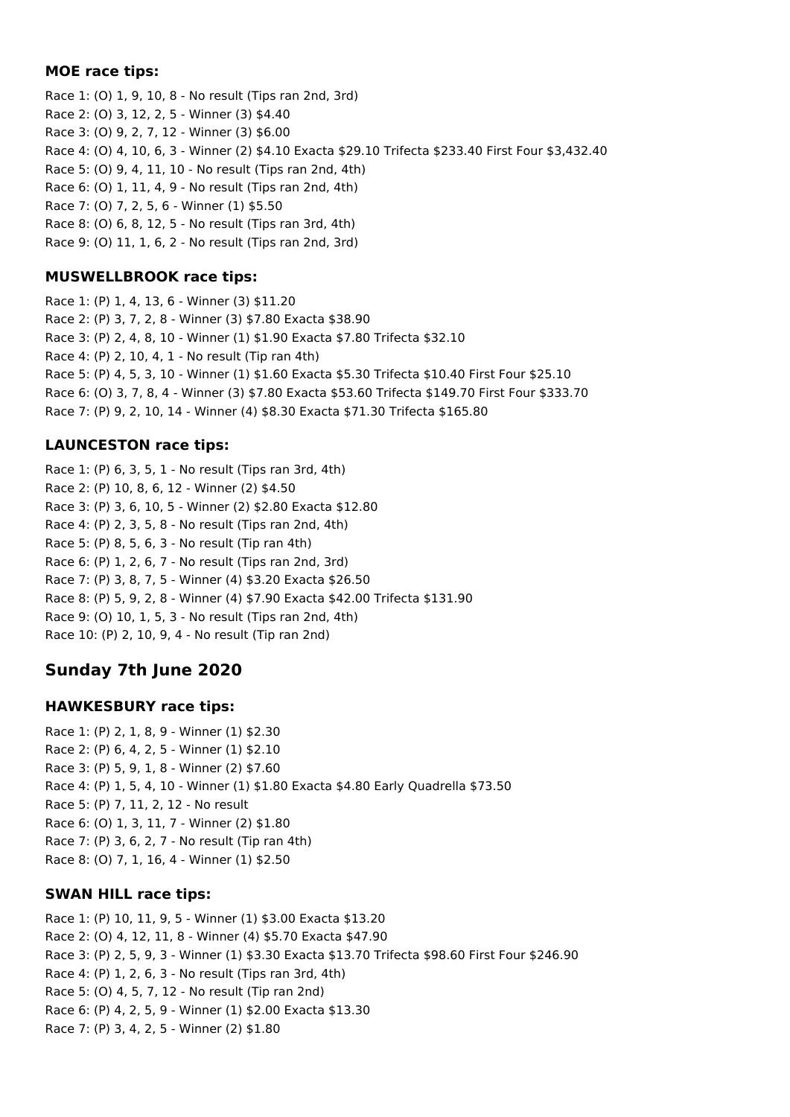#### **MOE race tips:**

Race 1: (O) 1, 9, 10, 8 - No result (Tips ran 2nd, 3rd) Race 2: (O) 3, 12, 2, 5 - Winner (3) \$4.40 Race 3: (O) 9, 2, 7, 12 - Winner (3) \$6.00 Race 4: (O) 4, 10, 6, 3 - Winner (2) \$4.10 Exacta \$29.10 Trifecta \$233.40 First Four \$3,432.40 Race 5: (O) 9, 4, 11, 10 - No result (Tips ran 2nd, 4th) Race 6: (O) 1, 11, 4, 9 - No result (Tips ran 2nd, 4th) Race 7: (O) 7, 2, 5, 6 - Winner (1) \$5.50 Race 8: (O) 6, 8, 12, 5 - No result (Tips ran 3rd, 4th) Race 9: (O) 11, 1, 6, 2 - No result (Tips ran 2nd, 3rd)

## **MUSWELLBROOK race tips:**

Race 1: (P) 1, 4, 13, 6 - Winner (3) \$11.20 Race 2: (P) 3, 7, 2, 8 - Winner (3) \$7.80 Exacta \$38.90 Race 3: (P) 2, 4, 8, 10 - Winner (1) \$1.90 Exacta \$7.80 Trifecta \$32.10 Race 4: (P) 2, 10, 4, 1 - No result (Tip ran 4th) Race 5: (P) 4, 5, 3, 10 - Winner (1) \$1.60 Exacta \$5.30 Trifecta \$10.40 First Four \$25.10 Race 6: (O) 3, 7, 8, 4 - Winner (3) \$7.80 Exacta \$53.60 Trifecta \$149.70 First Four \$333.70 Race 7: (P) 9, 2, 10, 14 - Winner (4) \$8.30 Exacta \$71.30 Trifecta \$165.80

# **LAUNCESTON race tips:**

Race 1: (P) 6, 3, 5, 1 - No result (Tips ran 3rd, 4th) Race 2: (P) 10, 8, 6, 12 - Winner (2) \$4.50 Race 3: (P) 3, 6, 10, 5 - Winner (2) \$2.80 Exacta \$12.80 Race 4: (P) 2, 3, 5, 8 - No result (Tips ran 2nd, 4th) Race 5: (P) 8, 5, 6, 3 - No result (Tip ran 4th) Race 6: (P) 1, 2, 6, 7 - No result (Tips ran 2nd, 3rd) Race 7: (P) 3, 8, 7, 5 - Winner (4) \$3.20 Exacta \$26.50 Race 8: (P) 5, 9, 2, 8 - Winner (4) \$7.90 Exacta \$42.00 Trifecta \$131.90 Race 9: (O) 10, 1, 5, 3 - No result (Tips ran 2nd, 4th) Race 10: (P) 2, 10, 9, 4 - No result (Tip ran 2nd)

# **Sunday 7th June 2020**

## **HAWKESBURY race tips:**

Race 1: (P) 2, 1, 8, 9 - Winner (1) \$2.30 Race 2: (P) 6, 4, 2, 5 - Winner (1) \$2.10 Race 3: (P) 5, 9, 1, 8 - Winner (2) \$7.60 Race 4: (P) 1, 5, 4, 10 - Winner (1) \$1.80 Exacta \$4.80 Early Quadrella \$73.50 Race 5: (P) 7, 11, 2, 12 - No result Race 6: (O) 1, 3, 11, 7 - Winner (2) \$1.80 Race 7: (P) 3, 6, 2, 7 - No result (Tip ran 4th) Race 8: (O) 7, 1, 16, 4 - Winner (1) \$2.50

## **SWAN HILL race tips:**

Race 1: (P) 10, 11, 9, 5 - Winner (1) \$3.00 Exacta \$13.20 Race 2: (O) 4, 12, 11, 8 - Winner (4) \$5.70 Exacta \$47.90 Race 3: (P) 2, 5, 9, 3 - Winner (1) \$3.30 Exacta \$13.70 Trifecta \$98.60 First Four \$246.90 Race 4: (P) 1, 2, 6, 3 - No result (Tips ran 3rd, 4th) Race 5: (O) 4, 5, 7, 12 - No result (Tip ran 2nd) Race 6: (P) 4, 2, 5, 9 - Winner (1) \$2.00 Exacta \$13.30 Race 7: (P) 3, 4, 2, 5 - Winner (2) \$1.80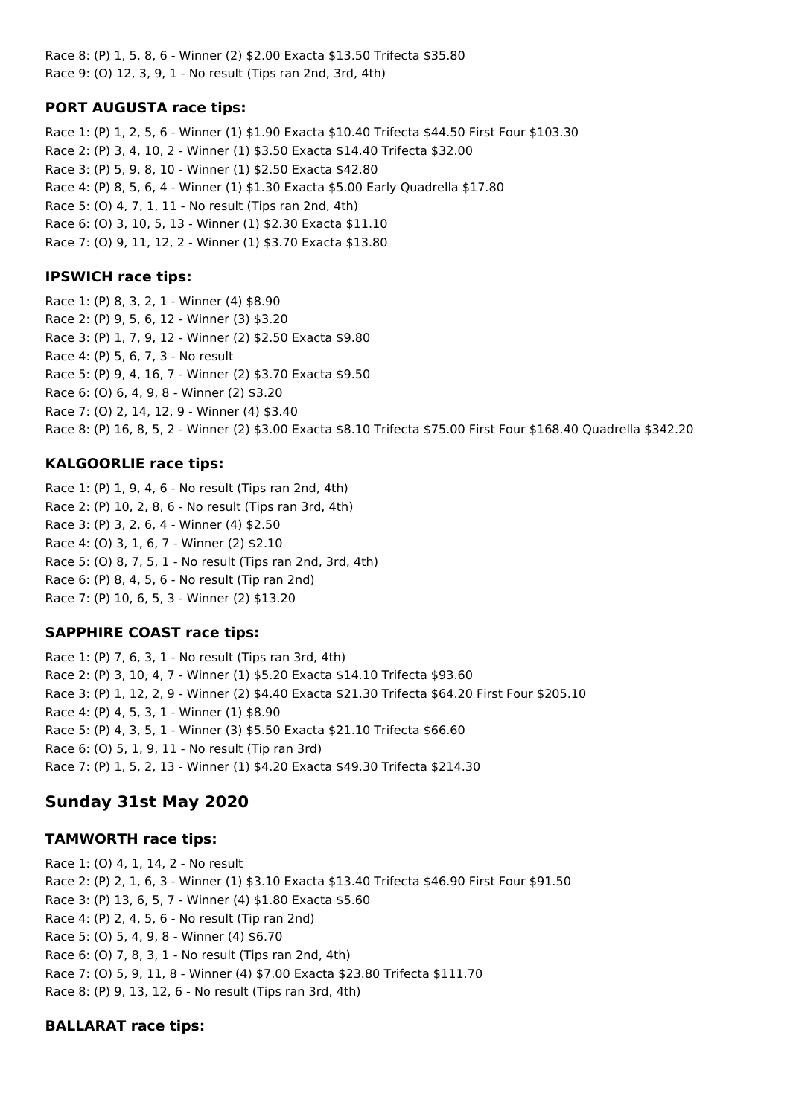Race 8: (P) 1, 5, 8, 6 - Winner (2) \$2.00 Exacta \$13.50 Trifecta \$35.80 Race 9: (O) 12, 3, 9, 1 - No result (Tips ran 2nd, 3rd, 4th)

## **PORT AUGUSTA race tips:**

Race 1: (P) 1, 2, 5, 6 - Winner (1) \$1.90 Exacta \$10.40 Trifecta \$44.50 First Four \$103.30 Race 2: (P) 3, 4, 10, 2 - Winner (1) \$3.50 Exacta \$14.40 Trifecta \$32.00 Race 3: (P) 5, 9, 8, 10 - Winner (1) \$2.50 Exacta \$42.80 Race 4: (P) 8, 5, 6, 4 - Winner (1) \$1.30 Exacta \$5.00 Early Quadrella \$17.80 Race 5: (O) 4, 7, 1, 11 - No result (Tips ran 2nd, 4th) Race 6: (O) 3, 10, 5, 13 - Winner (1) \$2.30 Exacta \$11.10 Race 7: (O) 9, 11, 12, 2 - Winner (1) \$3.70 Exacta \$13.80

## **IPSWICH race tips:**

Race 1: (P) 8, 3, 2, 1 - Winner (4) \$8.90 Race 2: (P) 9, 5, 6, 12 - Winner (3) \$3.20 Race 3: (P) 1, 7, 9, 12 - Winner (2) \$2.50 Exacta \$9.80 Race 4: (P) 5, 6, 7, 3 - No result Race 5: (P) 9, 4, 16, 7 - Winner (2) \$3.70 Exacta \$9.50 Race 6: (O) 6, 4, 9, 8 - Winner (2) \$3.20 Race 7: (O) 2, 14, 12, 9 - Winner (4) \$3.40 Race 8: (P) 16, 8, 5, 2 - Winner (2) \$3.00 Exacta \$8.10 Trifecta \$75.00 First Four \$168.40 Quadrella \$342.20

## **KALGOORLIE race tips:**

Race 1: (P) 1, 9, 4, 6 - No result (Tips ran 2nd, 4th) Race 2: (P) 10, 2, 8, 6 - No result (Tips ran 3rd, 4th) Race 3: (P) 3, 2, 6, 4 - Winner (4) \$2.50 Race 4: (O) 3, 1, 6, 7 - Winner (2) \$2.10 Race 5: (O) 8, 7, 5, 1 - No result (Tips ran 2nd, 3rd, 4th) Race 6: (P) 8, 4, 5, 6 - No result (Tip ran 2nd) Race 7: (P) 10, 6, 5, 3 - Winner (2) \$13.20

# **SAPPHIRE COAST race tips:**

Race 1: (P) 7, 6, 3, 1 - No result (Tips ran 3rd, 4th) Race 2: (P) 3, 10, 4, 7 - Winner (1) \$5.20 Exacta \$14.10 Trifecta \$93.60 Race 3: (P) 1, 12, 2, 9 - Winner (2) \$4.40 Exacta \$21.30 Trifecta \$64.20 First Four \$205.10 Race 4: (P) 4, 5, 3, 1 - Winner (1) \$8.90 Race 5: (P) 4, 3, 5, 1 - Winner (3) \$5.50 Exacta \$21.10 Trifecta \$66.60 Race 6: (O) 5, 1, 9, 11 - No result (Tip ran 3rd) Race 7: (P) 1, 5, 2, 13 - Winner (1) \$4.20 Exacta \$49.30 Trifecta \$214.30

# **Sunday 31st May 2020**

## **TAMWORTH race tips:**

Race 1: (O) 4, 1, 14, 2 - No result Race 2: (P) 2, 1, 6, 3 - Winner (1) \$3.10 Exacta \$13.40 Trifecta \$46.90 First Four \$91.50 Race 3: (P) 13, 6, 5, 7 - Winner (4) \$1.80 Exacta \$5.60 Race 4: (P) 2, 4, 5, 6 - No result (Tip ran 2nd) Race 5: (O) 5, 4, 9, 8 - Winner (4) \$6.70 Race 6: (O) 7, 8, 3, 1 - No result (Tips ran 2nd, 4th) Race 7: (O) 5, 9, 11, 8 - Winner (4) \$7.00 Exacta \$23.80 Trifecta \$111.70 Race 8: (P) 9, 13, 12, 6 - No result (Tips ran 3rd, 4th)

# **BALLARAT race tips:**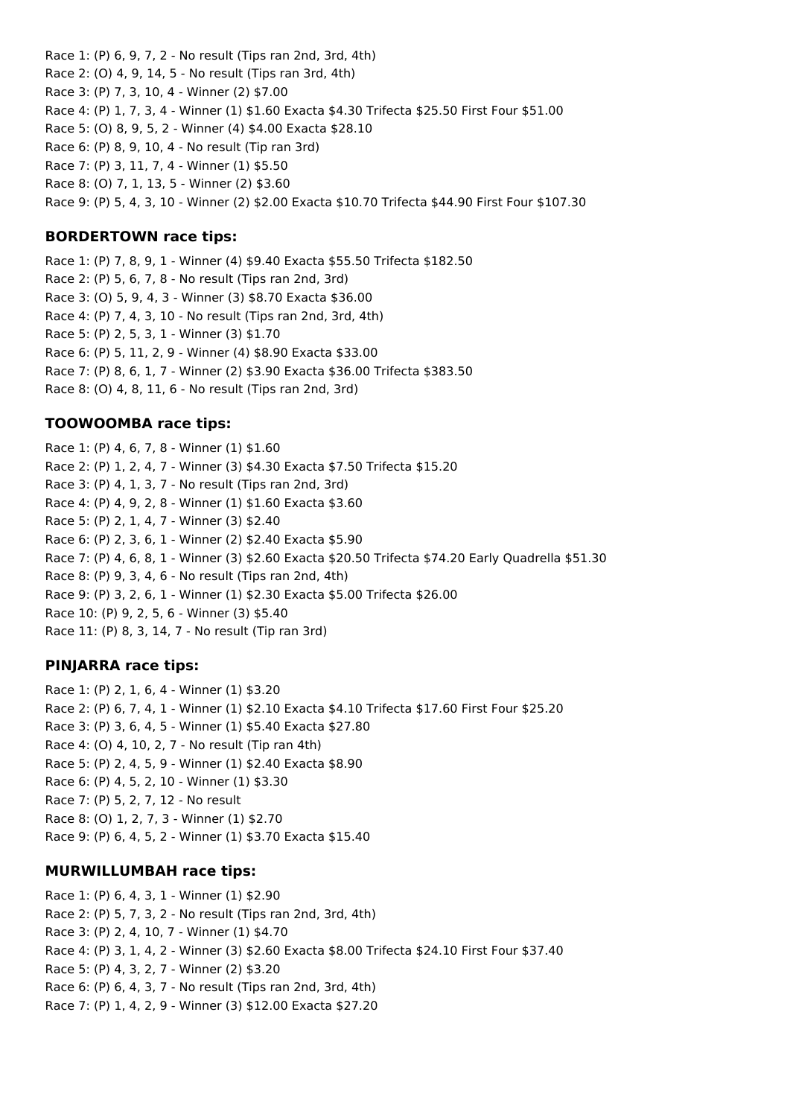Race 1: (P) 6, 9, 7, 2 - No result (Tips ran 2nd, 3rd, 4th) Race 2: (O) 4, 9, 14, 5 - No result (Tips ran 3rd, 4th) Race 3: (P) 7, 3, 10, 4 - Winner (2) \$7.00 Race 4: (P) 1, 7, 3, 4 - Winner (1) \$1.60 Exacta \$4.30 Trifecta \$25.50 First Four \$51.00 Race 5: (O) 8, 9, 5, 2 - Winner (4) \$4.00 Exacta \$28.10 Race 6: (P) 8, 9, 10, 4 - No result (Tip ran 3rd) Race 7: (P) 3, 11, 7, 4 - Winner (1) \$5.50 Race 8: (O) 7, 1, 13, 5 - Winner (2) \$3.60 Race 9: (P) 5, 4, 3, 10 - Winner (2) \$2.00 Exacta \$10.70 Trifecta \$44.90 First Four \$107.30

#### **BORDERTOWN race tips:**

Race 1: (P) 7, 8, 9, 1 - Winner (4) \$9.40 Exacta \$55.50 Trifecta \$182.50 Race 2: (P) 5, 6, 7, 8 - No result (Tips ran 2nd, 3rd) Race 3: (O) 5, 9, 4, 3 - Winner (3) \$8.70 Exacta \$36.00 Race 4: (P) 7, 4, 3, 10 - No result (Tips ran 2nd, 3rd, 4th) Race 5: (P) 2, 5, 3, 1 - Winner (3) \$1.70 Race 6: (P) 5, 11, 2, 9 - Winner (4) \$8.90 Exacta \$33.00 Race 7: (P) 8, 6, 1, 7 - Winner (2) \$3.90 Exacta \$36.00 Trifecta \$383.50 Race 8: (O) 4, 8, 11, 6 - No result (Tips ran 2nd, 3rd)

#### **TOOWOOMBA race tips:**

Race 1: (P) 4, 6, 7, 8 - Winner (1) \$1.60 Race 2: (P) 1, 2, 4, 7 - Winner (3) \$4.30 Exacta \$7.50 Trifecta \$15.20 Race 3: (P) 4, 1, 3, 7 - No result (Tips ran 2nd, 3rd) Race 4: (P) 4, 9, 2, 8 - Winner (1) \$1.60 Exacta \$3.60 Race 5: (P) 2, 1, 4, 7 - Winner (3) \$2.40 Race 6: (P) 2, 3, 6, 1 - Winner (2) \$2.40 Exacta \$5.90 Race 7: (P) 4, 6, 8, 1 - Winner (3) \$2.60 Exacta \$20.50 Trifecta \$74.20 Early Quadrella \$51.30 Race 8: (P) 9, 3, 4, 6 - No result (Tips ran 2nd, 4th) Race 9: (P) 3, 2, 6, 1 - Winner (1) \$2.30 Exacta \$5.00 Trifecta \$26.00 Race 10: (P) 9, 2, 5, 6 - Winner (3) \$5.40 Race 11: (P) 8, 3, 14, 7 - No result (Tip ran 3rd)

#### **PINJARRA race tips:**

Race 1: (P) 2, 1, 6, 4 - Winner (1) \$3.20 Race 2: (P) 6, 7, 4, 1 - Winner (1) \$2.10 Exacta \$4.10 Trifecta \$17.60 First Four \$25.20 Race 3: (P) 3, 6, 4, 5 - Winner (1) \$5.40 Exacta \$27.80 Race 4: (O) 4, 10, 2, 7 - No result (Tip ran 4th) Race 5: (P) 2, 4, 5, 9 - Winner (1) \$2.40 Exacta \$8.90 Race 6: (P) 4, 5, 2, 10 - Winner (1) \$3.30 Race 7: (P) 5, 2, 7, 12 - No result Race 8: (O) 1, 2, 7, 3 - Winner (1) \$2.70 Race 9: (P) 6, 4, 5, 2 - Winner (1) \$3.70 Exacta \$15.40

#### **MURWILLUMBAH race tips:**

Race 1: (P) 6, 4, 3, 1 - Winner (1) \$2.90 Race 2: (P) 5, 7, 3, 2 - No result (Tips ran 2nd, 3rd, 4th) Race 3: (P) 2, 4, 10, 7 - Winner (1) \$4.70 Race 4: (P) 3, 1, 4, 2 - Winner (3) \$2.60 Exacta \$8.00 Trifecta \$24.10 First Four \$37.40 Race 5: (P) 4, 3, 2, 7 - Winner (2) \$3.20 Race 6: (P) 6, 4, 3, 7 - No result (Tips ran 2nd, 3rd, 4th) Race 7: (P) 1, 4, 2, 9 - Winner (3) \$12.00 Exacta \$27.20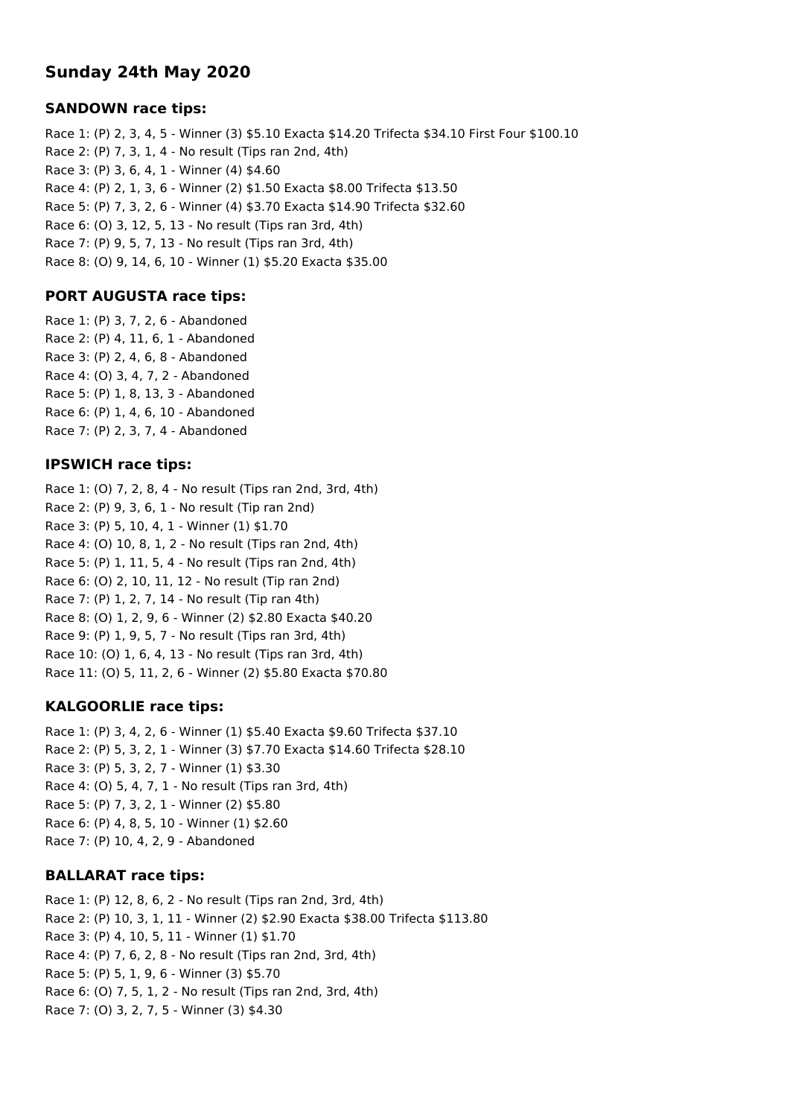# **Sunday 24th May 2020**

#### **SANDOWN race tips:**

Race 1: (P) 2, 3, 4, 5 - Winner (3) \$5.10 Exacta \$14.20 Trifecta \$34.10 First Four \$100.10 Race 2: (P) 7, 3, 1, 4 - No result (Tips ran 2nd, 4th) Race 3: (P) 3, 6, 4, 1 - Winner (4) \$4.60 Race 4: (P) 2, 1, 3, 6 - Winner (2) \$1.50 Exacta \$8.00 Trifecta \$13.50 Race 5: (P) 7, 3, 2, 6 - Winner (4) \$3.70 Exacta \$14.90 Trifecta \$32.60 Race 6: (O) 3, 12, 5, 13 - No result (Tips ran 3rd, 4th) Race 7: (P) 9, 5, 7, 13 - No result (Tips ran 3rd, 4th) Race 8: (O) 9, 14, 6, 10 - Winner (1) \$5.20 Exacta \$35.00

## **PORT AUGUSTA race tips:**

Race 1: (P) 3, 7, 2, 6 - Abandoned Race 2: (P) 4, 11, 6, 1 - Abandoned Race 3: (P) 2, 4, 6, 8 - Abandoned Race 4: (O) 3, 4, 7, 2 - Abandoned Race 5: (P) 1, 8, 13, 3 - Abandoned Race 6: (P) 1, 4, 6, 10 - Abandoned Race 7: (P) 2, 3, 7, 4 - Abandoned

## **IPSWICH race tips:**

Race 1: (O) 7, 2, 8, 4 - No result (Tips ran 2nd, 3rd, 4th) Race 2: (P) 9, 3, 6, 1 - No result (Tip ran 2nd) Race 3: (P) 5, 10, 4, 1 - Winner (1) \$1.70 Race 4: (O) 10, 8, 1, 2 - No result (Tips ran 2nd, 4th) Race 5: (P) 1, 11, 5, 4 - No result (Tips ran 2nd, 4th) Race 6: (O) 2, 10, 11, 12 - No result (Tip ran 2nd) Race 7: (P) 1, 2, 7, 14 - No result (Tip ran 4th) Race 8: (O) 1, 2, 9, 6 - Winner (2) \$2.80 Exacta \$40.20 Race 9: (P) 1, 9, 5, 7 - No result (Tips ran 3rd, 4th) Race 10: (O) 1, 6, 4, 13 - No result (Tips ran 3rd, 4th) Race 11: (O) 5, 11, 2, 6 - Winner (2) \$5.80 Exacta \$70.80

## **KALGOORLIE race tips:**

Race 1: (P) 3, 4, 2, 6 - Winner (1) \$5.40 Exacta \$9.60 Trifecta \$37.10 Race 2: (P) 5, 3, 2, 1 - Winner (3) \$7.70 Exacta \$14.60 Trifecta \$28.10 Race 3: (P) 5, 3, 2, 7 - Winner (1) \$3.30 Race 4: (O) 5, 4, 7, 1 - No result (Tips ran 3rd, 4th) Race 5: (P) 7, 3, 2, 1 - Winner (2) \$5.80 Race 6: (P) 4, 8, 5, 10 - Winner (1) \$2.60 Race 7: (P) 10, 4, 2, 9 - Abandoned

## **BALLARAT race tips:**

Race 1: (P) 12, 8, 6, 2 - No result (Tips ran 2nd, 3rd, 4th) Race 2: (P) 10, 3, 1, 11 - Winner (2) \$2.90 Exacta \$38.00 Trifecta \$113.80 Race 3: (P) 4, 10, 5, 11 - Winner (1) \$1.70 Race 4: (P) 7, 6, 2, 8 - No result (Tips ran 2nd, 3rd, 4th) Race 5: (P) 5, 1, 9, 6 - Winner (3) \$5.70 Race 6: (O) 7, 5, 1, 2 - No result (Tips ran 2nd, 3rd, 4th) Race 7: (O) 3, 2, 7, 5 - Winner (3) \$4.30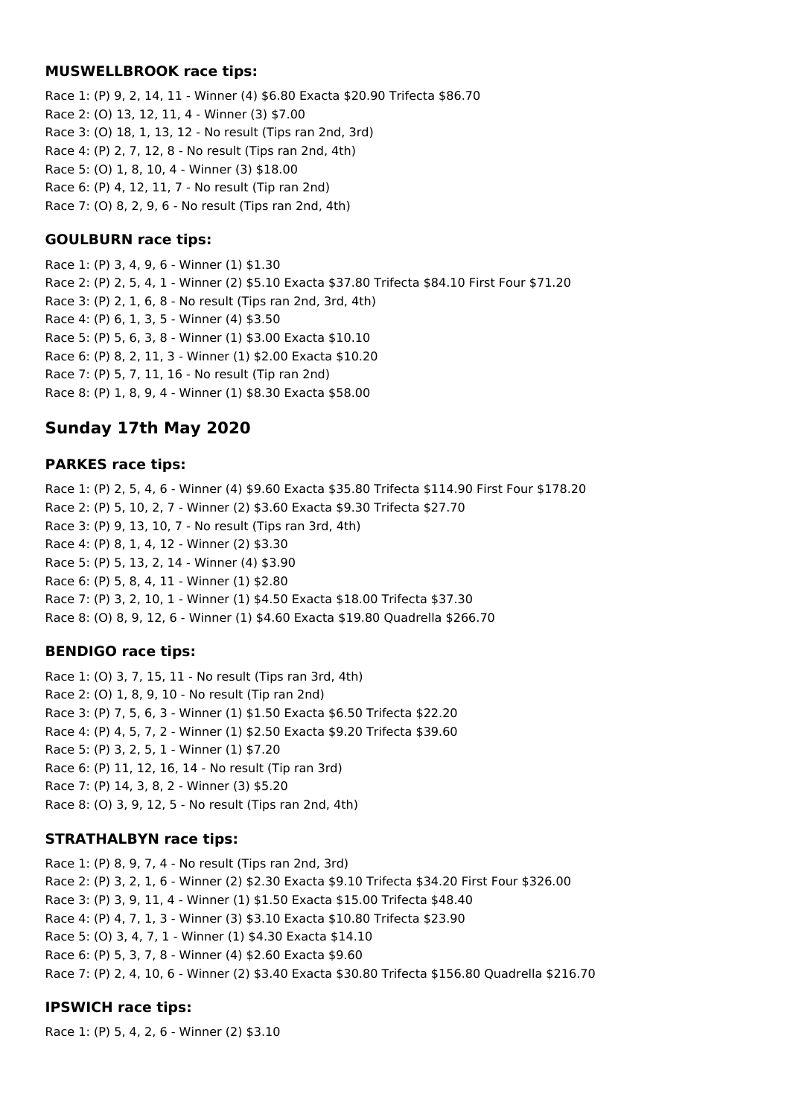#### **MUSWELLBROOK race tips:**

Race 1: (P) 9, 2, 14, 11 - Winner (4) \$6.80 Exacta \$20.90 Trifecta \$86.70 Race 2: (O) 13, 12, 11, 4 - Winner (3) \$7.00 Race 3: (O) 18, 1, 13, 12 - No result (Tips ran 2nd, 3rd) Race 4: (P) 2, 7, 12, 8 - No result (Tips ran 2nd, 4th) Race 5: (O) 1, 8, 10, 4 - Winner (3) \$18.00 Race 6: (P) 4, 12, 11, 7 - No result (Tip ran 2nd) Race 7: (O) 8, 2, 9, 6 - No result (Tips ran 2nd, 4th)

## **GOULBURN race tips:**

Race 1: (P) 3, 4, 9, 6 - Winner (1) \$1.30 Race 2: (P) 2, 5, 4, 1 - Winner (2) \$5.10 Exacta \$37.80 Trifecta \$84.10 First Four \$71.20 Race 3: (P) 2, 1, 6, 8 - No result (Tips ran 2nd, 3rd, 4th) Race 4: (P) 6, 1, 3, 5 - Winner (4) \$3.50 Race 5: (P) 5, 6, 3, 8 - Winner (1) \$3.00 Exacta \$10.10 Race 6: (P) 8, 2, 11, 3 - Winner (1) \$2.00 Exacta \$10.20 Race 7: (P) 5, 7, 11, 16 - No result (Tip ran 2nd) Race 8: (P) 1, 8, 9, 4 - Winner (1) \$8.30 Exacta \$58.00

# **Sunday 17th May 2020**

## **PARKES race tips:**

Race 1: (P) 2, 5, 4, 6 - Winner (4) \$9.60 Exacta \$35.80 Trifecta \$114.90 First Four \$178.20 Race 2: (P) 5, 10, 2, 7 - Winner (2) \$3.60 Exacta \$9.30 Trifecta \$27.70 Race 3: (P) 9, 13, 10, 7 - No result (Tips ran 3rd, 4th) Race 4: (P) 8, 1, 4, 12 - Winner (2) \$3.30 Race 5: (P) 5, 13, 2, 14 - Winner (4) \$3.90 Race 6: (P) 5, 8, 4, 11 - Winner (1) \$2.80 Race 7: (P) 3, 2, 10, 1 - Winner (1) \$4.50 Exacta \$18.00 Trifecta \$37.30 Race 8: (O) 8, 9, 12, 6 - Winner (1) \$4.60 Exacta \$19.80 Quadrella \$266.70

## **BENDIGO race tips:**

Race 1: (O) 3, 7, 15, 11 - No result (Tips ran 3rd, 4th) Race 2: (O) 1, 8, 9, 10 - No result (Tip ran 2nd) Race 3: (P) 7, 5, 6, 3 - Winner (1) \$1.50 Exacta \$6.50 Trifecta \$22.20 Race 4: (P) 4, 5, 7, 2 - Winner (1) \$2.50 Exacta \$9.20 Trifecta \$39.60 Race 5: (P) 3, 2, 5, 1 - Winner (1) \$7.20 Race 6: (P) 11, 12, 16, 14 - No result (Tip ran 3rd) Race 7: (P) 14, 3, 8, 2 - Winner (3) \$5.20 Race 8: (O) 3, 9, 12, 5 - No result (Tips ran 2nd, 4th)

# **STRATHALBYN race tips:**

Race 1: (P) 8, 9, 7, 4 - No result (Tips ran 2nd, 3rd) Race 2: (P) 3, 2, 1, 6 - Winner (2) \$2.30 Exacta \$9.10 Trifecta \$34.20 First Four \$326.00 Race 3: (P) 3, 9, 11, 4 - Winner (1) \$1.50 Exacta \$15.00 Trifecta \$48.40 Race 4: (P) 4, 7, 1, 3 - Winner (3) \$3.10 Exacta \$10.80 Trifecta \$23.90 Race 5: (O) 3, 4, 7, 1 - Winner (1) \$4.30 Exacta \$14.10 Race 6: (P) 5, 3, 7, 8 - Winner (4) \$2.60 Exacta \$9.60 Race 7: (P) 2, 4, 10, 6 - Winner (2) \$3.40 Exacta \$30.80 Trifecta \$156.80 Quadrella \$216.70

# **IPSWICH race tips:**

Race 1: (P) 5, 4, 2, 6 - Winner (2) \$3.10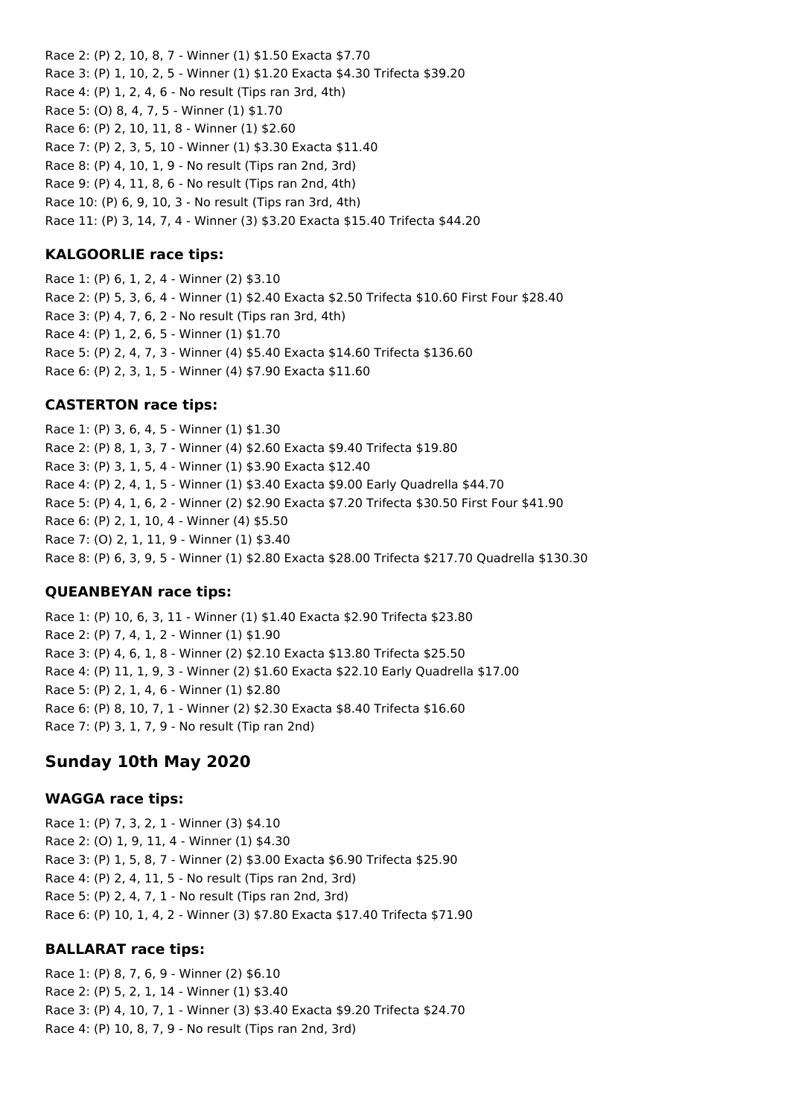Race 2: (P) 2, 10, 8, 7 - Winner (1) \$1.50 Exacta \$7.70 Race 3: (P) 1, 10, 2, 5 - Winner (1) \$1.20 Exacta \$4.30 Trifecta \$39.20 Race 4: (P) 1, 2, 4, 6 - No result (Tips ran 3rd, 4th) Race 5: (O) 8, 4, 7, 5 - Winner (1) \$1.70 Race 6: (P) 2, 10, 11, 8 - Winner (1) \$2.60 Race 7: (P) 2, 3, 5, 10 - Winner (1) \$3.30 Exacta \$11.40 Race 8: (P) 4, 10, 1, 9 - No result (Tips ran 2nd, 3rd) Race 9: (P) 4, 11, 8, 6 - No result (Tips ran 2nd, 4th) Race 10: (P) 6, 9, 10, 3 - No result (Tips ran 3rd, 4th) Race 11: (P) 3, 14, 7, 4 - Winner (3) \$3.20 Exacta \$15.40 Trifecta \$44.20

#### **KALGOORLIE race tips:**

Race 1: (P) 6, 1, 2, 4 - Winner (2) \$3.10 Race 2: (P) 5, 3, 6, 4 - Winner (1) \$2.40 Exacta \$2.50 Trifecta \$10.60 First Four \$28.40 Race 3: (P) 4, 7, 6, 2 - No result (Tips ran 3rd, 4th) Race 4: (P) 1, 2, 6, 5 - Winner (1) \$1.70 Race 5: (P) 2, 4, 7, 3 - Winner (4) \$5.40 Exacta \$14.60 Trifecta \$136.60 Race 6: (P) 2, 3, 1, 5 - Winner (4) \$7.90 Exacta \$11.60

## **CASTERTON race tips:**

Race 1: (P) 3, 6, 4, 5 - Winner (1) \$1.30 Race 2: (P) 8, 1, 3, 7 - Winner (4) \$2.60 Exacta \$9.40 Trifecta \$19.80 Race 3: (P) 3, 1, 5, 4 - Winner (1) \$3.90 Exacta \$12.40 Race 4: (P) 2, 4, 1, 5 - Winner (1) \$3.40 Exacta \$9.00 Early Quadrella \$44.70 Race 5: (P) 4, 1, 6, 2 - Winner (2) \$2.90 Exacta \$7.20 Trifecta \$30.50 First Four \$41.90 Race 6: (P) 2, 1, 10, 4 - Winner (4) \$5.50 Race 7: (O) 2, 1, 11, 9 - Winner (1) \$3.40 Race 8: (P) 6, 3, 9, 5 - Winner (1) \$2.80 Exacta \$28.00 Trifecta \$217.70 Quadrella \$130.30

#### **QUEANBEYAN race tips:**

Race 1: (P) 10, 6, 3, 11 - Winner (1) \$1.40 Exacta \$2.90 Trifecta \$23.80 Race 2: (P) 7, 4, 1, 2 - Winner (1) \$1.90 Race 3: (P) 4, 6, 1, 8 - Winner (2) \$2.10 Exacta \$13.80 Trifecta \$25.50 Race 4: (P) 11, 1, 9, 3 - Winner (2) \$1.60 Exacta \$22.10 Early Quadrella \$17.00 Race 5: (P) 2, 1, 4, 6 - Winner (1) \$2.80 Race 6: (P) 8, 10, 7, 1 - Winner (2) \$2.30 Exacta \$8.40 Trifecta \$16.60 Race 7: (P) 3, 1, 7, 9 - No result (Tip ran 2nd)

# **Sunday 10th May 2020**

#### **WAGGA race tips:**

Race 1: (P) 7, 3, 2, 1 - Winner (3) \$4.10 Race 2: (O) 1, 9, 11, 4 - Winner (1) \$4.30 Race 3: (P) 1, 5, 8, 7 - Winner (2) \$3.00 Exacta \$6.90 Trifecta \$25.90 Race 4: (P) 2, 4, 11, 5 - No result (Tips ran 2nd, 3rd) Race 5: (P) 2, 4, 7, 1 - No result (Tips ran 2nd, 3rd) Race 6: (P) 10, 1, 4, 2 - Winner (3) \$7.80 Exacta \$17.40 Trifecta \$71.90

#### **BALLARAT race tips:**

Race 1: (P) 8, 7, 6, 9 - Winner (2) \$6.10 Race 2: (P) 5, 2, 1, 14 - Winner (1) \$3.40 Race 3: (P) 4, 10, 7, 1 - Winner (3) \$3.40 Exacta \$9.20 Trifecta \$24.70 Race 4: (P) 10, 8, 7, 9 - No result (Tips ran 2nd, 3rd)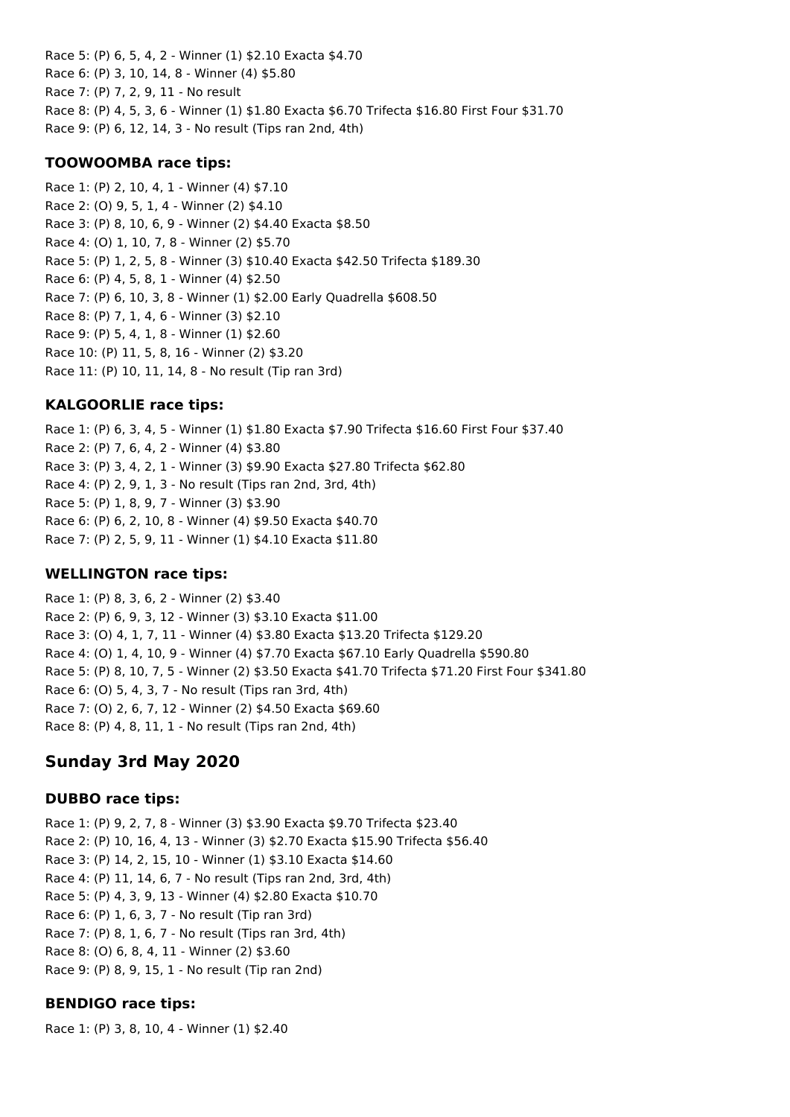Race 5: (P) 6, 5, 4, 2 - Winner (1) \$2.10 Exacta \$4.70 Race 6: (P) 3, 10, 14, 8 - Winner (4) \$5.80 Race 7: (P) 7, 2, 9, 11 - No result Race 8: (P) 4, 5, 3, 6 - Winner (1) \$1.80 Exacta \$6.70 Trifecta \$16.80 First Four \$31.70 Race 9: (P) 6, 12, 14, 3 - No result (Tips ran 2nd, 4th)

#### **TOOWOOMBA race tips:**

Race 1: (P) 2, 10, 4, 1 - Winner (4) \$7.10 Race 2: (O) 9, 5, 1, 4 - Winner (2) \$4.10 Race 3: (P) 8, 10, 6, 9 - Winner (2) \$4.40 Exacta \$8.50 Race 4: (O) 1, 10, 7, 8 - Winner (2) \$5.70 Race 5: (P) 1, 2, 5, 8 - Winner (3) \$10.40 Exacta \$42.50 Trifecta \$189.30 Race 6: (P) 4, 5, 8, 1 - Winner (4) \$2.50 Race 7: (P) 6, 10, 3, 8 - Winner (1) \$2.00 Early Quadrella \$608.50 Race 8: (P) 7, 1, 4, 6 - Winner (3) \$2.10 Race 9: (P) 5, 4, 1, 8 - Winner (1) \$2.60 Race 10: (P) 11, 5, 8, 16 - Winner (2) \$3.20 Race 11: (P) 10, 11, 14, 8 - No result (Tip ran 3rd)

## **KALGOORLIE race tips:**

Race 1: (P) 6, 3, 4, 5 - Winner (1) \$1.80 Exacta \$7.90 Trifecta \$16.60 First Four \$37.40 Race 2: (P) 7, 6, 4, 2 - Winner (4) \$3.80 Race 3: (P) 3, 4, 2, 1 - Winner (3) \$9.90 Exacta \$27.80 Trifecta \$62.80 Race 4: (P) 2, 9, 1, 3 - No result (Tips ran 2nd, 3rd, 4th) Race 5: (P) 1, 8, 9, 7 - Winner (3) \$3.90 Race 6: (P) 6, 2, 10, 8 - Winner (4) \$9.50 Exacta \$40.70 Race 7: (P) 2, 5, 9, 11 - Winner (1) \$4.10 Exacta \$11.80

## **WELLINGTON race tips:**

Race 1: (P) 8, 3, 6, 2 - Winner (2) \$3.40 Race 2: (P) 6, 9, 3, 12 - Winner (3) \$3.10 Exacta \$11.00 Race 3: (O) 4, 1, 7, 11 - Winner (4) \$3.80 Exacta \$13.20 Trifecta \$129.20 Race 4: (O) 1, 4, 10, 9 - Winner (4) \$7.70 Exacta \$67.10 Early Quadrella \$590.80 Race 5: (P) 8, 10, 7, 5 - Winner (2) \$3.50 Exacta \$41.70 Trifecta \$71.20 First Four \$341.80 Race 6: (O) 5, 4, 3, 7 - No result (Tips ran 3rd, 4th) Race 7: (O) 2, 6, 7, 12 - Winner (2) \$4.50 Exacta \$69.60 Race 8: (P) 4, 8, 11, 1 - No result (Tips ran 2nd, 4th)

# **Sunday 3rd May 2020**

## **DUBBO race tips:**

Race 1: (P) 9, 2, 7, 8 - Winner (3) \$3.90 Exacta \$9.70 Trifecta \$23.40 Race 2: (P) 10, 16, 4, 13 - Winner (3) \$2.70 Exacta \$15.90 Trifecta \$56.40 Race 3: (P) 14, 2, 15, 10 - Winner (1) \$3.10 Exacta \$14.60 Race 4: (P) 11, 14, 6, 7 - No result (Tips ran 2nd, 3rd, 4th) Race 5: (P) 4, 3, 9, 13 - Winner (4) \$2.80 Exacta \$10.70 Race 6: (P) 1, 6, 3, 7 - No result (Tip ran 3rd) Race 7: (P) 8, 1, 6, 7 - No result (Tips ran 3rd, 4th) Race 8: (O) 6, 8, 4, 11 - Winner (2) \$3.60 Race 9: (P) 8, 9, 15, 1 - No result (Tip ran 2nd)

## **BENDIGO race tips:**

Race 1: (P) 3, 8, 10, 4 - Winner (1) \$2.40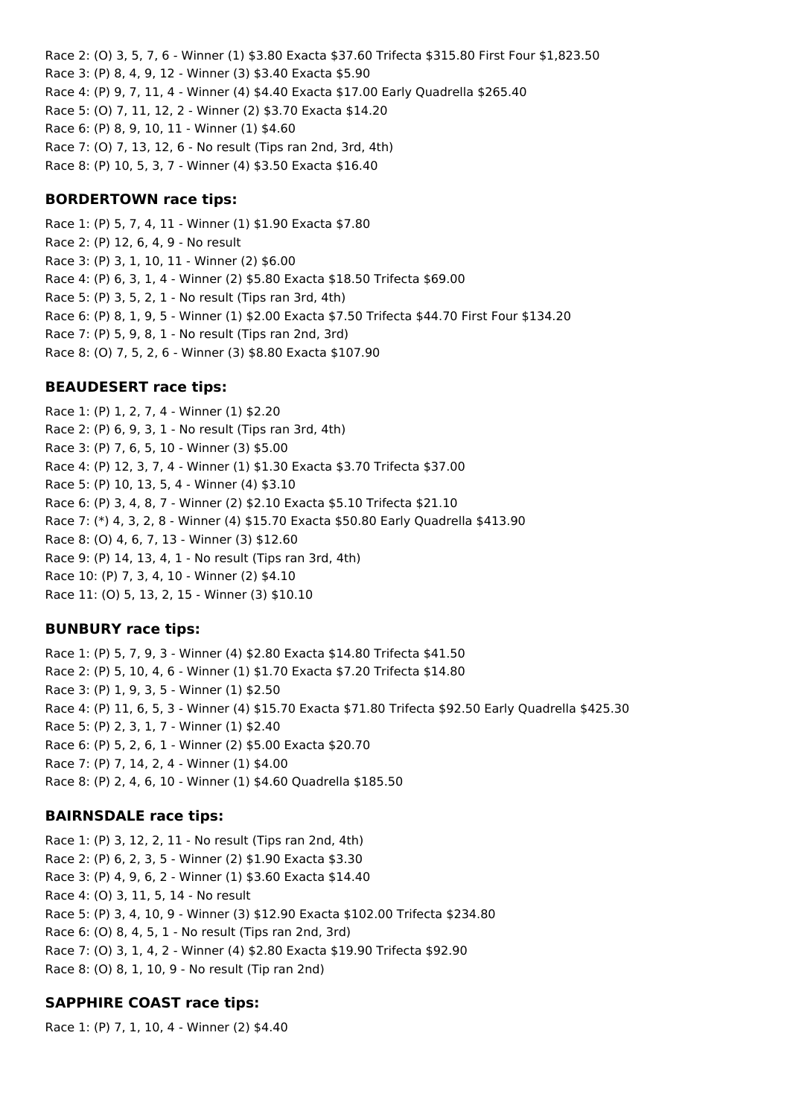Race 2: (O) 3, 5, 7, 6 - Winner (1) \$3.80 Exacta \$37.60 Trifecta \$315.80 First Four \$1,823.50 Race 3: (P) 8, 4, 9, 12 - Winner (3) \$3.40 Exacta \$5.90 Race 4: (P) 9, 7, 11, 4 - Winner (4) \$4.40 Exacta \$17.00 Early Quadrella \$265.40 Race 5: (O) 7, 11, 12, 2 - Winner (2) \$3.70 Exacta \$14.20 Race 6: (P) 8, 9, 10, 11 - Winner (1) \$4.60 Race 7: (O) 7, 13, 12, 6 - No result (Tips ran 2nd, 3rd, 4th) Race 8: (P) 10, 5, 3, 7 - Winner (4) \$3.50 Exacta \$16.40

#### **BORDERTOWN race tips:**

Race 1: (P) 5, 7, 4, 11 - Winner (1) \$1.90 Exacta \$7.80 Race 2: (P) 12, 6, 4, 9 - No result Race 3: (P) 3, 1, 10, 11 - Winner (2) \$6.00 Race 4: (P) 6, 3, 1, 4 - Winner (2) \$5.80 Exacta \$18.50 Trifecta \$69.00 Race 5: (P) 3, 5, 2, 1 - No result (Tips ran 3rd, 4th) Race 6: (P) 8, 1, 9, 5 - Winner (1) \$2.00 Exacta \$7.50 Trifecta \$44.70 First Four \$134.20 Race 7: (P) 5, 9, 8, 1 - No result (Tips ran 2nd, 3rd) Race 8: (O) 7, 5, 2, 6 - Winner (3) \$8.80 Exacta \$107.90

## **BEAUDESERT race tips:**

Race 1: (P) 1, 2, 7, 4 - Winner (1) \$2.20 Race 2: (P) 6, 9, 3, 1 - No result (Tips ran 3rd, 4th) Race 3: (P) 7, 6, 5, 10 - Winner (3) \$5.00 Race 4: (P) 12, 3, 7, 4 - Winner (1) \$1.30 Exacta \$3.70 Trifecta \$37.00 Race 5: (P) 10, 13, 5, 4 - Winner (4) \$3.10 Race 6: (P) 3, 4, 8, 7 - Winner (2) \$2.10 Exacta \$5.10 Trifecta \$21.10 Race 7: (\*) 4, 3, 2, 8 - Winner (4) \$15.70 Exacta \$50.80 Early Quadrella \$413.90 Race 8: (O) 4, 6, 7, 13 - Winner (3) \$12.60 Race 9: (P) 14, 13, 4, 1 - No result (Tips ran 3rd, 4th) Race 10: (P) 7, 3, 4, 10 - Winner (2) \$4.10 Race 11: (O) 5, 13, 2, 15 - Winner (3) \$10.10

## **BUNBURY race tips:**

Race 1: (P) 5, 7, 9, 3 - Winner (4) \$2.80 Exacta \$14.80 Trifecta \$41.50 Race 2: (P) 5, 10, 4, 6 - Winner (1) \$1.70 Exacta \$7.20 Trifecta \$14.80 Race 3: (P) 1, 9, 3, 5 - Winner (1) \$2.50 Race 4: (P) 11, 6, 5, 3 - Winner (4) \$15.70 Exacta \$71.80 Trifecta \$92.50 Early Quadrella \$425.30 Race 5: (P) 2, 3, 1, 7 - Winner (1) \$2.40 Race 6: (P) 5, 2, 6, 1 - Winner (2) \$5.00 Exacta \$20.70 Race 7: (P) 7, 14, 2, 4 - Winner (1) \$4.00 Race 8: (P) 2, 4, 6, 10 - Winner (1) \$4.60 Quadrella \$185.50

#### **BAIRNSDALE race tips:**

Race 1: (P) 3, 12, 2, 11 - No result (Tips ran 2nd, 4th) Race 2: (P) 6, 2, 3, 5 - Winner (2) \$1.90 Exacta \$3.30 Race 3: (P) 4, 9, 6, 2 - Winner (1) \$3.60 Exacta \$14.40 Race 4: (O) 3, 11, 5, 14 - No result Race 5: (P) 3, 4, 10, 9 - Winner (3) \$12.90 Exacta \$102.00 Trifecta \$234.80 Race 6: (O) 8, 4, 5, 1 - No result (Tips ran 2nd, 3rd) Race 7: (O) 3, 1, 4, 2 - Winner (4) \$2.80 Exacta \$19.90 Trifecta \$92.90 Race 8: (O) 8, 1, 10, 9 - No result (Tip ran 2nd)

## **SAPPHIRE COAST race tips:**

Race 1: (P) 7, 1, 10, 4 - Winner (2) \$4.40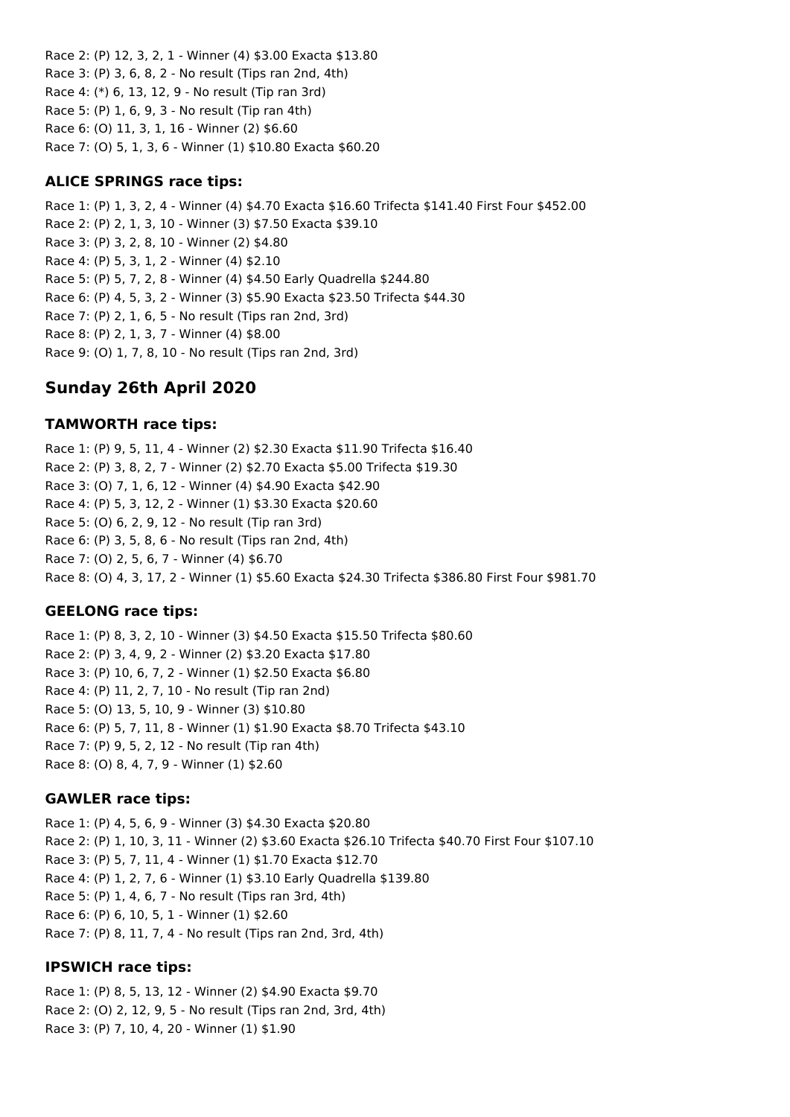Race 2: (P) 12, 3, 2, 1 - Winner (4) \$3.00 Exacta \$13.80 Race 3: (P) 3, 6, 8, 2 - No result (Tips ran 2nd, 4th) Race 4: (\*) 6, 13, 12, 9 - No result (Tip ran 3rd) Race 5: (P) 1, 6, 9, 3 - No result (Tip ran 4th) Race 6: (O) 11, 3, 1, 16 - Winner (2) \$6.60 Race 7: (O) 5, 1, 3, 6 - Winner (1) \$10.80 Exacta \$60.20

#### **ALICE SPRINGS race tips:**

Race 1: (P) 1, 3, 2, 4 - Winner (4) \$4.70 Exacta \$16.60 Trifecta \$141.40 First Four \$452.00 Race 2: (P) 2, 1, 3, 10 - Winner (3) \$7.50 Exacta \$39.10 Race 3: (P) 3, 2, 8, 10 - Winner (2) \$4.80 Race 4: (P) 5, 3, 1, 2 - Winner (4) \$2.10 Race 5: (P) 5, 7, 2, 8 - Winner (4) \$4.50 Early Quadrella \$244.80 Race 6: (P) 4, 5, 3, 2 - Winner (3) \$5.90 Exacta \$23.50 Trifecta \$44.30 Race 7: (P) 2, 1, 6, 5 - No result (Tips ran 2nd, 3rd) Race 8: (P) 2, 1, 3, 7 - Winner (4) \$8.00 Race 9: (O) 1, 7, 8, 10 - No result (Tips ran 2nd, 3rd)

# **Sunday 26th April 2020**

#### **TAMWORTH race tips:**

Race 1: (P) 9, 5, 11, 4 - Winner (2) \$2.30 Exacta \$11.90 Trifecta \$16.40 Race 2: (P) 3, 8, 2, 7 - Winner (2) \$2.70 Exacta \$5.00 Trifecta \$19.30 Race 3: (O) 7, 1, 6, 12 - Winner (4) \$4.90 Exacta \$42.90 Race 4: (P) 5, 3, 12, 2 - Winner (1) \$3.30 Exacta \$20.60 Race 5: (O) 6, 2, 9, 12 - No result (Tip ran 3rd) Race 6: (P) 3, 5, 8, 6 - No result (Tips ran 2nd, 4th) Race 7: (O) 2, 5, 6, 7 - Winner (4) \$6.70 Race 8: (O) 4, 3, 17, 2 - Winner (1) \$5.60 Exacta \$24.30 Trifecta \$386.80 First Four \$981.70

## **GEELONG race tips:**

Race 1: (P) 8, 3, 2, 10 - Winner (3) \$4.50 Exacta \$15.50 Trifecta \$80.60 Race 2: (P) 3, 4, 9, 2 - Winner (2) \$3.20 Exacta \$17.80 Race 3: (P) 10, 6, 7, 2 - Winner (1) \$2.50 Exacta \$6.80 Race 4: (P) 11, 2, 7, 10 - No result (Tip ran 2nd) Race 5: (O) 13, 5, 10, 9 - Winner (3) \$10.80 Race 6: (P) 5, 7, 11, 8 - Winner (1) \$1.90 Exacta \$8.70 Trifecta \$43.10 Race 7: (P) 9, 5, 2, 12 - No result (Tip ran 4th) Race 8: (O) 8, 4, 7, 9 - Winner (1) \$2.60

#### **GAWLER race tips:**

Race 1: (P) 4, 5, 6, 9 - Winner (3) \$4.30 Exacta \$20.80 Race 2: (P) 1, 10, 3, 11 - Winner (2) \$3.60 Exacta \$26.10 Trifecta \$40.70 First Four \$107.10 Race 3: (P) 5, 7, 11, 4 - Winner (1) \$1.70 Exacta \$12.70 Race 4: (P) 1, 2, 7, 6 - Winner (1) \$3.10 Early Quadrella \$139.80 Race 5: (P) 1, 4, 6, 7 - No result (Tips ran 3rd, 4th) Race 6: (P) 6, 10, 5, 1 - Winner (1) \$2.60 Race 7: (P) 8, 11, 7, 4 - No result (Tips ran 2nd, 3rd, 4th)

#### **IPSWICH race tips:**

Race 1: (P) 8, 5, 13, 12 - Winner (2) \$4.90 Exacta \$9.70 Race 2: (O) 2, 12, 9, 5 - No result (Tips ran 2nd, 3rd, 4th) Race 3: (P) 7, 10, 4, 20 - Winner (1) \$1.90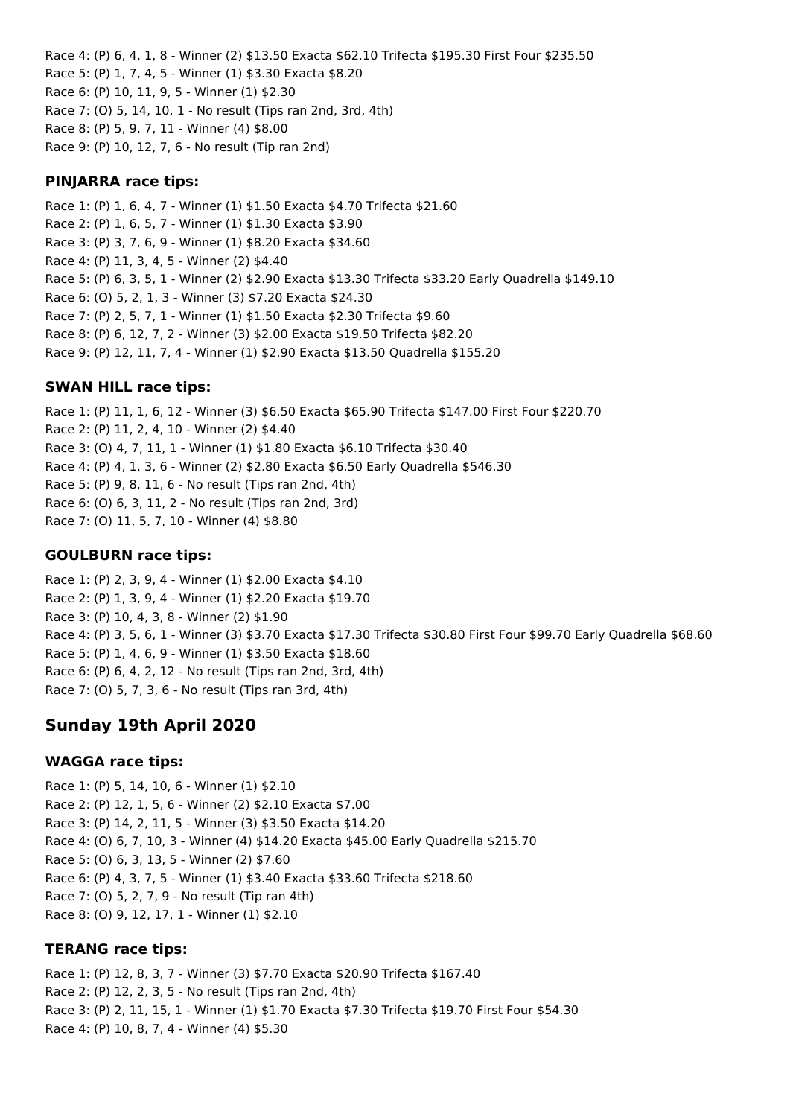Race 4: (P) 6, 4, 1, 8 - Winner (2) \$13.50 Exacta \$62.10 Trifecta \$195.30 First Four \$235.50 Race 5: (P) 1, 7, 4, 5 - Winner (1) \$3.30 Exacta \$8.20 Race 6: (P) 10, 11, 9, 5 - Winner (1) \$2.30 Race 7: (O) 5, 14, 10, 1 - No result (Tips ran 2nd, 3rd, 4th) Race 8: (P) 5, 9, 7, 11 - Winner (4) \$8.00 Race 9: (P) 10, 12, 7, 6 - No result (Tip ran 2nd)

## **PINJARRA race tips:**

Race 1: (P) 1, 6, 4, 7 - Winner (1) \$1.50 Exacta \$4.70 Trifecta \$21.60 Race 2: (P) 1, 6, 5, 7 - Winner (1) \$1.30 Exacta \$3.90 Race 3: (P) 3, 7, 6, 9 - Winner (1) \$8.20 Exacta \$34.60 Race 4: (P) 11, 3, 4, 5 - Winner (2) \$4.40 Race 5: (P) 6, 3, 5, 1 - Winner (2) \$2.90 Exacta \$13.30 Trifecta \$33.20 Early Quadrella \$149.10 Race 6: (O) 5, 2, 1, 3 - Winner (3) \$7.20 Exacta \$24.30 Race 7: (P) 2, 5, 7, 1 - Winner (1) \$1.50 Exacta \$2.30 Trifecta \$9.60 Race 8: (P) 6, 12, 7, 2 - Winner (3) \$2.00 Exacta \$19.50 Trifecta \$82.20 Race 9: (P) 12, 11, 7, 4 - Winner (1) \$2.90 Exacta \$13.50 Quadrella \$155.20

## **SWAN HILL race tips:**

Race 1: (P) 11, 1, 6, 12 - Winner (3) \$6.50 Exacta \$65.90 Trifecta \$147.00 First Four \$220.70 Race 2: (P) 11, 2, 4, 10 - Winner (2) \$4.40 Race 3: (O) 4, 7, 11, 1 - Winner (1) \$1.80 Exacta \$6.10 Trifecta \$30.40 Race 4: (P) 4, 1, 3, 6 - Winner (2) \$2.80 Exacta \$6.50 Early Quadrella \$546.30 Race 5: (P) 9, 8, 11, 6 - No result (Tips ran 2nd, 4th) Race 6: (O) 6, 3, 11, 2 - No result (Tips ran 2nd, 3rd) Race 7: (O) 11, 5, 7, 10 - Winner (4) \$8.80

## **GOULBURN race tips:**

Race 1: (P) 2, 3, 9, 4 - Winner (1) \$2.00 Exacta \$4.10 Race 2: (P) 1, 3, 9, 4 - Winner (1) \$2.20 Exacta \$19.70 Race 3: (P) 10, 4, 3, 8 - Winner (2) \$1.90 Race 4: (P) 3, 5, 6, 1 - Winner (3) \$3.70 Exacta \$17.30 Trifecta \$30.80 First Four \$99.70 Early Quadrella \$68.60 Race 5: (P) 1, 4, 6, 9 - Winner (1) \$3.50 Exacta \$18.60 Race 6: (P) 6, 4, 2, 12 - No result (Tips ran 2nd, 3rd, 4th) Race 7: (O) 5, 7, 3, 6 - No result (Tips ran 3rd, 4th)

# **Sunday 19th April 2020**

# **WAGGA race tips:**

Race 1: (P) 5, 14, 10, 6 - Winner (1) \$2.10 Race 2: (P) 12, 1, 5, 6 - Winner (2) \$2.10 Exacta \$7.00 Race 3: (P) 14, 2, 11, 5 - Winner (3) \$3.50 Exacta \$14.20 Race 4: (O) 6, 7, 10, 3 - Winner (4) \$14.20 Exacta \$45.00 Early Quadrella \$215.70 Race 5: (O) 6, 3, 13, 5 - Winner (2) \$7.60 Race 6: (P) 4, 3, 7, 5 - Winner (1) \$3.40 Exacta \$33.60 Trifecta \$218.60 Race 7: (O) 5, 2, 7, 9 - No result (Tip ran 4th) Race 8: (O) 9, 12, 17, 1 - Winner (1) \$2.10

## **TERANG race tips:**

Race 1: (P) 12, 8, 3, 7 - Winner (3) \$7.70 Exacta \$20.90 Trifecta \$167.40 Race 2: (P) 12, 2, 3, 5 - No result (Tips ran 2nd, 4th) Race 3: (P) 2, 11, 15, 1 - Winner (1) \$1.70 Exacta \$7.30 Trifecta \$19.70 First Four \$54.30 Race 4: (P) 10, 8, 7, 4 - Winner (4) \$5.30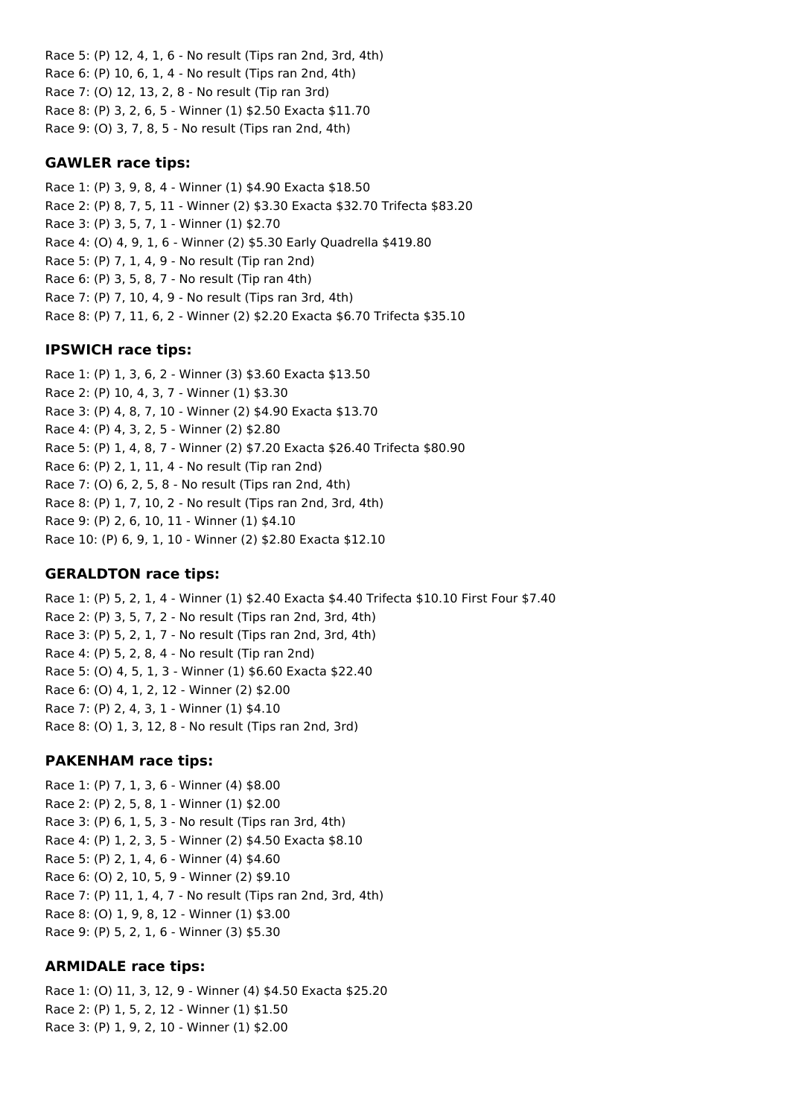Race 5: (P) 12, 4, 1, 6 - No result (Tips ran 2nd, 3rd, 4th) Race 6: (P) 10, 6, 1, 4 - No result (Tips ran 2nd, 4th) Race 7: (O) 12, 13, 2, 8 - No result (Tip ran 3rd) Race 8: (P) 3, 2, 6, 5 - Winner (1) \$2.50 Exacta \$11.70 Race 9: (O) 3, 7, 8, 5 - No result (Tips ran 2nd, 4th)

#### **GAWLER race tips:**

Race 1: (P) 3, 9, 8, 4 - Winner (1) \$4.90 Exacta \$18.50 Race 2: (P) 8, 7, 5, 11 - Winner (2) \$3.30 Exacta \$32.70 Trifecta \$83.20 Race 3: (P) 3, 5, 7, 1 - Winner (1) \$2.70 Race 4: (O) 4, 9, 1, 6 - Winner (2) \$5.30 Early Quadrella \$419.80 Race 5: (P) 7, 1, 4, 9 - No result (Tip ran 2nd) Race 6: (P) 3, 5, 8, 7 - No result (Tip ran 4th) Race 7: (P) 7, 10, 4, 9 - No result (Tips ran 3rd, 4th) Race 8: (P) 7, 11, 6, 2 - Winner (2) \$2.20 Exacta \$6.70 Trifecta \$35.10

#### **IPSWICH race tips:**

Race 1: (P) 1, 3, 6, 2 - Winner (3) \$3.60 Exacta \$13.50 Race 2: (P) 10, 4, 3, 7 - Winner (1) \$3.30 Race 3: (P) 4, 8, 7, 10 - Winner (2) \$4.90 Exacta \$13.70 Race 4: (P) 4, 3, 2, 5 - Winner (2) \$2.80 Race 5: (P) 1, 4, 8, 7 - Winner (2) \$7.20 Exacta \$26.40 Trifecta \$80.90 Race 6: (P) 2, 1, 11, 4 - No result (Tip ran 2nd) Race 7: (O) 6, 2, 5, 8 - No result (Tips ran 2nd, 4th) Race 8: (P) 1, 7, 10, 2 - No result (Tips ran 2nd, 3rd, 4th) Race 9: (P) 2, 6, 10, 11 - Winner (1) \$4.10 Race 10: (P) 6, 9, 1, 10 - Winner (2) \$2.80 Exacta \$12.10

#### **GERALDTON race tips:**

Race 1: (P) 5, 2, 1, 4 - Winner (1) \$2.40 Exacta \$4.40 Trifecta \$10.10 First Four \$7.40 Race 2: (P) 3, 5, 7, 2 - No result (Tips ran 2nd, 3rd, 4th) Race 3: (P) 5, 2, 1, 7 - No result (Tips ran 2nd, 3rd, 4th) Race 4: (P) 5, 2, 8, 4 - No result (Tip ran 2nd) Race 5: (O) 4, 5, 1, 3 - Winner (1) \$6.60 Exacta \$22.40 Race 6: (O) 4, 1, 2, 12 - Winner (2) \$2.00 Race 7: (P) 2, 4, 3, 1 - Winner (1) \$4.10 Race 8: (O) 1, 3, 12, 8 - No result (Tips ran 2nd, 3rd)

#### **PAKENHAM race tips:**

Race 1: (P) 7, 1, 3, 6 - Winner (4) \$8.00 Race 2: (P) 2, 5, 8, 1 - Winner (1) \$2.00 Race 3: (P) 6, 1, 5, 3 - No result (Tips ran 3rd, 4th) Race 4: (P) 1, 2, 3, 5 - Winner (2) \$4.50 Exacta \$8.10 Race 5: (P) 2, 1, 4, 6 - Winner (4) \$4.60 Race 6: (O) 2, 10, 5, 9 - Winner (2) \$9.10 Race 7: (P) 11, 1, 4, 7 - No result (Tips ran 2nd, 3rd, 4th) Race 8: (O) 1, 9, 8, 12 - Winner (1) \$3.00 Race 9: (P) 5, 2, 1, 6 - Winner (3) \$5.30

#### **ARMIDALE race tips:**

Race 1: (O) 11, 3, 12, 9 - Winner (4) \$4.50 Exacta \$25.20 Race 2: (P) 1, 5, 2, 12 - Winner (1) \$1.50 Race 3: (P) 1, 9, 2, 10 - Winner (1) \$2.00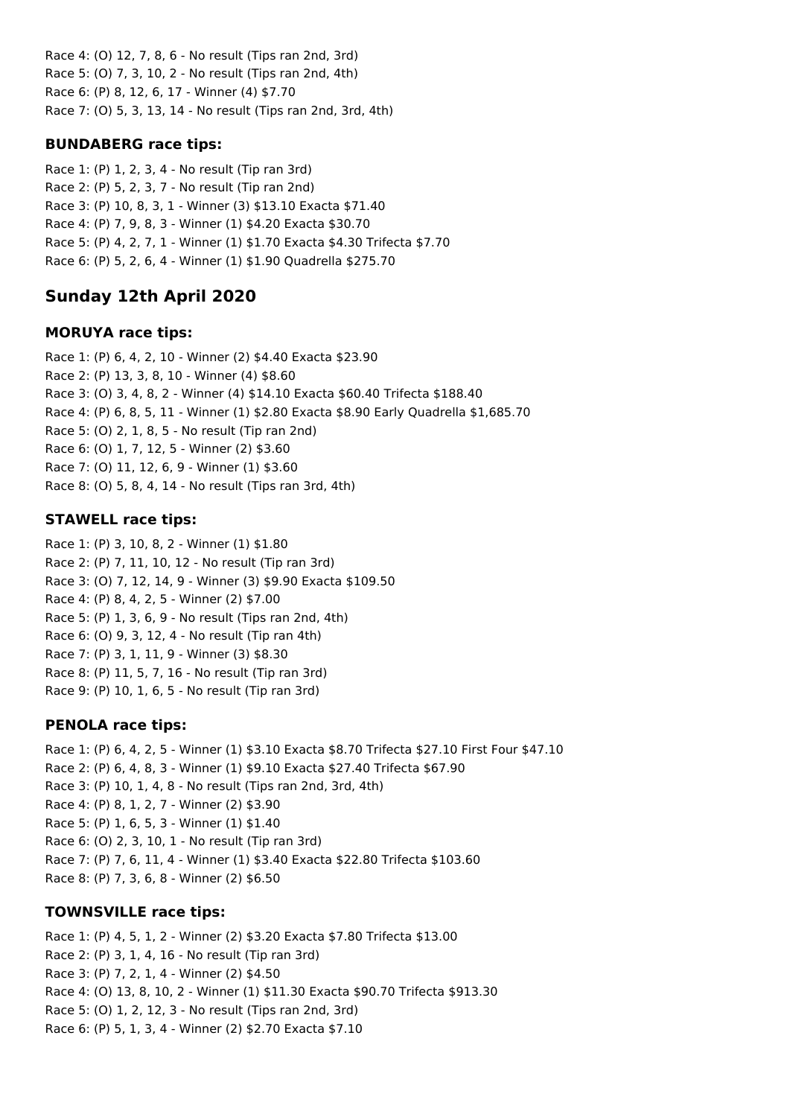Race 4: (O) 12, 7, 8, 6 - No result (Tips ran 2nd, 3rd) Race 5: (O) 7, 3, 10, 2 - No result (Tips ran 2nd, 4th) Race 6: (P) 8, 12, 6, 17 - Winner (4) \$7.70 Race 7: (O) 5, 3, 13, 14 - No result (Tips ran 2nd, 3rd, 4th)

## **BUNDABERG race tips:**

Race 1: (P) 1, 2, 3, 4 - No result (Tip ran 3rd) Race 2: (P) 5, 2, 3, 7 - No result (Tip ran 2nd) Race 3: (P) 10, 8, 3, 1 - Winner (3) \$13.10 Exacta \$71.40 Race 4: (P) 7, 9, 8, 3 - Winner (1) \$4.20 Exacta \$30.70 Race 5: (P) 4, 2, 7, 1 - Winner (1) \$1.70 Exacta \$4.30 Trifecta \$7.70 Race 6: (P) 5, 2, 6, 4 - Winner (1) \$1.90 Quadrella \$275.70

# **Sunday 12th April 2020**

## **MORUYA race tips:**

Race 1: (P) 6, 4, 2, 10 - Winner (2) \$4.40 Exacta \$23.90 Race 2: (P) 13, 3, 8, 10 - Winner (4) \$8.60 Race 3: (O) 3, 4, 8, 2 - Winner (4) \$14.10 Exacta \$60.40 Trifecta \$188.40 Race 4: (P) 6, 8, 5, 11 - Winner (1) \$2.80 Exacta \$8.90 Early Quadrella \$1,685.70 Race 5: (O) 2, 1, 8, 5 - No result (Tip ran 2nd) Race 6: (O) 1, 7, 12, 5 - Winner (2) \$3.60 Race 7: (O) 11, 12, 6, 9 - Winner (1) \$3.60 Race 8: (O) 5, 8, 4, 14 - No result (Tips ran 3rd, 4th)

# **STAWELL race tips:**

Race 1: (P) 3, 10, 8, 2 - Winner (1) \$1.80 Race 2: (P) 7, 11, 10, 12 - No result (Tip ran 3rd) Race 3: (O) 7, 12, 14, 9 - Winner (3) \$9.90 Exacta \$109.50 Race 4: (P) 8, 4, 2, 5 - Winner (2) \$7.00 Race 5: (P) 1, 3, 6, 9 - No result (Tips ran 2nd, 4th) Race 6: (O) 9, 3, 12, 4 - No result (Tip ran 4th) Race 7: (P) 3, 1, 11, 9 - Winner (3) \$8.30 Race 8: (P) 11, 5, 7, 16 - No result (Tip ran 3rd) Race 9: (P) 10, 1, 6, 5 - No result (Tip ran 3rd)

## **PENOLA race tips:**

Race 1: (P) 6, 4, 2, 5 - Winner (1) \$3.10 Exacta \$8.70 Trifecta \$27.10 First Four \$47.10 Race 2: (P) 6, 4, 8, 3 - Winner (1) \$9.10 Exacta \$27.40 Trifecta \$67.90 Race 3: (P) 10, 1, 4, 8 - No result (Tips ran 2nd, 3rd, 4th) Race 4: (P) 8, 1, 2, 7 - Winner (2) \$3.90 Race 5: (P) 1, 6, 5, 3 - Winner (1) \$1.40 Race 6: (O) 2, 3, 10, 1 - No result (Tip ran 3rd) Race 7: (P) 7, 6, 11, 4 - Winner (1) \$3.40 Exacta \$22.80 Trifecta \$103.60 Race 8: (P) 7, 3, 6, 8 - Winner (2) \$6.50

# **TOWNSVILLE race tips:**

Race 1: (P) 4, 5, 1, 2 - Winner (2) \$3.20 Exacta \$7.80 Trifecta \$13.00 Race 2: (P) 3, 1, 4, 16 - No result (Tip ran 3rd) Race 3: (P) 7, 2, 1, 4 - Winner (2) \$4.50 Race 4: (O) 13, 8, 10, 2 - Winner (1) \$11.30 Exacta \$90.70 Trifecta \$913.30 Race 5: (O) 1, 2, 12, 3 - No result (Tips ran 2nd, 3rd) Race 6: (P) 5, 1, 3, 4 - Winner (2) \$2.70 Exacta \$7.10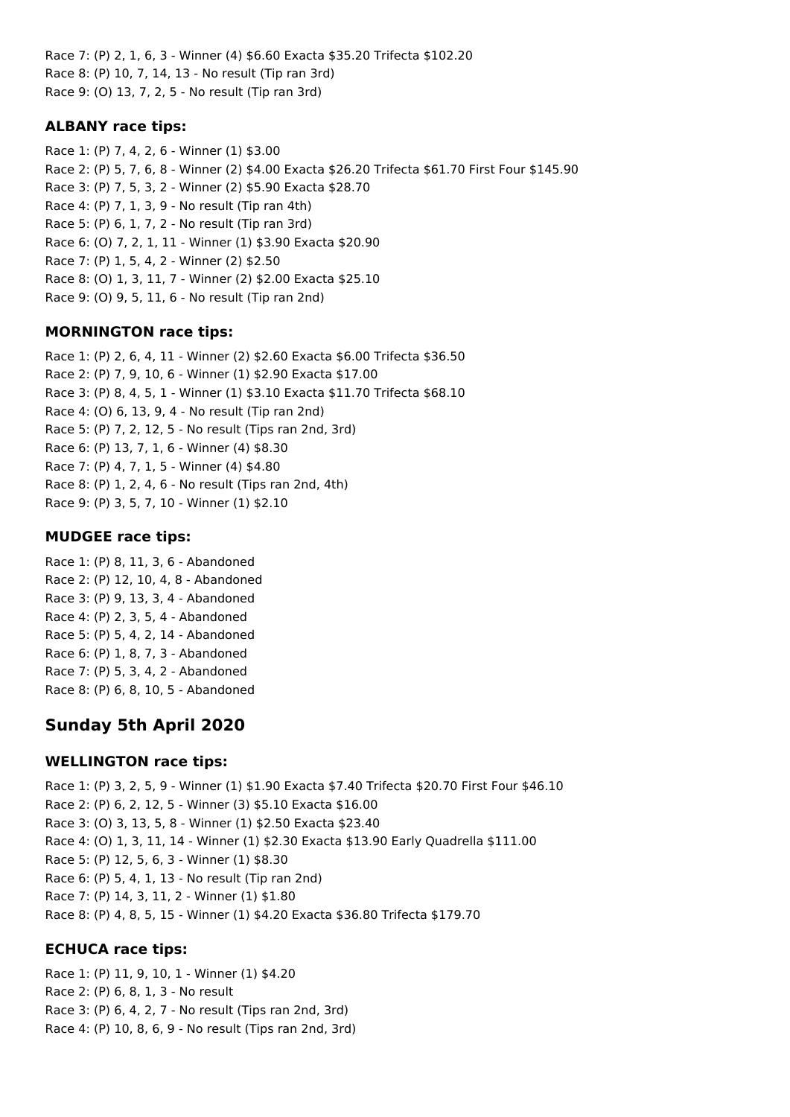Race 7: (P) 2, 1, 6, 3 - Winner (4) \$6.60 Exacta \$35.20 Trifecta \$102.20 Race 8: (P) 10, 7, 14, 13 - No result (Tip ran 3rd) Race 9: (O) 13, 7, 2, 5 - No result (Tip ran 3rd)

## **ALBANY race tips:**

Race 1: (P) 7, 4, 2, 6 - Winner (1) \$3.00 Race 2: (P) 5, 7, 6, 8 - Winner (2) \$4.00 Exacta \$26.20 Trifecta \$61.70 First Four \$145.90 Race 3: (P) 7, 5, 3, 2 - Winner (2) \$5.90 Exacta \$28.70 Race 4: (P) 7, 1, 3, 9 - No result (Tip ran 4th) Race 5: (P) 6, 1, 7, 2 - No result (Tip ran 3rd) Race 6: (O) 7, 2, 1, 11 - Winner (1) \$3.90 Exacta \$20.90 Race 7: (P) 1, 5, 4, 2 - Winner (2) \$2.50 Race 8: (O) 1, 3, 11, 7 - Winner (2) \$2.00 Exacta \$25.10 Race 9: (O) 9, 5, 11, 6 - No result (Tip ran 2nd)

## **MORNINGTON race tips:**

Race 1: (P) 2, 6, 4, 11 - Winner (2) \$2.60 Exacta \$6.00 Trifecta \$36.50 Race 2: (P) 7, 9, 10, 6 - Winner (1) \$2.90 Exacta \$17.00 Race 3: (P) 8, 4, 5, 1 - Winner (1) \$3.10 Exacta \$11.70 Trifecta \$68.10 Race 4: (O) 6, 13, 9, 4 - No result (Tip ran 2nd) Race 5: (P) 7, 2, 12, 5 - No result (Tips ran 2nd, 3rd) Race 6: (P) 13, 7, 1, 6 - Winner (4) \$8.30 Race 7: (P) 4, 7, 1, 5 - Winner (4) \$4.80 Race 8: (P) 1, 2, 4, 6 - No result (Tips ran 2nd, 4th) Race 9: (P) 3, 5, 7, 10 - Winner (1) \$2.10

## **MUDGEE race tips:**

Race 1: (P) 8, 11, 3, 6 - Abandoned Race 2: (P) 12, 10, 4, 8 - Abandoned Race 3: (P) 9, 13, 3, 4 - Abandoned Race 4: (P) 2, 3, 5, 4 - Abandoned Race 5: (P) 5, 4, 2, 14 - Abandoned Race 6: (P) 1, 8, 7, 3 - Abandoned Race 7: (P) 5, 3, 4, 2 - Abandoned Race 8: (P) 6, 8, 10, 5 - Abandoned

# **Sunday 5th April 2020**

## **WELLINGTON race tips:**

Race 1: (P) 3, 2, 5, 9 - Winner (1) \$1.90 Exacta \$7.40 Trifecta \$20.70 First Four \$46.10 Race 2: (P) 6, 2, 12, 5 - Winner (3) \$5.10 Exacta \$16.00 Race 3: (O) 3, 13, 5, 8 - Winner (1) \$2.50 Exacta \$23.40 Race 4: (O) 1, 3, 11, 14 - Winner (1) \$2.30 Exacta \$13.90 Early Quadrella \$111.00 Race 5: (P) 12, 5, 6, 3 - Winner (1) \$8.30 Race 6: (P) 5, 4, 1, 13 - No result (Tip ran 2nd) Race 7: (P) 14, 3, 11, 2 - Winner (1) \$1.80 Race 8: (P) 4, 8, 5, 15 - Winner (1) \$4.20 Exacta \$36.80 Trifecta \$179.70

## **ECHUCA race tips:**

Race 1: (P) 11, 9, 10, 1 - Winner (1) \$4.20 Race 2: (P) 6, 8, 1, 3 - No result Race 3: (P) 6, 4, 2, 7 - No result (Tips ran 2nd, 3rd) Race 4: (P) 10, 8, 6, 9 - No result (Tips ran 2nd, 3rd)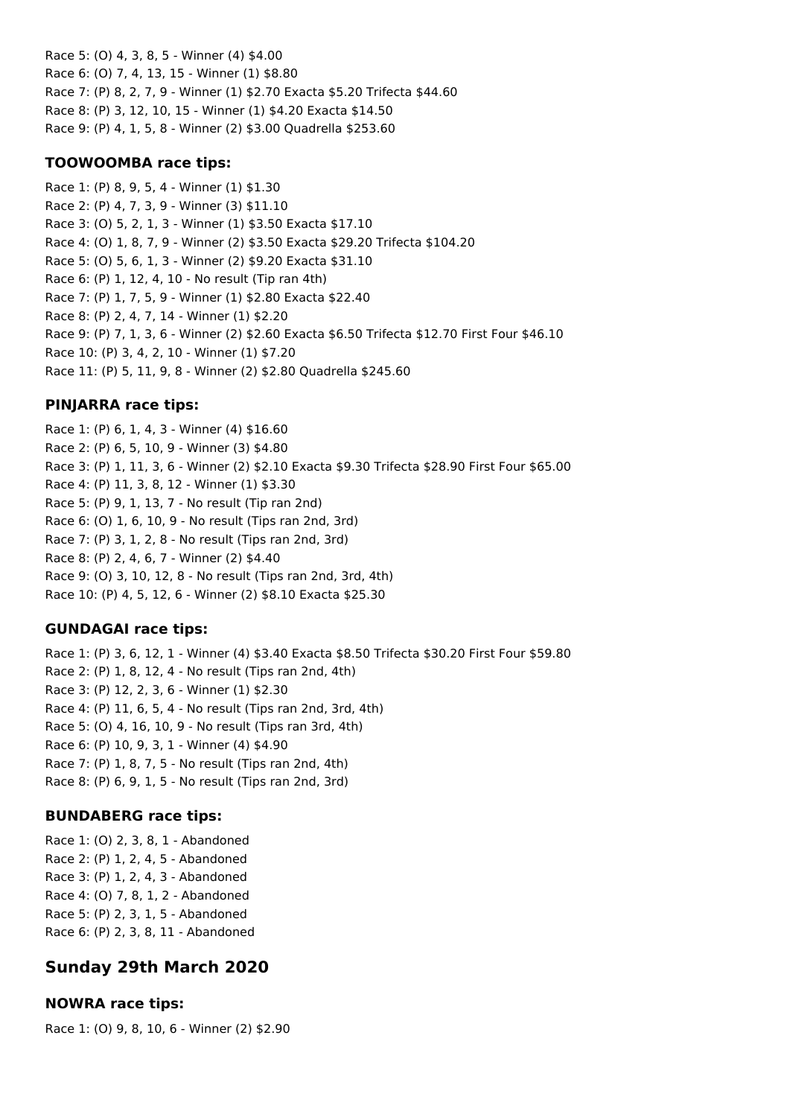Race 5: (O) 4, 3, 8, 5 - Winner (4) \$4.00 Race 6: (O) 7, 4, 13, 15 - Winner (1) \$8.80 Race 7: (P) 8, 2, 7, 9 - Winner (1) \$2.70 Exacta \$5.20 Trifecta \$44.60 Race 8: (P) 3, 12, 10, 15 - Winner (1) \$4.20 Exacta \$14.50 Race 9: (P) 4, 1, 5, 8 - Winner (2) \$3.00 Quadrella \$253.60

#### **TOOWOOMBA race tips:**

Race 1: (P) 8, 9, 5, 4 - Winner (1) \$1.30 Race 2: (P) 4, 7, 3, 9 - Winner (3) \$11.10 Race 3: (O) 5, 2, 1, 3 - Winner (1) \$3.50 Exacta \$17.10 Race 4: (O) 1, 8, 7, 9 - Winner (2) \$3.50 Exacta \$29.20 Trifecta \$104.20 Race 5: (O) 5, 6, 1, 3 - Winner (2) \$9.20 Exacta \$31.10 Race 6: (P) 1, 12, 4, 10 - No result (Tip ran 4th) Race 7: (P) 1, 7, 5, 9 - Winner (1) \$2.80 Exacta \$22.40 Race 8: (P) 2, 4, 7, 14 - Winner (1) \$2.20 Race 9: (P) 7, 1, 3, 6 - Winner (2) \$2.60 Exacta \$6.50 Trifecta \$12.70 First Four \$46.10 Race 10: (P) 3, 4, 2, 10 - Winner (1) \$7.20 Race 11: (P) 5, 11, 9, 8 - Winner (2) \$2.80 Quadrella \$245.60

## **PINJARRA race tips:**

Race 1: (P) 6, 1, 4, 3 - Winner (4) \$16.60 Race 2: (P) 6, 5, 10, 9 - Winner (3) \$4.80 Race 3: (P) 1, 11, 3, 6 - Winner (2) \$2.10 Exacta \$9.30 Trifecta \$28.90 First Four \$65.00 Race 4: (P) 11, 3, 8, 12 - Winner (1) \$3.30 Race 5: (P) 9, 1, 13, 7 - No result (Tip ran 2nd) Race 6: (O) 1, 6, 10, 9 - No result (Tips ran 2nd, 3rd) Race 7: (P) 3, 1, 2, 8 - No result (Tips ran 2nd, 3rd) Race 8: (P) 2, 4, 6, 7 - Winner (2) \$4.40 Race 9: (O) 3, 10, 12, 8 - No result (Tips ran 2nd, 3rd, 4th) Race 10: (P) 4, 5, 12, 6 - Winner (2) \$8.10 Exacta \$25.30

## **GUNDAGAI race tips:**

Race 1: (P) 3, 6, 12, 1 - Winner (4) \$3.40 Exacta \$8.50 Trifecta \$30.20 First Four \$59.80 Race 2: (P) 1, 8, 12, 4 - No result (Tips ran 2nd, 4th) Race 3: (P) 12, 2, 3, 6 - Winner (1) \$2.30 Race 4: (P) 11, 6, 5, 4 - No result (Tips ran 2nd, 3rd, 4th) Race 5: (O) 4, 16, 10, 9 - No result (Tips ran 3rd, 4th) Race 6: (P) 10, 9, 3, 1 - Winner (4) \$4.90 Race 7: (P) 1, 8, 7, 5 - No result (Tips ran 2nd, 4th) Race 8: (P) 6, 9, 1, 5 - No result (Tips ran 2nd, 3rd)

## **BUNDABERG race tips:**

Race 1: (O) 2, 3, 8, 1 - Abandoned Race 2: (P) 1, 2, 4, 5 - Abandoned Race 3: (P) 1, 2, 4, 3 - Abandoned Race 4: (O) 7, 8, 1, 2 - Abandoned Race 5: (P) 2, 3, 1, 5 - Abandoned Race 6: (P) 2, 3, 8, 11 - Abandoned

# **Sunday 29th March 2020**

## **NOWRA race tips:**

Race 1: (O) 9, 8, 10, 6 - Winner (2) \$2.90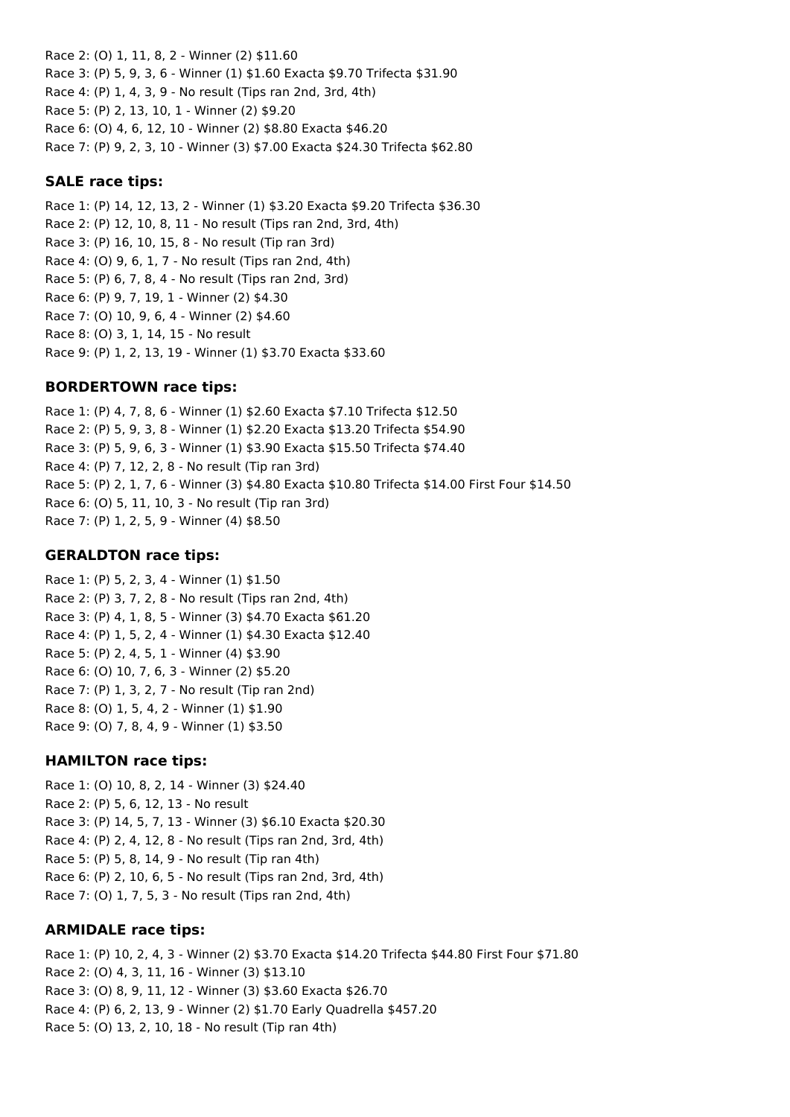Race 2: (O) 1, 11, 8, 2 - Winner (2) \$11.60 Race 3: (P) 5, 9, 3, 6 - Winner (1) \$1.60 Exacta \$9.70 Trifecta \$31.90 Race 4: (P) 1, 4, 3, 9 - No result (Tips ran 2nd, 3rd, 4th) Race 5: (P) 2, 13, 10, 1 - Winner (2) \$9.20 Race 6: (O) 4, 6, 12, 10 - Winner (2) \$8.80 Exacta \$46.20 Race 7: (P) 9, 2, 3, 10 - Winner (3) \$7.00 Exacta \$24.30 Trifecta \$62.80

#### **SALE race tips:**

Race 1: (P) 14, 12, 13, 2 - Winner (1) \$3.20 Exacta \$9.20 Trifecta \$36.30 Race 2: (P) 12, 10, 8, 11 - No result (Tips ran 2nd, 3rd, 4th) Race 3: (P) 16, 10, 15, 8 - No result (Tip ran 3rd) Race 4: (O) 9, 6, 1, 7 - No result (Tips ran 2nd, 4th) Race 5: (P) 6, 7, 8, 4 - No result (Tips ran 2nd, 3rd) Race 6: (P) 9, 7, 19, 1 - Winner (2) \$4.30 Race 7: (O) 10, 9, 6, 4 - Winner (2) \$4.60 Race 8: (O) 3, 1, 14, 15 - No result Race 9: (P) 1, 2, 13, 19 - Winner (1) \$3.70 Exacta \$33.60

#### **BORDERTOWN race tips:**

Race 1: (P) 4, 7, 8, 6 - Winner (1) \$2.60 Exacta \$7.10 Trifecta \$12.50 Race 2: (P) 5, 9, 3, 8 - Winner (1) \$2.20 Exacta \$13.20 Trifecta \$54.90 Race 3: (P) 5, 9, 6, 3 - Winner (1) \$3.90 Exacta \$15.50 Trifecta \$74.40 Race 4: (P) 7, 12, 2, 8 - No result (Tip ran 3rd) Race 5: (P) 2, 1, 7, 6 - Winner (3) \$4.80 Exacta \$10.80 Trifecta \$14.00 First Four \$14.50 Race 6: (O) 5, 11, 10, 3 - No result (Tip ran 3rd) Race 7: (P) 1, 2, 5, 9 - Winner (4) \$8.50

#### **GERALDTON race tips:**

Race 1: (P) 5, 2, 3, 4 - Winner (1) \$1.50 Race 2: (P) 3, 7, 2, 8 - No result (Tips ran 2nd, 4th) Race 3: (P) 4, 1, 8, 5 - Winner (3) \$4.70 Exacta \$61.20 Race 4: (P) 1, 5, 2, 4 - Winner (1) \$4.30 Exacta \$12.40 Race 5: (P) 2, 4, 5, 1 - Winner (4) \$3.90 Race 6: (O) 10, 7, 6, 3 - Winner (2) \$5.20 Race 7: (P) 1, 3, 2, 7 - No result (Tip ran 2nd) Race 8: (O) 1, 5, 4, 2 - Winner (1) \$1.90 Race 9: (O) 7, 8, 4, 9 - Winner (1) \$3.50

#### **HAMILTON race tips:**

Race 1: (O) 10, 8, 2, 14 - Winner (3) \$24.40 Race 2: (P) 5, 6, 12, 13 - No result Race 3: (P) 14, 5, 7, 13 - Winner (3) \$6.10 Exacta \$20.30 Race 4: (P) 2, 4, 12, 8 - No result (Tips ran 2nd, 3rd, 4th) Race 5: (P) 5, 8, 14, 9 - No result (Tip ran 4th) Race 6: (P) 2, 10, 6, 5 - No result (Tips ran 2nd, 3rd, 4th) Race 7: (O) 1, 7, 5, 3 - No result (Tips ran 2nd, 4th)

#### **ARMIDALE race tips:**

Race 1: (P) 10, 2, 4, 3 - Winner (2) \$3.70 Exacta \$14.20 Trifecta \$44.80 First Four \$71.80 Race 2: (O) 4, 3, 11, 16 - Winner (3) \$13.10 Race 3: (O) 8, 9, 11, 12 - Winner (3) \$3.60 Exacta \$26.70 Race 4: (P) 6, 2, 13, 9 - Winner (2) \$1.70 Early Quadrella \$457.20 Race 5: (O) 13, 2, 10, 18 - No result (Tip ran 4th)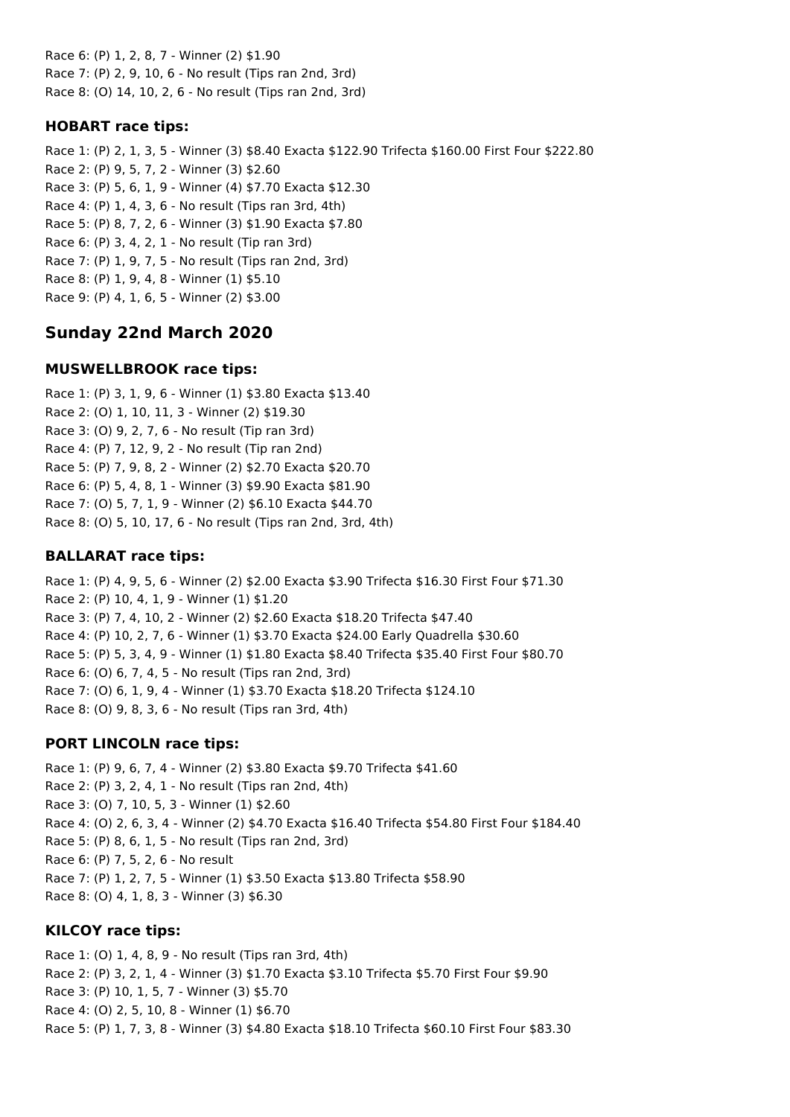Race 6: (P) 1, 2, 8, 7 - Winner (2) \$1.90 Race 7: (P) 2, 9, 10, 6 - No result (Tips ran 2nd, 3rd) Race 8: (O) 14, 10, 2, 6 - No result (Tips ran 2nd, 3rd)

## **HOBART race tips:**

Race 1: (P) 2, 1, 3, 5 - Winner (3) \$8.40 Exacta \$122.90 Trifecta \$160.00 First Four \$222.80 Race 2: (P) 9, 5, 7, 2 - Winner (3) \$2.60 Race 3: (P) 5, 6, 1, 9 - Winner (4) \$7.70 Exacta \$12.30 Race 4: (P) 1, 4, 3, 6 - No result (Tips ran 3rd, 4th) Race 5: (P) 8, 7, 2, 6 - Winner (3) \$1.90 Exacta \$7.80 Race 6: (P) 3, 4, 2, 1 - No result (Tip ran 3rd) Race 7: (P) 1, 9, 7, 5 - No result (Tips ran 2nd, 3rd) Race 8: (P) 1, 9, 4, 8 - Winner (1) \$5.10 Race 9: (P) 4, 1, 6, 5 - Winner (2) \$3.00

# **Sunday 22nd March 2020**

## **MUSWELLBROOK race tips:**

Race 1: (P) 3, 1, 9, 6 - Winner (1) \$3.80 Exacta \$13.40 Race 2: (O) 1, 10, 11, 3 - Winner (2) \$19.30 Race 3: (O) 9, 2, 7, 6 - No result (Tip ran 3rd) Race 4: (P) 7, 12, 9, 2 - No result (Tip ran 2nd) Race 5: (P) 7, 9, 8, 2 - Winner (2) \$2.70 Exacta \$20.70 Race 6: (P) 5, 4, 8, 1 - Winner (3) \$9.90 Exacta \$81.90 Race 7: (O) 5, 7, 1, 9 - Winner (2) \$6.10 Exacta \$44.70 Race 8: (O) 5, 10, 17, 6 - No result (Tips ran 2nd, 3rd, 4th)

## **BALLARAT race tips:**

Race 1: (P) 4, 9, 5, 6 - Winner (2) \$2.00 Exacta \$3.90 Trifecta \$16.30 First Four \$71.30 Race 2: (P) 10, 4, 1, 9 - Winner (1) \$1.20 Race 3: (P) 7, 4, 10, 2 - Winner (2) \$2.60 Exacta \$18.20 Trifecta \$47.40 Race 4: (P) 10, 2, 7, 6 - Winner (1) \$3.70 Exacta \$24.00 Early Quadrella \$30.60 Race 5: (P) 5, 3, 4, 9 - Winner (1) \$1.80 Exacta \$8.40 Trifecta \$35.40 First Four \$80.70 Race 6: (O) 6, 7, 4, 5 - No result (Tips ran 2nd, 3rd) Race 7: (O) 6, 1, 9, 4 - Winner (1) \$3.70 Exacta \$18.20 Trifecta \$124.10 Race 8: (O) 9, 8, 3, 6 - No result (Tips ran 3rd, 4th)

# **PORT LINCOLN race tips:**

Race 1: (P) 9, 6, 7, 4 - Winner (2) \$3.80 Exacta \$9.70 Trifecta \$41.60 Race 2: (P) 3, 2, 4, 1 - No result (Tips ran 2nd, 4th) Race 3: (O) 7, 10, 5, 3 - Winner (1) \$2.60 Race 4: (O) 2, 6, 3, 4 - Winner (2) \$4.70 Exacta \$16.40 Trifecta \$54.80 First Four \$184.40 Race 5: (P) 8, 6, 1, 5 - No result (Tips ran 2nd, 3rd) Race 6: (P) 7, 5, 2, 6 - No result Race 7: (P) 1, 2, 7, 5 - Winner (1) \$3.50 Exacta \$13.80 Trifecta \$58.90 Race 8: (O) 4, 1, 8, 3 - Winner (3) \$6.30

# **KILCOY race tips:**

Race 1: (O) 1, 4, 8, 9 - No result (Tips ran 3rd, 4th) Race 2: (P) 3, 2, 1, 4 - Winner (3) \$1.70 Exacta \$3.10 Trifecta \$5.70 First Four \$9.90 Race 3: (P) 10, 1, 5, 7 - Winner (3) \$5.70 Race 4: (O) 2, 5, 10, 8 - Winner (1) \$6.70 Race 5: (P) 1, 7, 3, 8 - Winner (3) \$4.80 Exacta \$18.10 Trifecta \$60.10 First Four \$83.30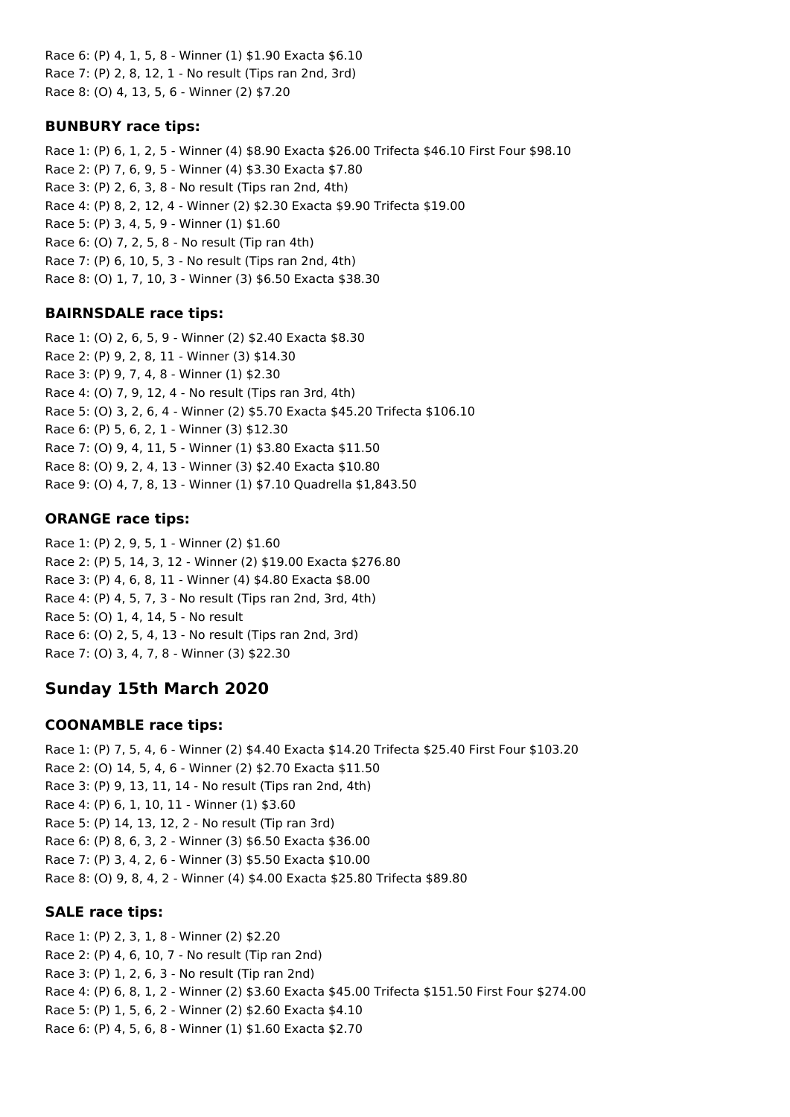Race 6: (P) 4, 1, 5, 8 - Winner (1) \$1.90 Exacta \$6.10 Race 7: (P) 2, 8, 12, 1 - No result (Tips ran 2nd, 3rd) Race 8: (O) 4, 13, 5, 6 - Winner (2) \$7.20

#### **BUNBURY race tips:**

Race 1: (P) 6, 1, 2, 5 - Winner (4) \$8.90 Exacta \$26.00 Trifecta \$46.10 First Four \$98.10 Race 2: (P) 7, 6, 9, 5 - Winner (4) \$3.30 Exacta \$7.80 Race 3: (P) 2, 6, 3, 8 - No result (Tips ran 2nd, 4th) Race 4: (P) 8, 2, 12, 4 - Winner (2) \$2.30 Exacta \$9.90 Trifecta \$19.00 Race 5: (P) 3, 4, 5, 9 - Winner (1) \$1.60 Race 6: (O) 7, 2, 5, 8 - No result (Tip ran 4th) Race 7: (P) 6, 10, 5, 3 - No result (Tips ran 2nd, 4th) Race 8: (O) 1, 7, 10, 3 - Winner (3) \$6.50 Exacta \$38.30

## **BAIRNSDALE race tips:**

Race 1: (O) 2, 6, 5, 9 - Winner (2) \$2.40 Exacta \$8.30 Race 2: (P) 9, 2, 8, 11 - Winner (3) \$14.30 Race 3: (P) 9, 7, 4, 8 - Winner (1) \$2.30 Race 4: (O) 7, 9, 12, 4 - No result (Tips ran 3rd, 4th) Race 5: (O) 3, 2, 6, 4 - Winner (2) \$5.70 Exacta \$45.20 Trifecta \$106.10 Race 6: (P) 5, 6, 2, 1 - Winner (3) \$12.30 Race 7: (O) 9, 4, 11, 5 - Winner (1) \$3.80 Exacta \$11.50 Race 8: (O) 9, 2, 4, 13 - Winner (3) \$2.40 Exacta \$10.80 Race 9: (O) 4, 7, 8, 13 - Winner (1) \$7.10 Quadrella \$1,843.50

#### **ORANGE race tips:**

Race 1: (P) 2, 9, 5, 1 - Winner (2) \$1.60 Race 2: (P) 5, 14, 3, 12 - Winner (2) \$19.00 Exacta \$276.80 Race 3: (P) 4, 6, 8, 11 - Winner (4) \$4.80 Exacta \$8.00 Race 4: (P) 4, 5, 7, 3 - No result (Tips ran 2nd, 3rd, 4th) Race 5: (O) 1, 4, 14, 5 - No result Race 6: (O) 2, 5, 4, 13 - No result (Tips ran 2nd, 3rd) Race 7: (O) 3, 4, 7, 8 - Winner (3) \$22.30

# **Sunday 15th March 2020**

## **COONAMBLE race tips:**

Race 1: (P) 7, 5, 4, 6 - Winner (2) \$4.40 Exacta \$14.20 Trifecta \$25.40 First Four \$103.20 Race 2: (O) 14, 5, 4, 6 - Winner (2) \$2.70 Exacta \$11.50 Race 3: (P) 9, 13, 11, 14 - No result (Tips ran 2nd, 4th) Race 4: (P) 6, 1, 10, 11 - Winner (1) \$3.60 Race 5: (P) 14, 13, 12, 2 - No result (Tip ran 3rd) Race 6: (P) 8, 6, 3, 2 - Winner (3) \$6.50 Exacta \$36.00 Race 7: (P) 3, 4, 2, 6 - Winner (3) \$5.50 Exacta \$10.00 Race 8: (O) 9, 8, 4, 2 - Winner (4) \$4.00 Exacta \$25.80 Trifecta \$89.80

#### **SALE race tips:**

Race 1: (P) 2, 3, 1, 8 - Winner (2) \$2.20 Race 2: (P) 4, 6, 10, 7 - No result (Tip ran 2nd) Race 3: (P) 1, 2, 6, 3 - No result (Tip ran 2nd) Race 4: (P) 6, 8, 1, 2 - Winner (2) \$3.60 Exacta \$45.00 Trifecta \$151.50 First Four \$274.00 Race 5: (P) 1, 5, 6, 2 - Winner (2) \$2.60 Exacta \$4.10 Race 6: (P) 4, 5, 6, 8 - Winner (1) \$1.60 Exacta \$2.70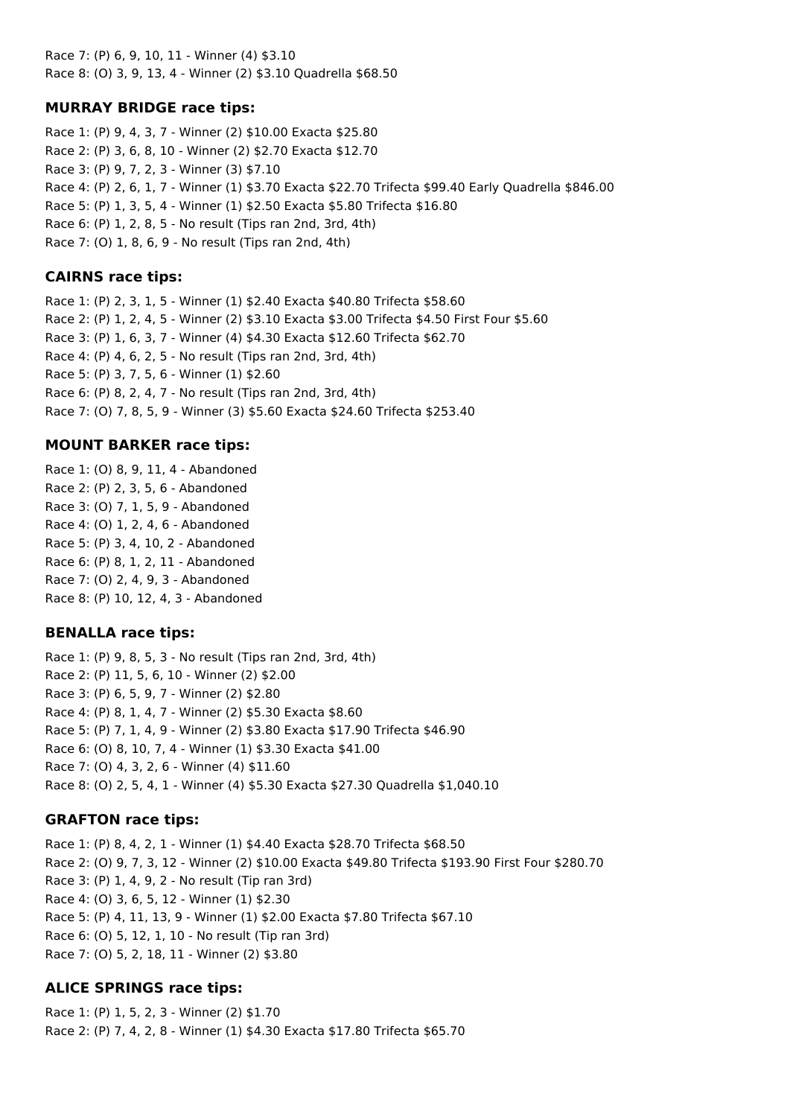Race 7: (P) 6, 9, 10, 11 - Winner (4) \$3.10 Race 8: (O) 3, 9, 13, 4 - Winner (2) \$3.10 Quadrella \$68.50

#### **MURRAY BRIDGE race tips:**

Race 1: (P) 9, 4, 3, 7 - Winner (2) \$10.00 Exacta \$25.80 Race 2: (P) 3, 6, 8, 10 - Winner (2) \$2.70 Exacta \$12.70 Race 3: (P) 9, 7, 2, 3 - Winner (3) \$7.10 Race 4: (P) 2, 6, 1, 7 - Winner (1) \$3.70 Exacta \$22.70 Trifecta \$99.40 Early Quadrella \$846.00 Race 5: (P) 1, 3, 5, 4 - Winner (1) \$2.50 Exacta \$5.80 Trifecta \$16.80 Race 6: (P) 1, 2, 8, 5 - No result (Tips ran 2nd, 3rd, 4th) Race 7: (O) 1, 8, 6, 9 - No result (Tips ran 2nd, 4th)

#### **CAIRNS race tips:**

Race 1: (P) 2, 3, 1, 5 - Winner (1) \$2.40 Exacta \$40.80 Trifecta \$58.60 Race 2: (P) 1, 2, 4, 5 - Winner (2) \$3.10 Exacta \$3.00 Trifecta \$4.50 First Four \$5.60 Race 3: (P) 1, 6, 3, 7 - Winner (4) \$4.30 Exacta \$12.60 Trifecta \$62.70 Race 4: (P) 4, 6, 2, 5 - No result (Tips ran 2nd, 3rd, 4th) Race 5: (P) 3, 7, 5, 6 - Winner (1) \$2.60 Race 6: (P) 8, 2, 4, 7 - No result (Tips ran 2nd, 3rd, 4th) Race 7: (O) 7, 8, 5, 9 - Winner (3) \$5.60 Exacta \$24.60 Trifecta \$253.40

#### **MOUNT BARKER race tips:**

Race 1: (O) 8, 9, 11, 4 - Abandoned Race 2: (P) 2, 3, 5, 6 - Abandoned Race 3: (O) 7, 1, 5, 9 - Abandoned Race 4: (O) 1, 2, 4, 6 - Abandoned Race 5: (P) 3, 4, 10, 2 - Abandoned Race 6: (P) 8, 1, 2, 11 - Abandoned Race 7: (O) 2, 4, 9, 3 - Abandoned Race 8: (P) 10, 12, 4, 3 - Abandoned

#### **BENALLA race tips:**

Race 1: (P) 9, 8, 5, 3 - No result (Tips ran 2nd, 3rd, 4th) Race 2: (P) 11, 5, 6, 10 - Winner (2) \$2.00 Race 3: (P) 6, 5, 9, 7 - Winner (2) \$2.80 Race 4: (P) 8, 1, 4, 7 - Winner (2) \$5.30 Exacta \$8.60 Race 5: (P) 7, 1, 4, 9 - Winner (2) \$3.80 Exacta \$17.90 Trifecta \$46.90 Race 6: (O) 8, 10, 7, 4 - Winner (1) \$3.30 Exacta \$41.00 Race 7: (O) 4, 3, 2, 6 - Winner (4) \$11.60 Race 8: (O) 2, 5, 4, 1 - Winner (4) \$5.30 Exacta \$27.30 Quadrella \$1,040.10

## **GRAFTON race tips:**

Race 1: (P) 8, 4, 2, 1 - Winner (1) \$4.40 Exacta \$28.70 Trifecta \$68.50 Race 2: (O) 9, 7, 3, 12 - Winner (2) \$10.00 Exacta \$49.80 Trifecta \$193.90 First Four \$280.70 Race 3: (P) 1, 4, 9, 2 - No result (Tip ran 3rd) Race 4: (O) 3, 6, 5, 12 - Winner (1) \$2.30 Race 5: (P) 4, 11, 13, 9 - Winner (1) \$2.00 Exacta \$7.80 Trifecta \$67.10 Race 6: (O) 5, 12, 1, 10 - No result (Tip ran 3rd) Race 7: (O) 5, 2, 18, 11 - Winner (2) \$3.80

## **ALICE SPRINGS race tips:**

Race 1: (P) 1, 5, 2, 3 - Winner (2) \$1.70 Race 2: (P) 7, 4, 2, 8 - Winner (1) \$4.30 Exacta \$17.80 Trifecta \$65.70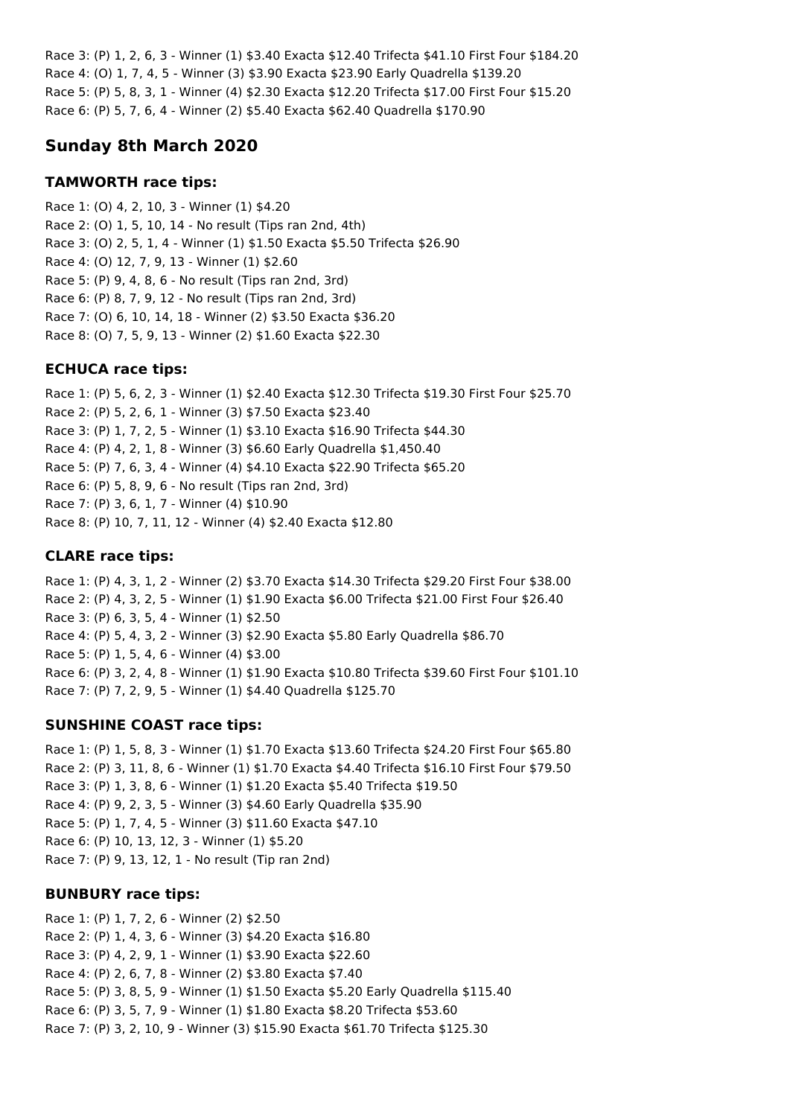Race 3: (P) 1, 2, 6, 3 - Winner (1) \$3.40 Exacta \$12.40 Trifecta \$41.10 First Four \$184.20 Race 4: (O) 1, 7, 4, 5 - Winner (3) \$3.90 Exacta \$23.90 Early Quadrella \$139.20 Race 5: (P) 5, 8, 3, 1 - Winner (4) \$2.30 Exacta \$12.20 Trifecta \$17.00 First Four \$15.20 Race 6: (P) 5, 7, 6, 4 - Winner (2) \$5.40 Exacta \$62.40 Quadrella \$170.90

# **Sunday 8th March 2020**

#### **TAMWORTH race tips:**

Race 1: (O) 4, 2, 10, 3 - Winner (1) \$4.20 Race 2: (O) 1, 5, 10, 14 - No result (Tips ran 2nd, 4th) Race 3: (O) 2, 5, 1, 4 - Winner (1) \$1.50 Exacta \$5.50 Trifecta \$26.90 Race 4: (O) 12, 7, 9, 13 - Winner (1) \$2.60 Race 5: (P) 9, 4, 8, 6 - No result (Tips ran 2nd, 3rd) Race 6: (P) 8, 7, 9, 12 - No result (Tips ran 2nd, 3rd) Race 7: (O) 6, 10, 14, 18 - Winner (2) \$3.50 Exacta \$36.20 Race 8: (O) 7, 5, 9, 13 - Winner (2) \$1.60 Exacta \$22.30

#### **ECHUCA race tips:**

Race 1: (P) 5, 6, 2, 3 - Winner (1) \$2.40 Exacta \$12.30 Trifecta \$19.30 First Four \$25.70 Race 2: (P) 5, 2, 6, 1 - Winner (3) \$7.50 Exacta \$23.40 Race 3: (P) 1, 7, 2, 5 - Winner (1) \$3.10 Exacta \$16.90 Trifecta \$44.30 Race 4: (P) 4, 2, 1, 8 - Winner (3) \$6.60 Early Quadrella \$1,450.40 Race 5: (P) 7, 6, 3, 4 - Winner (4) \$4.10 Exacta \$22.90 Trifecta \$65.20 Race 6: (P) 5, 8, 9, 6 - No result (Tips ran 2nd, 3rd) Race 7: (P) 3, 6, 1, 7 - Winner (4) \$10.90 Race 8: (P) 10, 7, 11, 12 - Winner (4) \$2.40 Exacta \$12.80

#### **CLARE race tips:**

Race 1: (P) 4, 3, 1, 2 - Winner (2) \$3.70 Exacta \$14.30 Trifecta \$29.20 First Four \$38.00 Race 2: (P) 4, 3, 2, 5 - Winner (1) \$1.90 Exacta \$6.00 Trifecta \$21.00 First Four \$26.40 Race 3: (P) 6, 3, 5, 4 - Winner (1) \$2.50 Race 4: (P) 5, 4, 3, 2 - Winner (3) \$2.90 Exacta \$5.80 Early Quadrella \$86.70 Race 5: (P) 1, 5, 4, 6 - Winner (4) \$3.00 Race 6: (P) 3, 2, 4, 8 - Winner (1) \$1.90 Exacta \$10.80 Trifecta \$39.60 First Four \$101.10 Race 7: (P) 7, 2, 9, 5 - Winner (1) \$4.40 Quadrella \$125.70

## **SUNSHINE COAST race tips:**

Race 1: (P) 1, 5, 8, 3 - Winner (1) \$1.70 Exacta \$13.60 Trifecta \$24.20 First Four \$65.80 Race 2: (P) 3, 11, 8, 6 - Winner (1) \$1.70 Exacta \$4.40 Trifecta \$16.10 First Four \$79.50 Race 3: (P) 1, 3, 8, 6 - Winner (1) \$1.20 Exacta \$5.40 Trifecta \$19.50 Race 4: (P) 9, 2, 3, 5 - Winner (3) \$4.60 Early Quadrella \$35.90 Race 5: (P) 1, 7, 4, 5 - Winner (3) \$11.60 Exacta \$47.10 Race 6: (P) 10, 13, 12, 3 - Winner (1) \$5.20 Race 7: (P) 9, 13, 12, 1 - No result (Tip ran 2nd)

#### **BUNBURY race tips:**

Race 1: (P) 1, 7, 2, 6 - Winner (2) \$2.50 Race 2: (P) 1, 4, 3, 6 - Winner (3) \$4.20 Exacta \$16.80 Race 3: (P) 4, 2, 9, 1 - Winner (1) \$3.90 Exacta \$22.60 Race 4: (P) 2, 6, 7, 8 - Winner (2) \$3.80 Exacta \$7.40 Race 5: (P) 3, 8, 5, 9 - Winner (1) \$1.50 Exacta \$5.20 Early Quadrella \$115.40 Race 6: (P) 3, 5, 7, 9 - Winner (1) \$1.80 Exacta \$8.20 Trifecta \$53.60 Race 7: (P) 3, 2, 10, 9 - Winner (3) \$15.90 Exacta \$61.70 Trifecta \$125.30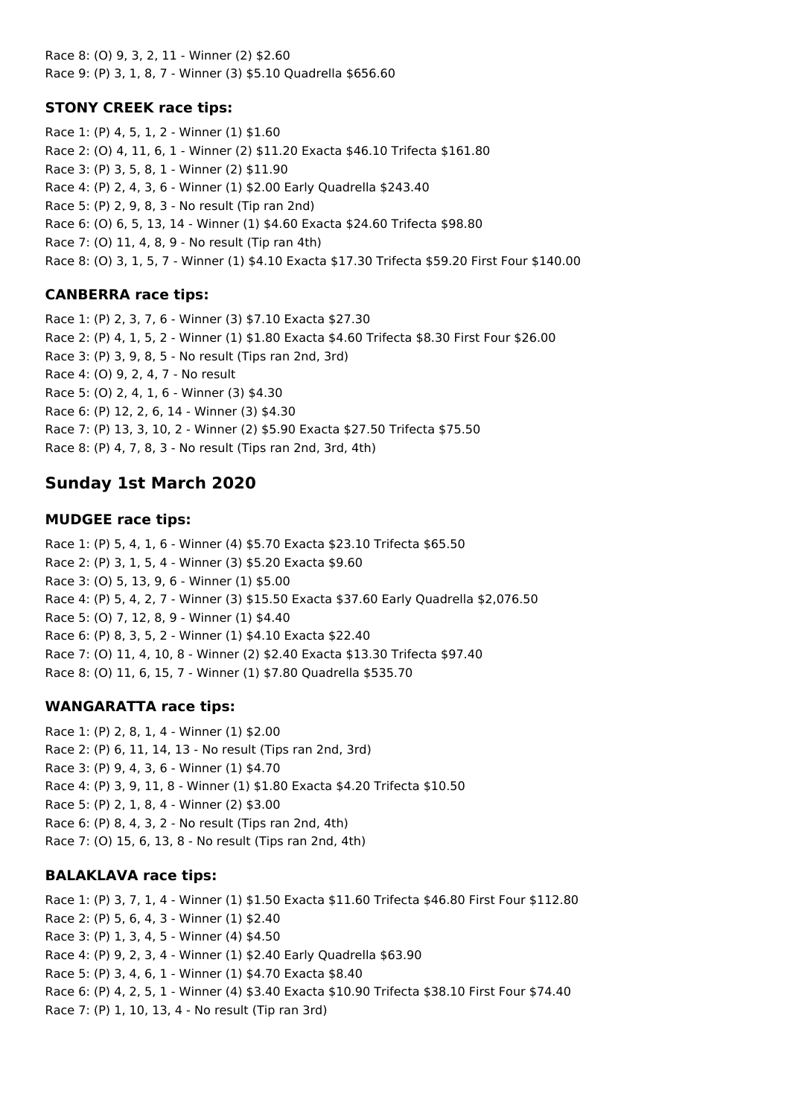Race 8: (O) 9, 3, 2, 11 - Winner (2) \$2.60 Race 9: (P) 3, 1, 8, 7 - Winner (3) \$5.10 Quadrella \$656.60

## **STONY CREEK race tips:**

Race 1: (P) 4, 5, 1, 2 - Winner (1) \$1.60 Race 2: (O) 4, 11, 6, 1 - Winner (2) \$11.20 Exacta \$46.10 Trifecta \$161.80 Race 3: (P) 3, 5, 8, 1 - Winner (2) \$11.90 Race 4: (P) 2, 4, 3, 6 - Winner (1) \$2.00 Early Quadrella \$243.40 Race 5: (P) 2, 9, 8, 3 - No result (Tip ran 2nd) Race 6: (O) 6, 5, 13, 14 - Winner (1) \$4.60 Exacta \$24.60 Trifecta \$98.80 Race 7: (O) 11, 4, 8, 9 - No result (Tip ran 4th) Race 8: (O) 3, 1, 5, 7 - Winner (1) \$4.10 Exacta \$17.30 Trifecta \$59.20 First Four \$140.00

## **CANBERRA race tips:**

Race 1: (P) 2, 3, 7, 6 - Winner (3) \$7.10 Exacta \$27.30 Race 2: (P) 4, 1, 5, 2 - Winner (1) \$1.80 Exacta \$4.60 Trifecta \$8.30 First Four \$26.00 Race 3: (P) 3, 9, 8, 5 - No result (Tips ran 2nd, 3rd) Race 4: (O) 9, 2, 4, 7 - No result Race 5: (O) 2, 4, 1, 6 - Winner (3) \$4.30 Race 6: (P) 12, 2, 6, 14 - Winner (3) \$4.30 Race 7: (P) 13, 3, 10, 2 - Winner (2) \$5.90 Exacta \$27.50 Trifecta \$75.50 Race 8: (P) 4, 7, 8, 3 - No result (Tips ran 2nd, 3rd, 4th)

# **Sunday 1st March 2020**

## **MUDGEE race tips:**

Race 1: (P) 5, 4, 1, 6 - Winner (4) \$5.70 Exacta \$23.10 Trifecta \$65.50 Race 2: (P) 3, 1, 5, 4 - Winner (3) \$5.20 Exacta \$9.60 Race 3: (O) 5, 13, 9, 6 - Winner (1) \$5.00 Race 4: (P) 5, 4, 2, 7 - Winner (3) \$15.50 Exacta \$37.60 Early Quadrella \$2,076.50 Race 5: (O) 7, 12, 8, 9 - Winner (1) \$4.40 Race 6: (P) 8, 3, 5, 2 - Winner (1) \$4.10 Exacta \$22.40 Race 7: (O) 11, 4, 10, 8 - Winner (2) \$2.40 Exacta \$13.30 Trifecta \$97.40 Race 8: (O) 11, 6, 15, 7 - Winner (1) \$7.80 Quadrella \$535.70

# **WANGARATTA race tips:**

Race 1: (P) 2, 8, 1, 4 - Winner (1) \$2.00 Race 2: (P) 6, 11, 14, 13 - No result (Tips ran 2nd, 3rd) Race 3: (P) 9, 4, 3, 6 - Winner (1) \$4.70 Race 4: (P) 3, 9, 11, 8 - Winner (1) \$1.80 Exacta \$4.20 Trifecta \$10.50 Race 5: (P) 2, 1, 8, 4 - Winner (2) \$3.00 Race 6: (P) 8, 4, 3, 2 - No result (Tips ran 2nd, 4th) Race 7: (O) 15, 6, 13, 8 - No result (Tips ran 2nd, 4th)

## **BALAKLAVA race tips:**

Race 1: (P) 3, 7, 1, 4 - Winner (1) \$1.50 Exacta \$11.60 Trifecta \$46.80 First Four \$112.80 Race 2: (P) 5, 6, 4, 3 - Winner (1) \$2.40 Race 3: (P) 1, 3, 4, 5 - Winner (4) \$4.50 Race 4: (P) 9, 2, 3, 4 - Winner (1) \$2.40 Early Quadrella \$63.90 Race 5: (P) 3, 4, 6, 1 - Winner (1) \$4.70 Exacta \$8.40 Race 6: (P) 4, 2, 5, 1 - Winner (4) \$3.40 Exacta \$10.90 Trifecta \$38.10 First Four \$74.40 Race 7: (P) 1, 10, 13, 4 - No result (Tip ran 3rd)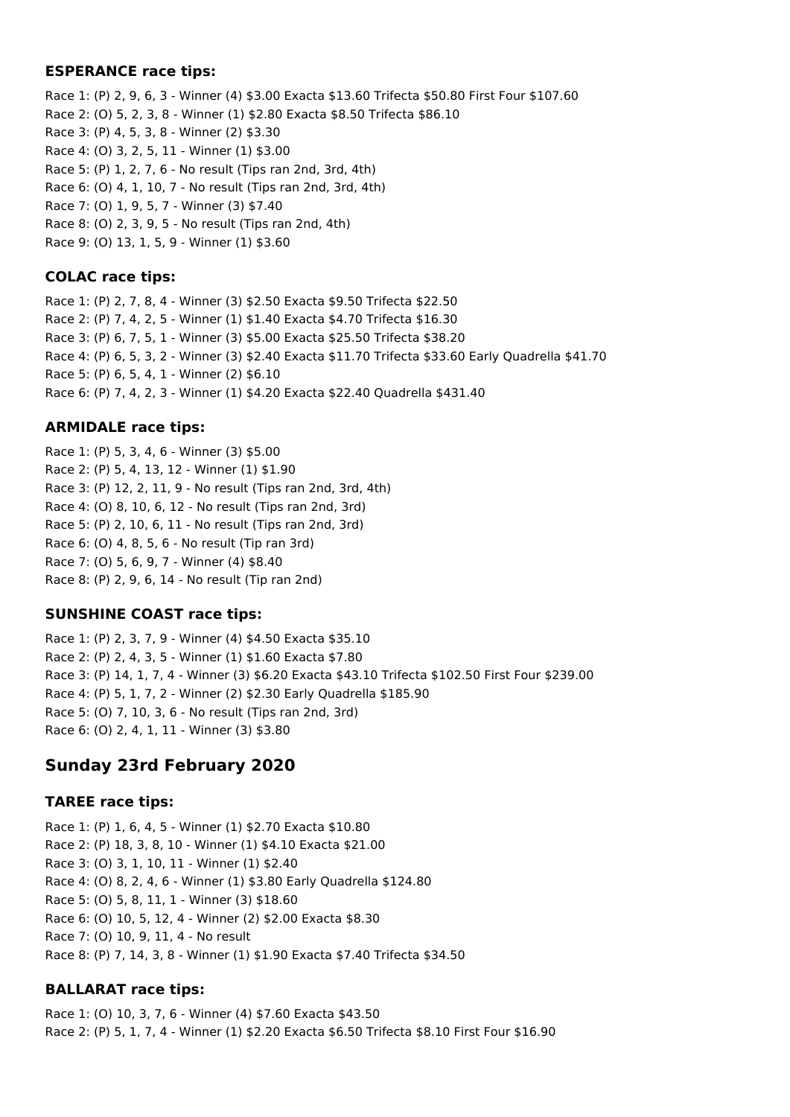#### **ESPERANCE race tips:**

Race 1: (P) 2, 9, 6, 3 - Winner (4) \$3.00 Exacta \$13.60 Trifecta \$50.80 First Four \$107.60 Race 2: (O) 5, 2, 3, 8 - Winner (1) \$2.80 Exacta \$8.50 Trifecta \$86.10 Race 3: (P) 4, 5, 3, 8 - Winner (2) \$3.30 Race 4: (O) 3, 2, 5, 11 - Winner (1) \$3.00 Race 5: (P) 1, 2, 7, 6 - No result (Tips ran 2nd, 3rd, 4th) Race 6: (O) 4, 1, 10, 7 - No result (Tips ran 2nd, 3rd, 4th) Race 7: (O) 1, 9, 5, 7 - Winner (3) \$7.40 Race 8: (O) 2, 3, 9, 5 - No result (Tips ran 2nd, 4th) Race 9: (O) 13, 1, 5, 9 - Winner (1) \$3.60

## **COLAC race tips:**

Race 1: (P) 2, 7, 8, 4 - Winner (3) \$2.50 Exacta \$9.50 Trifecta \$22.50 Race 2: (P) 7, 4, 2, 5 - Winner (1) \$1.40 Exacta \$4.70 Trifecta \$16.30 Race 3: (P) 6, 7, 5, 1 - Winner (3) \$5.00 Exacta \$25.50 Trifecta \$38.20 Race 4: (P) 6, 5, 3, 2 - Winner (3) \$2.40 Exacta \$11.70 Trifecta \$33.60 Early Quadrella \$41.70 Race 5: (P) 6, 5, 4, 1 - Winner (2) \$6.10 Race 6: (P) 7, 4, 2, 3 - Winner (1) \$4.20 Exacta \$22.40 Quadrella \$431.40

## **ARMIDALE race tips:**

Race 1: (P) 5, 3, 4, 6 - Winner (3) \$5.00 Race 2: (P) 5, 4, 13, 12 - Winner (1) \$1.90 Race 3: (P) 12, 2, 11, 9 - No result (Tips ran 2nd, 3rd, 4th) Race 4: (O) 8, 10, 6, 12 - No result (Tips ran 2nd, 3rd) Race 5: (P) 2, 10, 6, 11 - No result (Tips ran 2nd, 3rd) Race 6: (O) 4, 8, 5, 6 - No result (Tip ran 3rd) Race 7: (O) 5, 6, 9, 7 - Winner (4) \$8.40 Race 8: (P) 2, 9, 6, 14 - No result (Tip ran 2nd)

# **SUNSHINE COAST race tips:**

Race 1: (P) 2, 3, 7, 9 - Winner (4) \$4.50 Exacta \$35.10 Race 2: (P) 2, 4, 3, 5 - Winner (1) \$1.60 Exacta \$7.80 Race 3: (P) 14, 1, 7, 4 - Winner (3) \$6.20 Exacta \$43.10 Trifecta \$102.50 First Four \$239.00 Race 4: (P) 5, 1, 7, 2 - Winner (2) \$2.30 Early Quadrella \$185.90 Race 5: (O) 7, 10, 3, 6 - No result (Tips ran 2nd, 3rd) Race 6: (O) 2, 4, 1, 11 - Winner (3) \$3.80

# **Sunday 23rd February 2020**

## **TAREE race tips:**

Race 1: (P) 1, 6, 4, 5 - Winner (1) \$2.70 Exacta \$10.80 Race 2: (P) 18, 3, 8, 10 - Winner (1) \$4.10 Exacta \$21.00 Race 3: (O) 3, 1, 10, 11 - Winner (1) \$2.40 Race 4: (O) 8, 2, 4, 6 - Winner (1) \$3.80 Early Quadrella \$124.80 Race 5: (O) 5, 8, 11, 1 - Winner (3) \$18.60 Race 6: (O) 10, 5, 12, 4 - Winner (2) \$2.00 Exacta \$8.30 Race 7: (O) 10, 9, 11, 4 - No result Race 8: (P) 7, 14, 3, 8 - Winner (1) \$1.90 Exacta \$7.40 Trifecta \$34.50

# **BALLARAT race tips:**

Race 1: (O) 10, 3, 7, 6 - Winner (4) \$7.60 Exacta \$43.50 Race 2: (P) 5, 1, 7, 4 - Winner (1) \$2.20 Exacta \$6.50 Trifecta \$8.10 First Four \$16.90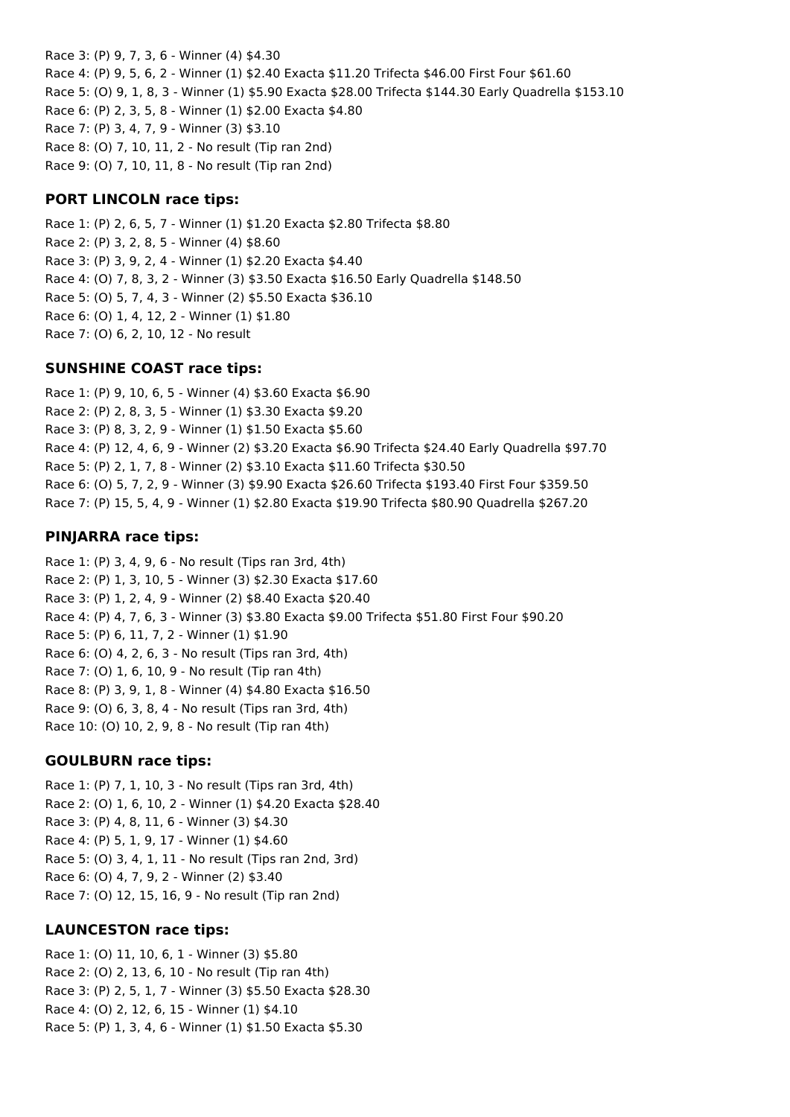Race 3: (P) 9, 7, 3, 6 - Winner (4) \$4.30 Race 4: (P) 9, 5, 6, 2 - Winner (1) \$2.40 Exacta \$11.20 Trifecta \$46.00 First Four \$61.60 Race 5: (O) 9, 1, 8, 3 - Winner (1) \$5.90 Exacta \$28.00 Trifecta \$144.30 Early Quadrella \$153.10 Race 6: (P) 2, 3, 5, 8 - Winner (1) \$2.00 Exacta \$4.80 Race 7: (P) 3, 4, 7, 9 - Winner (3) \$3.10 Race 8: (O) 7, 10, 11, 2 - No result (Tip ran 2nd) Race 9: (O) 7, 10, 11, 8 - No result (Tip ran 2nd)

#### **PORT LINCOLN race tips:**

Race 1: (P) 2, 6, 5, 7 - Winner (1) \$1.20 Exacta \$2.80 Trifecta \$8.80 Race 2: (P) 3, 2, 8, 5 - Winner (4) \$8.60 Race 3: (P) 3, 9, 2, 4 - Winner (1) \$2.20 Exacta \$4.40 Race 4: (O) 7, 8, 3, 2 - Winner (3) \$3.50 Exacta \$16.50 Early Quadrella \$148.50 Race 5: (O) 5, 7, 4, 3 - Winner (2) \$5.50 Exacta \$36.10 Race 6: (O) 1, 4, 12, 2 - Winner (1) \$1.80 Race 7: (O) 6, 2, 10, 12 - No result

#### **SUNSHINE COAST race tips:**

Race 1: (P) 9, 10, 6, 5 - Winner (4) \$3.60 Exacta \$6.90 Race 2: (P) 2, 8, 3, 5 - Winner (1) \$3.30 Exacta \$9.20 Race 3: (P) 8, 3, 2, 9 - Winner (1) \$1.50 Exacta \$5.60 Race 4: (P) 12, 4, 6, 9 - Winner (2) \$3.20 Exacta \$6.90 Trifecta \$24.40 Early Quadrella \$97.70 Race 5: (P) 2, 1, 7, 8 - Winner (2) \$3.10 Exacta \$11.60 Trifecta \$30.50 Race 6: (O) 5, 7, 2, 9 - Winner (3) \$9.90 Exacta \$26.60 Trifecta \$193.40 First Four \$359.50 Race 7: (P) 15, 5, 4, 9 - Winner (1) \$2.80 Exacta \$19.90 Trifecta \$80.90 Quadrella \$267.20

## **PINJARRA race tips:**

Race 1: (P) 3, 4, 9, 6 - No result (Tips ran 3rd, 4th) Race 2: (P) 1, 3, 10, 5 - Winner (3) \$2.30 Exacta \$17.60 Race 3: (P) 1, 2, 4, 9 - Winner (2) \$8.40 Exacta \$20.40 Race 4: (P) 4, 7, 6, 3 - Winner (3) \$3.80 Exacta \$9.00 Trifecta \$51.80 First Four \$90.20 Race 5: (P) 6, 11, 7, 2 - Winner (1) \$1.90 Race 6: (O) 4, 2, 6, 3 - No result (Tips ran 3rd, 4th) Race 7: (O) 1, 6, 10, 9 - No result (Tip ran 4th) Race 8: (P) 3, 9, 1, 8 - Winner (4) \$4.80 Exacta \$16.50 Race 9: (O) 6, 3, 8, 4 - No result (Tips ran 3rd, 4th) Race 10: (O) 10, 2, 9, 8 - No result (Tip ran 4th)

## **GOULBURN race tips:**

Race 1: (P) 7, 1, 10, 3 - No result (Tips ran 3rd, 4th) Race 2: (O) 1, 6, 10, 2 - Winner (1) \$4.20 Exacta \$28.40 Race 3: (P) 4, 8, 11, 6 - Winner (3) \$4.30 Race 4: (P) 5, 1, 9, 17 - Winner (1) \$4.60 Race 5: (O) 3, 4, 1, 11 - No result (Tips ran 2nd, 3rd) Race 6: (O) 4, 7, 9, 2 - Winner (2) \$3.40 Race 7: (O) 12, 15, 16, 9 - No result (Tip ran 2nd)

# **LAUNCESTON race tips:**

Race 1: (O) 11, 10, 6, 1 - Winner (3) \$5.80 Race 2: (O) 2, 13, 6, 10 - No result (Tip ran 4th) Race 3: (P) 2, 5, 1, 7 - Winner (3) \$5.50 Exacta \$28.30 Race 4: (O) 2, 12, 6, 15 - Winner (1) \$4.10 Race 5: (P) 1, 3, 4, 6 - Winner (1) \$1.50 Exacta \$5.30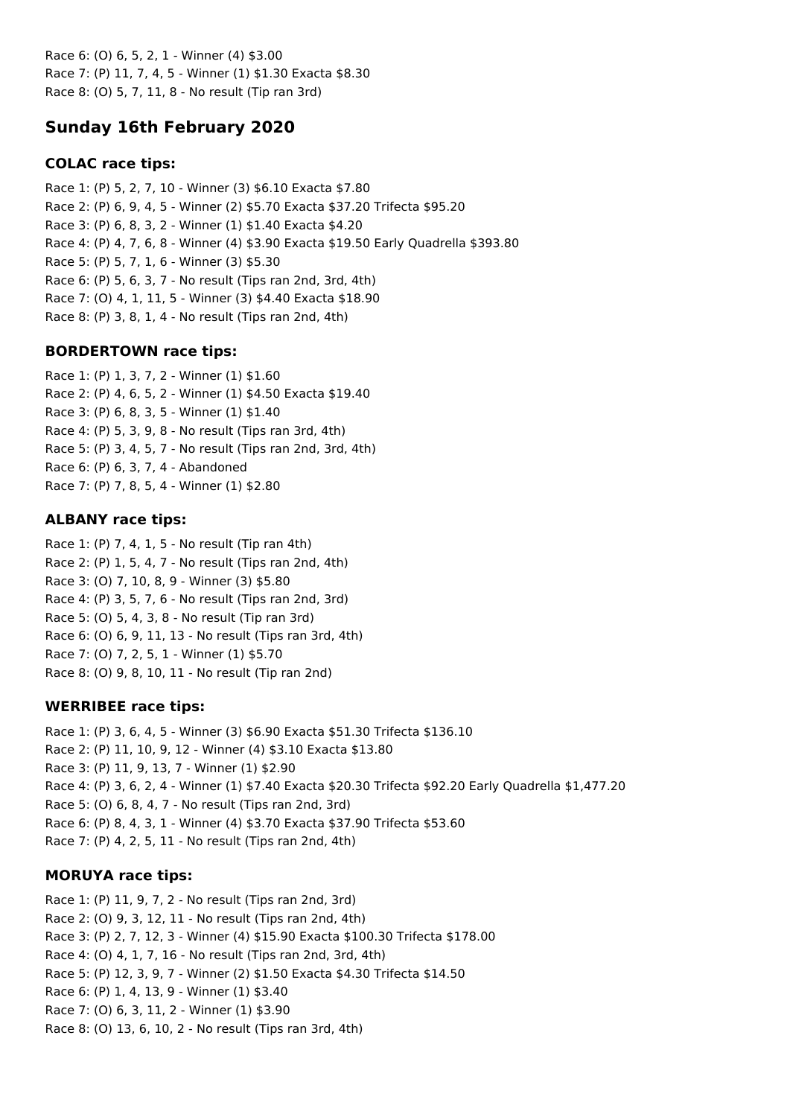Race 6: (O) 6, 5, 2, 1 - Winner (4) \$3.00 Race 7: (P) 11, 7, 4, 5 - Winner (1) \$1.30 Exacta \$8.30 Race 8: (O) 5, 7, 11, 8 - No result (Tip ran 3rd)

# **Sunday 16th February 2020**

## **COLAC race tips:**

Race 1: (P) 5, 2, 7, 10 - Winner (3) \$6.10 Exacta \$7.80 Race 2: (P) 6, 9, 4, 5 - Winner (2) \$5.70 Exacta \$37.20 Trifecta \$95.20 Race 3: (P) 6, 8, 3, 2 - Winner (1) \$1.40 Exacta \$4.20 Race 4: (P) 4, 7, 6, 8 - Winner (4) \$3.90 Exacta \$19.50 Early Quadrella \$393.80 Race 5: (P) 5, 7, 1, 6 - Winner (3) \$5.30 Race 6: (P) 5, 6, 3, 7 - No result (Tips ran 2nd, 3rd, 4th) Race 7: (O) 4, 1, 11, 5 - Winner (3) \$4.40 Exacta \$18.90 Race 8: (P) 3, 8, 1, 4 - No result (Tips ran 2nd, 4th)

# **BORDERTOWN race tips:**

Race 1: (P) 1, 3, 7, 2 - Winner (1) \$1.60 Race 2: (P) 4, 6, 5, 2 - Winner (1) \$4.50 Exacta \$19.40 Race 3: (P) 6, 8, 3, 5 - Winner (1) \$1.40 Race 4: (P) 5, 3, 9, 8 - No result (Tips ran 3rd, 4th) Race 5: (P) 3, 4, 5, 7 - No result (Tips ran 2nd, 3rd, 4th) Race 6: (P) 6, 3, 7, 4 - Abandoned Race 7: (P) 7, 8, 5, 4 - Winner (1) \$2.80

## **ALBANY race tips:**

Race 1: (P) 7, 4, 1, 5 - No result (Tip ran 4th) Race 2: (P) 1, 5, 4, 7 - No result (Tips ran 2nd, 4th) Race 3: (O) 7, 10, 8, 9 - Winner (3) \$5.80 Race 4: (P) 3, 5, 7, 6 - No result (Tips ran 2nd, 3rd) Race 5: (O) 5, 4, 3, 8 - No result (Tip ran 3rd) Race 6: (O) 6, 9, 11, 13 - No result (Tips ran 3rd, 4th) Race 7: (O) 7, 2, 5, 1 - Winner (1) \$5.70 Race 8: (O) 9, 8, 10, 11 - No result (Tip ran 2nd)

## **WERRIBEE race tips:**

Race 1: (P) 3, 6, 4, 5 - Winner (3) \$6.90 Exacta \$51.30 Trifecta \$136.10 Race 2: (P) 11, 10, 9, 12 - Winner (4) \$3.10 Exacta \$13.80 Race 3: (P) 11, 9, 13, 7 - Winner (1) \$2.90 Race 4: (P) 3, 6, 2, 4 - Winner (1) \$7.40 Exacta \$20.30 Trifecta \$92.20 Early Quadrella \$1,477.20 Race 5: (O) 6, 8, 4, 7 - No result (Tips ran 2nd, 3rd) Race 6: (P) 8, 4, 3, 1 - Winner (4) \$3.70 Exacta \$37.90 Trifecta \$53.60 Race 7: (P) 4, 2, 5, 11 - No result (Tips ran 2nd, 4th)

# **MORUYA race tips:**

Race 1: (P) 11, 9, 7, 2 - No result (Tips ran 2nd, 3rd) Race 2: (O) 9, 3, 12, 11 - No result (Tips ran 2nd, 4th) Race 3: (P) 2, 7, 12, 3 - Winner (4) \$15.90 Exacta \$100.30 Trifecta \$178.00 Race 4: (O) 4, 1, 7, 16 - No result (Tips ran 2nd, 3rd, 4th) Race 5: (P) 12, 3, 9, 7 - Winner (2) \$1.50 Exacta \$4.30 Trifecta \$14.50 Race 6: (P) 1, 4, 13, 9 - Winner (1) \$3.40 Race 7: (O) 6, 3, 11, 2 - Winner (1) \$3.90 Race 8: (O) 13, 6, 10, 2 - No result (Tips ran 3rd, 4th)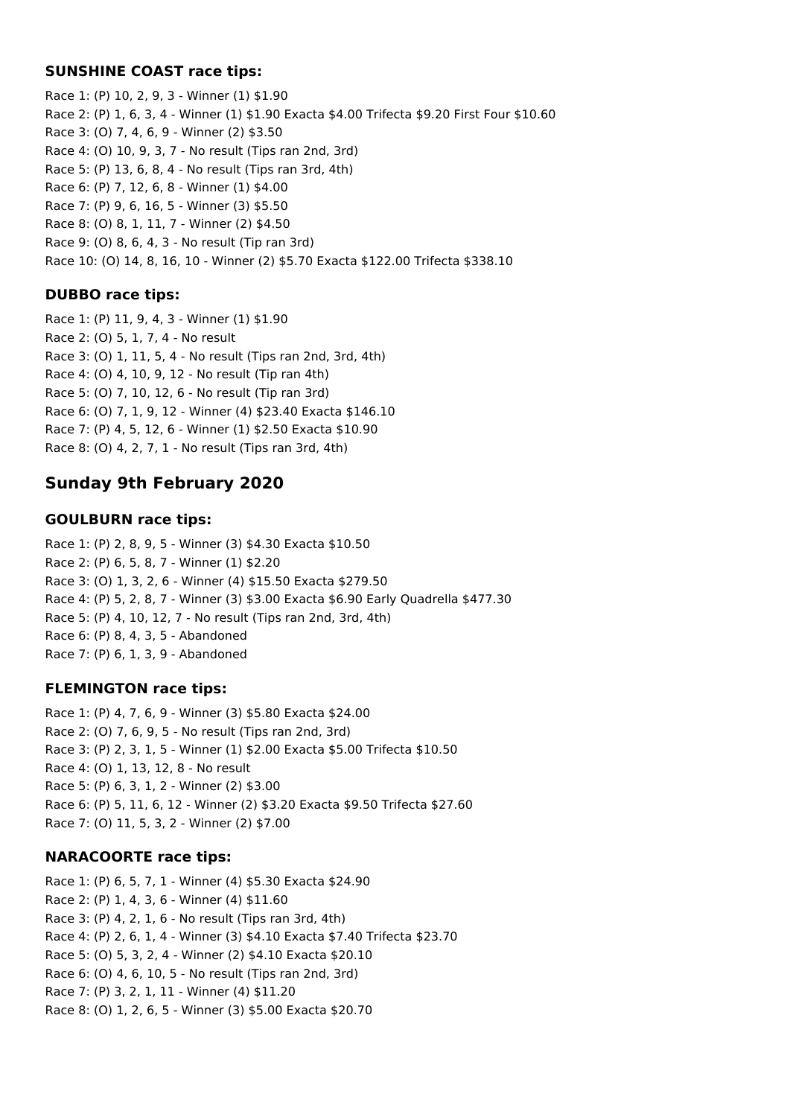#### **SUNSHINE COAST race tips:**

Race 1: (P) 10, 2, 9, 3 - Winner (1) \$1.90 Race 2: (P) 1, 6, 3, 4 - Winner (1) \$1.90 Exacta \$4.00 Trifecta \$9.20 First Four \$10.60 Race 3: (O) 7, 4, 6, 9 - Winner (2) \$3.50 Race 4: (O) 10, 9, 3, 7 - No result (Tips ran 2nd, 3rd) Race 5: (P) 13, 6, 8, 4 - No result (Tips ran 3rd, 4th) Race 6: (P) 7, 12, 6, 8 - Winner (1) \$4.00 Race 7: (P) 9, 6, 16, 5 - Winner (3) \$5.50 Race 8: (O) 8, 1, 11, 7 - Winner (2) \$4.50 Race 9: (O) 8, 6, 4, 3 - No result (Tip ran 3rd) Race 10: (O) 14, 8, 16, 10 - Winner (2) \$5.70 Exacta \$122.00 Trifecta \$338.10

## **DUBBO race tips:**

Race 1: (P) 11, 9, 4, 3 - Winner (1) \$1.90 Race 2: (O) 5, 1, 7, 4 - No result Race 3: (O) 1, 11, 5, 4 - No result (Tips ran 2nd, 3rd, 4th) Race 4: (O) 4, 10, 9, 12 - No result (Tip ran 4th) Race 5: (O) 7, 10, 12, 6 - No result (Tip ran 3rd) Race 6: (O) 7, 1, 9, 12 - Winner (4) \$23.40 Exacta \$146.10 Race 7: (P) 4, 5, 12, 6 - Winner (1) \$2.50 Exacta \$10.90 Race 8: (O) 4, 2, 7, 1 - No result (Tips ran 3rd, 4th)

# **Sunday 9th February 2020**

## **GOULBURN race tips:**

Race 1: (P) 2, 8, 9, 5 - Winner (3) \$4.30 Exacta \$10.50 Race 2: (P) 6, 5, 8, 7 - Winner (1) \$2.20 Race 3: (O) 1, 3, 2, 6 - Winner (4) \$15.50 Exacta \$279.50 Race 4: (P) 5, 2, 8, 7 - Winner (3) \$3.00 Exacta \$6.90 Early Quadrella \$477.30 Race 5: (P) 4, 10, 12, 7 - No result (Tips ran 2nd, 3rd, 4th) Race 6: (P) 8, 4, 3, 5 - Abandoned Race 7: (P) 6, 1, 3, 9 - Abandoned

## **FLEMINGTON race tips:**

Race 1: (P) 4, 7, 6, 9 - Winner (3) \$5.80 Exacta \$24.00 Race 2: (O) 7, 6, 9, 5 - No result (Tips ran 2nd, 3rd) Race 3: (P) 2, 3, 1, 5 - Winner (1) \$2.00 Exacta \$5.00 Trifecta \$10.50 Race 4: (O) 1, 13, 12, 8 - No result Race 5: (P) 6, 3, 1, 2 - Winner (2) \$3.00 Race 6: (P) 5, 11, 6, 12 - Winner (2) \$3.20 Exacta \$9.50 Trifecta \$27.60 Race 7: (O) 11, 5, 3, 2 - Winner (2) \$7.00

## **NARACOORTE race tips:**

Race 1: (P) 6, 5, 7, 1 - Winner (4) \$5.30 Exacta \$24.90 Race 2: (P) 1, 4, 3, 6 - Winner (4) \$11.60 Race 3: (P) 4, 2, 1, 6 - No result (Tips ran 3rd, 4th) Race 4: (P) 2, 6, 1, 4 - Winner (3) \$4.10 Exacta \$7.40 Trifecta \$23.70 Race 5: (O) 5, 3, 2, 4 - Winner (2) \$4.10 Exacta \$20.10 Race 6: (O) 4, 6, 10, 5 - No result (Tips ran 2nd, 3rd) Race 7: (P) 3, 2, 1, 11 - Winner (4) \$11.20 Race 8: (O) 1, 2, 6, 5 - Winner (3) \$5.00 Exacta \$20.70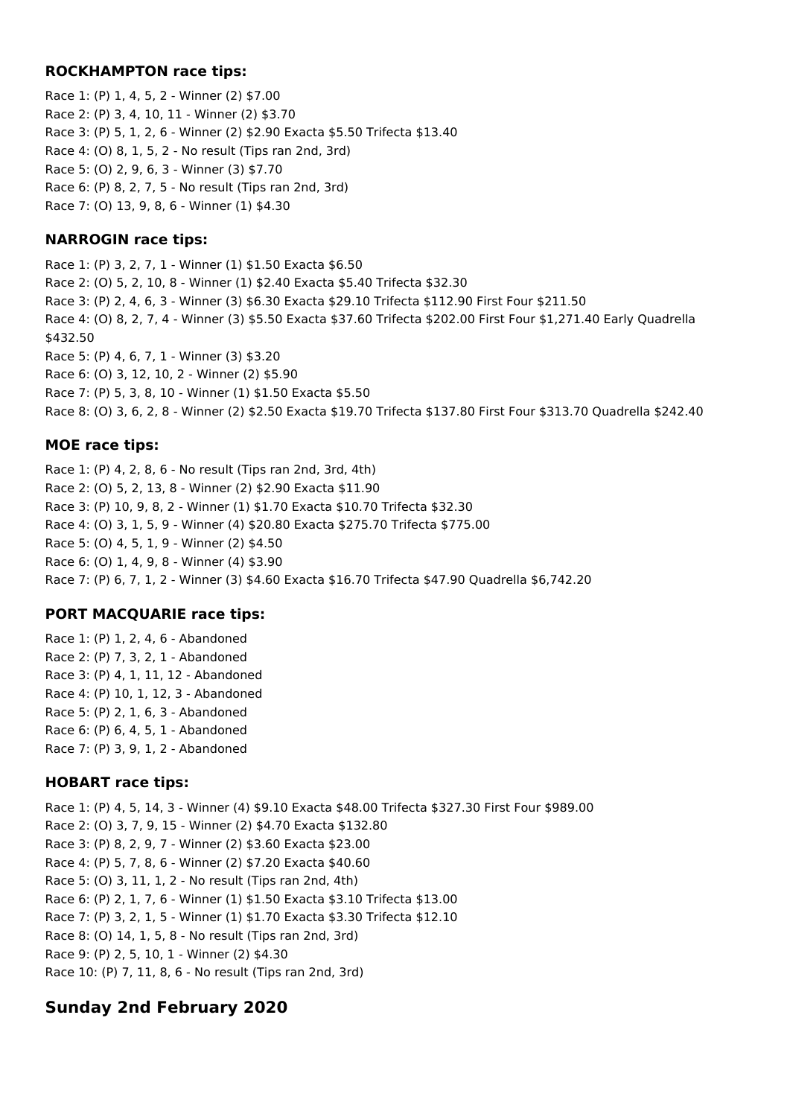#### **ROCKHAMPTON race tips:**

Race 1: (P) 1, 4, 5, 2 - Winner (2) \$7.00 Race 2: (P) 3, 4, 10, 11 - Winner (2) \$3.70 Race 3: (P) 5, 1, 2, 6 - Winner (2) \$2.90 Exacta \$5.50 Trifecta \$13.40 Race 4: (O) 8, 1, 5, 2 - No result (Tips ran 2nd, 3rd) Race 5: (O) 2, 9, 6, 3 - Winner (3) \$7.70 Race 6: (P) 8, 2, 7, 5 - No result (Tips ran 2nd, 3rd) Race 7: (O) 13, 9, 8, 6 - Winner (1) \$4.30

## **NARROGIN race tips:**

Race 1: (P) 3, 2, 7, 1 - Winner (1) \$1.50 Exacta \$6.50 Race 2: (O) 5, 2, 10, 8 - Winner (1) \$2.40 Exacta \$5.40 Trifecta \$32.30 Race 3: (P) 2, 4, 6, 3 - Winner (3) \$6.30 Exacta \$29.10 Trifecta \$112.90 First Four \$211.50 Race 4: (O) 8, 2, 7, 4 - Winner (3) \$5.50 Exacta \$37.60 Trifecta \$202.00 First Four \$1,271.40 Early Quadrella \$432.50 Race 5: (P) 4, 6, 7, 1 - Winner (3) \$3.20 Race 6: (O) 3, 12, 10, 2 - Winner (2) \$5.90 Race 7: (P) 5, 3, 8, 10 - Winner (1) \$1.50 Exacta \$5.50 Race 8: (O) 3, 6, 2, 8 - Winner (2) \$2.50 Exacta \$19.70 Trifecta \$137.80 First Four \$313.70 Quadrella \$242.40

#### **MOE race tips:**

Race 1: (P) 4, 2, 8, 6 - No result (Tips ran 2nd, 3rd, 4th) Race 2: (O) 5, 2, 13, 8 - Winner (2) \$2.90 Exacta \$11.90 Race 3: (P) 10, 9, 8, 2 - Winner (1) \$1.70 Exacta \$10.70 Trifecta \$32.30 Race 4: (O) 3, 1, 5, 9 - Winner (4) \$20.80 Exacta \$275.70 Trifecta \$775.00 Race 5: (O) 4, 5, 1, 9 - Winner (2) \$4.50 Race 6: (O) 1, 4, 9, 8 - Winner (4) \$3.90 Race 7: (P) 6, 7, 1, 2 - Winner (3) \$4.60 Exacta \$16.70 Trifecta \$47.90 Quadrella \$6,742.20

## **PORT MACQUARIE race tips:**

Race 1: (P) 1, 2, 4, 6 - Abandoned Race 2: (P) 7, 3, 2, 1 - Abandoned Race 3: (P) 4, 1, 11, 12 - Abandoned Race 4: (P) 10, 1, 12, 3 - Abandoned Race 5: (P) 2, 1, 6, 3 - Abandoned Race 6: (P) 6, 4, 5, 1 - Abandoned Race 7: (P) 3, 9, 1, 2 - Abandoned

## **HOBART race tips:**

Race 1: (P) 4, 5, 14, 3 - Winner (4) \$9.10 Exacta \$48.00 Trifecta \$327.30 First Four \$989.00 Race 2: (O) 3, 7, 9, 15 - Winner (2) \$4.70 Exacta \$132.80 Race 3: (P) 8, 2, 9, 7 - Winner (2) \$3.60 Exacta \$23.00 Race 4: (P) 5, 7, 8, 6 - Winner (2) \$7.20 Exacta \$40.60 Race 5: (O) 3, 11, 1, 2 - No result (Tips ran 2nd, 4th) Race 6: (P) 2, 1, 7, 6 - Winner (1) \$1.50 Exacta \$3.10 Trifecta \$13.00 Race 7: (P) 3, 2, 1, 5 - Winner (1) \$1.70 Exacta \$3.30 Trifecta \$12.10 Race 8: (O) 14, 1, 5, 8 - No result (Tips ran 2nd, 3rd) Race 9: (P) 2, 5, 10, 1 - Winner (2) \$4.30 Race 10: (P) 7, 11, 8, 6 - No result (Tips ran 2nd, 3rd)

# **Sunday 2nd February 2020**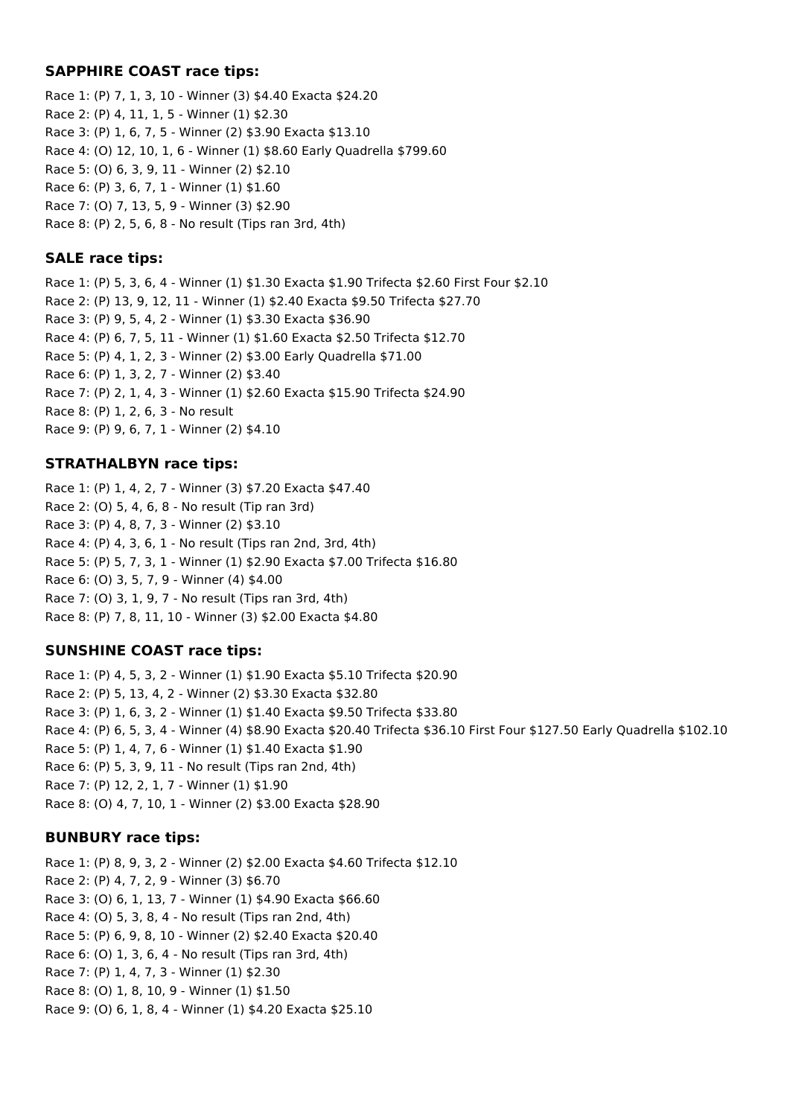## **SAPPHIRE COAST race tips:**

Race 1: (P) 7, 1, 3, 10 - Winner (3) \$4.40 Exacta \$24.20 Race 2: (P) 4, 11, 1, 5 - Winner (1) \$2.30 Race 3: (P) 1, 6, 7, 5 - Winner (2) \$3.90 Exacta \$13.10 Race 4: (O) 12, 10, 1, 6 - Winner (1) \$8.60 Early Quadrella \$799.60 Race 5: (O) 6, 3, 9, 11 - Winner (2) \$2.10 Race 6: (P) 3, 6, 7, 1 - Winner (1) \$1.60 Race 7: (O) 7, 13, 5, 9 - Winner (3) \$2.90 Race 8: (P) 2, 5, 6, 8 - No result (Tips ran 3rd, 4th)

## **SALE race tips:**

Race 1: (P) 5, 3, 6, 4 - Winner (1) \$1.30 Exacta \$1.90 Trifecta \$2.60 First Four \$2.10 Race 2: (P) 13, 9, 12, 11 - Winner (1) \$2.40 Exacta \$9.50 Trifecta \$27.70 Race 3: (P) 9, 5, 4, 2 - Winner (1) \$3.30 Exacta \$36.90 Race 4: (P) 6, 7, 5, 11 - Winner (1) \$1.60 Exacta \$2.50 Trifecta \$12.70 Race 5: (P) 4, 1, 2, 3 - Winner (2) \$3.00 Early Quadrella \$71.00 Race 6: (P) 1, 3, 2, 7 - Winner (2) \$3.40 Race 7: (P) 2, 1, 4, 3 - Winner (1) \$2.60 Exacta \$15.90 Trifecta \$24.90 Race 8: (P) 1, 2, 6, 3 - No result Race 9: (P) 9, 6, 7, 1 - Winner (2) \$4.10

## **STRATHALBYN race tips:**

Race 1: (P) 1, 4, 2, 7 - Winner (3) \$7.20 Exacta \$47.40 Race 2: (O) 5, 4, 6, 8 - No result (Tip ran 3rd) Race 3: (P) 4, 8, 7, 3 - Winner (2) \$3.10 Race 4: (P) 4, 3, 6, 1 - No result (Tips ran 2nd, 3rd, 4th) Race 5: (P) 5, 7, 3, 1 - Winner (1) \$2.90 Exacta \$7.00 Trifecta \$16.80 Race 6: (O) 3, 5, 7, 9 - Winner (4) \$4.00 Race 7: (O) 3, 1, 9, 7 - No result (Tips ran 3rd, 4th) Race 8: (P) 7, 8, 11, 10 - Winner (3) \$2.00 Exacta \$4.80

# **SUNSHINE COAST race tips:**

Race 1: (P) 4, 5, 3, 2 - Winner (1) \$1.90 Exacta \$5.10 Trifecta \$20.90 Race 2: (P) 5, 13, 4, 2 - Winner (2) \$3.30 Exacta \$32.80 Race 3: (P) 1, 6, 3, 2 - Winner (1) \$1.40 Exacta \$9.50 Trifecta \$33.80 Race 4: (P) 6, 5, 3, 4 - Winner (4) \$8.90 Exacta \$20.40 Trifecta \$36.10 First Four \$127.50 Early Quadrella \$102.10 Race 5: (P) 1, 4, 7, 6 - Winner (1) \$1.40 Exacta \$1.90 Race 6: (P) 5, 3, 9, 11 - No result (Tips ran 2nd, 4th) Race 7: (P) 12, 2, 1, 7 - Winner (1) \$1.90 Race 8: (O) 4, 7, 10, 1 - Winner (2) \$3.00 Exacta \$28.90

## **BUNBURY race tips:**

Race 1: (P) 8, 9, 3, 2 - Winner (2) \$2.00 Exacta \$4.60 Trifecta \$12.10 Race 2: (P) 4, 7, 2, 9 - Winner (3) \$6.70 Race 3: (O) 6, 1, 13, 7 - Winner (1) \$4.90 Exacta \$66.60 Race 4: (O) 5, 3, 8, 4 - No result (Tips ran 2nd, 4th) Race 5: (P) 6, 9, 8, 10 - Winner (2) \$2.40 Exacta \$20.40 Race 6: (O) 1, 3, 6, 4 - No result (Tips ran 3rd, 4th) Race 7: (P) 1, 4, 7, 3 - Winner (1) \$2.30 Race 8: (O) 1, 8, 10, 9 - Winner (1) \$1.50 Race 9: (O) 6, 1, 8, 4 - Winner (1) \$4.20 Exacta \$25.10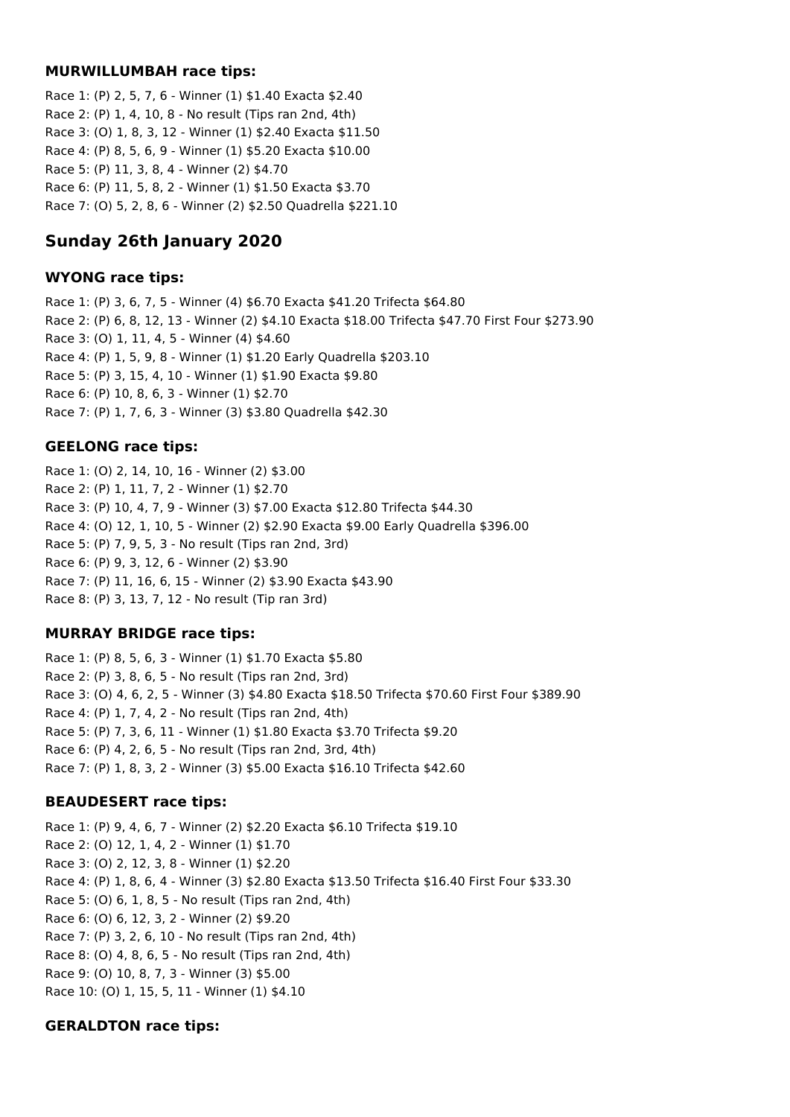#### **MURWILLUMBAH race tips:**

Race 1: (P) 2, 5, 7, 6 - Winner (1) \$1.40 Exacta \$2.40 Race 2: (P) 1, 4, 10, 8 - No result (Tips ran 2nd, 4th) Race 3: (O) 1, 8, 3, 12 - Winner (1) \$2.40 Exacta \$11.50 Race 4: (P) 8, 5, 6, 9 - Winner (1) \$5.20 Exacta \$10.00 Race 5: (P) 11, 3, 8, 4 - Winner (2) \$4.70 Race 6: (P) 11, 5, 8, 2 - Winner (1) \$1.50 Exacta \$3.70 Race 7: (O) 5, 2, 8, 6 - Winner (2) \$2.50 Quadrella \$221.10

# **Sunday 26th January 2020**

## **WYONG race tips:**

Race 1: (P) 3, 6, 7, 5 - Winner (4) \$6.70 Exacta \$41.20 Trifecta \$64.80 Race 2: (P) 6, 8, 12, 13 - Winner (2) \$4.10 Exacta \$18.00 Trifecta \$47.70 First Four \$273.90 Race 3: (O) 1, 11, 4, 5 - Winner (4) \$4.60 Race 4: (P) 1, 5, 9, 8 - Winner (1) \$1.20 Early Quadrella \$203.10 Race 5: (P) 3, 15, 4, 10 - Winner (1) \$1.90 Exacta \$9.80 Race 6: (P) 10, 8, 6, 3 - Winner (1) \$2.70 Race 7: (P) 1, 7, 6, 3 - Winner (3) \$3.80 Quadrella \$42.30

## **GEELONG race tips:**

Race 1: (O) 2, 14, 10, 16 - Winner (2) \$3.00 Race 2: (P) 1, 11, 7, 2 - Winner (1) \$2.70 Race 3: (P) 10, 4, 7, 9 - Winner (3) \$7.00 Exacta \$12.80 Trifecta \$44.30 Race 4: (O) 12, 1, 10, 5 - Winner (2) \$2.90 Exacta \$9.00 Early Quadrella \$396.00 Race 5: (P) 7, 9, 5, 3 - No result (Tips ran 2nd, 3rd) Race 6: (P) 9, 3, 12, 6 - Winner (2) \$3.90 Race 7: (P) 11, 16, 6, 15 - Winner (2) \$3.90 Exacta \$43.90 Race 8: (P) 3, 13, 7, 12 - No result (Tip ran 3rd)

# **MURRAY BRIDGE race tips:**

Race 1: (P) 8, 5, 6, 3 - Winner (1) \$1.70 Exacta \$5.80 Race 2: (P) 3, 8, 6, 5 - No result (Tips ran 2nd, 3rd) Race 3: (O) 4, 6, 2, 5 - Winner (3) \$4.80 Exacta \$18.50 Trifecta \$70.60 First Four \$389.90 Race 4: (P) 1, 7, 4, 2 - No result (Tips ran 2nd, 4th) Race 5: (P) 7, 3, 6, 11 - Winner (1) \$1.80 Exacta \$3.70 Trifecta \$9.20 Race 6: (P) 4, 2, 6, 5 - No result (Tips ran 2nd, 3rd, 4th) Race 7: (P) 1, 8, 3, 2 - Winner (3) \$5.00 Exacta \$16.10 Trifecta \$42.60

## **BEAUDESERT race tips:**

Race 1: (P) 9, 4, 6, 7 - Winner (2) \$2.20 Exacta \$6.10 Trifecta \$19.10 Race 2: (O) 12, 1, 4, 2 - Winner (1) \$1.70 Race 3: (O) 2, 12, 3, 8 - Winner (1) \$2.20 Race 4: (P) 1, 8, 6, 4 - Winner (3) \$2.80 Exacta \$13.50 Trifecta \$16.40 First Four \$33.30 Race 5: (O) 6, 1, 8, 5 - No result (Tips ran 2nd, 4th) Race 6: (O) 6, 12, 3, 2 - Winner (2) \$9.20 Race 7: (P) 3, 2, 6, 10 - No result (Tips ran 2nd, 4th) Race 8: (O) 4, 8, 6, 5 - No result (Tips ran 2nd, 4th) Race 9: (O) 10, 8, 7, 3 - Winner (3) \$5.00 Race 10: (O) 1, 15, 5, 11 - Winner (1) \$4.10

## **GERALDTON race tips:**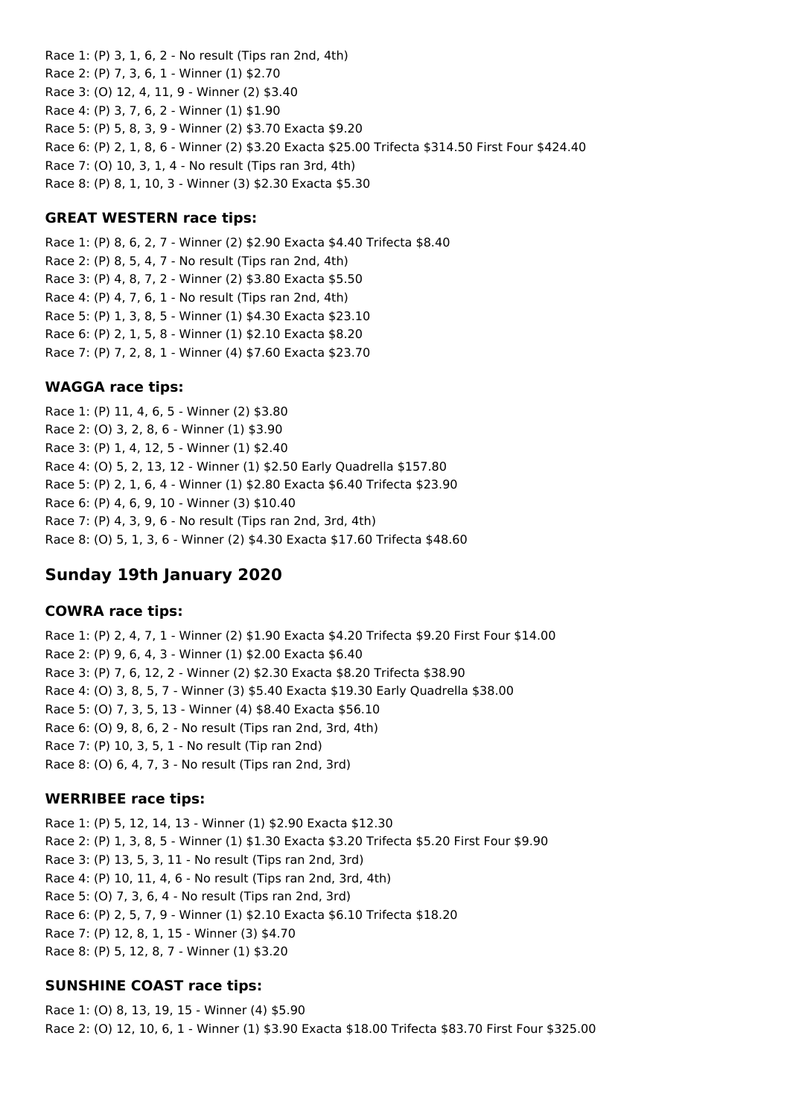Race 1: (P) 3, 1, 6, 2 - No result (Tips ran 2nd, 4th) Race 2: (P) 7, 3, 6, 1 - Winner (1) \$2.70 Race 3: (O) 12, 4, 11, 9 - Winner (2) \$3.40 Race 4: (P) 3, 7, 6, 2 - Winner (1) \$1.90 Race 5: (P) 5, 8, 3, 9 - Winner (2) \$3.70 Exacta \$9.20 Race 6: (P) 2, 1, 8, 6 - Winner (2) \$3.20 Exacta \$25.00 Trifecta \$314.50 First Four \$424.40 Race 7: (O) 10, 3, 1, 4 - No result (Tips ran 3rd, 4th) Race 8: (P) 8, 1, 10, 3 - Winner (3) \$2.30 Exacta \$5.30

#### **GREAT WESTERN race tips:**

Race 1: (P) 8, 6, 2, 7 - Winner (2) \$2.90 Exacta \$4.40 Trifecta \$8.40 Race 2: (P) 8, 5, 4, 7 - No result (Tips ran 2nd, 4th) Race 3: (P) 4, 8, 7, 2 - Winner (2) \$3.80 Exacta \$5.50 Race 4: (P) 4, 7, 6, 1 - No result (Tips ran 2nd, 4th) Race 5: (P) 1, 3, 8, 5 - Winner (1) \$4.30 Exacta \$23.10 Race 6: (P) 2, 1, 5, 8 - Winner (1) \$2.10 Exacta \$8.20 Race 7: (P) 7, 2, 8, 1 - Winner (4) \$7.60 Exacta \$23.70

#### **WAGGA race tips:**

Race 1: (P) 11, 4, 6, 5 - Winner (2) \$3.80 Race 2: (O) 3, 2, 8, 6 - Winner (1) \$3.90 Race 3: (P) 1, 4, 12, 5 - Winner (1) \$2.40 Race 4: (O) 5, 2, 13, 12 - Winner (1) \$2.50 Early Quadrella \$157.80 Race 5: (P) 2, 1, 6, 4 - Winner (1) \$2.80 Exacta \$6.40 Trifecta \$23.90 Race 6: (P) 4, 6, 9, 10 - Winner (3) \$10.40 Race 7: (P) 4, 3, 9, 6 - No result (Tips ran 2nd, 3rd, 4th) Race 8: (O) 5, 1, 3, 6 - Winner (2) \$4.30 Exacta \$17.60 Trifecta \$48.60

# **Sunday 19th January 2020**

#### **COWRA race tips:**

Race 1: (P) 2, 4, 7, 1 - Winner (2) \$1.90 Exacta \$4.20 Trifecta \$9.20 First Four \$14.00 Race 2: (P) 9, 6, 4, 3 - Winner (1) \$2.00 Exacta \$6.40 Race 3: (P) 7, 6, 12, 2 - Winner (2) \$2.30 Exacta \$8.20 Trifecta \$38.90 Race 4: (O) 3, 8, 5, 7 - Winner (3) \$5.40 Exacta \$19.30 Early Quadrella \$38.00 Race 5: (O) 7, 3, 5, 13 - Winner (4) \$8.40 Exacta \$56.10 Race 6: (O) 9, 8, 6, 2 - No result (Tips ran 2nd, 3rd, 4th) Race 7: (P) 10, 3, 5, 1 - No result (Tip ran 2nd) Race 8: (O) 6, 4, 7, 3 - No result (Tips ran 2nd, 3rd)

#### **WERRIBEE race tips:**

Race 1: (P) 5, 12, 14, 13 - Winner (1) \$2.90 Exacta \$12.30 Race 2: (P) 1, 3, 8, 5 - Winner (1) \$1.30 Exacta \$3.20 Trifecta \$5.20 First Four \$9.90 Race 3: (P) 13, 5, 3, 11 - No result (Tips ran 2nd, 3rd) Race 4: (P) 10, 11, 4, 6 - No result (Tips ran 2nd, 3rd, 4th) Race 5: (O) 7, 3, 6, 4 - No result (Tips ran 2nd, 3rd) Race 6: (P) 2, 5, 7, 9 - Winner (1) \$2.10 Exacta \$6.10 Trifecta \$18.20 Race 7: (P) 12, 8, 1, 15 - Winner (3) \$4.70 Race 8: (P) 5, 12, 8, 7 - Winner (1) \$3.20

#### **SUNSHINE COAST race tips:**

Race 1: (O) 8, 13, 19, 15 - Winner (4) \$5.90 Race 2: (O) 12, 10, 6, 1 - Winner (1) \$3.90 Exacta \$18.00 Trifecta \$83.70 First Four \$325.00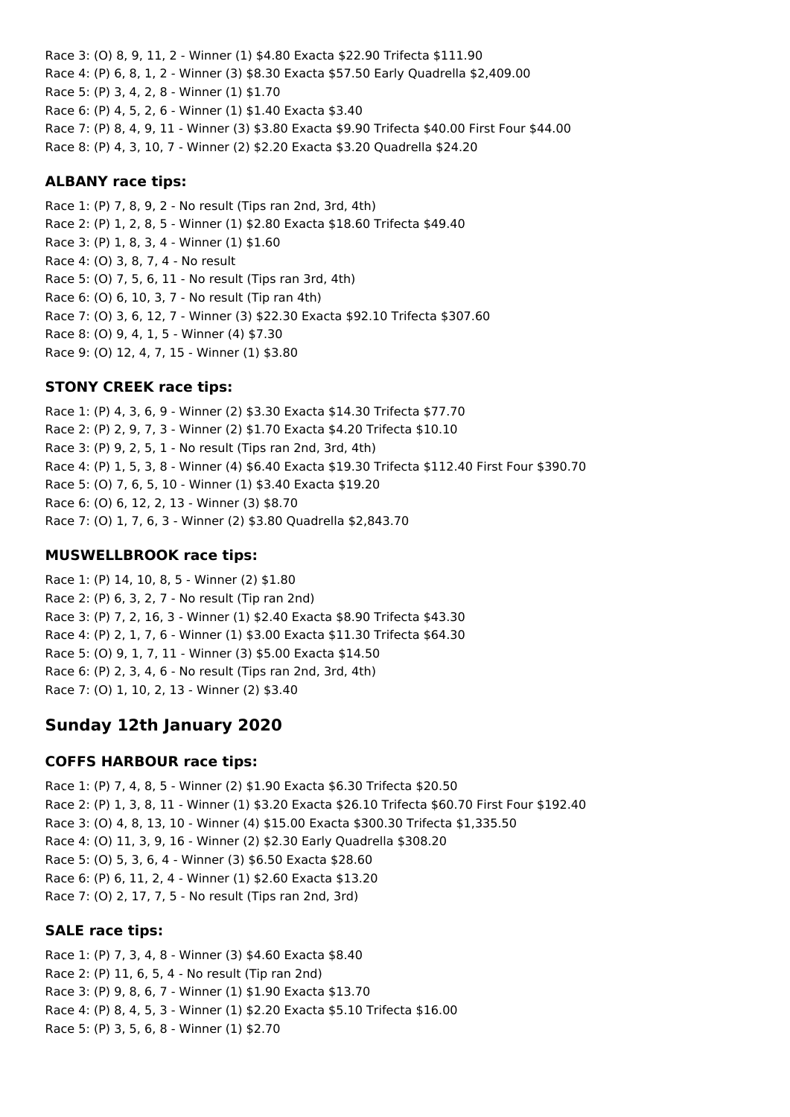Race 3: (O) 8, 9, 11, 2 - Winner (1) \$4.80 Exacta \$22.90 Trifecta \$111.90 Race 4: (P) 6, 8, 1, 2 - Winner (3) \$8.30 Exacta \$57.50 Early Quadrella \$2,409.00 Race 5: (P) 3, 4, 2, 8 - Winner (1) \$1.70 Race 6: (P) 4, 5, 2, 6 - Winner (1) \$1.40 Exacta \$3.40 Race 7: (P) 8, 4, 9, 11 - Winner (3) \$3.80 Exacta \$9.90 Trifecta \$40.00 First Four \$44.00 Race 8: (P) 4, 3, 10, 7 - Winner (2) \$2.20 Exacta \$3.20 Quadrella \$24.20

#### **ALBANY race tips:**

Race 1: (P) 7, 8, 9, 2 - No result (Tips ran 2nd, 3rd, 4th) Race 2: (P) 1, 2, 8, 5 - Winner (1) \$2.80 Exacta \$18.60 Trifecta \$49.40 Race 3: (P) 1, 8, 3, 4 - Winner (1) \$1.60 Race 4: (O) 3, 8, 7, 4 - No result Race 5: (O) 7, 5, 6, 11 - No result (Tips ran 3rd, 4th) Race 6: (O) 6, 10, 3, 7 - No result (Tip ran 4th) Race 7: (O) 3, 6, 12, 7 - Winner (3) \$22.30 Exacta \$92.10 Trifecta \$307.60 Race 8: (O) 9, 4, 1, 5 - Winner (4) \$7.30 Race 9: (O) 12, 4, 7, 15 - Winner (1) \$3.80

#### **STONY CREEK race tips:**

Race 1: (P) 4, 3, 6, 9 - Winner (2) \$3.30 Exacta \$14.30 Trifecta \$77.70 Race 2: (P) 2, 9, 7, 3 - Winner (2) \$1.70 Exacta \$4.20 Trifecta \$10.10 Race 3: (P) 9, 2, 5, 1 - No result (Tips ran 2nd, 3rd, 4th) Race 4: (P) 1, 5, 3, 8 - Winner (4) \$6.40 Exacta \$19.30 Trifecta \$112.40 First Four \$390.70 Race 5: (O) 7, 6, 5, 10 - Winner (1) \$3.40 Exacta \$19.20 Race 6: (O) 6, 12, 2, 13 - Winner (3) \$8.70 Race 7: (O) 1, 7, 6, 3 - Winner (2) \$3.80 Quadrella \$2,843.70

#### **MUSWELLBROOK race tips:**

Race 1: (P) 14, 10, 8, 5 - Winner (2) \$1.80 Race 2: (P) 6, 3, 2, 7 - No result (Tip ran 2nd) Race 3: (P) 7, 2, 16, 3 - Winner (1) \$2.40 Exacta \$8.90 Trifecta \$43.30 Race 4: (P) 2, 1, 7, 6 - Winner (1) \$3.00 Exacta \$11.30 Trifecta \$64.30 Race 5: (O) 9, 1, 7, 11 - Winner (3) \$5.00 Exacta \$14.50 Race 6: (P) 2, 3, 4, 6 - No result (Tips ran 2nd, 3rd, 4th) Race 7: (O) 1, 10, 2, 13 - Winner (2) \$3.40

# **Sunday 12th January 2020**

#### **COFFS HARBOUR race tips:**

Race 1: (P) 7, 4, 8, 5 - Winner (2) \$1.90 Exacta \$6.30 Trifecta \$20.50 Race 2: (P) 1, 3, 8, 11 - Winner (1) \$3.20 Exacta \$26.10 Trifecta \$60.70 First Four \$192.40 Race 3: (O) 4, 8, 13, 10 - Winner (4) \$15.00 Exacta \$300.30 Trifecta \$1,335.50 Race 4: (O) 11, 3, 9, 16 - Winner (2) \$2.30 Early Quadrella \$308.20 Race 5: (O) 5, 3, 6, 4 - Winner (3) \$6.50 Exacta \$28.60 Race 6: (P) 6, 11, 2, 4 - Winner (1) \$2.60 Exacta \$13.20 Race 7: (O) 2, 17, 7, 5 - No result (Tips ran 2nd, 3rd)

#### **SALE race tips:**

Race 1: (P) 7, 3, 4, 8 - Winner (3) \$4.60 Exacta \$8.40 Race 2: (P) 11, 6, 5, 4 - No result (Tip ran 2nd) Race 3: (P) 9, 8, 6, 7 - Winner (1) \$1.90 Exacta \$13.70 Race 4: (P) 8, 4, 5, 3 - Winner (1) \$2.20 Exacta \$5.10 Trifecta \$16.00 Race 5: (P) 3, 5, 6, 8 - Winner (1) \$2.70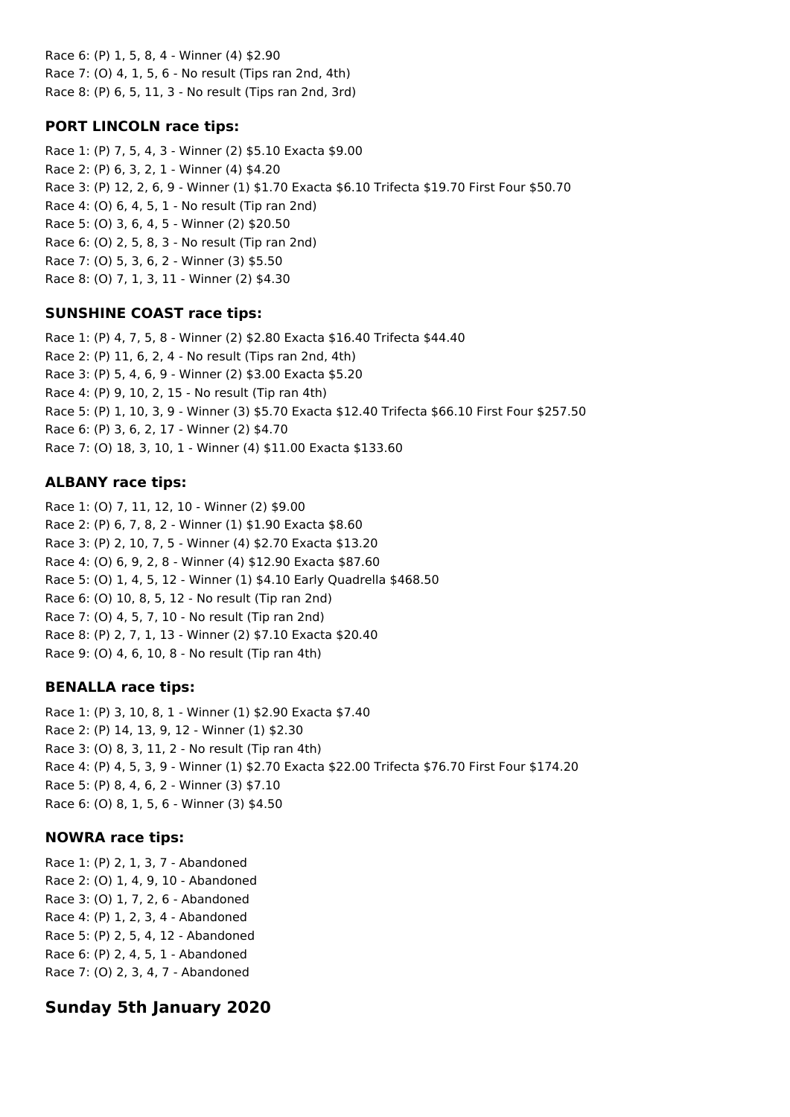Race 6: (P) 1, 5, 8, 4 - Winner (4) \$2.90 Race 7: (O) 4, 1, 5, 6 - No result (Tips ran 2nd, 4th) Race 8: (P) 6, 5, 11, 3 - No result (Tips ran 2nd, 3rd)

# **PORT LINCOLN race tips:**

Race 1: (P) 7, 5, 4, 3 - Winner (2) \$5.10 Exacta \$9.00 Race 2: (P) 6, 3, 2, 1 - Winner (4) \$4.20 Race 3: (P) 12, 2, 6, 9 - Winner (1) \$1.70 Exacta \$6.10 Trifecta \$19.70 First Four \$50.70 Race 4: (O) 6, 4, 5, 1 - No result (Tip ran 2nd) Race 5: (O) 3, 6, 4, 5 - Winner (2) \$20.50 Race 6: (O) 2, 5, 8, 3 - No result (Tip ran 2nd) Race 7: (O) 5, 3, 6, 2 - Winner (3) \$5.50 Race 8: (O) 7, 1, 3, 11 - Winner (2) \$4.30

## **SUNSHINE COAST race tips:**

Race 1: (P) 4, 7, 5, 8 - Winner (2) \$2.80 Exacta \$16.40 Trifecta \$44.40 Race 2: (P) 11, 6, 2, 4 - No result (Tips ran 2nd, 4th) Race 3: (P) 5, 4, 6, 9 - Winner (2) \$3.00 Exacta \$5.20 Race 4: (P) 9, 10, 2, 15 - No result (Tip ran 4th) Race 5: (P) 1, 10, 3, 9 - Winner (3) \$5.70 Exacta \$12.40 Trifecta \$66.10 First Four \$257.50 Race 6: (P) 3, 6, 2, 17 - Winner (2) \$4.70 Race 7: (O) 18, 3, 10, 1 - Winner (4) \$11.00 Exacta \$133.60

## **ALBANY race tips:**

Race 1: (O) 7, 11, 12, 10 - Winner (2) \$9.00 Race 2: (P) 6, 7, 8, 2 - Winner (1) \$1.90 Exacta \$8.60 Race 3: (P) 2, 10, 7, 5 - Winner (4) \$2.70 Exacta \$13.20 Race 4: (O) 6, 9, 2, 8 - Winner (4) \$12.90 Exacta \$87.60 Race 5: (O) 1, 4, 5, 12 - Winner (1) \$4.10 Early Quadrella \$468.50 Race 6: (O) 10, 8, 5, 12 - No result (Tip ran 2nd) Race 7: (O) 4, 5, 7, 10 - No result (Tip ran 2nd) Race 8: (P) 2, 7, 1, 13 - Winner (2) \$7.10 Exacta \$20.40 Race 9: (O) 4, 6, 10, 8 - No result (Tip ran 4th)

# **BENALLA race tips:**

Race 1: (P) 3, 10, 8, 1 - Winner (1) \$2.90 Exacta \$7.40 Race 2: (P) 14, 13, 9, 12 - Winner (1) \$2.30 Race 3: (O) 8, 3, 11, 2 - No result (Tip ran 4th) Race 4: (P) 4, 5, 3, 9 - Winner (1) \$2.70 Exacta \$22.00 Trifecta \$76.70 First Four \$174.20 Race 5: (P) 8, 4, 6, 2 - Winner (3) \$7.10 Race 6: (O) 8, 1, 5, 6 - Winner (3) \$4.50

# **NOWRA race tips:**

Race 1: (P) 2, 1, 3, 7 - Abandoned Race 2: (O) 1, 4, 9, 10 - Abandoned Race 3: (O) 1, 7, 2, 6 - Abandoned Race 4: (P) 1, 2, 3, 4 - Abandoned Race 5: (P) 2, 5, 4, 12 - Abandoned Race 6: (P) 2, 4, 5, 1 - Abandoned Race 7: (O) 2, 3, 4, 7 - Abandoned

# **Sunday 5th January 2020**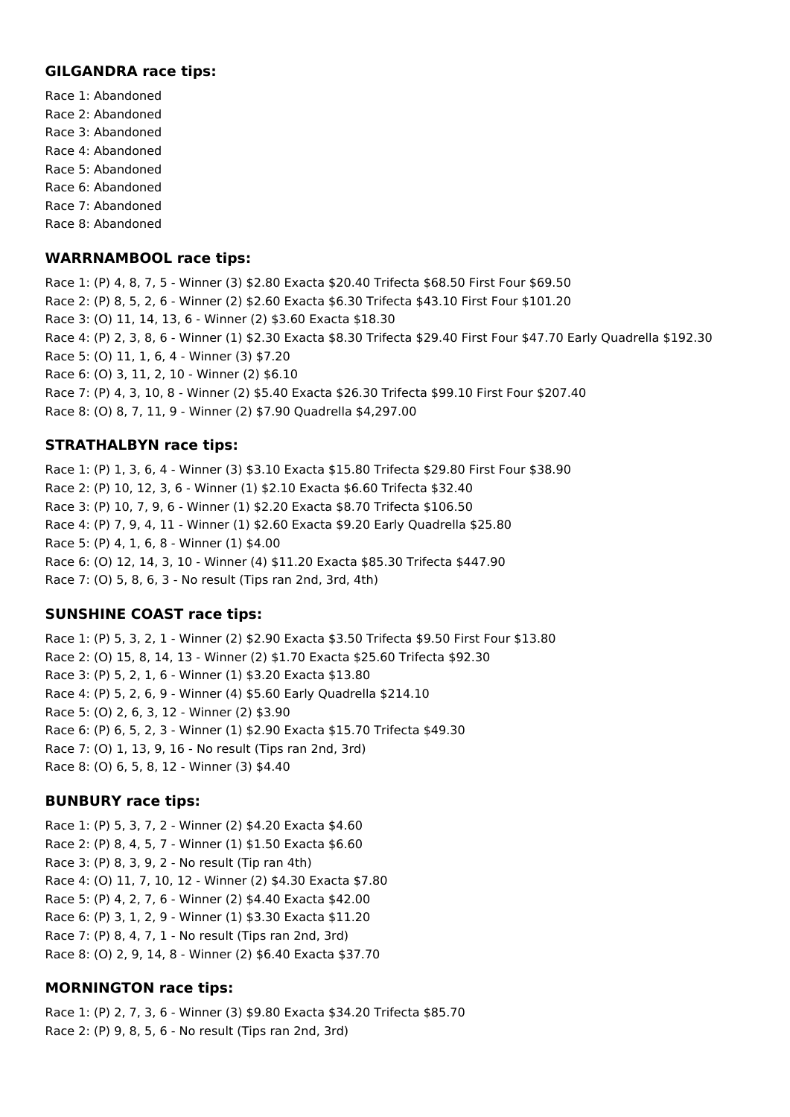#### **GILGANDRA race tips:**

Race 1: Abandoned Race 2: Abandoned Race 3: Abandoned Race 4: Abandoned Race 5: Abandoned Race 6: Abandoned Race 7: Abandoned Race 8: Abandoned

#### **WARRNAMBOOL race tips:**

Race 1: (P) 4, 8, 7, 5 - Winner (3) \$2.80 Exacta \$20.40 Trifecta \$68.50 First Four \$69.50 Race 2: (P) 8, 5, 2, 6 - Winner (2) \$2.60 Exacta \$6.30 Trifecta \$43.10 First Four \$101.20 Race 3: (O) 11, 14, 13, 6 - Winner (2) \$3.60 Exacta \$18.30 Race 4: (P) 2, 3, 8, 6 - Winner (1) \$2.30 Exacta \$8.30 Trifecta \$29.40 First Four \$47.70 Early Quadrella \$192.30 Race 5: (O) 11, 1, 6, 4 - Winner (3) \$7.20 Race 6: (O) 3, 11, 2, 10 - Winner (2) \$6.10 Race 7: (P) 4, 3, 10, 8 - Winner (2) \$5.40 Exacta \$26.30 Trifecta \$99.10 First Four \$207.40 Race 8: (O) 8, 7, 11, 9 - Winner (2) \$7.90 Quadrella \$4,297.00

#### **STRATHALBYN race tips:**

Race 1: (P) 1, 3, 6, 4 - Winner (3) \$3.10 Exacta \$15.80 Trifecta \$29.80 First Four \$38.90 Race 2: (P) 10, 12, 3, 6 - Winner (1) \$2.10 Exacta \$6.60 Trifecta \$32.40 Race 3: (P) 10, 7, 9, 6 - Winner (1) \$2.20 Exacta \$8.70 Trifecta \$106.50 Race 4: (P) 7, 9, 4, 11 - Winner (1) \$2.60 Exacta \$9.20 Early Quadrella \$25.80 Race 5: (P) 4, 1, 6, 8 - Winner (1) \$4.00 Race 6: (O) 12, 14, 3, 10 - Winner (4) \$11.20 Exacta \$85.30 Trifecta \$447.90 Race 7: (O) 5, 8, 6, 3 - No result (Tips ran 2nd, 3rd, 4th)

#### **SUNSHINE COAST race tips:**

Race 1: (P) 5, 3, 2, 1 - Winner (2) \$2.90 Exacta \$3.50 Trifecta \$9.50 First Four \$13.80 Race 2: (O) 15, 8, 14, 13 - Winner (2) \$1.70 Exacta \$25.60 Trifecta \$92.30 Race 3: (P) 5, 2, 1, 6 - Winner (1) \$3.20 Exacta \$13.80 Race 4: (P) 5, 2, 6, 9 - Winner (4) \$5.60 Early Quadrella \$214.10 Race 5: (O) 2, 6, 3, 12 - Winner (2) \$3.90 Race 6: (P) 6, 5, 2, 3 - Winner (1) \$2.90 Exacta \$15.70 Trifecta \$49.30 Race 7: (O) 1, 13, 9, 16 - No result (Tips ran 2nd, 3rd) Race 8: (O) 6, 5, 8, 12 - Winner (3) \$4.40

#### **BUNBURY race tips:**

Race 1: (P) 5, 3, 7, 2 - Winner (2) \$4.20 Exacta \$4.60 Race 2: (P) 8, 4, 5, 7 - Winner (1) \$1.50 Exacta \$6.60 Race 3: (P) 8, 3, 9, 2 - No result (Tip ran 4th) Race 4: (O) 11, 7, 10, 12 - Winner (2) \$4.30 Exacta \$7.80 Race 5: (P) 4, 2, 7, 6 - Winner (2) \$4.40 Exacta \$42.00 Race 6: (P) 3, 1, 2, 9 - Winner (1) \$3.30 Exacta \$11.20 Race 7: (P) 8, 4, 7, 1 - No result (Tips ran 2nd, 3rd) Race 8: (O) 2, 9, 14, 8 - Winner (2) \$6.40 Exacta \$37.70

## **MORNINGTON race tips:**

Race 1: (P) 2, 7, 3, 6 - Winner (3) \$9.80 Exacta \$34.20 Trifecta \$85.70 Race 2: (P) 9, 8, 5, 6 - No result (Tips ran 2nd, 3rd)